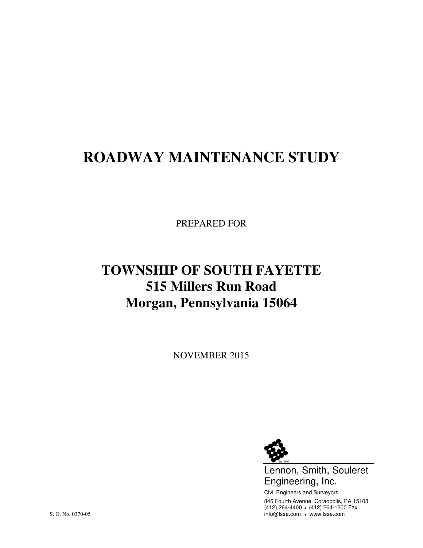# **ROADWAY MAINTENANCE STUDY**

PREPARED FOR

# **TOWNSHIP OF SOUTH FAYETTE 515 Millers Run Road Morgan, Pennsylvania 15064**

NOVEMBER 2015



Lennon, Smith, Souleret Engineering, Inc.

Civil Engineers and Surveyors 846 Fourth Avenue, Coraopolis, PA 15108 (412) 264-4400 (412) 264-1200 Fax S. O. No. 0370-05 info@lsse.com . www.lsse.com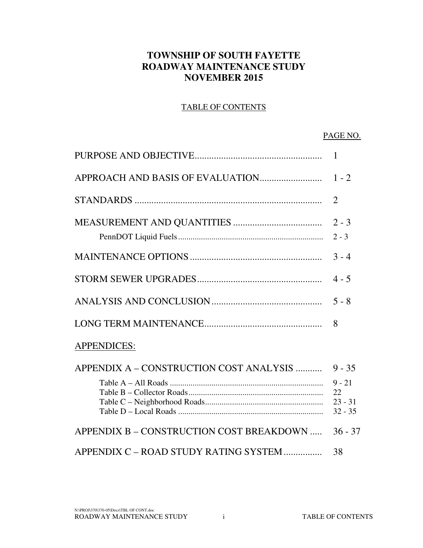#### **TOWNSHIP OF SOUTH FAYETTE ROADWAY MAINTENANCE STUDY NOVEMBER 2015**

#### TABLE OF CONTENTS

#### PAGE NO.

|                                          | $\mathbf{1}$                                         |
|------------------------------------------|------------------------------------------------------|
|                                          |                                                      |
|                                          | $\overline{2}$                                       |
|                                          | $2 - 3$<br>$2 - 3$                                   |
|                                          | $3 - 4$                                              |
|                                          | $4 - 5$                                              |
|                                          | $5 - 8$                                              |
|                                          | 8                                                    |
| <b>APPENDICES:</b>                       |                                                      |
| APPENDIX A – CONSTRUCTION COST ANALYSIS  | $9 - 35$<br>$9 - 21$<br>22<br>$23 - 31$<br>$32 - 35$ |
| APPENDIX B - CONSTRUCTION COST BREAKDOWN | $36 - 37$                                            |
| APPENDIX C – ROAD STUDY RATING SYSTEM    | 38                                                   |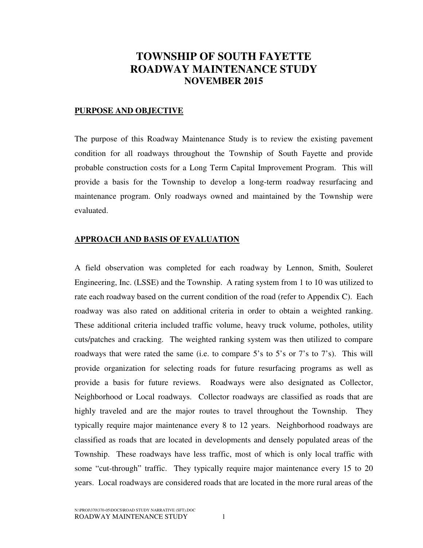## **TOWNSHIP OF SOUTH FAYETTE ROADWAY MAINTENANCE STUDY NOVEMBER 2015**

#### **PURPOSE AND OBJECTIVE**

The purpose of this Roadway Maintenance Study is to review the existing pavement condition for all roadways throughout the Township of South Fayette and provide probable construction costs for a Long Term Capital Improvement Program. This will provide a basis for the Township to develop a long-term roadway resurfacing and maintenance program. Only roadways owned and maintained by the Township were evaluated.

#### **APPROACH AND BASIS OF EVALUATION**

A field observation was completed for each roadway by Lennon, Smith, Souleret Engineering, Inc. (LSSE) and the Township. A rating system from 1 to 10 was utilized to rate each roadway based on the current condition of the road (refer to Appendix C). Each roadway was also rated on additional criteria in order to obtain a weighted ranking. These additional criteria included traffic volume, heavy truck volume, potholes, utility cuts/patches and cracking. The weighted ranking system was then utilized to compare roadways that were rated the same (i.e. to compare 5's to 5's or 7's to 7's). This will provide organization for selecting roads for future resurfacing programs as well as provide a basis for future reviews. Roadways were also designated as Collector, Neighborhood or Local roadways. Collector roadways are classified as roads that are highly traveled and are the major routes to travel throughout the Township. They typically require major maintenance every 8 to 12 years. Neighborhood roadways are classified as roads that are located in developments and densely populated areas of the Township. These roadways have less traffic, most of which is only local traffic with some "cut-through" traffic. They typically require major maintenance every 15 to 20 years. Local roadways are considered roads that are located in the more rural areas of the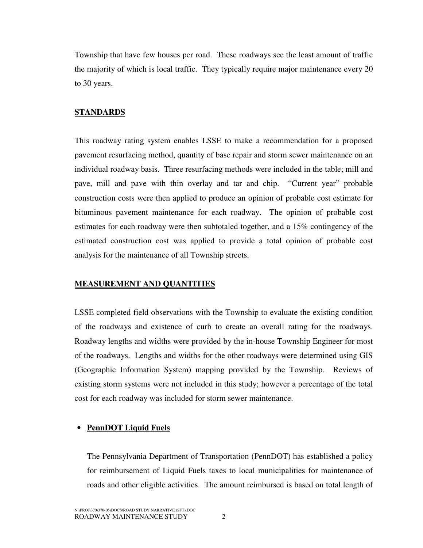Township that have few houses per road. These roadways see the least amount of traffic the majority of which is local traffic. They typically require major maintenance every 20 to 30 years.

#### **STANDARDS**

This roadway rating system enables LSSE to make a recommendation for a proposed pavement resurfacing method, quantity of base repair and storm sewer maintenance on an individual roadway basis. Three resurfacing methods were included in the table; mill and pave, mill and pave with thin overlay and tar and chip. "Current year" probable construction costs were then applied to produce an opinion of probable cost estimate for bituminous pavement maintenance for each roadway. The opinion of probable cost estimates for each roadway were then subtotaled together, and a 15% contingency of the estimated construction cost was applied to provide a total opinion of probable cost analysis for the maintenance of all Township streets.

#### **MEASUREMENT AND QUANTITIES**

LSSE completed field observations with the Township to evaluate the existing condition of the roadways and existence of curb to create an overall rating for the roadways. Roadway lengths and widths were provided by the in-house Township Engineer for most of the roadways. Lengths and widths for the other roadways were determined using GIS (Geographic Information System) mapping provided by the Township. Reviews of existing storm systems were not included in this study; however a percentage of the total cost for each roadway was included for storm sewer maintenance.

#### • **PennDOT Liquid Fuels**

The Pennsylvania Department of Transportation (PennDOT) has established a policy for reimbursement of Liquid Fuels taxes to local municipalities for maintenance of roads and other eligible activities. The amount reimbursed is based on total length of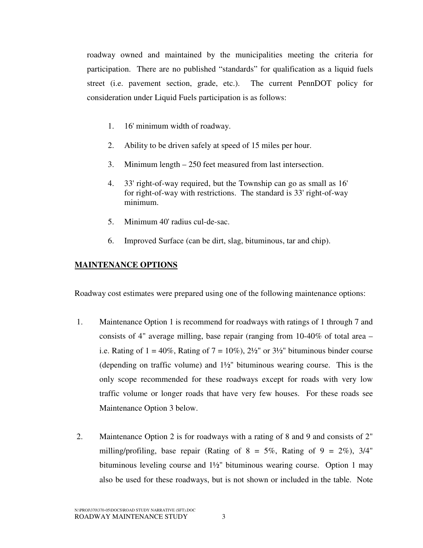roadway owned and maintained by the municipalities meeting the criteria for participation. There are no published "standards" for qualification as a liquid fuels street (i.e. pavement section, grade, etc.). The current PennDOT policy for consideration under Liquid Fuels participation is as follows:

- 1. 16' minimum width of roadway.
- 2. Ability to be driven safely at speed of 15 miles per hour.
- 3. Minimum length 250 feet measured from last intersection.
- 4. 33' right-of-way required, but the Township can go as small as 16' for right-of-way with restrictions. The standard is 33' right-of-way minimum.
- 5. Minimum 40' radius cul-de-sac.
- 6. Improved Surface (can be dirt, slag, bituminous, tar and chip).

#### **MAINTENANCE OPTIONS**

Roadway cost estimates were prepared using one of the following maintenance options:

- 1. Maintenance Option 1 is recommend for roadways with ratings of 1 through 7 and consists of 4" average milling, base repair (ranging from 10-40% of total area – i.e. Rating of  $1 = 40\%$ , Rating of  $7 = 10\%$ ),  $2\frac{1}{2}$ " or  $3\frac{1}{2}$ " bituminous binder course (depending on traffic volume) and 1½" bituminous wearing course. This is the only scope recommended for these roadways except for roads with very low traffic volume or longer roads that have very few houses. For these roads see Maintenance Option 3 below.
- 2. Maintenance Option 2 is for roadways with a rating of 8 and 9 and consists of 2" milling/profiling, base repair (Rating of  $8 = 5\%$ , Rating of  $9 = 2\%$ ), 3/4" bituminous leveling course and 1½" bituminous wearing course. Option 1 may also be used for these roadways, but is not shown or included in the table. Note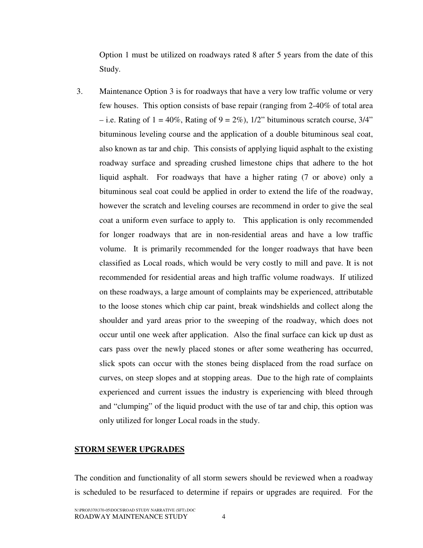Option 1 must be utilized on roadways rated 8 after 5 years from the date of this Study.

3. Maintenance Option 3 is for roadways that have a very low traffic volume or very few houses. This option consists of base repair (ranging from 2-40% of total area – i.e. Rating of  $1 = 40\%$ , Rating of  $9 = 2\%$ ),  $1/2$ " bituminous scratch course,  $3/4$ " bituminous leveling course and the application of a double bituminous seal coat, also known as tar and chip. This consists of applying liquid asphalt to the existing roadway surface and spreading crushed limestone chips that adhere to the hot liquid asphalt. For roadways that have a higher rating (7 or above) only a bituminous seal coat could be applied in order to extend the life of the roadway, however the scratch and leveling courses are recommend in order to give the seal coat a uniform even surface to apply to. This application is only recommended for longer roadways that are in non-residential areas and have a low traffic volume. It is primarily recommended for the longer roadways that have been classified as Local roads, which would be very costly to mill and pave. It is not recommended for residential areas and high traffic volume roadways. If utilized on these roadways, a large amount of complaints may be experienced, attributable to the loose stones which chip car paint, break windshields and collect along the shoulder and yard areas prior to the sweeping of the roadway, which does not occur until one week after application. Also the final surface can kick up dust as cars pass over the newly placed stones or after some weathering has occurred, slick spots can occur with the stones being displaced from the road surface on curves, on steep slopes and at stopping areas. Due to the high rate of complaints experienced and current issues the industry is experiencing with bleed through and "clumping" of the liquid product with the use of tar and chip, this option was only utilized for longer Local roads in the study.

#### **STORM SEWER UPGRADES**

The condition and functionality of all storm sewers should be reviewed when a roadway is scheduled to be resurfaced to determine if repairs or upgrades are required. For the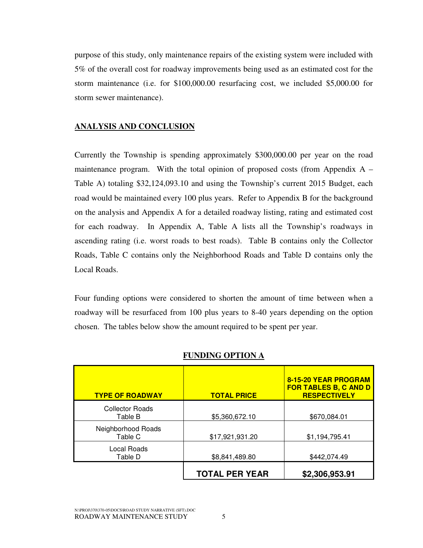purpose of this study, only maintenance repairs of the existing system were included with 5% of the overall cost for roadway improvements being used as an estimated cost for the storm maintenance (i.e. for \$100,000.00 resurfacing cost, we included \$5,000.00 for storm sewer maintenance).

#### **ANALYSIS AND CONCLUSION**

Currently the Township is spending approximately \$300,000.00 per year on the road maintenance program. With the total opinion of proposed costs (from Appendix  $A -$ Table A) totaling \$32,124,093.10 and using the Township's current 2015 Budget, each road would be maintained every 100 plus years. Refer to Appendix B for the background on the analysis and Appendix A for a detailed roadway listing, rating and estimated cost for each roadway. In Appendix A, Table A lists all the Township's roadways in ascending rating (i.e. worst roads to best roads). Table B contains only the Collector Roads, Table C contains only the Neighborhood Roads and Table D contains only the Local Roads.

Four funding options were considered to shorten the amount of time between when a roadway will be resurfaced from 100 plus years to 8-40 years depending on the option chosen. The tables below show the amount required to be spent per year.

| <b>TYPE OF ROADWAY</b>            | <b>TOTAL PRICE</b>    | 8-15-20 YEAR PROGRAM<br><b>FOR TABLES B, C AND D</b><br><b>RESPECTIVELY</b> |
|-----------------------------------|-----------------------|-----------------------------------------------------------------------------|
| <b>Collector Roads</b><br>Table B | \$5,360,672.10        | \$670,084.01                                                                |
| Neighborhood Roads<br>Table C     | \$17,921,931.20       | \$1,194,795.41                                                              |
| Local Roads<br>Table D            | \$8,841,489.80        | \$442,074.49                                                                |
|                                   | <b>TOTAL PER YEAR</b> | \$2,306,953.91                                                              |

#### **FUNDING OPTION A**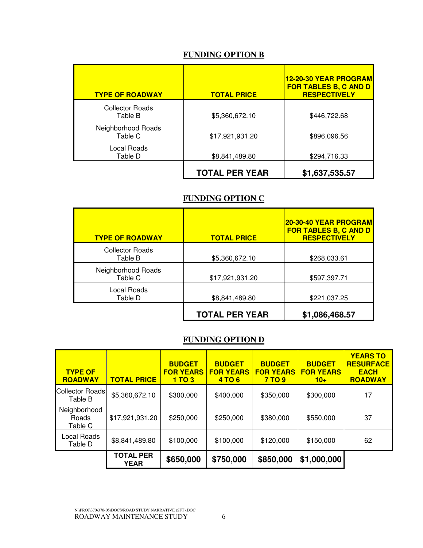#### **FUNDING OPTION B**

| <b>TYPE OF ROADWAY</b>            | <b>TOTAL PRICE</b>    | <b>12-20-30 YEAR PROGRAM</b><br><b>FOR TABLES B, C AND D</b><br><b>RESPECTIVELY</b> |
|-----------------------------------|-----------------------|-------------------------------------------------------------------------------------|
| <b>Collector Roads</b><br>Table B | \$5,360,672.10        | \$446,722.68                                                                        |
| Neighborhood Roads<br>Table C     | \$17,921,931.20       | \$896,096.56                                                                        |
| Local Roads<br>Table D            | \$8,841,489.80        | \$294,716.33                                                                        |
|                                   | <b>TOTAL PER YEAR</b> | \$1,637,535.57                                                                      |

#### **FUNDING OPTION C**

| <b>TYPE OF ROADWAY</b>            | <b>TOTAL PRICE</b>    | 20-30-40 YEAR PROGRAM<br><b>FOR TABLES B, C AND D</b><br><b>RESPECTIVELY</b> |
|-----------------------------------|-----------------------|------------------------------------------------------------------------------|
| <b>Collector Roads</b><br>Table B | \$5,360,672.10        | \$268,033.61                                                                 |
| Neighborhood Roads<br>Table C     | \$17,921,931.20       | \$597,397.71                                                                 |
| Local Roads<br>Table D            | \$8,841,489.80        | \$221,037.25                                                                 |
|                                   | <b>TOTAL PER YEAR</b> | \$1,086,468.57                                                               |

#### **FUNDING OPTION D**

| <b>TYPE OF</b><br><b>ROADWAY</b> | <b>TOTAL PRICE</b>              | <b>BUDGET</b><br><b>FOR YEARS</b><br>1T <sub>O</sub> 3 | <b>BUDGET</b><br><b>FOR YEARS</b><br><b>4 TO 6</b> | <b>BUDGET</b><br><b>FOR YEARS</b><br><b>7 TO 9</b> | <b>BUDGET</b><br><b>FOR YEARS</b><br>$10+$ | <b>YEARS TO</b><br><b>RESURFACE</b><br><b>EACH</b><br><b>ROADWAY</b> |  |
|----------------------------------|---------------------------------|--------------------------------------------------------|----------------------------------------------------|----------------------------------------------------|--------------------------------------------|----------------------------------------------------------------------|--|
| Collector Roads<br>Table B       | \$5,360,672.10                  | \$300,000                                              | \$400,000                                          | \$350,000                                          | \$300,000                                  | 17                                                                   |  |
| Neighborhood<br>Roads<br>Table C | \$17,921,931.20                 | \$250,000                                              | \$250,000                                          | \$380,000                                          | \$550,000                                  | 37                                                                   |  |
| Local Roads<br>Table D           | \$8,841,489.80                  | \$100,000                                              | \$100,000                                          | \$120,000                                          | \$150,000                                  | 62                                                                   |  |
|                                  | <b>TOTAL PER</b><br><b>YEAR</b> | \$650,000                                              | \$750,000                                          | \$850,000                                          | \$1,000,000                                |                                                                      |  |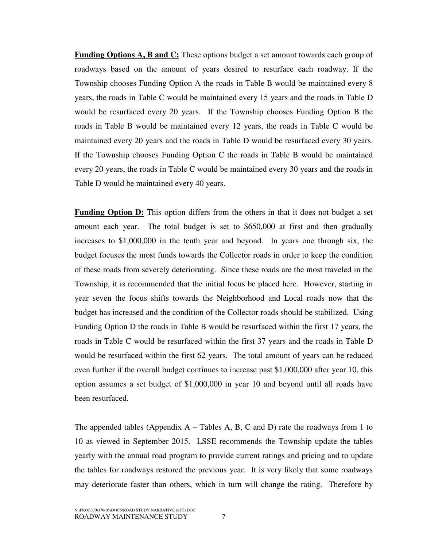**Funding Options A, B and C:** These options budget a set amount towards each group of roadways based on the amount of years desired to resurface each roadway. If the Township chooses Funding Option A the roads in Table B would be maintained every 8 years, the roads in Table C would be maintained every 15 years and the roads in Table D would be resurfaced every 20 years. If the Township chooses Funding Option B the roads in Table B would be maintained every 12 years, the roads in Table C would be maintained every 20 years and the roads in Table D would be resurfaced every 30 years. If the Township chooses Funding Option C the roads in Table B would be maintained every 20 years, the roads in Table C would be maintained every 30 years and the roads in Table D would be maintained every 40 years.

**Funding Option D:** This option differs from the others in that it does not budget a set amount each year. The total budget is set to \$650,000 at first and then gradually increases to \$1,000,000 in the tenth year and beyond. In years one through six, the budget focuses the most funds towards the Collector roads in order to keep the condition of these roads from severely deteriorating. Since these roads are the most traveled in the Township, it is recommended that the initial focus be placed here. However, starting in year seven the focus shifts towards the Neighborhood and Local roads now that the budget has increased and the condition of the Collector roads should be stabilized. Using Funding Option D the roads in Table B would be resurfaced within the first 17 years, the roads in Table C would be resurfaced within the first 37 years and the roads in Table D would be resurfaced within the first 62 years. The total amount of years can be reduced even further if the overall budget continues to increase past \$1,000,000 after year 10, this option assumes a set budget of \$1,000,000 in year 10 and beyond until all roads have been resurfaced.

The appended tables (Appendix  $A -$  Tables A, B, C and D) rate the roadways from 1 to 10 as viewed in September 2015. LSSE recommends the Township update the tables yearly with the annual road program to provide current ratings and pricing and to update the tables for roadways restored the previous year. It is very likely that some roadways may deteriorate faster than others, which in turn will change the rating. Therefore by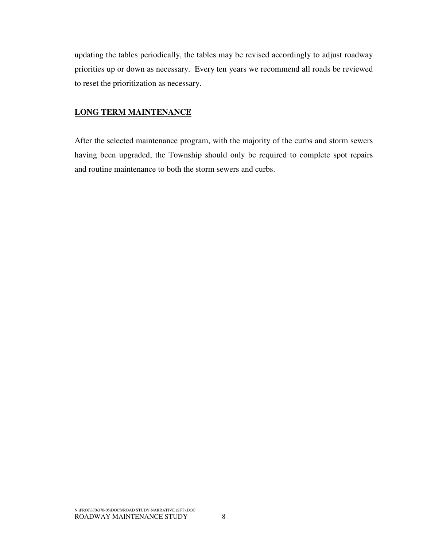updating the tables periodically, the tables may be revised accordingly to adjust roadway priorities up or down as necessary. Every ten years we recommend all roads be reviewed to reset the prioritization as necessary.

#### **LONG TERM MAINTENANCE**

After the selected maintenance program, with the majority of the curbs and storm sewers having been upgraded, the Township should only be required to complete spot repairs and routine maintenance to both the storm sewers and curbs.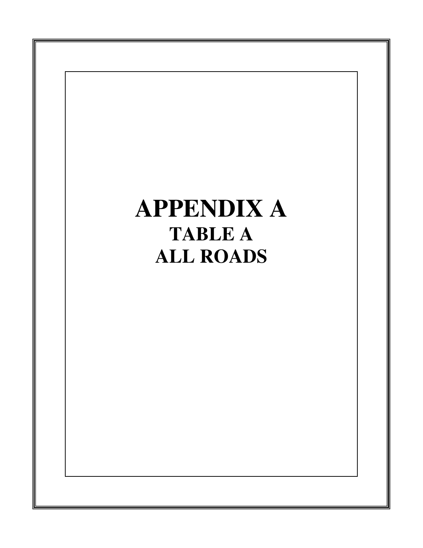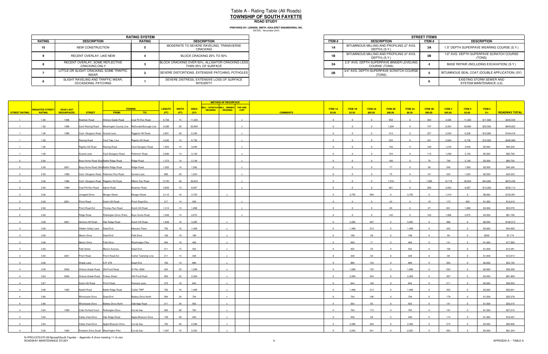|               | <b>RATING SYSTEM</b>                                     |               |                                                                         |  |  |  |  |
|---------------|----------------------------------------------------------|---------------|-------------------------------------------------------------------------|--|--|--|--|
| <b>RATING</b> | <b>DESCRIPTION</b>                                       | <b>RATING</b> | <b>DESCRIPTION</b>                                                      |  |  |  |  |
| 10            | NEW CONSTRUCTION                                         |               | MODERATE TO SEVERE RAVELING, TRANSVERSE<br>CRACKING                     |  |  |  |  |
|               | RECENT OVERLAY, LIKE NEW                                 |               | BLOCK CRACKING 25% TO 50%                                               |  |  |  |  |
|               | RECENT OVERLAY. SOME REFLECTIVE<br><b>CRACKING ONLY</b>  |               | BLOCK CRACKING OVER 50%, ALLIGATOR CRACKING LESS<br>THAN 25% OF SURFACE |  |  |  |  |
|               | LITTLE OR SLIGHT CRACKING, SOME TRAFFIC<br>WFAR          |               | SEVERE DISTORTIONS, EXTENSIVE PATCHING, POTHOLES                        |  |  |  |  |
|               | SLIGHT RAVELING AND TRAFFIC WEAR.<br>OCCASIONAL PATCHING |               | SEVERE DISTRESS, EXTENSIVE LOSS OF SURFACE<br><b>INTEGRITY</b>          |  |  |  |  |

| <b>RATING SYSTEM</b>        |        |                                                                         |  |  |  |  |
|-----------------------------|--------|-------------------------------------------------------------------------|--|--|--|--|
| <b>TION</b>                 | RATING | <b>DESCRIPTION</b>                                                      |  |  |  |  |
| RUCTION                     |        | MODERATE TO SEVERE RAVELING, TRANSVERSE<br>CRACKING                     |  |  |  |  |
| YY. LIKE NEW                |        | BLOCK CRACKING 25% TO 50%                                               |  |  |  |  |
| OME REFLECTIVE<br>a ONLY    |        | BLOCK CRACKING OVER 50%, ALLIGATOR CRACKING LESS<br>THAN 25% OF SURFACE |  |  |  |  |
| KING. SOME TRAFFIC          |        | SEVERE DISTORTIONS. EXTENSIVE PATCHING. POTHOLES I                      |  |  |  |  |
| D TRAFFIC WEAR.<br>PATCHING |        | SEVERE DISTRESS, EXTENSIVE LOSS OF SURFACE<br>INTEGRITY                 |  |  |  |  |

|                |                        |                  |                                         |                                                                        |                            |               |                  |             | <b>METHOD OF RESURFACE</b>                                      |              |                 |                |          |                |                |                |                |               |        |          |                      |
|----------------|------------------------|------------------|-----------------------------------------|------------------------------------------------------------------------|----------------------------|---------------|------------------|-------------|-----------------------------------------------------------------|--------------|-----------------|----------------|----------|----------------|----------------|----------------|----------------|---------------|--------|----------|----------------------|
|                | <b>WEIGHTED STREET</b> | <b>YEAR LAST</b> |                                         |                                                                        | <b>TERMINI</b>             | <b>LENGTH</b> | <b>WIDTH</b>     | <b>AREA</b> | MILL / SCRATCH MILL / BINDER TAR AND<br>/WEARING / WEARING CHIP |              |                 | <b>ITEM 1A</b> | ITEM 1B  | <b>ITEM 2A</b> | ITEM 2B        | <b>ITEM 3A</b> | <b>ITEM 3B</b> | <b>ITEM 4</b> | ITEM 5 | ITEM 6   |                      |
| STREET RATING  | RATING                 | RESURFACED       | <b>STREET</b>                           | FROM:                                                                  | TO:                        | (FT)          | (FT)             | (SY)        |                                                                 |              | <b>COMMENTS</b> | \$3.00         | \$3.50   | \$85.00        | \$90.00        | \$8.50         | \$90.00        | \$45.00       | \$5.00 | $-5\%$   | <b>ROADWAY TOTAL</b> |
|                | 1.00                   | 1996             | Bowman Road                             | Hickory Grade Road                                                     | Coal Pit Run Road          | 6,758         | 15               | 11,263      |                                                                 |              |                 | $\Omega$       | $\Omega$ | $\Omega$       | 558            | $\Omega$       | 403            | 4,505         | 11,263 | \$17,500 | \$345,539            |
|                | 1.00                   | 1998             |                                         | Cecil Reising Road <b>Washington County Line McDonald Borough Line</b> |                            | 9,398         | 20               | 20,884      |                                                                 |              |                 | $\Omega$       |          |                | 1,034          | $\Omega$       | 747            | 8,354         | 20,884 | \$32,500 | \$640,622            |
|                | 1.00                   | 1998             | Cecil -Sturgeon Road Sunset Lane        |                                                                        | Riggerts Hill Road         | 2,851         | 20               | 6,336       |                                                                 |              |                 | $\Omega$       |          |                | 314            | $\Omega$       | 227            | 2,534         | 6,336  | \$10,000 | \$194,418            |
|                | 1.00                   |                  | Reising Road                            | Cecil Twp. Line                                                        | Rigerts Hill Road          | 4,330         | 14               | 6,736       |                                                                 |              |                 | $\Omega$       |          |                | 333            | $\Omega$       | 241            | 2,694         | 6,736  | \$10,500 | \$206,588            |
|                | 1.00                   |                  | <b>Rigerts Hill Road</b>                | Reising Road                                                           | Cecil-Sturgeon Road        | 1,954         | 14               | 3,040       |                                                                 |              |                 |                |          |                | 150            | $\Omega$       | 109            | 1,216         | 3,040  | \$5,000  | \$93,230             |
|                | 1.00                   |                  | Sunset Lane                             | Cecil-Sturgeon Road                                                    | Robinson Road              | 2,006         | 14               | 3,120       |                                                                 |              |                 |                |          |                | 154            | $\Omega$       | 112            | 1,248         | 3,120  | \$5,000  | \$95,700             |
|                |                        |                  |                                         |                                                                        |                            |               |                  |             |                                                                 |              |                 |                |          |                |                |                |                |               |        |          |                      |
|                | 2.00                   |                  | Boys Home Road (Eas Battle Ridge Road   |                                                                        | Ridge Road                 | 1,373         | 14               | 2,136       |                                                                 | $\mathbf{x}$ |                 | $\Omega$       |          |                | 106            | $\overline{0}$ | 76             | 748           | 2,136  | \$3,500  | \$60,702             |
|                | 2.00                   | 2001             | Boys Home Road (Wes Battle Ridge Road   |                                                                        | Ridge Road                 | 1,003         | 14               | 1,560       |                                                                 |              |                 | $\overline{0}$ |          |                | 77             | $\overline{0}$ | 56             | 546           | 1,560  | \$2,500  | \$44,340             |
|                | 2.00                   | 1998             |                                         | Cecil - Sturgeon Road Robinson Run Road                                | Sunset Lane                | 686           | 20               | 1,524       |                                                                 |              |                 | $\Omega$       |          |                | 75             | $\overline{0}$ | 54             | 533           | 1,524  | \$2,500  | \$43,233             |
|                | 2.00                   | 1998             | Cecil -Sturgeon Road Riggerts Hill Road |                                                                        | Millers Run Road           | 13,781        | 20               | 30,624      |                                                                 |              |                 | $\Omega$       |          | $\Omega$       | 1,516          | $\overline{0}$ | 1,095          | 10,718        | 30,624 | \$44,000 | \$870,438            |
|                | 2.00                   | 1998             | Coal Pitt Run Road Alpine Road          |                                                                        | Bowman Road                | 4,858         | 15               | 8,097       |                                                                 |              |                 |                |          |                | 401            | $\Omega$       | 289            | 2,834         | 8,097  | \$12,000 | \$230,113            |
|                | 2.00                   |                  | Jonagold Drive                          | Morgan Street                                                          | Morgan Street              | 2,112         | 16               | 3,755       |                                                                 |              |                 | $\Omega$       | 3,755    | 568            | $\Omega$       | 3,755          | $^{\circ}$     | 1,314         |        | \$8,000  | \$152,481            |
|                | 2.00                   | 2001             | Pinch Road                              | Dutch Hill Road                                                        | Pinch Road Ext             | 317           | 14               | 493         |                                                                 |              |                 | $\overline{0}$ |          | $^{\circ}$     | 24             | $\overline{0}$ | 18             | 173           | 493    | \$1,000  | \$14,010             |
|                | 2.00                   |                  | Pinch Road Ext                          | Thomas Run Road                                                        | Dutch Hill Road            | 1,214         | 14               | 1,888       |                                                                 |              |                 | $\Omega$       |          |                | 93             | $\overline{0}$ | 67             | 661           | 1,888  | \$3,000  | \$53,576             |
|                | 2.00                   |                  | Ridge Road                              | Rutherglen Drive (Park) Boys Home Road                                 |                            | 1,848         | 14               | 2,875       |                                                                 |              |                 | $\Omega$       |          | $\Omega$       | 142            | $\overline{0}$ | 103            | 1,006         | 2,875  | \$4,500  | \$81,706             |
|                | 3.00                   | 2001             | Gilmore Hill Road                       | Oak Ridge Road                                                         | Dutch Hill Road            | 1,848         | 16               | 3,285       |                                                                 |              |                 | $\Omega$       | 3,285    | 497            |                | 3,285          |                | 986           |        | \$6,500  | \$126,013            |
|                | 3.00                   |                  | Hidden Valley Lane Dead End             |                                                                        | Massaro Place              | 792           | 16               | 1,408       |                                                                 |              |                 |                | 1,408    | 213            |                | 1,408          |                | 422           |        | \$3,000  | \$54,009             |
|                | 3.00                   |                  | Marion Drive                            | Dead End                                                               | Patti Drive                | 106           | 16               | 188         |                                                                 |              |                 | $\overline{0}$ | 188      | 28             | $\Omega$       | 188            | $^{\circ}$     | 56            |        | \$500    | \$7,174              |
|                | 3.00                   |                  | Marion Drive                            | Patti Drive                                                            | <b>Washington Pike</b>     | 264           | 16               | 469         |                                                                 |              |                 | $\Omega$       | 469      | 71             | $\Omega$       | 469            |                | 141           |        | \$1,000  | \$17,995             |
|                | 3.00                   |                  | Patti Street                            | Marion Avenue                                                          | Dead End                   | 211           | 15               | 352         |                                                                 |              |                 | $\overline{0}$ | 352      | 53             | $\Omega$       | 352            |                | 106           |        | \$1,000  | \$13,481             |
|                | 3.00                   | 2001             | Pinch Road                              | Pinch Road Ext                                                         | Collier Township Line      | 211           | 14               | 328         |                                                                 |              |                 | $\overline{0}$ | 328      | 50             | $\overline{0}$ | 328            |                | 98            |        | \$1,000  | \$12,614             |
|                | 3.00                   |                  | Shady Lane                              | S.R. 978                                                               | Dead End                   | 792           | 10 <sup>10</sup> | 880         |                                                                 |              |                 |                | 880      | 133            |                | 880            |                | 264           |        | \$2,000  | \$33,745             |
| $\mathbf{A}$   | 3.59                   | 2000             | Hickory Grade Road   Old Pond Road      |                                                                        | Sr Rte. 0050               | 422           | 22               | 1,008       |                                                                 |              |                 | $\mathbf{0}$   | 1,008    | 152            | $\Omega$       | 1,008          | $\Omega$       | 252           |        | \$2,000  | \$36,356             |
| $\overline{a}$ | 3.63                   | 2000             | Hickory Grade Road Forbes Street        |                                                                        | Old Pond Road              | 950           | 22               | 2,269       |                                                                 |              |                 | $\overline{0}$ | 2,269    | 343            | $\overline{0}$ | 2,269          | $\Omega$       | 567           |        | \$4,500  | \$81,909             |
|                |                        |                  |                                         |                                                                        |                            | 475           | 16               | 844         |                                                                 |              |                 |                |          |                |                |                |                |               |        |          |                      |
| $\Lambda$      | 3.67                   |                  | Dutch Hill Road                         | Pinch Road                                                             | Kramers Lane               |               |                  |             |                                                                 |              |                 |                | 844      | 128            |                | 844            |                | 211           |        | \$2,000  | \$30,503             |
|                | 3.68                   | 1992             | Nesbit Road                             | <b>Battle Ridge Road</b>                                               | Collier TWP                | 792           | 16               | 1,408       | $\mathbf{x}$                                                    |              |                 | $\overline{0}$ | 1,408    | 213            | $\overline{0}$ | 1,408          | $\Omega$       | 352           |        | \$3,000  | \$50,841             |
|                | 3.80                   |                  | Winchester Drive                        | Dead End                                                               | <b>Battery Drive North</b> | 264           | 24               | 704         | $\mathbf{x}$                                                    |              |                 | $\overline{0}$ | 704      | 106            | $\Omega$       | 704            | $\Omega$       | 176           |        | \$1,500  | \$25,378             |
|                | 3.80                   |                  | Winchester Drive                        | <b>Battery Drive North</b>                                             | Oakridge Road              | 211           | 24               | 563         |                                                                 |              |                 | $^{\circ}$     | 563      | 85             |                | 563            |                | 141           |        | \$1,500  | \$20,315             |
| $\mathbf{A}$   | 3.84                   | 1998             | Crab Orchard Court Rutherglen Drive     |                                                                        | Cul-de-Sac                 | 264           | 26               | 763         |                                                                 |              |                 | $\overline{0}$ | 763      | 115            | $\overline{0}$ | 763            |                | 191           |        | \$1,500  | \$27,515             |
|                | 3.84                   |                  | Valley View Drive                       | Oak Ridge Road                                                         | Apple Blossom Drive        | 158           | 26               | 456         |                                                                 |              |                 | $\Omega$       | 456      | 69             |                | 456            |                | 114           |        | \$1,000  | \$16,467             |
|                | 3.84                   |                  | <b>Valley View Drive</b>                | Apple Blossom Drive                                                    | Cul-de-Sac                 | 792           |                  | 2,288       |                                                                 |              |                 |                | 2,288    | 346            |                | 2,288          |                | 572           |        | \$4,500  | \$82,606             |
|                | 3.92                   | 1993             | Freedom Drive South Washington Pike     |                                                                        | Cul-de-Sac                 | 1,267         | 16               | 2,252       |                                                                 |              |                 | $\Omega$       | 2,252    | 341            | $\Omega$       | 2,252          |                | 563           |        | \$4,500  | \$81,344             |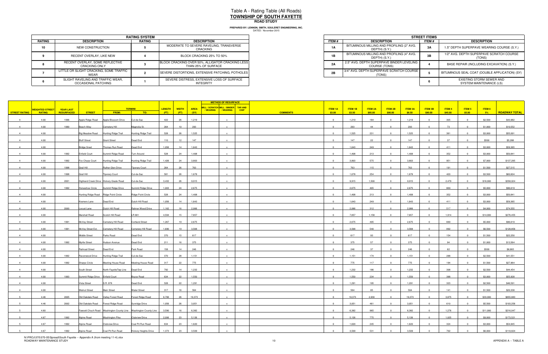|        | <b>RATING SYSTEM</b>                                            |               |                                                                         |  |  |  |  |
|--------|-----------------------------------------------------------------|---------------|-------------------------------------------------------------------------|--|--|--|--|
| RATING | <b>DESCRIPTION</b>                                              | <b>RATING</b> | <b>DESCRIPTION</b>                                                      |  |  |  |  |
| 10     | NEW CONSTRUCTION                                                |               | MODERATE TO SEVERE RAVELING, TRANSVERSE<br>CRACKING                     |  |  |  |  |
|        | RECENT OVERLAY, LIKE NEW                                        |               | BLOCK CRACKING 25% TO 50%                                               |  |  |  |  |
|        | RECENT OVERLAY, SOME REFLECTIVE<br><b>CRACKING ONLY</b>         |               | BLOCK CRACKING OVER 50%, ALLIGATOR CRACKING LESS<br>THAN 25% OF SURFACE |  |  |  |  |
|        | LITTLE OR SLIGHT CRACKING, SOME TRAFFIC<br>WEAR                 |               | SEVERE DISTORTIONS, EXTENSIVE PATCHING, POTHOLES                        |  |  |  |  |
|        | SLIGHT RAVELING AND TRAFFIC WEAR,<br><b>OCCASIONAL PATCHING</b> |               | SEVERE DISTRESS, EXTENSIVE LOSS OF SURFACE<br><b>INTEGRITY</b>          |  |  |  |  |

| <b>RATING SYSTEM</b>        |        |                                                                         |  |  |  |  |
|-----------------------------|--------|-------------------------------------------------------------------------|--|--|--|--|
| <b>TION</b>                 | RATING | <b>DESCRIPTION</b>                                                      |  |  |  |  |
| <b>RUCTION</b>              |        | MODERATE TO SEVERE RAVELING, TRANSVERSE<br>CRACKING                     |  |  |  |  |
| YY. LIKE NEW                |        | BLOCK CRACKING 25% TO 50%                                               |  |  |  |  |
| OME REFLECTIVE<br>a ONLY    |        | BLOCK CRACKING OVER 50%, ALLIGATOR CRACKING LESS<br>THAN 25% OF SURFACE |  |  |  |  |
| KING. SOME TRAFFIC          |        | SEVERE DISTORTIONS. EXTENSIVE PATCHING. POTHOLES                        |  |  |  |  |
| D TRAFFIC WEAR.<br>PATCHING |        | SEVERE DISTRESS. EXTENSIVE LOSS OF SURFACE<br>INTEGRITY                 |  |  |  |  |

|                      |                        |                   |                                  |                                         |                                                                      |        |              |             | <b>METHOD OF RESURFACE</b>                                                             |                 |                |                |                |                |                |                |               |        |          |                      |
|----------------------|------------------------|-------------------|----------------------------------|-----------------------------------------|----------------------------------------------------------------------|--------|--------------|-------------|----------------------------------------------------------------------------------------|-----------------|----------------|----------------|----------------|----------------|----------------|----------------|---------------|--------|----------|----------------------|
|                      | <b>WEIGHTED STREET</b> | <b>YEAR LAST</b>  |                                  |                                         | <b>TERMINI</b>                                                       | LENGTH | <b>WIDTH</b> | <b>AREA</b> | MILL / SCRATCH MILL / BINDER TAR AND<br>/WEARING <mark>//WEARING</mark><br><b>CHIP</b> |                 | <b>ITEM 1A</b> | <b>ITEM 1B</b> | <b>ITEM 2A</b> | <b>ITEM 2B</b> | <b>ITEM 3A</b> | <b>ITEM 3B</b> | <b>ITEM 4</b> | ITEM 5 | ITEM 6   |                      |
| <b>STREET RATING</b> | <b>RATING</b>          | <b>RESURFACED</b> | <b>STREET</b>                    | FROM:                                   | TO:                                                                  | (FT)   | (FT)         | (SY)        |                                                                                        | <b>COMMENTS</b> | \$3.00         | \$3.50         | \$85.00        | \$90.00        | \$8.50         | \$90.00        | \$45.00       | \$5.00 | 5%       | <b>ROADWAY TOTAL</b> |
| $\overline{4}$       | 4.00                   | 1996              | Apple Ridge Road                 | Apple Blossom Drive                     | Cul-de-Sac                                                           | 422    | 26           | 1,219       |                                                                                        |                 | $\overline{0}$ | 1,219          | 184            | $\Omega$       | 1,219          | $\overline{0}$ | 305           |        | \$2,500  | \$43,982             |
| $\overline{4}$       | 4.00                   | 1990              | Beech Alley                      | Cemetery Hill                           | Magnolia St.                                                         | 264    | 10           | 293         |                                                                                        |                 | $\Omega$       | 293            | 44             |                | 293            |                | 73            |        | \$1,000  | \$10,552             |
|                      | 4.00                   |                   | <b>Big Meadow Road</b>           | Hunting Ridge Trail                     | Hunting Ridge Trail                                                  | 528    | 26           | 1,525       |                                                                                        |                 | $\sim$         | 1,525          | 231            |                | 1,525          |                | 381           |        | \$3,000  | \$55,091             |
| $\overline{4}$       |                        |                   |                                  |                                         |                                                                      |        | 12           | 147         |                                                                                        |                 | $\overline{0}$ | 147            |                | $\Omega$       | 147            | $\Omega$       | 37            |        |          |                      |
|                      | 4.00                   |                   | <b>Bluff Street</b>              | <b>Grant Street</b>                     | Dead End                                                             | 110    |              |             |                                                                                        |                 |                |                | 22             |                |                |                |               |        | \$500    | \$5,288              |
|                      | 4.00                   |                   | <b>Bridge Sreet</b>              | Thomas Run Road                         | Dead End                                                             | 1,056  | 14           | 1,643       |                                                                                        |                 | $\Omega$       | 1,643          | 249            |                | 1,643          |                | 411           |        | \$3,000  | \$59,365             |
| $\mathbf{A}$         | 4.00                   | 1992              | Enfield Court                    | Summit Ridge Road                       | Turn Around                                                          | 528    | 24           | 1,408       |                                                                                        |                 | $\Omega$       | 1,408          | 213            |                | 1,408          |                | 352           |        | \$3,000  | \$50,841             |
| $\overline{4}$       | 4.00                   | 1992              | Fox Chase Court                  | Hunting Ridge Trail                     | Hunting Ridge Trail                                                  | 1,426  | 24           | 3,803       |                                                                                        |                 | $\overline{0}$ | 3,803          | 575            | $\Omega$       | 3,803          | $\Omega$       | 951           |        | \$7,000  | \$137,295            |
| $\mathbf{A}$         | 4.00                   | 1998              | Grail Hill                       | Ruther Glen Drive                       | <b>Tiporary Court</b>                                                | 264    | 26           | 763         |                                                                                        |                 | $\Omega$       | 763            | 115            |                | 763            |                | 191           |        | \$1,500  | \$27,515             |
| $\mathbf{A}$         | 4.00                   | 1998              | Grail Hill                       | <b>Tiporary Court</b>                   | Cul-de-Sac                                                           | 581    | 26           | 1,678       |                                                                                        |                 | $\overline{0}$ | 1,678          | 254            | $\Omega$       | 1,678          | $\Omega$       | 420           |        | \$3,500  | \$60,604             |
| $\overline{4}$       | 4.00                   | 2001              |                                  | Highland Creek Drive Hickory Grade Road | Cul-de-Sac                                                           | 3,432  | 26           | 9,915       |                                                                                        |                 | $\overline{0}$ | 9,915          | 1,500          | $\Omega$       | 9,915          | $\Omega$       | 2,479         |        | \$18,000 | \$358,024            |
|                      | 4.00                   | 1992              | Horseshoe Circle                 | Summit Ridge Drive                      | Summit Ridge Drive                                                   | 1,003  | 24           | 2,675       |                                                                                        |                 |                | 2,675          | 405            |                | 2,675          |                | 669           |        | \$5,000  | \$96,619             |
| $\overline{a}$       | 4.00                   |                   |                                  | Hunting Ridge Road Ridge Point Circle   | Ridge Point Circle                                                   | 528    | 24           | 1,408       |                                                                                        |                 | $\overline{0}$ | 1,408          | 213            | $\Omega$       | 1,408          | $\Omega$       | 352           |        | \$3,000  | \$50,841             |
| $\overline{4}$       | 4.00                   |                   | Kramers Lane                     | Dead End                                | Dutch Hill Road                                                      | 1,056  | 14           | 1,643       |                                                                                        |                 | $\overline{0}$ | 1,643          | 249            | $\Omega$       | 1,643          | $\Omega$       | 411           |        | \$3,000  | \$59,365             |
|                      | 4.00                   | 2000              | Locust Lane                      | Dutch Hill Road                         | Rahner Wood Drive                                                    | 1,162  | 16           | 2,066       |                                                                                        |                 |                | 2,066          | 312            |                | 2,066          |                | 517           |        | \$4,000  | \$74,555             |
| $\overline{4}$       | 4.00                   |                   |                                  |                                         | LR 681                                                               | 4,594  |              | 7,657       |                                                                                        |                 | $\overline{0}$ | 7,657          | 1,158          | $\Omega$       | 7,657          | $\Omega$       | 1,914         |        |          | \$276,455            |
|                      |                        |                   | Marshall Road                    | Scotch Hill Road                        |                                                                      |        | 15           |             |                                                                                        |                 | $\sqrt{2}$     |                |                |                |                |                |               |        | \$14,000 |                      |
|                      | 4.00                   | 1991              | McVey Street                     | Cemetery Hill Road                      | <b>Cortland Street</b>                                               | 1,267  | 19           | 2,675       |                                                                                        |                 |                | 2,675          | 405            |                | 2,675          |                | 669           |        | \$5,000  | \$96,619             |
|                      | 4.00                   | 1991              | McVey Street Ext.                | Cemetery Hill Road                      | Cemetery Hill Road                                                   | 1,690  | 19           | 3,568       |                                                                                        |                 | $\Omega$       | 3,568          | 540            |                | 3,568          |                | 892           |        | \$6,500  | \$128,856            |
| $\overline{4}$       | 4.00                   |                   | Middle Street                    | Parks Road                              | Dead End                                                             | 370    | 15           | 617         |                                                                                        |                 | $\overline{0}$ | 617            | 93             | $\Omega$       | 617            | $\Omega$       | 154           |        | \$1,500  | \$22,250             |
| $\overline{4}$       | 4.00                   | 1992              | Myrtle Street                    | Hudson Avenue                           | Dead End                                                             | 211    | 16           | 375         |                                                                                        |                 | $\Omega$       | 375            | 57             |                | 375            |                | 94            |        | \$1,000  | \$13,564             |
| $\overline{a}$       | 4.00                   |                   | Railroad Street                  | Dead End                                | Park Road                                                            | 158    | 14           | 246         |                                                                                        |                 | $\overline{0}$ | 246            | 37             | $\Omega$       | 246            | $\Omega$       | 62            |        | \$500    | \$8,865              |
| $\overline{a}$       | 4.00                   | 1992              | Ravenwood Drive                  | Hunting Ridge Trail                     | Cul-de-Sac                                                           | 370    | 28           | 1,151       |                                                                                        |                 | $\overline{0}$ | 1.151          | 174            | $\Omega$       | 1.151          | $\overline{0}$ | 288           |        | \$2,500  | \$41,551             |
|                      | 4.00                   | 1992              | <b>Sharps Circle</b>             | Meeting House Road                      | Meeting House Road                                                   | 317    | 22           | 775         |                                                                                        |                 |                | 775            | 117            |                | 775            |                | 194           |        | \$1,500  | \$27,964             |
| $\overline{4}$       | 4.00                   |                   | South Street                     | North FayetteTwp Line Dead End          |                                                                      | 792    | 14           | 1,232       |                                                                                        |                 | $\overline{0}$ | 1,232          | 186            | $\overline{0}$ | 1,232          | $\overline{0}$ | 308           |        | \$2,500  | \$44,454             |
| $\overline{a}$       | 4.00                   | 1993              | Summit Ridge Drive Enfield Court |                                         | Boyce Road                                                           | 634    | 22           | 1,550       |                                                                                        |                 | $\Omega$       | 1,550          | 234            | $\Omega$       | 1,550          | $\Omega$       | 388           |        | \$3,000  | \$55,928             |
|                      | 4.00                   |                   |                                  | S.R. 978                                | Dead End                                                             | 528    | 22           | 1,291       |                                                                                        |                 | $\Omega$       | 1,291          | 195            |                | 1,291          |                | 323           |        | \$2,500  | \$46,591             |
|                      |                        |                   | Vista Street                     |                                         |                                                                      |        |              |             |                                                                                        |                 |                |                |                | $\Omega$       |                | $\Omega$       |               |        |          |                      |
|                      | 4.00                   |                   | <b>Walnut Street</b>             | Main Street                             | <b>Water Street</b>                                                  | 317    | 16           | 564         |                                                                                        |                 | $\overline{0}$ | 564            | 85             |                | 564            |                | 141           |        | \$1,500  | \$20,338             |
|                      | 4.46                   | 2005              | Old Oakdale Road                 | Valley Forest Road                      | Forest Ridge Road                                                    | 6,706  | 26           | 19,373      |                                                                                        |                 | $\sqrt{ }$     | 19,373         | 2,930          |                | 19,373         |                | 3,875         |        | \$33,000 | \$655,883            |
|                      | 4.46                   | 2002              | Old Oakdale Road                 | Forest Ridge Road                       | Sunridge Drive                                                       | 1,056  | 26           | 3,051       |                                                                                        |                 |                | 3,051          | 461            |                | 3,051          |                | 610           |        | \$5,500  | \$103,256            |
|                      | 4.60                   |                   |                                  |                                         | Fawcett Chuch Road   Washington County Line   Washington County Line | 3,590  | 16           | 6,382       |                                                                                        |                 | $\overline{0}$ | 6,382          | 965            | $\overline{0}$ | 6,382          | $\overline{0}$ | 1,276         |        | \$11,000 | \$216,047            |
|                      | 4.67                   | 1992              | Alpine Road                      | <b>Washington Pike</b>                  | Clubview Drive                                                       | 2,006  | 23           | 5,126       |                                                                                        |                 |                | 5,126          | 775            |                | 5,126          |                | 1,025         |        | \$9,000  | \$173,521            |
|                      | 4.67                   | 1992              | Alpine Road                      | Clubview Drive                          | Coal Pit Run Road                                                    | 634    | 23           | 1,620       |                                                                                        |                 | $\Omega$       | 1,620          | 245            | $\Omega$       | 1,620          |                | 324           |        | \$3,000  | \$54,845             |
|                      | 4.67                   | 1992              | Alpine Road                      | Coal Pit Run Road                       | <b>Hickory Heights Drive</b>                                         | 1,373  | 23           | 3,509       |                                                                                        |                 | $\sim$         | 3,509          | 531            |                | 3,509          |                | 702           |        | \$6,000  | \$118,824            |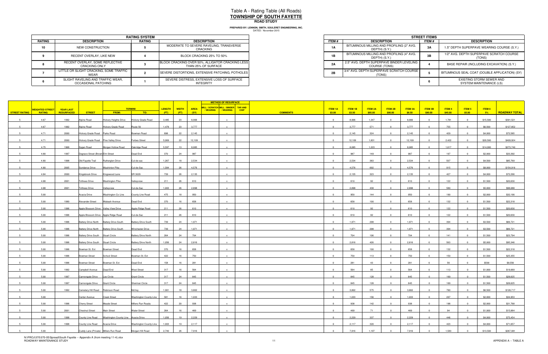|                                                                         |              |                                                            | <b>STREET ITEMS</b> |
|-------------------------------------------------------------------------|--------------|------------------------------------------------------------|---------------------|
| <b>DESCRIPTION</b>                                                      | <b>ITEM#</b> | <b>DESCRIPTION</b>                                         | ITEM #              |
| MODERATE TO SEVERE RAVELING, TRANSVERSE<br><b>CRACKING</b>              | 1А           | BITUMINOUS MILLING AND PROFILING (2" AVG.<br>DEPTH) (S.Y.) | 3Α                  |
| BLOCK CRACKING 25% TO 50%                                               | 1Β           | BITUMINOUS MILLING AND PROFILING (4" AVG.<br>DEPTH) (S.Y.) | 3В                  |
| BLOCK CRACKING OVER 50%, ALLIGATOR CRACKING LESS<br>THAN 25% OF SURFACE | 2Α           | 2.5" AVG. DEPTH SUPERPAVE BINDER LEVELING<br>COURSE (TONS) |                     |
| SEVERE DISTORTIONS, EXTENSIVE PATCHING, POTHOLES                        | 2B           | 3/4" AVG. DEPTH SUPERPAVE SCRATCH COURSE<br>(TONS)         |                     |

DATED: November 2015 **PREPARED BY: LENNON, SMITH, SOULERET ENGINEERING, INC.**

|               | <b>RATING SYSTEM</b>                                     |               |                                                                         |  |  |  |  |
|---------------|----------------------------------------------------------|---------------|-------------------------------------------------------------------------|--|--|--|--|
| <b>RATING</b> | <b>DESCRIPTION</b>                                       | <b>RATING</b> | <b>DESCRIPTION</b>                                                      |  |  |  |  |
|               | NEW CONSTRUCTION                                         |               | MODERATE TO SEVERE RAVELING, TRANSVERSE<br>CRACKING                     |  |  |  |  |
|               | RECENT OVERLAY, LIKE NEW                                 |               | BLOCK CRACKING 25% TO 50%                                               |  |  |  |  |
|               | RECENT OVERLAY, SOME REFLECTIVE<br><b>CRACKING ONLY</b>  |               | BLOCK CRACKING OVER 50%, ALLIGATOR CRACKING LESS<br>THAN 25% OF SURFACE |  |  |  |  |
|               | LITTLE OR SLIGHT CRACKING. SOME TRAFFIC<br>WEAR          |               | SEVERE DISTORTIONS, EXTENSIVE PATCHING, POTHOLES                        |  |  |  |  |
|               | SLIGHT RAVELING AND TRAFFIC WEAR,<br>OCCASIONAL PATCHING |               | SEVERE DISTRESS, EXTENSIVE LOSS OF SURFACE<br><b>INTEGRITY</b>          |  |  |  |  |

|                                          |           |                                                              | <b>STREET ITEMS</b> |                                                     |  |  |
|------------------------------------------|-----------|--------------------------------------------------------------|---------------------|-----------------------------------------------------|--|--|
| ON                                       | ITEM #    | <b>DESCRIPTION</b>                                           | ITEM #              | <b>DESCRIPTION</b>                                  |  |  |
| ELING. TRANSVERSE                        | <b>1A</b> | BITUMINOUS MILLING AND PROFILING (2" AVG.<br>DEPTH) (S.Y.)   | 3A                  | 1.5" DEPTH SUPERPAVE WEARING COURSE (S.Y.)          |  |  |
| 25% TO 50%                               | 1B        | BITUMINOUS MILLING AND PROFILING (4" AVG.<br>DEPTH) (S.Y.)   | 3B                  | 1/2" AVG. DEPTH SUPERPAVE SCRATCH COURSE<br>(TONS)  |  |  |
| <b>LIGATOR CRACKING LESS I</b><br>URFACE | 2A        | 2.5" AVG. DEPTH SUPERPAVE BINDER LEVELING  <br>COURSE (TONS) |                     | BASE REPAIR (INCLUDING EXCAVATION) (S.Y.)           |  |  |
| /E PATCHING, POTHOLES                    | 2B        | 3/4" AVG. DEPTH SUPERPAVE SCRATCH COURSE<br>(TONS)           |                     | BITUMINOUS SEAL COAT (DOUBLE APPLICATION) (SY)      |  |  |
| <b>/E LOSS OF SURFACE</b>                |           |                                                              | h                   | EXISTING STORM SEWER AND<br>SYSTEM MAINTENANCE (LS) |  |  |

|                      |                        |                  |                                   |                                         |                               |               |              |             |                                                                   | <b>METHOD OF RESURFACE</b> |                 |                |         |                |                |                |                |               |               |          |                      |
|----------------------|------------------------|------------------|-----------------------------------|-----------------------------------------|-------------------------------|---------------|--------------|-------------|-------------------------------------------------------------------|----------------------------|-----------------|----------------|---------|----------------|----------------|----------------|----------------|---------------|---------------|----------|----------------------|
|                      | <b>WEIGHTED STREET</b> | <b>YEAR LAST</b> |                                   |                                         | <b>TERMINI</b>                | <b>LENGTH</b> | <b>WIDTH</b> | <b>AREA</b> | MILL / SCRATCH MILL / BINDER TAR AND<br>/WEARING / WEARING   CHIP |                            |                 | <b>ITEM 1A</b> | ITEM 1B | <b>ITEM 2A</b> | <b>ITEM 2B</b> | <b>ITEM 3A</b> | <b>ITEM 3B</b> | <b>ITEM 4</b> | <b>ITEM 5</b> | ITEM 6   |                      |
| <b>STREET RATING</b> | RATING                 | RESURFACED       | <b>STREET</b>                     | FROM:                                   | TO:                           | (FT)          | (FT)         | (SY)        |                                                                   |                            | <b>COMMENTS</b> | \$3.00         | \$3.50  | \$85.00        | \$90.00        | \$8.50         | \$90.00        | \$45.00       | \$5.00        | $-5\%$   | <b>ROADWAY TOTAL</b> |
|                      | 4.67                   | 1992             | Alpine Road                       | <b>Hickory Heights Drive</b>            | Hickory Grade Road            | 3,485         | 23           | 8,906       |                                                                   | $\mathbf{x}$               |                 | $\Omega$       | 8,906   | 1,347          | $\Omega$       | 8,906          | $\Omega$       | 1,781         |               | \$15,500 | \$301,521            |
|                      | 4.67                   | 1992             | Alpine Road                       | <b>Hickory Grade Road</b>               | Route 50                      | 1,478         | 23           | 3,777       |                                                                   |                            |                 |                | 3,777   | 571            |                | 3,777          |                | 755           |               | \$6,500  | \$127,852            |
|                      | 4.71                   | 2000             | Hickory Grade Road Parks Road     |                                         | Bowman Road                   | 898           | 22           | 2,145       |                                                                   |                            |                 |                | 2,145   | 324            | $\Omega$       | 2,145          |                | 429           |               | \$4,000  | \$72,585             |
|                      | 4.71                   | 2000             |                                   |                                         | <b>Forbes Street</b>          | 5,069         |              | 12,109      |                                                                   |                            |                 | $\Omega$       | 12,109  | 1,831          |                |                |                | 2,422         |               | \$20,500 | \$409,924            |
|                      |                        |                  |                                   | Hickory Grade Road Pine Valley Drive    |                               |               | 22           |             |                                                                   |                            |                 | $\Omega$       |         |                |                | 12,109         |                |               |               |          |                      |
|                      | 4.75                   | 1968             | Sygan Road                        | Morgan Hollow Road                      | Oakridge Road                 | 5,597         | 13           | 8,085       |                                                                   |                            |                 |                | 8,085   | 1,223          |                | 8,085          |                | 1,617         |               | \$14,000 | \$273,740            |
|                      | 4.80                   | 1997             | Degrave Street (Brown Elm Street  |                                         | Dead End                      | 370           | 24           | 987         |                                                                   | $\mathbf{x}$               |                 | $\Omega$       | 987     | 149            | $\Omega$       | 987            | $\Omega$       | 197           |               | \$2,000  | \$33,392             |
|                      | 4.80                   | 1998             | Old Fayette Trail                 | Rutherglen Drive                        | Cul-de-sac                    | 1,267         | 18           | 2,534       |                                                                   | $\mathbf{x}$               |                 | $\Omega$       | 2,534   | 383            | $\Omega$       | 2,534          |                | 507           |               | \$4,500  | \$85,769             |
|                      | 4.80                   | 2005             | Sundance Drive                    | <b>Washinton Pike</b>                   | Cul-de-Sac                    | 1,584         | 26           | 4,576       |                                                                   |                            |                 | $\overline{0}$ | 4,576   | 692            | $\Omega$       | 4,576          |                | 915           |               | \$8,000  | \$154,916            |
|                      | 4.84                   | 2000             | Kingsbrook Drive                  | Kingswood Lane                          | SR 3029                       | 739           | 26           | 2,135       |                                                                   |                            |                 | $\Omega$       | 2,135   | 323            | $\Omega$       | 2,135          |                | 427           |               | \$4,000  | \$72,290             |
|                      | 4.88                   | 2001             | <b>Toftrees Drive</b>             | <b>Washington Pike</b>                  | Valleyview                    | 211           | 26           | 610         |                                                                   |                            |                 | $\Omega$       | 610     | 92             | $\Omega$       | 610            | $\Omega$       | 122           |               | \$1,500  | \$20,630             |
|                      | 4.88                   | 2001             | <b>Toftrees Drive</b>             | Valleyview                              | Cul-de-Sac                    | 1,003         | 26           | 2,898       |                                                                   |                            |                 |                | 2,898   | 438            | $\Omega$       | 2,898          |                | 580           |               | \$5,000  | \$98,088             |
|                      | 5.00                   |                  | Acacia Drive                      | Washington Co Line                      | County Line Road              | 475           | 18           | 950         |                                                                   |                            |                 | $\Omega$       | 950     | 144            | $\Omega$       | 950            |                | 190           |               | \$2,000  | \$32,190             |
|                      | 5.00                   | 1990             | Alexander Street                  | Wabash Avenue                           | Dead End                      | 370           | 16           | 658         |                                                                   |                            |                 | $\overline{0}$ | 658     | 100            | $\overline{0}$ | 658            | $^{\circ}$     | 132           |               | \$1,500  | \$22,318             |
|                      |                        |                  |                                   |                                         |                               |               |              | 610         |                                                                   |                            |                 |                |         | 92             | $\Omega$       |                |                |               |               |          |                      |
|                      | 5.00                   | 1996             |                                   | Apple Blossom Drive Valley View Drive   | Apple Ridge Road              | 211           | 26           |             |                                                                   |                            |                 |                | 610     |                |                | 610            |                | 122           |               | \$1,500  | \$20,630             |
|                      | 5.00                   | 1996             |                                   | Apple Blossom Drive Apple Ridge Road    | Cul-de-Sac                    | 211           | 26           | 610         |                                                                   |                            |                 | $\Omega$       | 610     | 92             | $\Omega$       | 610            |                | 122           |               | \$1,500  | \$20,630             |
|                      | 5.00                   | 1996             |                                   | Battery Drive North Battery Drive South | <b>Battery Drive South</b>    | 739           | 24           | 1,971       |                                                                   |                            |                 |                | 1,971   | 298            |                | 1,971          |                | 394           |               | \$3,500  | \$66,721             |
|                      | 5.00                   | 1996             |                                   | Battery Drive North Battery Drive South | Winchester Drive              | 739           | 24           | 1,971       |                                                                   |                            |                 |                | 1,971   | 298            |                | 1,971          |                | 394           |               | \$3,500  | \$66,721             |
|                      | 5.00                   | 1996             | Battery Drive South Stuart Circle |                                         | <b>Battery Drive North</b>    | 264           | 24           | 704         |                                                                   |                            |                 | $\overline{0}$ | 704     | 106            | $\Omega$       | 704            | $\Omega$       | 141           |               | \$1,500  | \$23,794             |
|                      | 5.00                   | 1996             | Battery Drive South Stuart Circle |                                         | <b>Battery Drive North</b>    | 1,056         | 24           | 2,816       |                                                                   |                            |                 | $\Omega$       | 2,816   | 426            | $\Omega$       | 2,816          |                | 563           |               | \$5,000  | \$95,346             |
|                      | 5.00                   | 1996             | Bowman St. Ext                    | <b>Bowman Street</b>                    | Dead End                      | 370           | 16           | 658         |                                                                   |                            |                 | $\mathbf 0$    | 658     | 100            | $\overline{0}$ | 658            |                | 132           |               | \$1,500  | \$22,318             |
|                      | 5.00                   | 1996             | <b>Bowman Street</b>              | <b>School Street</b>                    | Bowman St. Ext                | 422           | 16           | 750         |                                                                   |                            |                 | $\Omega$       | 750     | 113            | $\Omega$       | 750            |                | 150           |               | \$1,500  | \$25,355             |
|                      | 5.00                   | 1996             | Bowman Street                     | Bowman St. Ext                          | Dead End                      | 158           | 16           | 281         |                                                                   |                            |                 |                | 281     | 43             |                | 281            |                | 56            |               | \$500    | \$9,556              |
|                      | 5.00                   | 1992             | Campbell Avenue                   | Dead End                                | <b>West Street</b>            | 317           | 16           | 564         |                                                                   |                            |                 | $\Omega$       | 564     | 85             | $\Omega$       | 564            | $^{\circ}$     | 113           |               | \$1,000  | \$19,069             |
|                      | 5.00                   | 1997             | Cannongate Drive                  | Lee Circle                              | <b>Grant Circle</b>           | 317           | 24           | 845         |                                                                   |                            |                 | $\Omega$       | 845     | 128            | $\Omega$       | 845            | $\Omega$       | 169           | $\Omega$      | \$1,500  | \$28,625             |
|                      | 5.00                   | 1997             | Cannongate Drive                  | <b>Grant Circle</b>                     | Sherman Circle                | 317           | 24           | 845         |                                                                   |                            |                 |                | 845     | 128            |                | 845            |                | 169           |               | \$1,500  | \$28,625             |
|                      | 5.00                   | 1992             | Cemetery Hill Road Robinson Road  |                                         | McVey                         | 1,901         | 18           | 3,802       |                                                                   |                            |                 | $\Omega$       | 3,802   | 575            | $\Omega$       | 3,802          |                | 760           |               | \$6,500  | \$128,717            |
|                      |                        |                  |                                   |                                         |                               |               |              |             |                                                                   |                            |                 |                |         |                |                |                |                |               |               |          |                      |
|                      | 5.00                   |                  | Center Avenue                     | Creek Street                            | <b>Washington County Line</b> | 581           | 16           | 1,033       |                                                                   |                            |                 |                | 1,033   | 156            |                | 1,033          |                | 207           |               | \$2,000  | \$34,953             |
|                      | 5.00                   | 1996             | <b>Cherry Street</b>              | <b>Meade Street</b>                     | Millers Run Roada             | 422           | 20           | 938         |                                                                   |                            |                 |                | 938     | 142            |                | 938            |                | 188           |               | \$2,000  | \$31,768             |
|                      | 5.00                   | 2001             | <b>Chestnut Street</b>            | <b>Main Street</b>                      | <b>Water Street</b>           | 264           | 16           | 469         |                                                                   | $\mathbf{x}$               |                 | $\overline{0}$ | 469     | 71             | $\overline{0}$ | 469            | $\Omega$       | 94            | $\Omega$      | \$1,000  | \$15,884             |
|                      | 5.00                   | 1998             | County Line Road                  | Washington County Line Acacia Drive     |                               | 1,056         | 19           | 2,229       |                                                                   |                            |                 | $\Omega$       | 2,229   | 337            |                | 2,229          |                | 446           |               | \$4,000  | \$75,454             |
|                      | 5.00                   | 1998             | County Line Road                  | Acacia Drive                            | Washington County Line        | 1,003         | 19           | 2,117       |                                                                   |                            |                 | $\Omega$       | 2,117   | 320            | $\Omega$       | 2,117          |                | 423           |               | \$4,000  | \$71,657             |
|                      | 5.00                   |                  |                                   | Cuddy Lane (Private) Millers Run Road   | Morgan Hill Road              | 2,740         | 26           | 7,916       |                                                                   |                            |                 |                | 7,916   | 1,197          | $\Omega$       | 7.916          |                | 1.583         |               | \$13,500 | \$267,981            |

N:\PROJ\370\370-05\Spread\South Fayette -- Appendix A (from meeting 11-4).xlsx<br>ROADWAY MAINTENANCE STUDY 11 APPENDIX A -- TABLE A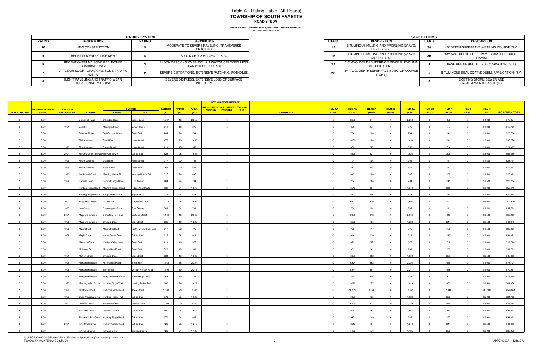|               | <b>RATING SYSTEM</b>                                     |               |                                                                         |  |  |  |  |  |  |  |
|---------------|----------------------------------------------------------|---------------|-------------------------------------------------------------------------|--|--|--|--|--|--|--|
| <b>RATING</b> | <b>DESCRIPTION</b>                                       | <b>RATING</b> | <b>DESCRIPTION</b>                                                      |  |  |  |  |  |  |  |
|               | NEW CONSTRUCTION                                         |               | MODERATE TO SEVERE RAVELING, TRANSVERSE<br>CRACKING                     |  |  |  |  |  |  |  |
|               | RECENT OVERLAY, LIKE NEW                                 |               | BLOCK CRACKING 25% TO 50%                                               |  |  |  |  |  |  |  |
|               | RECENT OVERLAY, SOME REFLECTIVE<br>CRACKING ONLY         |               | BLOCK CRACKING OVER 50%, ALLIGATOR CRACKING LESS<br>THAN 25% OF SURFACE |  |  |  |  |  |  |  |
|               | LITTLE OR SLIGHT CRACKING, SOME TRAFFIC<br>WEAR          |               | SEVERE DISTORTIONS, EXTENSIVE PATCHING, POTHOLES                        |  |  |  |  |  |  |  |
|               | SLIGHT RAVELING AND TRAFFIC WEAR,<br>OCCASIONAL PATCHING |               | SEVERE DISTRESS, EXTENSIVE LOSS OF SURFACE<br><b>INTEGRITY</b>          |  |  |  |  |  |  |  |

|                             | <b>RATING SYSTEM</b> |                                                                         |  |  |  |  |
|-----------------------------|----------------------|-------------------------------------------------------------------------|--|--|--|--|
| <b>TION</b>                 | RATING               | <b>DESCRIPTION</b>                                                      |  |  |  |  |
| <b>RUCTION</b>              |                      | MODERATE TO SEVERE RAVELING, TRANSVERSE<br>CRACKING                     |  |  |  |  |
| YY. LIKE NEW                |                      | BLOCK CRACKING 25% TO 50%                                               |  |  |  |  |
| OME REFLECTIVE<br>a ONLY    |                      | BLOCK CRACKING OVER 50%, ALLIGATOR CRACKING LESS<br>THAN 25% OF SURFACE |  |  |  |  |
| KING. SOME TRAFFIC          |                      | SEVERE DISTORTIONS. EXTENSIVE PATCHING. POTHOLES                        |  |  |  |  |
| D TRAFFIC WEAR.<br>PATCHING |                      | SEVERE DISTRESS. EXTENSIVE LOSS OF SURFACE<br>INTEGRITY                 |  |  |  |  |

|                      |                        |            |                                        |                                         |                           |        |              |             | <b>METHOD OF RESURFACE</b>                                  |             |                 |                         |         |                |                |                |                |         |               |          |                      |
|----------------------|------------------------|------------|----------------------------------------|-----------------------------------------|---------------------------|--------|--------------|-------------|-------------------------------------------------------------|-------------|-----------------|-------------------------|---------|----------------|----------------|----------------|----------------|---------|---------------|----------|----------------------|
|                      | <b>WEIGHTED STREET</b> | YEAR LAST  |                                        |                                         | <b>TERMINI</b>            | LENGTH | <b>WIDTH</b> | <b>AREA</b> | MILL / SCRATCH MILL / BINDER TAR AND<br>/WEARING   /WEARING | <b>CHIP</b> |                 | <b>ITEM 1A</b>          | ITEM 1B | <b>ITEM 2A</b> | <b>ITEM 2B</b> | <b>ITEM 3A</b> | <b>ITEM 3B</b> | ITEM 4  | <b>ITEM 5</b> | ITEM 6   |                      |
| <b>STREET RATING</b> | <b>RATING</b>          | RESURFACED | <b>STREET</b>                          | FROM:                                   | TO:                       | (FT)   | (FT)         | (SY)        |                                                             |             | <b>COMMENTS</b> | \$3.00                  | \$3.50  | \$85.00        | \$90.00        | \$8.50         | \$90.00        | \$45.00 | \$5.00        | 5%       | <b>ROADWAY TOTAL</b> |
|                      | 5.00                   |            | Dutch Hill Road                        | Oakridge Road                           | Locust Lane               | 1,267  | 16           | 2,252       | $\mathbf{x}$                                                |             |                 | $\overline{0}$          | 2,252   | 341            | $\Omega$       | 2,252          | $\overline{0}$ | 450     |               | \$4,000  | \$76,277             |
|                      | 5.00                   | 1991       | East St.                               | Magnolia Street                         | McVey Street              | 211    | 16           | 375         |                                                             |             |                 |                         | 375     | 57             |                | 375            |                | 75      |               | \$1,000  | \$12,720             |
|                      | 5.00                   |            | Fairview Drive                         | Old Orchard Drive                       | Dead End                  | 264    | 24           | 704         |                                                             |             |                 |                         | 704     | 106            |                | 704            |                | 141     |               | \$1,500  | \$23,794             |
|                      |                        |            |                                        |                                         |                           | 475    |              | 1,056       |                                                             |             |                 | $\Omega$                | 1,056   | 160            | $\Omega$       | 1,056          | $\Omega$       | 211     |               |          | \$35,776             |
|                      | 5.00                   |            | Fifth Avenue                           | Dead End                                | Hook Street               |        | 20           |             |                                                             |             |                 |                         |         |                |                |                |                |         |               | \$2,000  |                      |
|                      | 5.00                   | 1996       | First Avenue                           | Sygan Road                              | <b>Hook Street</b>        | 211    | 15           | 352         |                                                             |             |                 | $\Omega$                | 352     | 53             | $\Omega$       | 352            |                | 70      |               | \$1,000  | \$11,897             |
|                      | 5.00                   | 2001       | Fortune Court (formally Toftrees Drive |                                         | Cul-de-Sac                | 528    | 26           | 1,525       |                                                             |             |                 | $\Omega$                | 1,525   | 231            | $\Omega$       | 1,525          |                | 305     |               | \$3,000  | \$51,660             |
|                      | 5.00                   | 1995       | Fourth Avenue                          | Dead End                                | <b>Hook Street</b>        | 317    | 20           | 704         | $\mathbf{x}$                                                |             |                 | $^{\circ}$              | 704     | 106            | $\Omega$       | 704            | $\Omega$       | 141     |               | \$1,500  | \$23,794             |
|                      | 5.00                   | 1995       | Fourth Avenue                          | <b>Hook Street</b>                      | Dead End                  | 264    | 20           | 587         |                                                             |             |                 |                         | 587     | 89             |                | 587            |                | 117     |               | \$1,000  | \$19,892             |
|                      | 5.00                   | 1998       | Goldenrod Court                        | Meeting House Rd.                       | Meeting House Rd.         | 317    | 24           | 845         |                                                             |             |                 | $\Omega$                | 845     | 128            | $\Omega$       | 845            |                | 169     |               | \$1,500  | \$28,625             |
|                      | 5.00                   | 1992       | <b>Harvest Court</b>                   | Summit Ridge Drive                      | Turn Around               | 264    | 24           | 704         |                                                             |             |                 | $\Omega$                | 704     | 106            |                | 704            |                | 141     |               | \$1,500  | \$23,794             |
|                      | 5.00                   |            |                                        | Hunting Ridge Road Meeting House Road   | <b>Ridge Point Circle</b> | 581    | 24           | 1,549       |                                                             |             |                 |                         | 1,549   | 234            |                | 1,549          |                | 310     |               | \$3,000  | \$52,419             |
|                      | 5.00                   |            | Hunting Ridge Road Ridge Point Circle  |                                         | Boyce Road                | 211    | 24           | 563         | $\mathbf{Y}$                                                |             |                 | $\Omega$                | 563     | 85             | $\Omega$       | 563            | $\Omega$       | 113     |               | \$1,000  | \$19,048             |
|                      | 5.00                   | 2002       | Kingsbrook Drive                       | Cul-de-sac                              | Kingswood Lane            | 1,214  | 26           | 3,507       | $\mathbf{x}$                                                |             |                 | $\Omega$                | 3,507   | 530            | $\Omega$       | 3,507          | $\Omega$       | 701     |               | \$6,000  | \$118,697            |
|                      |                        |            |                                        |                                         |                           |        |              |             |                                                             |             |                 |                         |         | 106            |                |                |                | 141     |               |          |                      |
|                      | 5.00                   | 1997       | Lee Circle                             | Cannongate Drive                        | Turn Around               | 264    | 24           | 704         |                                                             |             |                 |                         | 704     |                |                | 704            |                |         |               | \$1,500  | \$23,794             |
|                      | 5.00                   | 2001       | Magnolia Avenue                        | Cemetery Hill Road                      | <b>Cortland Street</b>    | 1,162  | 16           | 2,066       |                                                             |             |                 | $\Omega$                | 2,066   | 312            | $\Omega$       | 2,066          | $\Omega$       | 413     |               | \$3,500  | \$69,906             |
|                      | 5.00                   | 1990       | Magnolia Avenue                        | <b>Orchard Drive</b>                    | East Street               | 686    | 16           | 1,220       |                                                             |             |                 |                         | 1,220   | 185            |                | 1,220          |                | 244     |               | \$2,500  | \$41,345             |
|                      | 5.00                   | 1990       | Main Street                            | Main Street Ext                         | North Fayette Twp. Line   | 317    | 22           | 775         |                                                             |             |                 |                         | 775     | 117            |                | 775            |                | 155     |               | \$1,500  | \$26,220             |
|                      | 5.00                   | 1996       | Maple Court                            | Wood Creek Drive                        | Cul-de-Sac                | 317    | 26           | 916         |                                                             |             |                 | $\overline{0}$          | 916     | 139            | $\Omega$       | 916            | $^{\circ}$     | 183     |               | \$2,000  | \$31,051             |
|                      | 5.00                   |            | Massaro Place                          | Hidden Valley Lane                      | Dead End                  | 211    | 16           | 375         |                                                             |             |                 | $\Omega$                | 375     | 57             |                | 375            |                | 75      |               | \$1,000  | \$12,720             |
|                      | 5.00                   |            | McClane St.                            | Millers Run Road                        | Dead End                  | 528    | 16           | 939         |                                                             |             |                 | $\Omega$                | 939     | 142            | $\Omega$       | 939            |                | 188     |               | \$2,000  | \$31,789             |
|                      | 5.00                   | 1991       | McVey Street                           | Orchard Drive                           | East Street               | 634    | 19           | 1.338       | $\mathbf{Y}$                                                |             |                 | $\Omega$                | 1,338   | 202            | $\Omega$       | 1,338          |                | 268     |               | \$2,500  | \$45,268             |
|                      | 5.00                   | 1996       | Morgan Hill Road                       | Millers Run Road                        | Elm Street                | 1,162  | 18           | 2,324       |                                                             |             |                 |                         | 2,324   | 352            |                | 2,324          |                | 465     |               | \$4,000  | \$78,724             |
|                      | 5.00                   | 1996       | Morgan Hill Road                       | <b>Elm Street</b>                       | Morgan Hollow Road        | 1,109  | 19           | 2,341       |                                                             |             |                 | $\overline{0}$          | 2,341   | 354            | $\overline{0}$ | 2,341          | $\mathbf{0}$   | 468     |               | \$4,000  | \$79,251             |
|                      | 5.00                   | 1996       |                                        | Morgan Hill Road Morgan Hollow Road     | West Bridge Drive         | 158    | 19           | 334         |                                                             |             |                 | $\Omega$                | 334     | 51             | $\Omega$       | 334            | $\Omega$       | 67      |               | \$1,000  | \$11,349             |
|                      |                        |            |                                        |                                         |                           |        |              |             |                                                             |             |                 |                         |         |                |                |                |                |         |               |          |                      |
|                      | 5.00                   | 1993       |                                        | Morning Wind Circle Hunting Ridge Trail | Hunting Ridge Trail       | 686    | 24           | 1,829       |                                                             |             |                 |                         | 1,829   | 277            |                | 1,829          |                | 366     |               | \$3,500  | \$61,954             |
|                      | 5.00                   | 1999       | Old Pond Road                          | Hickory Grade Road                      | Abele Road                | 3,538  | 26           | 10,221      |                                                             |             |                 | $\mathbf{0}$            | 10,221  | 1,546          | $\Omega$       | 10,221         |                | 2,044   |               | \$17,500 | \$346,051            |
|                      | 5.00                   | 1993       |                                        | Open Meadow Circle Hunting Ridge Trail  | Cul-de-Sac                | 370    | 25           | 1,028       |                                                             |             |                 | $\Omega$                | 1,028   | 155            |                | 1,028          |                | 206     |               | \$2,000  | \$34,763             |
|                      | 5.00                   | 1992       | Orchard Drive                          | Sherman Street                          | <b>Mitchell Drive</b>     | 1,003  | 20           | 2,229       |                                                             |             |                 |                         | 2,229   | 337            |                | 2,229          |                | 446     |               | \$4,000  | \$75,454             |
|                      | 5.00                   |            | Parkside Drive                         | Lakeview Drive                          | Cul-de-Sac                | 400    | 24           | 1,067       | $\mathbf{x}$                                                |             |                 | $\overline{\mathbf{0}}$ | 1,067   | 161            | $\overline{0}$ | 1,067          | $\overline{0}$ | 213     |               | \$2,000  | \$36,092             |
|                      | 5.00                   |            |                                        | Pheasant Rise Court Hunting Ridge Road  | Cul-de-Sac                | 370    | 24           | 987         |                                                             |             |                 |                         | 987     | 149            |                | 987            |                | 197     |               | \$2,000  | \$33,392             |
|                      | 5.00                   | 2001       | Pine Creek Drive                       | Hickory Grade Road                      | Cul-de-Sac                | 422    | 26           | 1,219       |                                                             |             |                 | $\Omega$                | 1,219   | 184            | $\Omega$       | 1,219          |                | 244     |               | \$2,500  | \$41,239             |
|                      | 5.00                   |            | Pinewood Drive                         | Firwood Drive                           | Boxwood Drive             | 422    | 24           | 1,125       |                                                             |             |                 | $\Omega$                | 1,125   | 170            |                | 1,125          |                | 225     |               | \$2,000  | \$38,075             |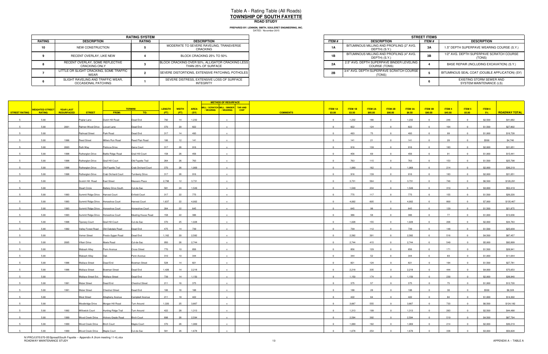DATED: November 2015 **PREPARED BY: LENNON, SMITH, SOULERET ENGINEERING, INC.**

|               |                                                          | <b>RATING SYSTEM</b> |                                                                         |              |                                                            |
|---------------|----------------------------------------------------------|----------------------|-------------------------------------------------------------------------|--------------|------------------------------------------------------------|
| <b>RATING</b> | <b>DESCRIPTION</b>                                       | <b>RATING</b>        | <b>DESCRIPTION</b>                                                      | <b>ITEM#</b> | <b>DESCRIPTION</b>                                         |
|               | NEW CONSTRUCTION                                         |                      | MODERATE TO SEVERE RAVELING, TRANSVERSE<br>CRACKING                     | 1A           | BITUMINOUS MILLING AND PROFILING (2" AVG.<br>DEPTH) (S.Y.) |
|               | RECENT OVERLAY, LIKE NEW                                 |                      | BLOCK CRACKING 25% TO 50%                                               | 1B           | BITUMINOUS MILLING AND PROFILING (4" AVG.<br>DEPTH) (S.Y.) |
|               | RECENT OVERLAY, SOME REFLECTIVE<br><b>CRACKING ONLY</b>  |                      | BLOCK CRACKING OVER 50%, ALLIGATOR CRACKING LESS<br>THAN 25% OF SURFACE | 2A           | 2.5" AVG. DEPTH SUPERPAVE BINDER LEVELING<br>COURSE (TONS) |
|               | LITTLE OR SLIGHT CRACKING, SOME TRAFFIC<br>WEAR          |                      | SEVERE DISTORTIONS, EXTENSIVE PATCHING, POTHOLES                        | 2B           | 3/4" AVG. DEPTH SUPERPAVE SCRATCH COURSE<br>(TONS)         |
|               | SLIGHT RAVELING AND TRAFFIC WEAR,<br>OCCASIONAL PATCHING |                      | SEVERE DISTRESS, EXTENSIVE LOSS OF SURFACE<br><b>INTEGRITY</b>          |              |                                                            |

| <b>RATING SYSTEM</b>        |        |                                                                         |  |  |  |
|-----------------------------|--------|-------------------------------------------------------------------------|--|--|--|
| <b>TION</b>                 | RATING | <b>DESCRIPTION</b>                                                      |  |  |  |
| <b>RUCTION</b>              |        | MODERATE TO SEVERE RAVELING, TRANSVERSE<br>CRACKING                     |  |  |  |
| YY. LIKE NEW                |        | BLOCK CRACKING 25% TO 50%                                               |  |  |  |
| OME REFLECTIVE<br>a ONLY    |        | BLOCK CRACKING OVER 50%, ALLIGATOR CRACKING LESS<br>THAN 25% OF SURFACE |  |  |  |
| KING. SOME TRAFFIC          |        | SEVERE DISTORTIONS. EXTENSIVE PATCHING. POTHOLES I                      |  |  |  |
| D TRAFFIC WEAR.<br>PATCHING |        | SEVERE DISTRESS, EXTENSIVE LOSS OF SURFACE<br>INTEGRITY                 |  |  |  |

|                |                        |                  |                                    |                                        |                        |        |              |             | <b>METHOD OF RESURFACE</b>                                          |             |                           |         |         |                         |                |                |         |                |         |                      |
|----------------|------------------------|------------------|------------------------------------|----------------------------------------|------------------------|--------|--------------|-------------|---------------------------------------------------------------------|-------------|---------------------------|---------|---------|-------------------------|----------------|----------------|---------|----------------|---------|----------------------|
|                | <b>WEIGHTED STREET</b> | <b>YEAR LAST</b> |                                    |                                        | <b>TERMINI</b>         | LENGTH | <b>WIDTH</b> | <b>AREA</b> | MILL / SCRATCH MILL / BINDER TAR AND<br>/ WEARING<br><b>WEARING</b> | <b>CHIP</b> | <b>ITEM 1A</b>            | ITEM 1B | ITEM 2A | ITEM 2B                 | <b>ITEM 3A</b> | <b>ITEM 3B</b> | ITEM4   | ITEM 5         | ITEM 6  |                      |
| STREET RATING  | <b>RATING</b>          | RESURFACED       | <b>STREET</b>                      | <b>FROM:</b>                           | TO:                    | (FT)   | (FT)         | (SY)        |                                                                     |             | \$3.00<br><b>COMMENTS</b> | \$3.50  | \$85.00 | \$90.00                 | \$8.50         | \$90.00        | \$45.00 | \$5.00         | $-5\%$  | <b>ROADWAY TOTAL</b> |
| $5 -$          | 5.00                   |                  | Poplar Lane                        | Dutch Hill Road                        | Dead End               | 792    | 14           | 1,232       |                                                                     |             | $\overline{0}$            | 1,232   | 186     | $\overline{0}$          | 1,232          | $\overline{0}$ | 246     | $\Omega$       | \$2,500 | \$41,682             |
|                | 5.00                   | 2001             | Rahner-Wood Drive Locust Lane      |                                        | Dead End               | 370    | 20           | 822         |                                                                     |             | $\Omega$                  | 822     | 124     |                         | 822            |                | 164     |                | \$1,500 | \$27,802             |
|                | 5.00                   |                  | Railroad Street                    | Park Road                              | Dead End               | 317    | 14           | 493         |                                                                     |             | $\Omega$                  | 493     | 75      |                         | 493            |                | 99      |                | \$1,000 | \$16,728             |
|                | 5.00                   | 1996             | <b>Reed Street</b>                 | Millers Run Road                       | Reed Plan Road         | 106    | 12           | 141         |                                                                     |             | $\overline{0}$            | 141     | 21      |                         | 141            |                | 28      |                | \$500   | \$4,746              |
|                | 5.00                   | 2003             | Ruth Way                           | Petricca Drive                         | Gene Court             | 317    | 26           | 916         |                                                                     |             | $\Omega$                  | 916     | 139     |                         | 916            |                | 183     |                | \$2,000 | \$31,051             |
|                | 5.00                   | 1998             | Rutherglen Drive                   | <b>Battle Ridge Road</b>               | Grail Hill Court       | 158    | 26           | 456         |                                                                     |             | $\overline{0}$            | 456     | 69      | $\overline{0}$          | 456            | $\overline{0}$ | 91      | $\overline{0}$ | \$1,000 | \$15,441             |
| $5^{\circ}$    | 5.00                   | 1998             | Rutherglen Drive                   | Grail Hill Court                       | Old Fayette Trail      | 264    | 26           | 763         |                                                                     |             | $\overline{0}$            | 763     | 115     | $\overline{0}$          | 763            | $\overline{0}$ | 153     | $\Omega$       | \$1,500 | \$25,798             |
|                | 5.00                   | 1998             | Rutherglen Drive                   | Old Fayette Trail                      | Crab Orchard Court     | 370    | 26           | 1,069       |                                                                     |             | $\Omega$                  | 1,069   | 162     | $\overline{\mathbf{0}}$ | 1,069          |                | 214     |                | \$2,000 | \$36,219             |
| -5             | 5.00                   | 1998             | <b>Rutherglen Drive</b>            | <b>Crab Orchard Court</b>              | <b>Turnberry Drive</b> | 317    | 26           | 916         | $\mathbf{x}$                                                        |             | $\overline{0}$            | 916     | 139     | $\overline{0}$          | 916            | $\overline{0}$ | 183     | $\overline{0}$ | \$2,000 | \$31,051             |
|                | 5.00                   |                  | Scotch Hill Road                   | <b>East Street</b>                     | Massaro Place          | 2,798  | 12           | 3,731       |                                                                     |             | $\overline{0}$            | 3,731   | 564     | $\overline{0}$          | 3,731          | $\overline{0}$ | 746     | $\Omega$       | \$6,500 | \$126,291            |
|                | 5.00                   |                  | Stuart Circle                      | <b>Battery Drive South</b>             | Cul-de-Sac             | 581    | 24           | 1,549       |                                                                     |             | $\overline{0}$            | 1,549   | 234     | $\overline{0}$          | 1,549          | $\overline{0}$ | 310     |                | \$3,000 | \$52,419             |
|                | 5.00                   | 1993             | Summit Ridge Drive Harvest Court   |                                        | infield Court          | 317    | 22           | 775         |                                                                     |             | $\overline{0}$            | 775     | 117     | $\overline{0}$          | 775            | $\Omega$       | 155     | $\Omega$       | \$1,500 | \$26,220             |
|                |                        |                  |                                    | Summit Ridge Drive Horseshoe Court     |                        | 1,637  | 22           | 4,002       |                                                                     |             | $\overline{0}$            | 4,002   | 605     | $\overline{0}$          | 4,002          | $\Omega$       | 800     | $\Omega$       |         | \$135,467            |
|                | 5.00                   | 1993             |                                    |                                        | Harvest Court          |        |              |             |                                                                     |             | $\Omega$                  |         |         |                         |                |                |         |                | \$7,000 |                      |
|                | 5.00                   | 1993             |                                    | Summit Ridge Drive Horseshoe Court     | Horseshoe Court        | 264    | 22           | 645         |                                                                     |             |                           | 645     | 98      |                         | 645            |                | 129     |                | \$1,500 | \$21,875             |
|                | 5.00                   | 1993             |                                    | Summit Ridge Drive Horseshoe Court     | Meeting House Road     | 158    | 22           | 386         |                                                                     |             | $\overline{0}$            | 386     | 58      | $\overline{0}$          | 386            | $\overline{0}$ | 77      | $\Omega$       | \$1,000 | \$13,036             |
|                | 5.00                   | 1998             | <b>Tiporary Court</b>              | <b>Grail Hill Court</b>                | Cul-de-Sac             | 370    | 25           | 1,028       |                                                                     |             | $\Omega$                  | 1,028   | 155     |                         | 1,028          |                | 206     |                | \$2,000 | \$34,763             |
|                | 5.00                   | 1992             |                                    | Valley Forest Road    Old Oakdale Road | Dead End               | 475    | 14           | 739         |                                                                     |             | $\Omega$                  | 739     | 112     |                         | 739            |                | 148     |                | \$1,500 | \$25,039             |
|                | 5.00                   |                  | Verner Street                      | Presto-Sygan Road                      | Dead End               | 1,162  | 20           | 2,582       |                                                                     |             | $\overline{0}$            | 2,582   | 391     | $\Omega$                | 2,582          | $\overline{0}$ | 516     |                | \$4,500 | \$87,457             |
|                | 5.00                   | 2005             | Villani Drive                      | Abele Road                             | Cul-de-Sac             | 950    | 26           | 2,744       |                                                                     |             | $\Omega$                  | 2,744   | 415     |                         | 2,744          |                | 549     |                | \$5,000 | \$92,899             |
|                | 5.00                   |                  | Wabash Alley                       | Penn Avenue                            | Cross Street           | 770    | 10           | 856         |                                                                     |             | $\overline{0}$            | 856     | 129     | $\overline{0}$          | 856            | $\overline{0}$ | 171     | $\overline{0}$ | \$1,500 | \$28,941             |
|                | 5.00                   |                  | Wabash Alley                       | <b>Oak</b>                             | Penn Avenue            | 310    | 10           | 344         |                                                                     |             | $\overline{0}$            | 344     | 52      | $\Omega$                | 344            | $\Omega$       | 69      | $\Omega$       | \$1,000 | \$11,644             |
|                | 5.00                   | 1996             | <b>Wallace Street</b>              | Dead End                               | Bowman Street          | 528    | 14           | 821         |                                                                     |             | $\overline{0}$            | 821     | 124     | $\Omega$                | 821            | $\overline{0}$ | 164     |                | \$1,500 | \$27,781             |
|                | 5.00                   | 1996             | <b>Wallace Street</b>              | <b>Bowman Street</b>                   | Dead End               | 1,426  | 14           | 2,218       |                                                                     |             | $\overline{0}$            | 2,218   | 335     | $\overline{0}$          | 2,218          | $\overline{0}$ | 444     | $\Omega$       | \$4,000 | \$75,053             |
|                | 5.00                   |                  | Wallace Street Ext. Wallace Street |                                        | Dead End               | 739    | 14           | 1,150       | $\mathbf{x}$                                                        |             | $\overline{0}$            | 1,150   | 174     | $\overline{0}$          | 1,150          | $\overline{0}$ | 230     | $\overline{0}$ | \$2,000 | \$38,940             |
|                | 5.00                   | 1991             | <b>Water Street</b>                | Dead End                               | <b>Chestnut Street</b> | 211    | 16           | 375         |                                                                     |             | $\Omega$                  | 375     | 57      |                         | 375            |                | 75      |                | \$1,000 | \$12,720             |
|                | 5.00                   | 1991             | <b>Water Street</b>                | <b>Chestnut Street</b>                 | Dead End               | 106    | 16           | 188         |                                                                     |             | $\Omega$                  | 188     | 28      |                         | 188            |                | 38      |                | \$500   | \$6,328              |
|                | 5.00                   |                  | <b>West Street</b>                 | Allegheny Avenue                       | Campbell Avenue        | 211    | 18           | 422         |                                                                     |             | $\sqrt{2}$                | 422     | 64      |                         | 422            |                | 84      |                | \$1,000 | \$14,302             |
|                | 5.00                   |                  |                                    | Westbridge Drive Morgan Hill Road      | Turn Around            | 1,320  | 25           | 3,667       |                                                                     |             | $\overline{0}$            | 3,667   | 555     |                         | 3,667          |                | 733     |                | \$6,500 | \$124,182            |
| 5 <sup>5</sup> | 5.00                   | 1992             |                                    | Willowick Court Hunting Ridge Trail    | Turn Around            | 422    | 28           | 1,313       | $\mathbf{x}$                                                        |             | $\overline{0}$            | 1,313   | 199     | $\overline{0}$          | 1,313          | $\overline{0}$ | 263     | $\overline{0}$ | \$2,500 | \$44,488             |
|                | 5.00                   | 1999             |                                    | Wood Creek Drive Hickory Grade Road    | <b>Birch Court</b>     | 898    | 26           | 2,594       |                                                                     |             | $\overline{0}$            | 2,594   | 392     | $\overline{\mathbf{0}}$ | 2,594          | $\overline{0}$ | 519     | $\overline{0}$ | \$4,500 | \$87,794             |
|                | 5.00                   | 1999             | Wood Creek Drive Birch Court       |                                        | Maple Court            | 370    | 26           | 1,069       | $\mathbf{x}$                                                        |             | $\overline{0}$            | 1,069   | 162     | $\overline{0}$          | 1,069          | $\overline{0}$ | 214     | $\Omega$       | \$2,000 | \$36,219             |
|                | 5.00                   | 1999             | Wood Creek Drive Maple Court       |                                        | Cul-de-Sac             | 581    | 26           | 1,678       |                                                                     |             | $\Omega$                  | 1,678   | 254     | $\Omega$                | 1,678          |                | 336     |                | \$3,000 | \$56,828             |

N:\PROJ\370\370-05\Spread\South Fayette -- Appendix A (from meeting 11-4).xlsx<br>ROADWAY MAINTENANCE STUDY 13 APPENDIX A -- TABLE A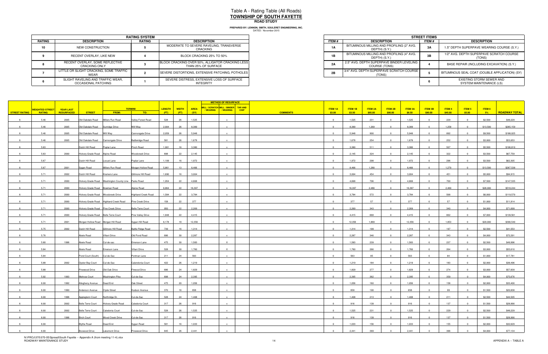|        |                                                          | <b>RATING SYSTEM</b> |                                                                         |                       |                                                            | <b>STREET ITEM</b> |
|--------|----------------------------------------------------------|----------------------|-------------------------------------------------------------------------|-----------------------|------------------------------------------------------------|--------------------|
| RATING | <b>DESCRIPTION</b>                                       | <b>RATING</b>        | <b>DESCRIPTION</b>                                                      | ITEM #                | <b>DESCRIPTION</b>                                         | ITEM #             |
| 10     | NEW CONSTRUCTION                                         |                      | MODERATE TO SEVERE RAVELING, TRANSVERSE<br>CRACKING                     | <b>1A</b>             | BITUMINOUS MILLING AND PROFILING (2" AVG.<br>DEPTH) (S.Y.) | 3A                 |
|        | RECENT OVERLAY, LIKE NEW                                 |                      | BLOCK CRACKING 25% TO 50%                                               | $\overline{ }$<br>ID. | BITUMINOUS MILLING AND PROFILING (4" AVG.<br>DEPTH) (S.Y.) | 3B                 |
|        | RECENT OVERLAY, SOME REFLECTIVE<br><b>CRACKING ONLY</b>  |                      | BLOCK CRACKING OVER 50%, ALLIGATOR CRACKING LESS<br>THAN 25% OF SURFACE | 2A                    | 2.5" AVG. DEPTH SUPERPAVE BINDER LEVELING<br>COURSE (TONS) |                    |
|        | LITTLE OR SLIGHT CRACKING. SOME TRAFFIC<br>WEAR          |                      | SEVERE DISTORTIONS, EXTENSIVE PATCHING, POTHOLES                        | 2B                    | 3/4" AVG. DEPTH SUPERPAVE SCRATCH COURSE I<br>(TONS)       |                    |
|        | SLIGHT RAVELING AND TRAFFIC WEAR.<br>OCCASIONAL PATCHING |                      | SEVERE DISTRESS, EXTENSIVE LOSS OF SURFACE<br><b>INTEGRITY</b>          |                       |                                                            |                    |

|                             | <b>RATING SYSTEM</b> |                                                                         |  |  |  |  |
|-----------------------------|----------------------|-------------------------------------------------------------------------|--|--|--|--|
| <b>TION</b>                 | RATING               | <b>DESCRIPTION</b>                                                      |  |  |  |  |
| RUCTION                     |                      | MODERATE TO SEVERE RAVELING, TRANSVERSE<br>CRACKING                     |  |  |  |  |
| YY. LIKE NEW                |                      | BLOCK CRACKING 25% TO 50%                                               |  |  |  |  |
| OME REFLECTIVE<br>a ONLY    |                      | BLOCK CRACKING OVER 50%, ALLIGATOR CRACKING LESS<br>THAN 25% OF SURFACE |  |  |  |  |
| KING. SOME TRAFFIC          |                      | SEVERE DISTORTIONS. EXTENSIVE PATCHING. POTHOLES I                      |  |  |  |  |
| D TRAFFIC WEAR.<br>PATCHING |                      | SEVERE DISTRESS, EXTENSIVE LOSS OF SURFACE<br>INTEGRITY                 |  |  |  |  |

|                      |                          |                  |                                      |                                                          |                            |                               |             | <b>METHOD OF RESURFACE</b>            |                           |         |                |                         |                |                         |               |                         |          |                      |
|----------------------|--------------------------|------------------|--------------------------------------|----------------------------------------------------------|----------------------------|-------------------------------|-------------|---------------------------------------|---------------------------|---------|----------------|-------------------------|----------------|-------------------------|---------------|-------------------------|----------|----------------------|
|                      | VEIGHTED STREET <b>I</b> | <b>YEAR LAST</b> |                                      |                                                          | <b>TERMINI</b>             | <b>LENGTH</b><br><b>WIDTH</b> | <b>AREA</b> | MILL / SCRATCH MILL / BINDER TAR AND  | ITEM 1A                   | ITEM 1B | <b>ITEM 2A</b> | ITEM 2B                 | <b>ITEM 3A</b> | <b>ITEM 3B</b>          | <b>ITEM 4</b> | ITEM 5                  | ITEM 6   |                      |
| <b>STREET RATING</b> | <b>RATING</b>            | RESURFACED       | <b>STREET</b>                        | <b>FROM:</b>                                             | TO:                        | (FT)<br>(FT)                  | (SY)        | / WEARING<br>/ WEARING<br><b>CHIP</b> | <b>COMMENTS</b><br>\$3.00 | \$3.50  | \$85.00        | \$90.00                 | \$8.50         | \$90.00                 | \$45.00       | \$5.00                  | 5%       | <b>ROADWAY TOTAL</b> |
| 6                    | 5.46                     | 2005             | Old Oakdale Road                     | Millers Run Road                                         | Valley Forest Road         | 528<br>26                     | 1,525       |                                       | $\overline{0}$            | 1,525   | 231            | $\overline{0}$          | 1,525          | $\overline{0}$          | 229           | $\overline{0}$          | \$2,500  | \$48,229             |
|                      | 5.46                     | 2005             | Old Oakdale Road Sunridge Drive      |                                                          | Will Way                   | 2,904<br>26                   | 8,389       |                                       | $\Omega$                  | 8,389   | 1,269          |                         | 8,389          |                         | 1,258         |                         | \$13,500 | \$265,159            |
|                      |                          |                  |                                      |                                                          |                            |                               |             |                                       |                           |         |                |                         |                |                         |               |                         |          |                      |
|                      | 5.46                     | 2005             | Old Oakdale Road Will Way            |                                                          | Cannongate Drive           | 2,059<br>26                   | 5,948       |                                       | $\Omega$                  | 5,948   | 900            |                         | 5,948          |                         | 892           |                         | \$9,500  | \$188,025            |
|                      | 5.46                     | 2005             | Old Oakdale Road Cannongate Drive    |                                                          | <b>Battleridge Road</b>    | 581<br>26                     | 1,678       |                                       | $\overline{0}$            | 1,678   | 254            | $\overline{0}$          | 1,678          | $\overline{0}$          | 252           | $\overline{0}$          | \$3,000  | \$53,053             |
|                      | 5.63                     |                  | Dutch Hill Road                      | Poplar Lane                                              | Pinch Road                 | 1,901<br>16                   | 3,380       |                                       | $\overline{0}$            | 3,380   | 511            | $\Omega$                | 3,380          | $\overline{0}$          | 507           | $\Omega$                | \$5,500  | \$106,810            |
|                      | 5.63                     | 2000             | Hickory Grade Road Alpine Road       |                                                          | Woodcreek Drive            | 898<br>22                     | 2,145       |                                       | $\overline{0}$            | 2,145   | 324            | $\Omega$                | 2,145          | $\overline{0}$          | 322           | $\overline{0}$          | \$3,500  | \$67,759             |
|                      | 5.67                     |                  | Dutch Hill Road                      | Locust Lane                                              | Poplar Lane                | 1,109<br>16                   | 1,972       | $\mathbf{x}$                          | $\overline{0}$            | 1,972   | 298            | $\overline{0}$          | 1,972          | $\overline{0}$          | 296           | $\overline{0}$          | \$3,500  | \$62,305             |
|                      | 5.67                     | 2001             | Sygan Road                           | Millers Run Road                                         | Morgan Hollow Road         | 5,861<br>13                   | 8,466       |                                       | $\Omega$                  | 8,466   | 1,280          |                         | 8,466          |                         | 1,270         |                         | \$13,500 | \$267,538            |
|                      | 5.71                     | 2002             | Dutch Hill Road                      | Kramers Lane                                             | Gillmore Hill Road         | 1,690<br>16                   | 3,004       | $\mathbf{x}$                          | $\overline{0}$            | 3,004   | 454            | $\overline{0}$          | 3,004          | $\overline{0}$          | 451           | $\overline{0}$          | \$5,000  | \$94,915             |
|                      |                          |                  |                                      |                                                          |                            |                               |             |                                       |                           |         |                |                         |                |                         |               |                         |          |                      |
|                      | 5.71                     | 2000             |                                      | Hickory Grade Road   Washington County Line   Parks Road |                            | 1,954<br>22                   | 4,668       |                                       | $\overline{0}$            | 4,668   | 706            | $\overline{0}$          | 4,668          | $\overline{0}$          | 700           | $\overline{0}$          | \$7,500  | \$147,535            |
|                      | 5.71                     | 2000             | Hickory Grade Road Bowman Road       |                                                          | Alpine Road                | 6,864<br>22                   | 16,397      |                                       | $\Omega$                  | 16,397  | 2,480          |                         | 16,397         |                         | 2,460         |                         | \$26,000 | \$518,244            |
|                      | 5.71                     | 2000             | Hickory Grade Road Woodcreek Drive   |                                                          | <b>Highland Creek Road</b> | 1,584<br>22                   | 3,784       |                                       | $\overline{0}$            | 3,784   | 572            | $\Omega$                | 3,784          | $\Omega$                | 568           | $\Omega$                | \$6,000  | \$119,570            |
|                      | 5.71                     | 2000             |                                      | Hickory Grade Road Highland Creek Road                   | Pine Creek Drive           | 158<br>22                     | 377         | $\mathbf{x}$                          | $\overline{0}$            | 377     | 57             | $\Omega$                | 377            | $\Omega$                | 57            | $\Omega$                | \$1,000  | \$11,914             |
|                      | 5.71                     | 2000             | Hickory Grade Road Pine Creek Drive  |                                                          | <b>Belle Terre Court</b>   | 950<br>22                     | 2,269       |                                       | $\mathbf{0}$              | 2,269   | 343            |                         | 2,269          |                         | 340           |                         | \$4,000  | \$71,699             |
|                      | 5.71                     | 2000             | Hickory Grade Road Belle Terre Court |                                                          | Pine Valley Drive          | 1,848<br>22                   | 4,415       |                                       | $\overline{0}$            | 4,415   | 668            | $\overline{\mathbf{0}}$ | 4,415          | $\overline{0}$          | 662           | $\Omega$                | \$7,000  | \$139,561            |
|                      | 5.71                     | 2001             | Morgan Hollow Road Morgan Hill Road  |                                                          | Sygan Hill Road            | 6,178<br>18                   | 12,356      |                                       | $\Omega$                  | 12,356  | 1,869          |                         | 12,356         |                         | 1,853         |                         | \$20,000 | \$390,540            |
|                      | 5.75                     | 2002             | Dutch Hill Road                      | Gillmore Hill Road                                       | <b>Battle Ridge Road</b>   | 739<br>16                     | 1,314       |                                       | $\Omega$                  | 1,314   | 199            |                         | 1,314          |                         | 197           |                         | \$2,500  | \$41,553             |
| 6                    | 5.76                     |                  | Abele Road                           | Villani Drive                                            | Old Pond Road              | 30<br>686                     | 2,287       | $\mathsf{x}$                          | $\overline{0}$            | 2,287   | 346            | $\overline{0}$          | 2,287          | $\overline{0}$          | 343           | $\overline{0}$          | \$4,000  | \$72,291             |
|                      |                          |                  |                                      |                                                          |                            |                               |             |                                       |                           |         |                |                         |                |                         |               |                         |          |                      |
|                      | 5.80                     | 1996             | Abele Road                           | Cul-de-sac                                               | Emerson Lane               | 475<br>30                     | 1,583       |                                       | $\Omega$                  | 1,583   | 239            |                         | 1,583          |                         | 237           |                         | \$2,500  | \$49,996             |
|                      | 5.84                     |                  | Abele Road                           | Emerson Lane                                             | Villani Drive              | 528<br>30                     | 1,760       | $\mathsf{X}$                          | $\overline{0}$            | 1,760   | 266            | $\overline{0}$          | 1,760          | $\overline{0}$          | 264           | $\overline{\mathbf{0}}$ | \$3,000  | \$55,610             |
|                      | 5.84                     |                  | Pond Court (South) Cul-de-Sac        |                                                          | Portman Lane               | 211<br>24                     | 563         |                                       | $\overline{0}$            | 563     | 85             | $\Omega$                | 563            | $\Omega$                | 84            | $\overline{0}$          | \$1,000  | \$17,781             |
|                      | 5.88                     | 2002             | Oyster Bay Court                     | Cul-de-Sac                                               | Calendonia Court           | 422<br>26                     | 1,219       |                                       | $\overline{0}$            | 1,219   | 184            | $\Omega$                | 1,219          |                         | 183           | $\Omega$                | \$2,000  | \$38,496             |
|                      | 5.88                     |                  | Pinewood Drive                       | Old Oak Drive                                            | Firwood Drive              | 686<br>24                     | 1,829       | $\mathbf{x}$                          | $\overline{0}$            | 1,829   | 277            | $\overline{0}$          | 1,829          | $\overline{0}$          | 274           | $\overline{0}$          | \$3,000  | \$57,839             |
|                      | 5.92                     | 1993             | Melrose Court                        | <b>Washington Pike</b>                                   | Cul-de-Sac                 | 24<br>898                     | 2,395       |                                       | $\overline{0}$            | 2,395   | 362            | $\overline{0}$          | 2,395          | $\overline{0}$          | 359           | $\overline{0}$          | \$4,000  | \$75,676             |
|                      | 6.00                     | 1992             | Allegheny Avenue                     | Dead End                                                 | Oak Street                 | 475<br>20                     | 1,056       |                                       | $\Omega$                  | 1,056   | 160            |                         | 1,056          |                         | 158           |                         | \$2,000  | \$33,400             |
|                      | 6.00                     | 1990             | Anderson Avenue                      | <b>Clyde Street</b>                                      | Hudson Avenue              | 370<br>16                     | 658         |                                       | $\Omega$                  | 658     | 100            |                         | 658            |                         | 99            |                         | \$1,500  | \$20,838             |
|                      |                          |                  |                                      |                                                          |                            |                               |             |                                       |                           |         |                |                         |                |                         |               |                         |          |                      |
|                      | 6.00                     | 1996             | Appleglenn Court                     | Northridge Dr.                                           | Cul-de-Sac                 | 528<br>24                     | 1,408       |                                       | $\mathbf 0$               | 1,408   | 213            |                         | 1,408          |                         | 211           | $\overline{\mathbf{0}}$ | \$2,500  | \$44,505             |
|                      | 6.00                     | 2002             |                                      | Belle Terre Court Hickory Grade Road Caledonia Court     |                            | 317<br>26                     | 916         |                                       | $\overline{0}$            | 916     | 139            | $\overline{\mathbf{0}}$ | 916            | $\overline{0}$          | 137           | $\overline{0}$          | \$1,500  | \$28,990             |
| 6                    | 6.00                     | 2002             | Belle Terre Court Caledonia Court    |                                                          | Cul-de-Sac                 | 528<br>26                     | 1,525       | $\mathbf{x}$                          | $\overline{\mathbf{0}}$   | 1,525   | 231            | $\overline{\mathbf{0}}$ | 1,525          | $\overline{\mathbf{0}}$ | 229           | $\overline{0}$          | \$2,500  | \$48,229             |
|                      | 6.00                     | 1996             |                                      | Birch Court Wood Creek Drive                             | Cul-de-Sac                 | 317<br>26                     | 916         |                                       | $\overline{\mathbf{0}}$   | 916     | 139            | $\overline{\mathbf{0}}$ | 916            | $\overline{0}$          | 137           | $\overline{\mathbf{0}}$ | \$1,500  | \$28,990             |
| 6                    | 6.00                     |                  | <b>Blythe Road</b>                   | Dead End                                                 | Sygan Road                 | 581<br>16                     | 1,033       | $\mathsf{x}$                          | $\overline{0}$            | 1,033   | 156            | $\overline{0}$          | 1,033          | $\overline{0}$          | 155           | $\overline{0}$          | \$2,000  | \$32,629             |
|                      | 6.00                     |                  | Boxwood Drive                        | <b>Lakemont Drive</b>                                    | Pinewood Drive             | 845<br>26                     | 2,441       | $\mathbf{x}$                          | $\overline{0}$            | 2,441   | 369            | $\overline{0}$          | 2,441          | $\Omega$                | 366           | $\overline{0}$          | \$4,000  | \$77,134             |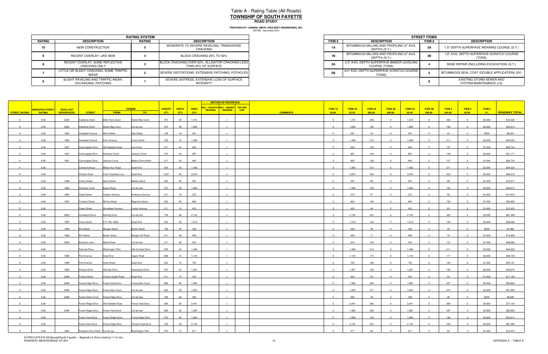|        | <b>RATING SYSTEM</b>                                     |               |                                                                         |  |  |  |  |  |  |  |
|--------|----------------------------------------------------------|---------------|-------------------------------------------------------------------------|--|--|--|--|--|--|--|
| RATING | <b>DESCRIPTION</b>                                       | <b>RATING</b> | <b>DESCRIPTION</b>                                                      |  |  |  |  |  |  |  |
| 10     | NEW CONSTRUCTION                                         |               | MODERATE TO SEVERE RAVELING, TRANSVERSE<br>CRACKING                     |  |  |  |  |  |  |  |
|        | RECENT OVERLAY, LIKE NEW                                 |               | BLOCK CRACKING 25% TO 50%                                               |  |  |  |  |  |  |  |
|        | RECENT OVERLAY. SOME REFLECTIVE<br><b>CRACKING ONLY</b>  |               | BLOCK CRACKING OVER 50%, ALLIGATOR CRACKING LESS<br>THAN 25% OF SURFACE |  |  |  |  |  |  |  |
|        | LITTLE OR SLIGHT CRACKING, SOME TRAFFIC<br>WEAR          |               | SEVERE DISTORTIONS, EXTENSIVE PATCHING, POTHOLES                        |  |  |  |  |  |  |  |
|        | SLIGHT RAVELING AND TRAFFIC WEAR,<br>OCCASIONAL PATCHING |               | SEVERE DISTRESS, EXTENSIVE LOSS OF SURFACE<br><b>INTEGRITY</b>          |  |  |  |  |  |  |  |

|                             | <b>RATING SYSTEM</b> |                                                                         |  |  |  |  |  |
|-----------------------------|----------------------|-------------------------------------------------------------------------|--|--|--|--|--|
| <b>TION</b>                 | RATING               | <b>DESCRIPTION</b>                                                      |  |  |  |  |  |
| <b>RUCTION</b>              |                      | MODERATE TO SEVERE RAVELING, TRANSVERSE<br>CRACKING                     |  |  |  |  |  |
| YY. LIKE NEW                |                      | BLOCK CRACKING 25% TO 50%                                               |  |  |  |  |  |
| OME REFLECTIVE<br>a ONLY    |                      | BLOCK CRACKING OVER 50%, ALLIGATOR CRACKING LESS<br>THAN 25% OF SURFACE |  |  |  |  |  |
| KING. SOME TRAFFIC          |                      | SEVERE DISTORTIONS. EXTENSIVE PATCHING. POTHOLES                        |  |  |  |  |  |
| D TRAFFIC WEAR.<br>PATCHING |                      | SEVERE DISTRESS. EXTENSIVE LOSS OF SURFACE<br>INTEGRITY                 |  |  |  |  |  |

|               |                        |                   |                                      |                          |                            |        |              |             | <b>METHOD OF RESURFACE</b>                                    |             |                 |                         |                |                |                |                |                |           |               |         |                      |
|---------------|------------------------|-------------------|--------------------------------------|--------------------------|----------------------------|--------|--------------|-------------|---------------------------------------------------------------|-------------|-----------------|-------------------------|----------------|----------------|----------------|----------------|----------------|-----------|---------------|---------|----------------------|
|               | <b>WEIGHTED STREET</b> | <b>YEAR LAST</b>  |                                      |                          | <b>TERMINI</b>             | LENGTH | <b>WIDTH</b> | <b>AREA</b> | MILL / SCRATCH MILL / BINDER TAR AND<br>/ WEARING   / WEARING | <b>CHIP</b> |                 | <b>ITEM 1A</b>          | <b>ITEM 1B</b> | <b>ITEM 2A</b> | <b>ITEM 2B</b> | <b>ITEM 3A</b> | <b>ITEM 3B</b> | ITEM 4    | <b>ITEM 5</b> | ITEM 6  |                      |
| STREET RATING | <b>RATING</b>          | <b>RESURFACED</b> | <b>STREET</b>                        | FROM:                    | TO:                        | (FT)   | (FT)         | (SY)        |                                                               |             | <b>COMMENTS</b> | \$3.00                  | \$3.50         | \$85.00        | \$90.00        | \$8.50         | \$90.00        | \$45.00   | \$5.00        | 5%      | <b>ROADWAY TOTAL</b> |
|               | 6.00                   | 2002              | Calidonia Sreet                      | <b>Belle Terre Court</b> | Oyster Bay Court           | 475    | 26           | 1,372       | $\mathbf{x}$                                                  |             |                 | $\overline{0}$          | 1,372          | 208            | $\Omega$       | 1,372          | $\overline{0}$ | 206       |               | \$2,500 | \$43,405             |
|               | 6.00                   | 2002              | Calidonia Sreet                      | Oyster Bay Court         | Cul-de-sac                 | 370    | 26           | 1,069       |                                                               |             |                 | $\mathbf 0$             | 1,069          | 162            |                | 1,069          |                | 160       |               | \$2,000 | \$33,814             |
|               | 6.00                   | 1992              | Campbell Avenue                      | <b>West Street</b>       | Oak Street                 | 158    | 16           | 281         |                                                               |             |                 | $\Omega$                | 281            | 43             | $\Omega$       | 281            |                | 42        |               | \$500   | \$8,924              |
|               |                        | 1992              |                                      |                          |                            | 792    | 16           | 1,408       |                                                               |             |                 | $\Omega$                | 1,408          | 213            | $\Omega$       | 1,408          |                | 211       |               |         | \$44,505             |
|               | 6.00                   |                   | Campbell Avenue                      | Penn Avenue              | Cross Street               |        |              |             |                                                               |             |                 |                         |                |                |                |                |                |           |               | \$2,500 |                      |
|               | 6.00                   | 1997              |                                      |                          | Lee Circle                 | 317    | 24           | 845         |                                                               |             |                 |                         | 845            | 128            |                | 845            |                | 127       |               | \$1,500 | \$26,724             |
|               | 6.00                   | 1997              | Cannongate Drive                     | Sherman Circle           | Jackson Circle             | 370    | 24           | 987         |                                                               |             |                 | $\Omega$                | 987            | 149            | $\Omega$       | 987            |                | 148       |               | \$2,000 | \$31,171             |
|               | 6.00                   | 1997              | Cannongate Drive Jackson Circle      |                          | <b>Battery Drive North</b> | 317    | 24           | 845         |                                                               |             |                 | $\overline{0}$          | 845            | 128            | $\overline{0}$ | 845            | $\mathbf{0}$   | 127       |               | \$1,500 | \$26,724             |
|               | 6.00                   |                   | Central Avenue                       | Millers Run Road         | Dead End                   | 634    | 20           | 1,409       |                                                               |             |                 | $\Omega$                | 1,409          | 213            | $\Omega$       | 1,409          |                | 211       |               | \$2,500 | \$44,524             |
|               | 6.00                   |                   | <b>Charles Sreet</b>                 | Cecil Township Line      | Dead End                   | 1,267  | 20           | 2,816       |                                                               |             |                 | $\overline{0}$          | 2,816          | 426            | $\Omega$       | 2,816          |                | 422       |               | \$4,500 | \$89,010             |
|               | 6.00                   | 1996              | <b>Cherry Street</b>                 | <b>Grant Street</b>      | Meade Street               | 264    | 20           | 587         |                                                               |             |                 | $\mathbf{0}$            | 587            | 89             | $\Omega$       | 587            |                | 88        |               | \$1,000 | \$18,571             |
|               | 6.00                   | 1999              | Chrismar Court                       | <b>Boyce Road</b>        | Cul-de-Sac                 | 370    | 26           | 1,069       |                                                               |             |                 |                         | 1,069          | 162            |                | 1,069          |                | 160       |               | \$2,000 | \$33,814             |
|               | 6.00                   | 1992              | Clyde Street                         | <b>Hudson Avenue</b>     | Anderson Avenue            | 211    | 16           | 375         |                                                               |             |                 | $\mathbf{0}$            | 375            | 57             | $\Omega$       | 375            | $\Omega$       | 56        |               | \$1,000 | \$11,876             |
|               |                        |                   |                                      |                          |                            |        |              | 664         | $\mathbf{x}$                                                  |             |                 | $\overline{0}$          | 664            | 100            | $\overline{0}$ | 664            | $\overline{0}$ | 100       | $\Omega$      |         | \$20,950             |
|               | 6.00                   | 1991              | <b>Cortland Street</b>               | McVey Street             | Magnolia Street            | 230    | 26           |             |                                                               |             |                 |                         |                |                |                |                |                |           |               | \$1,500 |                      |
|               | 6.00                   |                   | Creek Street                         | Woodlawn Avenue          | Center Avenue              | 211    | 18           | 422         |                                                               |             |                 |                         | 422            | 64             |                | 422            |                | 63        |               | \$1,000 | \$13,353             |
|               | 6.00                   | 2005              | Crestwood Drive                      | <b>Sterling Drive</b>    | Cul-de-Sac                 | 739    | 26           | 2,135       | $\mathbf{x}$                                                  |             |                 | $\Omega$                | 2,135          | 323            | $\Omega$       | 2,135          | $\Omega$       | 320       |               | \$3,500 | \$67,486             |
|               | 6.00                   | 1992              | Cross Street                         | S.R. Rte. 0050           | Dead End                   | 422    | 26           | 1,219       |                                                               |             |                 |                         | 1,219          | 184            |                | 1,219          |                | 183       |               | \$2,000 | \$38,496             |
|               | 6.00                   | 1990              | Elm Street                           | Morgan Street            | <b>Brown Street</b>        | 106    | 20           | 236         |                                                               |             |                 |                         | 236            |                |                | 236            |                |           |               | \$500   | \$7,485              |
|               | 6.00                   | 1990              | Elm Street                           | <b>Brown Street</b>      | Morgan Hill Road           | 211    | 20           | 469         |                                                               |             |                 | $\overline{0}$          | 469            | 71             | $\overline{0}$ | 469            | $\mathbf{0}$   | 70        |               | \$1,000 | \$14,829             |
|               | 6.00                   | 2005              | Emerson Lane                         | Abele Road               | Cul-de-Sac                 | 317    | 26           | 916         |                                                               |             |                 | $\Omega$                | 916            | 139            | $\Omega$       | 916            |                | 137       |               | \$1,500 | \$28,990             |
|               | 6.00                   |                   | <b>Fairview Drive</b>                | <b>Washington Pike</b>   | Old Orchard Drive          | 528    | 24           | 1,408       |                                                               |             |                 | $\Omega$                | 1,408          | 213            | $\Omega$       | 1,408          |                | 211       |               | \$2,500 | \$44,505             |
|               | 6.00                   | 1996              | First Avenue                         | Dead End                 | Sygan Road                 | 686    | 15           | 1,143       | $\mathbf{x}$                                                  |             |                 | $\Omega$                | 1,143          | 173            | $\Omega$       | 1,143          |                | 171       |               | \$2,000 | \$36,136             |
|               |                        |                   |                                      |                          |                            |        | 15           |             |                                                               |             |                 |                         |                |                |                |                |                |           |               |         |                      |
|               | 6.00                   | 1996              | First Avenue                         | <b>Hook Street</b>       | Dead End                   | 422    |              | 703         |                                                               |             |                 |                         | 703            | 106            |                | 703            |                | 105       |               | \$1,500 | \$22,191             |
|               | 6.00                   | 1992              | Firwood Drive                        | Old Oak Drive            | Greenwood Drive            | 475    | 24           | 1,267       |                                                               |             |                 | $\overline{0}$          | 1,267          | 192            | $\overline{0}$ | 1,267          | $\mathbf{0}$   | 190       |               | \$2,500 | \$40,076             |
|               | 6.00                   | 2006              | Forbes Street                        | Hickory Grade Road       | Dead End                   | 211    | 15           | 352         |                                                               |             |                 | $\overline{0}$          | 352            | 53             | $\Omega$       | 352            | $\Omega$       | 53        |               | \$1,000 | \$11,105             |
|               | 6.00                   | 2006              | Forest Edge Drive Forest View Drive  |                          | Forest Glen Court          | 686    | 26           | 1,982       |                                                               |             |                 |                         | 1,982          | 300            |                | 1,982          |                | 297       |               | \$3,500 | \$62,663             |
|               | 6.00                   | 2006              | Forest Edge Drive Forest Glen Court  |                          | Cul-de-Sac                 | 634    | 26           | 1,832       |                                                               |             |                 | $\Omega$                | 1,832          | 277            | $\Omega$       | 1,832          |                | 275       |               | \$3,000 | \$57,895             |
|               | 6.00                   | 2006              | Forest Glenn Court Forest Edge Drive |                          | Cul-de-Sac                 | 106    | 26           | 306         |                                                               |             |                 |                         | 306            | 46             |                | 306            |                | 46        |               | \$500   | \$9,648              |
|               | 6.00                   |                   |                                      |                          | <b>Forest View Drive</b>   | 845    | 26           | 2,441       |                                                               |             |                 |                         | 2,441          | 369            |                | 2,441          |                | 366       |               | \$4,000 | \$77,134             |
|               | 6.00                   | 2006              | Forest Ridge Drive Forest View Drive |                          | Cul-de-Sac                 | 686    | 26           | 1,982       | $\mathbf{x}$                                                  |             |                 | $\overline{\mathbf{0}}$ | 1,982          | 300            | $\overline{0}$ | 1,982          | $\Omega$       | 297       |               | \$3,500 | \$62,663             |
|               | 6.00                   |                   | Forest View Drive                    | Forest Ridge Drive       | Forest Edge Drive          | 370    | 26           | 1,069       |                                                               |             |                 | $\Omega$                | 1,069          | 162            |                | 1,069          |                | 160       |               | \$2,000 | \$33,814             |
|               | 6.00                   |                   | Forest View Drive                    | Forest Edge Drive        | Terrace View Drive         | 739    | 26           | 2,135       |                                                               |             |                 | $\Omega$                | 2,135          | 323            | $\Omega$       | 2,135          |                | 320       |               | \$3,500 | \$67,486             |
|               |                        |                   |                                      |                          |                            |        |              |             |                                                               |             |                 |                         |                |                |                |                |                |           |               |         |                      |
|               | 6.00                   | 1993              | Freedom Drive North Cul-de-sac       |                          | <b>Washington Pike</b>     | 370    | 15           | 617         |                                                               |             |                 |                         | 617            | 93             |                | 617            |                | <b>Q3</b> |               | \$1,000 | \$19,474             |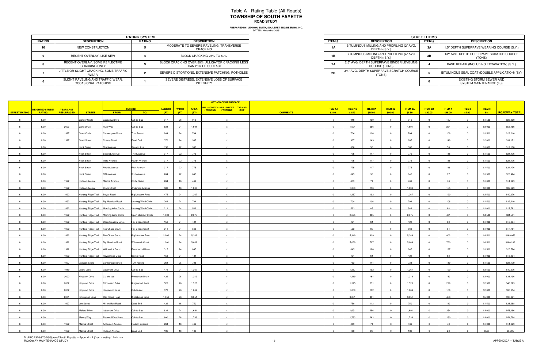|        |                                                          | <b>RATING SYSTEM</b> |                                                                         |
|--------|----------------------------------------------------------|----------------------|-------------------------------------------------------------------------|
| RATING | <b>DESCRIPTION</b>                                       | <b>RATING</b>        | <b>DESCRIPTION</b>                                                      |
| 10     | NEW CONSTRUCTION                                         |                      | MODERATE TO SEVERE RAVELING, TRANSVERSE<br>CRACKING                     |
|        | RECENT OVERLAY, LIKE NEW                                 |                      | BLOCK CRACKING 25% TO 50%                                               |
|        | RECENT OVERLAY. SOME REFLECTIVE<br><b>CRACKING ONLY</b>  |                      | BLOCK CRACKING OVER 50%, ALLIGATOR CRACKING LESS<br>THAN 25% OF SURFACE |
|        | LITTLE OR SLIGHT CRACKING, SOME TRAFFIC<br><b>WEAR</b>   |                      | SEVERE DISTORTIONS, EXTENSIVE PATCHING, POTHOLES                        |
|        | SLIGHT RAVELING AND TRAFFIC WEAR.<br>OCCASIONAL PATCHING |                      | SEVERE DISTRESS, EXTENSIVE LOSS OF SURFACE<br><b>INTEGRITY</b>          |

|                             | <b>RATING SYSTEM</b> |                                                                         |  |  |  |  |  |
|-----------------------------|----------------------|-------------------------------------------------------------------------|--|--|--|--|--|
| <b>TION</b>                 | RATING               | <b>DESCRIPTION</b>                                                      |  |  |  |  |  |
| <b>RUCTION</b>              |                      | MODERATE TO SEVERE RAVELING, TRANSVERSE<br>CRACKING                     |  |  |  |  |  |
| YY. LIKE NEW                |                      | BLOCK CRACKING 25% TO 50%                                               |  |  |  |  |  |
| OME REFLECTIVE<br>a ONLY    |                      | BLOCK CRACKING OVER 50%, ALLIGATOR CRACKING LESS<br>THAN 25% OF SURFACE |  |  |  |  |  |
| KING. SOME TRAFFIC          |                      | SEVERE DISTORTIONS. EXTENSIVE PATCHING. POTHOLES                        |  |  |  |  |  |
| D TRAFFIC WEAR.<br>PATCHING |                      | SEVERE DISTRESS. EXTENSIVE LOSS OF SURFACE<br>INTEGRITY                 |  |  |  |  |  |

|               |                        |                  |                                             |                |                        |        |      |       | <b>METHOD OF RESURFACE</b>                                                 |                 |                |                |                |                         |                |                |                   |                   |         |                      |
|---------------|------------------------|------------------|---------------------------------------------|----------------|------------------------|--------|------|-------|----------------------------------------------------------------------------|-----------------|----------------|----------------|----------------|-------------------------|----------------|----------------|-------------------|-------------------|---------|----------------------|
|               | <b>WEIGHTED STREET</b> | <b>YEAR LAST</b> |                                             | <b>TERMINI</b> |                        | LENGTH |      |       | WIDTH AREA MILL/SCRATCH MILL/BINDER TAR AND<br>/WEARING   / WEARING   CHIP |                 | <b>ITEM 1A</b> | <b>ITEM 1B</b> | <b>ITEM 2A</b> | ITEM 2B                 | <b>ITEM 3A</b> | <b>ITEM 3B</b> | ITEM <sub>4</sub> | ITEM <sub>5</sub> | ITEM 6  |                      |
| STREET RATING | <b>RATING</b>          | RESURFACED       | <b>STREET</b>                               | FROM:          | TO:                    | (FT)   | (FT) | (SY)  |                                                                            | <b>COMMENTS</b> | \$3.00         | \$3.50         | \$85.00        | \$90.00                 | \$8.50         | \$90.00        | \$45.00           | \$5.00            | $-5\%$  | <b>ROADWAY TOTAL</b> |
|               | 6.00                   |                  | Gander Circle<br>Lakeview Drive             |                | Cul-de-Sac             | 317    | 26   | 916   |                                                                            |                 | $\Omega$       | 916            | 139            | $\Omega$                | 916            | $\Omega$       | 137               | $\sqrt{ }$        | \$1,500 | \$28,990             |
|               | 6.00                   |                  |                                             |                | Cul-de-Sac             | 634    |      | 1,691 |                                                                            |                 |                | 1,691          | 256            |                         | 1,691          |                | 254               |                   | \$3,000 | \$53,466             |
|               |                        | 2003             | Gene Drive<br>Ruth Way                      |                |                        |        | 24   |       |                                                                            |                 |                |                |                |                         |                |                |                   |                   |         |                      |
|               | 6.00                   | 1997             | <b>Grant Circle</b><br>Cannongate Drive     |                | Turn Around            | 264    | 24   | 704   |                                                                            |                 | $\overline{0}$ | 704            | 106            | $\Omega$                | 704            |                | 106               |                   | \$1,500 | \$22,210             |
|               | 6.00                   | 1997             | <b>Grant Street</b><br><b>Cherry Street</b> |                | Dead End               | 370    | 24   | 987   |                                                                            |                 | $\Omega$       | 987            | 149            | $\sim$                  | 987            |                | 148               |                   | \$2,000 | \$31,171             |
|               | 6.00                   |                  | <b>Hook Street</b><br>First Avenue          |                | Second Ave             | 158    | 22   | 386   |                                                                            |                 |                | 386            | 58             |                         | 386            |                | 58                |                   | \$1,000 | \$12,168             |
|               | 6.00                   |                  | <b>Hook Street</b><br>Second Avenue         |                | Third Avenue           | 317    | 22   | 775   |                                                                            |                 | $\Omega$       | 775            | 117            | $\Omega$                | 775            |                | 116               |                   | \$1,500 | \$24,476             |
|               | 6.00                   |                  | <b>Hook Street</b><br>Third Avenue          |                | Fourth Avenue          | 317    | 22   | 775   |                                                                            |                 | $\mathbf 0$    | 775            | 117            | - 0                     | 775            |                | 116               |                   | \$1,500 | \$24,476             |
|               | 6.00                   |                  | <b>Hook Street</b><br>Fourth Avenue         |                | Fifth Avenue           | 317    | 22   | 775   |                                                                            |                 | $\overline{0}$ | 775            | 117            |                         | 775            |                | 116               |                   | \$1,500 | \$24,476             |
|               | 6.00                   |                  | <b>Hook Street</b><br>Fifth Avenue          |                | Sixth Avenue           | 264    | 22   | 645   | $\mathbf{x}$                                                               |                 | $\overline{0}$ | 645            | 98             | $\Omega$                | 645            | $\Omega$       | 97                |                   | \$1,500 | \$20,424             |
|               | 6.00                   | 1992             | Hudson Avenue<br>Martha Avenue              |                | <b>Clyde Street</b>    | 264    | 16   | 469   | $\mathbf{x}$                                                               |                 | $\Omega$       | 469            | 71             | $\Omega$                | 469            | $\Omega$       | 70                |                   | \$1,000 | \$14,829             |
|               | 6.00                   | 1992             | Hudson Avenue                               |                | <b>Anderson Avenue</b> | 581    | 16   | 1,033 |                                                                            |                 |                | 1,033          | 156            |                         | 1,033          |                | 155               |                   | \$2,000 | \$32,629             |
|               |                        |                  | <b>Clyde Street</b>                         |                |                        |        |      |       |                                                                            |                 |                |                |                |                         |                |                |                   |                   |         |                      |
|               | 6.00                   | 1992             | Hunting Ridge Trail<br>Boyce Road           |                | <b>Big Meadow Road</b> | 475    | 24   | 1,267 |                                                                            |                 | $\Omega$       | 1,267          | 192            |                         | 1,267          |                | 190               |                   | \$2,500 | \$40,076             |
|               | 6.00                   | 1992             | Hunting Ridge Trail Big Meadow Road         |                | Morning Wind Circle    | 264    | 24   | 704   |                                                                            |                 | $\overline{0}$ | 704            | 106            | $\Omega$                | 704            | $\Omega$       | 106               |                   | \$1,500 | \$22,210             |
|               | 6.00                   | 1992             | Hunting Ridge Trail Morning Wind Circle     |                | Morning Wind Circle    | 211    | 24   | 563   |                                                                            |                 |                | 563            | 85             | $\Omega$                | 563            |                | 84                |                   | \$1,000 | \$17,781             |
|               | 6.00                   | 1992             | Hunting Ridge Trail Morning Wind Circle     |                | Open Meadow Circle     | 1,003  | 24   | 2,675 | $\mathsf{x}$                                                               |                 | $\overline{0}$ | 2,675          | 405            | $\overline{0}$          | 2,675          | $\Omega$       | 401               | $\Omega$          | \$4,500 | \$84,581             |
|               | 6.00                   | 1992             | Hunting Ridge Trail  Open Meadow Circle     |                | Fox Chase Court        | 158    | 24   | 421   |                                                                            |                 |                | 421            | 64             |                         | 421            |                | 63                |                   | \$1,000 | \$13,334             |
|               | 6.00                   | 1992             | Hunting Ridge Trail Fox Chase Court         |                | Fox Chase Court        | 211    | 24   | 563   |                                                                            |                 |                | 563            | 85             |                         | 563            |                | 84                |                   | \$1,000 | \$17,781             |
|               | 6.00                   | 1992             | Hunting Ridge Trail Fox Chase Court         |                | <b>Big Meadow Road</b> | 2,006  | 24   | 5,349 |                                                                            |                 | $\overline{0}$ | 5,349          | 809            | - 0                     | 5,349          |                | 802               |                   | \$8,500 | \$169,059            |
|               | 6.00                   | 1992             | Hunting Ridge Trail Big Meadow Road         |                | Willowwick Court       | 1,901  | 24   | 5,069 |                                                                            |                 | $\Omega$       | 5,069          | 767            | - 0                     | 5,069          |                | 760               |                   | \$8,500 | \$160,239            |
|               | 6.00                   | 1992             | Hunting Ridge Trail Willowwick Court        |                | Ravenwood Drive        | 317    | 24   | 845   |                                                                            |                 | $\Omega$       | 845            | 128            | $\Omega$                | 845            |                | 127               |                   | \$1,500 | \$26,724             |
|               | 6.00                   | 1992             | Hunting Ridge Trail Ravenwood Drive         |                | Boyce Road             | 158    | 24   | 421   |                                                                            |                 | $\mathbf 0$    | 421            | 64             | $\overline{\mathbf{0}}$ | 421            |                | 63                |                   | \$1,000 | \$13,334             |
|               | 6.00                   | 1997             | Jackson Circle<br>Cannongate Drive          |                | Turn Around            | 264    | 25   | 733   |                                                                            |                 |                | 733            | 111            | $\sim$                  | 733            |                | 110               |                   | \$1,500 | \$23,179             |
|               | 6.00                   | 1989             | Lakemont Drive<br>Jeana Lane                |                | Cul-de-Sac             | 475    | 24   | 1,267 |                                                                            |                 | $\Omega$       | 1,267          | 192            | $\Omega$                | 1,267          |                | 190               |                   | \$2,500 | \$40,076             |
|               | 6.00                   | 2002             | Kingston Drive<br>Cul-de-sac                |                | Princenton Drive       | 422    | 26   | 1,219 | $\mathbf{x}$                                                               |                 | $\overline{0}$ | 1,219          | 184            | $\overline{0}$          | 1,219          | $\Omega$       | 183               | $\Omega$          | \$2,000 | \$38,496             |
|               | 6.00                   | 2002             | Kingston Drive<br>Princenton Drive          |                | Kingswood Lane         | 528    | 26   | 1,525 |                                                                            |                 |                | 1,525          | 231            |                         | 1,525          |                | 229               |                   | \$2,500 | \$48,229             |
|               | 6.00                   | 2002             | Kingston Drive<br>Kingswood Lane            |                | Cul-de-sac             | 370    | 26   | 1,069 |                                                                            |                 | $\overline{0}$ | 1,069          | 162            | $^{\circ}$              | 1,069          | $\Omega$       | 160               | $\Omega$          | \$2,000 | \$33,814             |
|               |                        |                  |                                             |                |                        |        |      |       |                                                                            |                 | $\Omega$       |                | 461            | $\Omega$                |                |                | 458               |                   |         |                      |
|               | 6.00                   | 2001             | Oak Ridge Road<br>Kingswood Lane            |                | Kingsbrook Drive       | 1,056  | 26   | 3,051 |                                                                            |                 |                | 3,051          |                |                         | 3,051          |                |                   |                   | \$5,000 | \$96,391             |
|               | 6.00                   | 1997             | Millers Run Road<br>Lee Street              |                | Dead End               | 422    | 16   | 750   |                                                                            |                 |                | 750            | 113            |                         | 750            |                | 113               |                   | \$1,500 | \$23,668             |
|               | 6.00                   |                  | <b>Mallard Drive</b><br>Lakemont Drive      |                | Cul-de-Sac             | 634    | 24   | 1,691 |                                                                            |                 | $\overline{0}$ | 1,691          | 256            | $\overline{\mathbf{0}}$ | 1,691          |                | 254               |                   | \$3,000 | \$53,466             |
|               | 6.00                   |                  | Marley Way<br>Rahner-Wood Lane              |                | Cul-de-Sac             | 600    | 26   | 1,733 |                                                                            |                 |                | 1,733          | 262            |                         | 1,733          |                | 260               |                   | \$3,000 | \$54,764             |
|               | 6.00                   | 1992             | Martha Street<br>Anderson Avenue            |                | Hudson Avenue          | 264    | 16   | 469   |                                                                            |                 | $\Omega$       | 469            | 71             | - 0                     | 469            |                | 70                |                   | \$1,000 | \$14,829             |
|               | 6.00                   | 1992             | Martha Street<br>Hudson Avenue              |                | Dead End               | 106    | 16   | 188   |                                                                            |                 | $\Omega$       | 188            | 28             |                         | 188            |                | 28                |                   | \$500   | \$5,905              |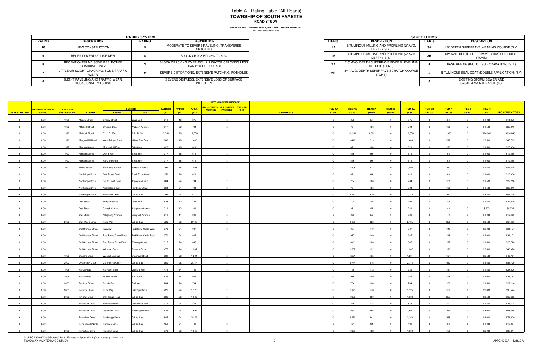|        | <b>RATING SYSTEM</b>                                     |               |                                                                         |  |  |  |  |  |  |  |
|--------|----------------------------------------------------------|---------------|-------------------------------------------------------------------------|--|--|--|--|--|--|--|
| RATING | <b>DESCRIPTION</b>                                       | <b>RATING</b> | <b>DESCRIPTION</b>                                                      |  |  |  |  |  |  |  |
| 10     | NEW CONSTRUCTION                                         |               | MODERATE TO SEVERE RAVELING, TRANSVERSE<br>CRACKING                     |  |  |  |  |  |  |  |
|        | RECENT OVERLAY, LIKE NEW                                 |               | BLOCK CRACKING 25% TO 50%                                               |  |  |  |  |  |  |  |
|        | RECENT OVERLAY. SOME REFLECTIVE<br><b>CRACKING ONLY</b>  |               | BLOCK CRACKING OVER 50%, ALLIGATOR CRACKING LESS<br>THAN 25% OF SURFACE |  |  |  |  |  |  |  |
|        | LITTLE OR SLIGHT CRACKING, SOME TRAFFIC<br>WEAR          |               | SEVERE DISTORTIONS, EXTENSIVE PATCHING, POTHOLES                        |  |  |  |  |  |  |  |
|        | SLIGHT RAVELING AND TRAFFIC WEAR,<br>OCCASIONAL PATCHING |               | SEVERE DISTRESS, EXTENSIVE LOSS OF SURFACE<br><b>INTEGRITY</b>          |  |  |  |  |  |  |  |

|                             | <b>RATING SYSTEM</b> |                                                                         |  |  |  |  |  |
|-----------------------------|----------------------|-------------------------------------------------------------------------|--|--|--|--|--|
| <b>TION</b>                 | RATING               | <b>DESCRIPTION</b>                                                      |  |  |  |  |  |
| <b>RUCTION</b>              |                      | MODERATE TO SEVERE RAVELING, TRANSVERSE<br>CRACKING                     |  |  |  |  |  |
| YY. LIKE NEW                |                      | BLOCK CRACKING 25% TO 50%                                               |  |  |  |  |  |
| OME REFLECTIVE<br>a ONLY    |                      | BLOCK CRACKING OVER 50%, ALLIGATOR CRACKING LESS<br>THAN 25% OF SURFACE |  |  |  |  |  |
| KING. SOME TRAFFIC          |                      | SEVERE DISTORTIONS. EXTENSIVE PATCHING. POTHOLES                        |  |  |  |  |  |
| D TRAFFIC WEAR.<br>PATCHING |                      | SEVERE DISTRESS. EXTENSIVE LOSS OF SURFACE<br>INTEGRITY                 |  |  |  |  |  |

|               |                                         |                                |                    |                                        |                                                             |                | <b>METHOD OF RESURFACE</b> |                     |                                                                      |  |                 |                          |                   |                           |                           |                          |                           |                          |                         |                  |                      |
|---------------|-----------------------------------------|--------------------------------|--------------------|----------------------------------------|-------------------------------------------------------------|----------------|----------------------------|---------------------|----------------------------------------------------------------------|--|-----------------|--------------------------|-------------------|---------------------------|---------------------------|--------------------------|---------------------------|--------------------------|-------------------------|------------------|----------------------|
| STREET RATING | <b>NEIGHTED STREET</b><br><b>RATING</b> | <b>YEAR LAST</b><br>RESURFACED | <b>STREET</b>      | FROM:                                  | <b>TERMINI</b><br>$\overline{10:}$                          | LENGTH<br>(FT) | <b>WIDTH</b><br>(FT)       | <b>AREA</b><br>(SY) | MILL / SCRATCH MILL / BINDER TAR AND<br>/ WEARING   / WEARING   CHIP |  | <b>COMMENTS</b> | <b>ITEM 1A</b><br>\$3.00 | ITEM 1B<br>\$3.50 | <b>ITEM 2A</b><br>\$85.00 | <b>ITEM 2B</b><br>\$90.00 | <b>ITEM 3A</b><br>\$8.50 | <b>ITEM 3B</b><br>\$90.00 | <b>ITEM 4</b><br>\$45.00 | <b>ITEM 5</b><br>\$5.00 | ITEM 6<br>$-5\%$ | <b>ROADWAY TOTAL</b> |
|               | 6.00                                    | 1996                           | Meade Street       | <b>Cherry Street</b>                   | Dead End                                                    | 211            | 16                         | 375                 |                                                                      |  |                 | $\mathbf{0}$             | 375               | 57                        | $\Omega$                  | 375                      |                           | 56                       |                         | \$1,000          | \$11,876             |
|               | 6.00                                    | 1992                           | Mitchell Street    | Orchard Drive                          | Wabash Avenue                                               | 317            | 20                         | 704                 |                                                                      |  |                 |                          | 704               | 106                       |                           | 704                      |                           | 106                      |                         | \$1,500          | \$22,210             |
|               | 6.00                                    | 1998                           | Mohawk Road        | S. H. R. 978                           | S. H. R. 50                                                 | 5,650          | 20                         | 12,556              |                                                                      |  |                 | $\Omega$                 | 12,556            | 1,899                     | $\Omega$                  | 12,556                   |                           | 1,883                    |                         | \$20,000         | \$396,840            |
|               | 6.00                                    | 1996                           | Morgan Hill Road   | West Bridge Drive                      | Millers Run Road                                            | 686            | 19                         | 1,448               | $\mathbf{x}$                                                         |  |                 | $\overline{0}$           | 1,448             | 219                       | $\overline{0}$            | 1,448                    | $\Omega$                  | 217                      | $\Omega$                | \$2,500          | \$45,765             |
|               | 6.00                                    | 1997                           | Morgan Street      | Morgan Hill Road                       | Oak Street                                                  | 422            | 18                         | 821                 |                                                                      |  |                 | $\Omega$                 | 821               | 124                       |                           | 821                      |                           | 123                      |                         | \$1,500          | \$25,934             |
|               | 6.00                                    | 1997                           | Morgan Street      | Oak Street                             | Elm Street                                                  | 317            | 18                         | 616                 |                                                                      |  |                 | $\Omega$                 | 616               | 93                        | $\Omega$                  | 616                      |                           | 92                       |                         | \$1,000          | \$19,455             |
|               | 6.00                                    | 1997                           | Morgan Street      | Park Entrance                          | Elm Street                                                  | 317            | 18                         | 616                 |                                                                      |  |                 | $\mathbf{0}$             | 616               | 93                        | $\Omega$                  | 616                      |                           | 92                       |                         | \$1,000          | \$19,455             |
|               | 6.00                                    | 1992                           | Myrtle Street      | Seminary Avenue                        | Hudson Avenue                                               | 792            | 16                         | 1,408               |                                                                      |  |                 | $\Omega$                 | 1,408             | 213                       | $\Omega$                  | 1,408                    |                           | 211                      |                         | \$2,500          | \$44,505             |
|               | 6.00                                    |                                | Northridge Drive   | Oak Ridge Road                         | South Point Court                                           | 158            | 24                         | 421                 |                                                                      |  |                 | $\mathbf{0}$             | 421               | 64                        | $\Omega$                  | 421                      | $\Omega$                  | 63                       |                         | \$1,000          | \$13,334             |
|               | 6.00                                    |                                | Northridge Drive   | South Point Court                      | Appleglen Court                                             | 264            | 24                         | 704                 |                                                                      |  |                 | $\mathbf{0}$             | 704               | 106                       | $\overline{0}$            | 704                      | $\Omega$                  | 106                      |                         | \$1,500          | \$22,210             |
|               | 6.00                                    |                                | Northridge Drive   | Appleglen Court                        | Pointview Drive                                             | 264            | 24                         | 704                 |                                                                      |  |                 |                          | 704               | 106                       | $\Omega$                  | 704                      |                           | 106                      |                         | \$1,500          | \$22,210             |
|               | 6.00                                    |                                | Northridge Drive   | Pointview Drive                        | Cul-de-Sac                                                  | 792            | 24                         | 2,112               |                                                                      |  |                 | $\mathbf{0}$             | 2,112             | 319                       | $\Omega$                  | 2,112                    |                           | 317                      |                         | \$3,500          | \$66,715             |
|               | 6.00                                    |                                | Oak Street         | Morgan Street                          | Dead End                                                    | 528            | 12                         | 704                 |                                                                      |  |                 | $\overline{0}$           | 704               | 106                       | $\Omega$                  | 704                      | $^{\circ}$                | 106                      |                         | \$1,500          | \$22,210             |
|               | 6.00                                    |                                | Oak Street         | Campbell Ave.                          | Allegheny Avenue                                            | 211            | 12                         | 281                 |                                                                      |  |                 | $\Omega$                 | 281               | 43                        | $\Omega$                  | 281                      |                           | 42                       |                         | \$500            | \$8,924              |
|               | 6.00                                    |                                | Oak Street         | Allegheny Avenue                       | Campbell Avenue                                             | 211            | 14                         | 328                 | $\mathbf{x}$                                                         |  |                 | $\Omega$                 | 328               | 50                        | $\Omega$                  | 328                      | $\Omega$                  | 49                       |                         | \$1,000          | \$10,400             |
|               | 6.00                                    | 2002                           | Oak Wood Circle    | Ruth Way                               | Cul-de-Sac                                                  | 739            | 26                         | 2,135               |                                                                      |  |                 | $\Omega$                 | 2,135             | 323                       |                           | 2,135                    |                           | 320                      |                         | \$3,500          | \$67,486             |
|               | 6.00                                    |                                | Old Orchard Drive  | Fairview                               | Red Rome Circle West                                        | 370            | 24                         | 987                 |                                                                      |  |                 |                          | 987               | 149                       |                           | 987                      |                           | 148                      |                         | \$2,000          | \$31,171             |
|               | 6.00                                    |                                |                    |                                        | Old Orchard Drive Red Rome Circle West Red Rome Circle East | 370            | 24                         | 987                 |                                                                      |  |                 | $\overline{0}$           | 987               | 149                       | $\Omega$                  | 987                      | $\Omega$                  | 148                      |                         | \$2,000          | \$31,171             |
|               | 6.00                                    |                                |                    | Old Orchard Drive Red Rome Circle East | <b>Winesap Court</b>                                        | 317            | 24                         | 845                 |                                                                      |  |                 | $\Omega$                 | 845               | 128                       | $\Omega$                  | 845                      |                           | 127                      |                         | \$1,500          | \$26,724             |
|               | 6.00                                    |                                | Old Orchard Drive  | Winesap Court                          | <b>Russets Circle</b>                                       | 475            | 24                         | 1,267               | $\mathbf{x}$                                                         |  |                 | $\overline{0}$           | 1,267             | 192                       | $\overline{0}$            | 1,267                    | $\Omega$                  | 190                      |                         | \$2,500          | \$40,076             |
|               | 6.00                                    | 1992                           | Orchard Drive      | Wabash Avenue                          | Sherman Street                                              | 581            | 20                         | 1,291               |                                                                      |  |                 | $\Omega$                 | 1,291             | 195                       | $\Omega$                  | 1,291                    | $\Omega$                  | 194                      |                         | \$2,500          | \$40,781             |
|               | 6.00                                    | 2002                           | Oyster Bay Court   | Calendonia Court                       | Cul-de-Sac                                                  | 950            | 26                         | 2,744               |                                                                      |  |                 |                          | 2,744             | 415                       |                           | 2,744                    |                           | 412                      |                         | \$4,500          | \$86,725             |
|               | 6.00                                    | 1996                           | Parks Road         | Railroad Street                        | Middle Street                                               | 475            | 14                         | 739                 |                                                                      |  |                 | $\Omega$                 | 739               | 112                       | $\Omega$                  | 739                      | $\Omega$                  | 111                      |                         | \$1,500          | \$23,376             |
|               | 6.00                                    | 1996                           | Parks Road         | Middle Street                          | S.R. 0050                                                   | 634            | 14                         | 986                 | $\mathbf{x}$                                                         |  |                 | $\Omega$                 | 986               | 149                       | $\Omega$                  | 986                      | $\Omega$                  | 148                      | $\Omega$                | \$2,000          | \$31,153             |
|               | 6.00                                    | 2003                           | Petricca Drive     | Cul-de-Sac                             | Ruth Way                                                    | 264            | 24                         | 704                 |                                                                      |  |                 |                          | 704               | 106                       |                           | 704                      |                           | 106                      |                         | \$1,500          | \$22,210             |
|               | 6.00                                    | 2003                           | Petricca Drive     | Ruth Way                               | Oakridge Drive                                              | 422            | 24                         | 1,125               |                                                                      |  |                 | $\mathbf{0}$             | 1,125             | 170                       | $\Omega$                  | 1,125                    | $\Omega$                  | 169                      |                         | \$2,000          | \$35,544             |
|               | 6.00                                    | 2002                           | Pin Oak Drive      | Oak Ridge Road                         | Cul-de-Sac                                                  | 686            | 26                         | 1,982               |                                                                      |  |                 | $\Omega$                 | 1,982             | 300                       | $\Omega$                  | 1,982                    |                           | 297                      |                         | \$3,500          | \$62,663             |
|               | 6.00                                    |                                | Pinewood Drive     | Boxwood Drive                          | Lakemont Drive                                              | 317            | 24                         | 845                 |                                                                      |  |                 | $\Omega$                 | 845               | 128                       |                           | 845                      |                           | 127                      |                         | \$1,500          | \$26,724             |
|               | 6.00                                    |                                | Pinewood Drive     | Lakemont Drive                         | <b>Washington Pike</b>                                      | 634            | 24                         | 1,691               | $\mathbf{x}$                                                         |  |                 | $\Omega$                 | 1,691             | 256                       | $\Omega$                  | 1,691                    | $^{\circ}$                | 254                      |                         | \$3,000          | \$53,466             |
|               | 6.00                                    |                                | Pointview Drive    | Northridge Drive                       | Cul-de-Sac                                                  | 845            | 24                         | 2,253               |                                                                      |  |                 | $\Omega$                 | 2,253             | 341                       | $\Omega$                  | 2,253                    |                           | 338                      |                         | \$4,000          | \$71,229             |
|               | 6.00                                    |                                | Pond Court (North) | Portman Lane                           | Cul-de-Sac                                                  | 158            | 24                         | 421                 |                                                                      |  |                 | $\Omega$                 | 421               | 64                        | $\Omega$                  | 421                      |                           | 63                       |                         | \$1,000          | \$13,334             |
|               | 6.00                                    | 2002                           | Princeton Drive    | Kingston Drive                         | Cul-de-Sac                                                  | 370            | 26                         | 1,069               |                                                                      |  |                 | $\Omega$                 | 1,069             | 162                       |                           | 1,069                    |                           | 160                      |                         | \$2,000          | \$33,814             |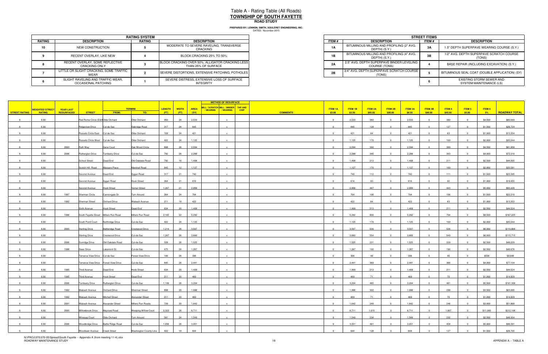DATED: November 2015 **PREPARED BY: LENNON, SMITH, SOULERET ENGINEERING, INC.**

|        | <b>RATING SYSTEM</b>                                     |        |                                                                         |  |  |  |  |  |  |  |  |
|--------|----------------------------------------------------------|--------|-------------------------------------------------------------------------|--|--|--|--|--|--|--|--|
| RATING | <b>DESCRIPTION</b>                                       | RATING | <b>DESCRIPTION</b>                                                      |  |  |  |  |  |  |  |  |
| 10     | NEW CONSTRUCTION                                         |        | MODERATE TO SEVERE RAVELING, TRANSVERSE<br>CRACKING                     |  |  |  |  |  |  |  |  |
|        | RECENT OVERLAY, LIKE NEW                                 |        | BLOCK CRACKING 25% TO 50%                                               |  |  |  |  |  |  |  |  |
|        | RECENT OVERLAY, SOME REFLECTIVE<br>CRACKING ONLY         |        | BLOCK CRACKING OVER 50%, ALLIGATOR CRACKING LESS<br>THAN 25% OF SURFACE |  |  |  |  |  |  |  |  |
|        | LITTLE OR SLIGHT CRACKING, SOME TRAFFIC<br>WEAR          |        | SEVERE DISTORTIONS, EXTENSIVE PATCHING, POTHOLES                        |  |  |  |  |  |  |  |  |
|        | SLIGHT RAVELING AND TRAFFIC WEAR,<br>OCCASIONAL PATCHING |        | SEVERE DISTRESS, EXTENSIVE LOSS OF SURFACE<br><b>INTEGRITY</b>          |  |  |  |  |  |  |  |  |

|                             | <b>RATING SYSTEM</b> |                                                                         |  |  |  |  |  |
|-----------------------------|----------------------|-------------------------------------------------------------------------|--|--|--|--|--|
| <b>TION</b>                 | RATING               | <b>DESCRIPTION</b>                                                      |  |  |  |  |  |
| RUCTION                     |                      | MODERATE TO SEVERE RAVELING, TRANSVERSE<br>CRACKING                     |  |  |  |  |  |
| YY. LIKE NEW                |                      | BLOCK CRACKING 25% TO 50%                                               |  |  |  |  |  |
| OME REFLECTIVE<br>a ONLY    |                      | BLOCK CRACKING OVER 50%, ALLIGATOR CRACKING LESS<br>THAN 25% OF SURFACE |  |  |  |  |  |
| KING. SOME TRAFFIC          |                      | SEVERE DISTORTIONS. EXTENSIVE PATCHING. POTHOLES I                      |  |  |  |  |  |
| D TRAFFIC WEAR.<br>PATCHING |                      | SEVERE DISTRESS, EXTENSIVE LOSS OF SURFACE<br>INTEGRITY                 |  |  |  |  |  |

|                      |                        |                  |                                       |                          |                        |        |              |             | <b>METHOD OF RESURFACE</b>           |             |                 |                |         |                |                |                |                |         |               |          |                      |
|----------------------|------------------------|------------------|---------------------------------------|--------------------------|------------------------|--------|--------------|-------------|--------------------------------------|-------------|-----------------|----------------|---------|----------------|----------------|----------------|----------------|---------|---------------|----------|----------------------|
|                      | <b>WEIGHTED STREET</b> | <b>YEAR LAST</b> |                                       |                          | <b>TERMINI</b>         | LENGTH | <b>WIDTH</b> | <b>AREA</b> | MILL / SCRATCH MILL / BINDER TAR AND |             |                 | <b>ITEM 1A</b> | ITEM 1B | <b>ITEM 2A</b> | <b>ITEM 2B</b> | <b>ITEM 3A</b> | <b>ITEM 3B</b> | ITEM 4  | <b>ITEM 5</b> | ITEM 6   |                      |
| <b>STREET RATING</b> | <b>RATING</b>          | RESURFACED       | <b>STREET</b>                         | FROM:                    | TO:                    | (FT)   | (FT)         | (SY)        | /WEARING   /WEARING                  | <b>CHIP</b> | <b>COMMENTS</b> | \$3.00         | \$3.50  | \$85.00        | \$90.00        | \$8.50         | \$90.00        | \$45.00 | \$5.00        | 5%       | <b>ROADWAY TOTAL</b> |
|                      | 6.00                   |                  | Red Rome Circle (E&WOlde Orchard      |                          | Olde Orchard           | 950    | 24           | 2,533       | $\mathbf{x}$                         |             |                 | $\overline{0}$ | 2,533   | 383            | $\Omega$       | 2,533          | $\overline{0}$ | 380     |               | \$4,500  | \$80,049             |
|                      | 6.00                   |                  | <b>Ridgeview Drive</b>                | Cul-de-Sac               | Oakridge Road          | 317    | 24           | 845         |                                      |             |                 |                | 845     | 128            |                | 845            |                | 127     |               | \$1,500  | \$26,724             |
|                      | 6.00                   |                  | Russets Circle East Cul-de-Sac        |                          | Olde Orchard           | 158    | 24           | 421         |                                      |             |                 |                | 421     | 64             |                | 421            |                | 63      |               | \$1,000  | \$13,334             |
|                      |                        |                  |                                       |                          |                        |        |              |             |                                      |             |                 | $\Omega$       |         |                |                |                | $\Omega$       |         |               |          |                      |
|                      | 6.00                   |                  | Russets Circle West Cul-de-Sac        |                          | Olde Orchard           | 422    | 24           | 1,125       |                                      |             |                 |                | 1,125   | 170            | $\Omega$       | 1,125          |                | 169     |               | \$2,000  | \$35,544             |
|                      | 6.00                   | 2003             | Ruth Way                              | Gene Court               | Oak Wood Circle        | 898    | 26           | 2,594       |                                      |             |                 | $\Omega$       | 2,594   | 392            | $\Omega$       | 2,594          |                | 389     |               | \$4,500  | \$81,958             |
|                      | 6.00                   | 2006             | Rutherglen Drive                      | <b>Turnberry Drive</b>   | Cul-de-Sac             | 792    | 26           | 2,288       |                                      |             |                 | $\Omega$       | 2,288   | 346            | $\Omega$       | 2,288          |                | 343     |               | \$4,000  | \$72,310             |
|                      | 6.00                   |                  | School Street                         | Dead End                 | Old Oakdale Road       | 792    | 16           | 1,408       | $\mathbf{x}$                         |             |                 | $\overline{0}$ | 1,408   | 213            | $\Omega$       | 1,408          | $\Omega$       | 211     |               | \$2,500  | \$44,505             |
|                      | 6.00                   |                  | Scotch Hill Road                      | Massaro Place            | Marshall Road          | 845    | 12           | 1,127       |                                      |             |                 |                | 1,127   | 170            | $\Omega$       | 1,127          |                | 169     |               | \$2,000  | \$35,581             |
|                      | 6.00                   |                  | Second Avenue                         | Dead End                 | Sygan Road             | 317    | 21           | 740         |                                      |             |                 | $\Omega$       | 740     | 112            | $\Omega$       | 740            |                | 111     |               | \$1,500  | \$23,395             |
|                      | 6.00                   |                  | Second Avenue                         | Sygan Road               | Hook Street            | 264    | 21           | 616         |                                      |             |                 | $\Omega$       | 616     | 93             |                | 616            |                | 92      |               | \$1,000  | \$19,455             |
|                      | 6.00                   |                  | Second Avenue                         | <b>Hook Street</b>       | Verner Street          | 1,267  | 21           | 2,956       |                                      |             |                 |                | 2,956   | 447            |                | 2,956          |                | 443     |               | \$5,000  | \$93,420             |
|                      | 6.00                   | 1997             | Sherman Circle                        | Cannongate Dr.           | Turn Around            | 264    | 24           | 704         | $\mathbf{x}$                         |             |                 | $\Omega$       | 704     | 106            | $\Omega$       | 704            | $\Omega$       | 106     |               | \$1,500  | \$22,210             |
|                      | 6.00                   | 1992             | Sherman Street                        | Orchard Drive            | Wabash Avenue          | 211    | 18           | 422         | $\mathbf{x}$                         |             |                 | $\Omega$       | 422     | 64             | $\Omega$       | 422            | $\Omega$       | 63      |               | \$1,000  | \$13,353             |
|                      | 6.00                   |                  | Sixth Avenue                          | <b>Hook Street</b>       | Dead End               | 634    | 20           | 1,409       |                                      |             |                 |                | 1,409   | 213            |                | 1,409          |                | 211     |               | \$2,500  | \$44,524             |
|                      | 6.00                   | 1996             | South Fayette Street Millers Run Road |                          | Millers Run Road       | 2,165  | 22           | 5,292       |                                      |             |                 | $\Omega$       | 5,292   | 800            | $\Omega$       | 5,292          |                | 794     |               | \$8,500  | \$167,225            |
|                      |                        |                  |                                       |                          | Cul-de-Sac             | 422    | 24           | 1,125       |                                      |             |                 |                | 1,125   | 170            | $\Omega$       | 1,125          |                | 169     |               | \$2,000  | \$35,544             |
|                      | 6.00                   |                  | South Point Court Northridge Drive    |                          |                        |        |              |             |                                      |             |                 |                |         |                |                |                |                |         |               |          |                      |
|                      | 6.00                   | 2005             | <b>Sterling Drive</b>                 | <b>Battleridge Road</b>  | Crestwood Drive        | 1,214  | 26           | 3,507       |                                      |             |                 |                | 3,507   | 530            |                | 3,507          |                | 526     |               | \$6,000  | \$110,806            |
|                      | 6.00                   |                  | <b>Sterling Drive</b>                 | Crestwood Drive          | Cul-de-Sac             | 1,267  | 26           | 3,660       | $\mathbf{x}$                         |             |                 | $\overline{0}$ | 3,660   | 554            | $\Omega$       | 3,660          | $^{\circ}$     | 549     |               | \$6,000  | \$115,715            |
|                      | 6.00                   | 2006             | Sunridge Drive                        | Old Oakdale Road         | Cul-de-Sac             | 528    | 26           | 1,525       |                                      |             |                 | $\Omega$       | 1,525   | 231            |                | 1,525          |                | 229     |               | \$2,500  | \$48,229             |
|                      | 6.00                   | 1996             | Swan Drive                            | Lakemont Dr.             | Cul-de-Sac             | 475    | 24           | 1,267       |                                      |             |                 | $\Omega$       | 1,267   | 192            | $\Omega$       | 1,267          |                | 190     |               | \$2,500  | \$40,076             |
|                      | 6.00                   |                  | Terrance View Drive Cul-de-Sac        |                          | Forest View Drive      | 106    | 26           | 306         | $\mathbf{Y}$                         |             |                 | $\Omega$       | 306     | 46             | $\Omega$       | 306            |                | 46      |               | \$500    | \$9,648              |
|                      | 6.00                   |                  | Terrance View Drive Forest View Drive |                          | Cul-de-Sac             | 845    | 26           | 2,441       |                                      |             |                 |                | 2,441   | 369            |                | 2,441          |                | 366     |               | \$4,000  | \$77,134             |
|                      | 6.00                   | 1995             | <b>Third Avenue</b>                   | Dead End                 | <b>Hook Street</b>     | 634    | 20           | 1,409       |                                      |             |                 | $\overline{0}$ | 1,409   | 213            | $\overline{0}$ | 1,409          | $\mathbf{0}$   | 211     |               | \$2,500  | \$44,524             |
|                      | 6.00                   | 1995             | <b>Third Avenue</b>                   | <b>Hook Street</b>       | Dead End               | 211    | 20           | 469         | $\mathbf{x}$                         |             |                 | $\Omega$       | 469     | 71             | $\Omega$       | 469            | $\Omega$       | 70      | $\sqrt{ }$    | \$1,000  | \$14,829             |
|                      | 6.00                   | 2006             | <b>Tumberry Drive</b>                 | Rutherglen Drive         | Cul-de-Sac             | 1,109  | 26           | 3,204       |                                      |             |                 |                | 3,204   | 485            |                | 3,204          |                | 481     |               | \$5,500  | \$101,300            |
|                      | 6.00                   | 1992             | Wabash Avenue                         | Orchard Drive            | Sherman Street         | 898    | 20           | 1,996       |                                      |             |                 | $\mathbf{0}$   | 1,996   | 302            | $\Omega$       | 1,996          |                | 299     |               | \$3,500  | \$63,095             |
|                      | 6.00                   | 1992             | Wabash Avenue                         | <b>Mitchell Street</b>   | Alexander Street       | 211    | 20           | 469         |                                      |             |                 |                | 469     | 71             |                | 469            |                | 70      |               | \$1,000  | \$14,829             |
|                      |                        |                  |                                       |                          |                        |        |              | 1,642       |                                      |             |                 |                |         |                |                |                |                |         |               |          |                      |
|                      | 6.00                   | 2001             | Wabash Avenue                         | Alexander Street         | Millers Run Roada      | 739    | 20           |             |                                      |             |                 |                | 1,642   | 248            |                | 1,642          |                | 246     |               | \$3,000  | \$51,868             |
|                      | 6.00                   | 2005             | Willowbrook Drive                     | Mayview Road             | Weeping Willow Court   | 2,323  | 26           | 6,711       | $\mathbf{x}$                         |             |                 | $\overline{0}$ | 6,711   | 1,015          | $\overline{0}$ | 6,711          | $\overline{0}$ | 1,007   |               | \$11,000 | \$212,106            |
|                      | 6.00                   |                  | Winesap Court                         | Olde Orchard             | Turn Around            | 581    | 24           | 1,549       |                                      |             |                 |                | 1,549   | 234            |                | 1,549          |                | 232     |               | \$2,500  | \$48,934             |
|                      | 6.00                   | 2006             | <b>Woodbridge Drive</b>               | <b>Battle Ridge Road</b> | Cul-de-Sac             | 1,056  | 26           | 3,051       |                                      |             |                 | $\Omega$       | 3,051   | 461            | $\Omega$       | 3,051          |                | 458     |               | \$5,000  | \$96,391             |
|                      | 6.00                   |                  | Woodlawn Avenue                       | <b>Creek Street</b>      | Washington County Line | 422    | 18           | 844         |                                      |             |                 | $\Omega$       | 844     | 128            |                | 844            |                | 127     |               | \$1,500  | \$26,705             |

N:\PROJ\370\370-05\Spread\South Fayette -- Appendix A (from meeting 11-4).xlsx<br>ROADWAY MAINTENANCE STUDY 18 APPENDIX A -- TABLE A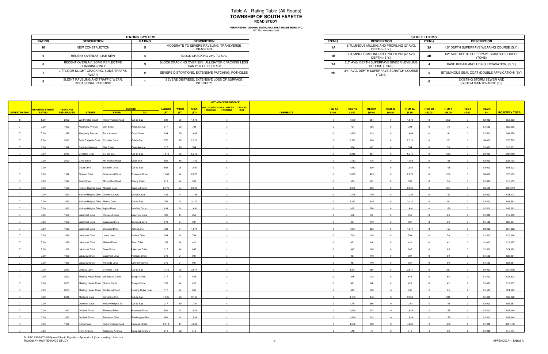|               | <b>RATING SYSTEM</b>                                     |               |                                                                         |  |  |  |  |  |  |  |  |
|---------------|----------------------------------------------------------|---------------|-------------------------------------------------------------------------|--|--|--|--|--|--|--|--|
| <b>RATING</b> | <b>DESCRIPTION</b>                                       | <b>RATING</b> | <b>DESCRIPTION</b>                                                      |  |  |  |  |  |  |  |  |
| 10            | NEW CONSTRUCTION                                         |               | MODERATE TO SEVERE RAVELING, TRANSVERSE<br>CRACKING                     |  |  |  |  |  |  |  |  |
|               | RECENT OVERLAY, LIKE NEW                                 |               | BLOCK CRACKING 25% TO 50%                                               |  |  |  |  |  |  |  |  |
|               | RECENT OVERLAY, SOME REFLECTIVE<br><b>CRACKING ONLY</b>  |               | BLOCK CRACKING OVER 50%, ALLIGATOR CRACKING LESS<br>THAN 25% OF SURFACE |  |  |  |  |  |  |  |  |
|               | LITTLE OR SLIGHT CRACKING, SOME TRAFFIC<br>WEAR          |               | SEVERE DISTORTIONS, EXTENSIVE PATCHING, POTHOLES                        |  |  |  |  |  |  |  |  |
|               | SLIGHT RAVELING AND TRAFFIC WEAR,<br>OCCASIONAL PATCHING |               | SEVERE DISTRESS, EXTENSIVE LOSS OF SURFACE<br><b>INTEGRITY</b>          |  |  |  |  |  |  |  |  |

|                             | <b>RATING SYSTEM</b> |                                                                         |
|-----------------------------|----------------------|-------------------------------------------------------------------------|
| <b>TION</b>                 | RATING               | <b>DESCRIPTION</b>                                                      |
| <b>RUCTION</b>              |                      | MODERATE TO SEVERE RAVELING, TRANSVERSE<br>CRACKING                     |
| YY. LIKE NEW                |                      | BLOCK CRACKING 25% TO 50%                                               |
| OME REFLECTIVE<br>a ONLY    |                      | BLOCK CRACKING OVER 50%, ALLIGATOR CRACKING LESS<br>THAN 25% OF SURFACE |
| KING. SOME TRAFFIC          |                      | SEVERE DISTORTIONS. EXTENSIVE PATCHING. POTHOLES                        |
| D TRAFFIC WEAR.<br>PATCHING |                      | SEVERE DISTRESS. EXTENSIVE LOSS OF SURFACE<br>INTEGRITY                 |

|                      |                        |                  |                                             |                           |                        |        |              |             | <b>METHOD OF RESURFACE</b>                                    |             |                 |                |                |                |                |                |                |               |               |         |                      |
|----------------------|------------------------|------------------|---------------------------------------------|---------------------------|------------------------|--------|--------------|-------------|---------------------------------------------------------------|-------------|-----------------|----------------|----------------|----------------|----------------|----------------|----------------|---------------|---------------|---------|----------------------|
|                      | <b>WEIGHTED STREET</b> | <b>YEAR LAST</b> |                                             |                           | <b>TERMINI</b>         | LENGTH | <b>WIDTH</b> | <b>AREA</b> | MILL / SCRATCH MILL / BINDER TAR AND<br>/ WEARING   / WEARING | <b>CHIP</b> |                 | <b>ITEM 1A</b> | <b>ITEM 1B</b> | <b>ITEM 2A</b> | <b>ITEM 2B</b> | <b>ITEM 3A</b> | <b>ITEM 3B</b> | <b>ITEM 4</b> | <b>ITEM 5</b> | ITEM 6  |                      |
| <b>STREET RATING</b> | <b>RATING</b>          | RESURFACED       | <b>STREET</b>                               | FROM:                     | TO:                    | (FT)   | (FT)         | (SY)        |                                                               |             | <b>COMMENTS</b> | \$3.00         | \$3.50         | \$85.00        | \$90.00        | \$8.50         | \$90.00        | \$45.00       | \$5.00        | $-5%$   | <b>ROADWAY TOTAL</b> |
|                      | 6.00                   | 2002             | <b>Worthington Court</b>                    | <b>Hickory Grade Road</b> | Cul-de-Sac             | 581    | 26           | 1,678       | $\mathsf{x}$                                                  |             |                 | $\overline{0}$ | 1,678          | 254            | $\overline{0}$ | 1,678          | $\overline{0}$ | 252           | $\Omega$      | \$3,000 | \$53,053             |
|                      | 7.00                   | 1992             | Allegheny Avenue                            | Oak Street                | Penn Avenue            | 317    | 20           | 704         |                                                               |             |                 | $\Omega$       | 704            | 106            | $\Omega$       | 704            |                | 70            |               | \$1,500 | \$20,626             |
|                      | 7.00                   | 1992             | Allegheny Avenue                            | Penn Avenue               | <b>Cross Street</b>    | 634    | 20           | 1,409       |                                                               |             |                 |                | 1,409          | 213            |                | 1,409          |                | 141           |               | \$2,500 | \$41,354             |
|                      | 7.00                   | 2013             | Bella Danyella Court Christine Court        |                           | Cul-de-Sac             | 870    | 26           | 2,513       |                                                               |             |                 | $\overline{0}$ | 2,513          | 380            | $\Omega$       | 2,513          |                | 251           |               | \$4,000 | \$73,765             |
|                      | 7.00                   | 1992             | Campbell Avenue                             | Oak Street                | Penn Avenue            | 317    | 16           | 564         |                                                               |             |                 | $\Omega$       | 564            | 85             |                | 564            |                | 56            |               | \$1,000 | \$16,531             |
|                      | 7.00                   | 2013             | Christine Court                             | Cul-de-Sac                | Cul-de-Sac             | 1,840  | 26           | 5,316       |                                                               |             |                 | $\overline{0}$ | 5,316          | 804            | $\Omega$       | 5,316          | $\Omega$       | 532           |               | \$8,000 | \$156,054            |
|                      | 7.00                   | 2000             | <b>Crest Street</b>                         | Millers Run Road          | Dead End               | 581    | 18           | 1,162       | $\mathbf{x}$                                                  |             |                 | $\overline{0}$ | 1,162          | 176            | $\mathbf{0}$   | 1,162          | $\overline{0}$ | 116           |               | \$2,000 | \$34,133             |
|                      | 7.00                   |                  | David Drive                                 | Sharalyn Drive            | Cul-de-Sac             | 686    | 26           | 1,982       |                                                               |             |                 | $\mathbf 0$    | 1,982          | 300            |                | 1,982          |                | 198           |               | \$3,000 | \$58,203             |
|                      | 7.00                   | 1992             |                                             |                           | Pinewood Drive         | 1,003  | 24           | 2,675       |                                                               |             |                 | $\Omega$       | 2,675          | 405            | $\Omega$       | 2,675          | $\Omega$       | 268           |               |         | \$78,563             |
|                      |                        |                  | Firwood Drive                               | Greenwood Drive           |                        |        |              |             |                                                               |             |                 |                |                |                |                |                |                |               |               | \$4,000 |                      |
|                      | 7.00                   | 1997             | <b>Grant Street</b>                         | Millers Run Road          | Cherry Road            | 211    | 24           | 563         |                                                               |             |                 | $\overline{0}$ | 563            | 85             | $\Omega$       | 563            |                | 56            |               | \$1,000 | \$16,515             |
|                      | 7.00                   | 1990             | <b>Hickory Heights Drive Muifield Court</b> |                           | Oakmont Court          | 2,376  | 24           | 6,336       |                                                               |             |                 |                | 6,336          | 958            |                | 6,336          |                | 634           |               | \$9,500 | \$185,974            |
|                      | 7.00                   | 1990             | Hickory Heights Drive   Oakmont Court       |                           | Merion Court           | 422    | 24           | 1,125       |                                                               |             |                 | $\overline{0}$ | 1,125          | 170            | $\Omega$       | 1,125          | $\overline{0}$ | 113           |               | \$2,000 | \$33,013             |
|                      | 7.00                   | 1990             | Hickory Heights Drive Merion Court          |                           | Cul-de-Sac             | 792    | 24           | 2,112       |                                                               |             |                 | $\overline{0}$ | 2,112          | 319            | $\Omega$       | 2,112          | $\Omega$       | 211           |               | \$3,500 | \$61,963             |
|                      | 7.00                   | 1990             | Hickory Heights Drive Alpine Road           |                           | Muirfield Court        | 634    | 24           | 1,691       |                                                               |             |                 | $\Omega$       | 1,691          | 256            |                | 1,691          |                | 169           |               | \$2,500 | \$49,662             |
|                      | 7.00                   | 1989             | akemont Drive                               | Pinewood Drive            | Lakeview Drive         | 422    | 14           | 656         |                                                               |             |                 | $\overline{0}$ | 656            | 99             | $\Omega$       | 656            |                | 66            |               | \$1,000 | \$19,239             |
|                      | 7.00                   | 1989             | akemont Drive                               | Lakeview Drive            | Boxwood Drive          | 370    | 24           | 987         |                                                               |             |                 | $\Omega$       | 987            | 149            |                | 987            |                | 99            |               | \$1,500 | \$28,951             |
|                      | 7.00                   | 1989             | akemont Drive                               | Boxwood Drive             | Jeana Lane             | 739    | 24           | 1,971       |                                                               |             |                 | $\Omega$       | 1,971          | 298            |                | 1,971          |                | 197           |               | \$3,000 | \$57,852             |
|                      | 7.00                   | 1989             | Lakemont Drive                              | Jeana Lane                | <b>Mallard Drive</b>   | 264    | 24           | 704         | $\mathsf{x}$                                                  |             |                 | $\overline{0}$ | 704            | 106            | $\overline{0}$ | 704            | $\overline{0}$ | 70            |               | \$1,500 | \$20,626             |
|                      | 7.00                   | 1989             | Lakemont Drive                              | <b>Mallard Drive</b>      | Swan Drive             | 158    | 24           | 421         |                                                               |             |                 | $\Omega$       | 421            | 64             |                | 421            |                | 42            |               | \$1,000 | \$12,387             |
|                      | 7.00                   | 1989             | Lakemont Drive                              | Swan Drive                | Lakeview Drive         | 317    | 24           | 845         |                                                               |             |                 | $\overline{0}$ | 845            | 128            | $\Omega$       | 845            | $\Omega$       | 85            |               | \$1,500 | \$24,823             |
|                      | 7.00                   | 1989             | akeview Drive                               | Lakemont Drive            | Parkside Drive         | 370    | 24           | 987         |                                                               |             |                 | $\overline{0}$ | 987            | 149            | $\Omega$       | 987            |                | 99            |               | \$1,500 | \$28,951             |
|                      | 7.00                   | 1989             | akeview Drive                               | Parkside Drive            | Lakemont Drive         | 370    | 24           | 987         |                                                               |             |                 | $\mathbf{0}$   | 987            | 149            |                | 987            |                | 99            |               | \$1,500 | \$28,951             |
|                      | 7.00                   | 2013             | Lindsay Lane                                | Christine Court           | Cul-de-Sac             | 1,340  | 26           | 3,871       |                                                               |             |                 | $\overline{0}$ | 3,871          | 585            | $^{\circ}$     | 3,871          | $\overline{0}$ | 387           |               | \$6,000 | \$113,597            |
|                      | 7.00                   | 2003             |                                             |                           |                        | 317    | 24           | 845         |                                                               |             |                 | $\overline{0}$ | 845            | 128            | $\Omega$       | 845            | $\Omega$       | 85            |               | \$1,500 | \$24,823             |
|                      |                        |                  | Meeting House Road Wheatland Circle         |                           | <b>Sharps Circle</b>   |        |              |             |                                                               |             |                 |                |                |                |                |                |                |               |               |         |                      |
|                      | 7.00                   | 2003             | Meeting House Road Sharps Circle            |                           | Sharps Circle          | 158    | 24           | 421         |                                                               |             |                 | $\Omega$       | 421            | 64             | $\Omega$       | 421            |                | 42            |               | \$1,000 | \$12,387             |
|                      | 7.00                   | 2003             | Meeting House Road Goldenrod Court          |                           | Hunting Ridge Road     | 317    | 24           | 845         |                                                               |             |                 | $\overline{0}$ | 845            | 128            | $\Omega$       | 845            |                | 85            |               | \$1,500 | \$24,823             |
|                      | 7.00                   | 2012             | Montville Drive                             | Berkshire Blvd.           | Cul-de-Sac             | 1,095  | 26           | 3,163       |                                                               |             |                 | $\Omega$       | 3,163          | 478            |                | 3,163          |                | 316           |               | \$5,000 | \$92,820             |
|                      | 7.00                   |                  | Oakmont Court                               | Hickory Heights Dr.       | Cul-de-Sac             | 317    | 50           | 1,761       |                                                               |             |                 | $\mathbf{0}$   | 1,761          | 266            |                | 1,761          |                | 176           |               | \$3,000 | \$51,667             |
|                      | 7.00                   | 1992             | Old Oak Drive                               | Firewood Drive            | Pinewood Drive         | 581    | 24           | 1,549       |                                                               |             |                 | $\overline{0}$ | 1,549          | 234            | $\Omega$       | 1,549          | $\Omega$       | 155           |               | \$2,500 | \$45,449             |
|                      | 7.00                   | 1992             | Old Oak Drive                               | Pinewood Drive            | <b>Washington Pike</b> | 581    | 24           | 1,549       |                                                               |             |                 |                | 1,549          | 234            |                | 1,549          |                | 155           |               | \$2,500 | \$45,449             |
|                      | 7.00                   | 1996             | Parks Road                                  | Hickory Grade Road        | <b>Railroad Street</b> | 3,010  | 14           | 4,682       |                                                               |             |                 | $\overline{0}$ | 4,682          | 708            | $\Omega$       | 4,682          |                | 468           |               | \$7,000 | \$137,433            |
|                      | 7.00                   |                  | Penn Avenue                                 | Allegheny Avenue          | Campbell Avenue        | 211    | 22           | 516         |                                                               |             |                 | $\Omega$       | 516            | 78             |                | 516            |                | 52            |               | \$1,000 | \$15,144             |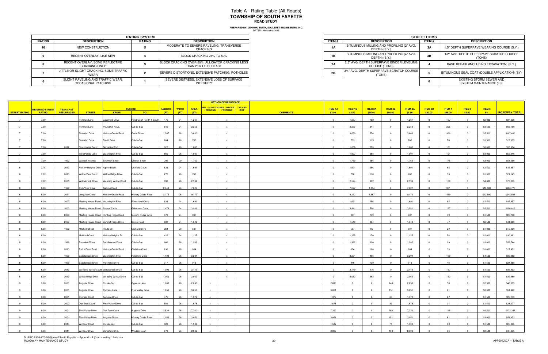|               | <b>RATING SYSTEM</b>                                     |               |                                                                         |  |  |  |  |  |  |  |  |
|---------------|----------------------------------------------------------|---------------|-------------------------------------------------------------------------|--|--|--|--|--|--|--|--|
| <b>RATING</b> | <b>DESCRIPTION</b>                                       | <b>RATING</b> | <b>DESCRIPTION</b>                                                      |  |  |  |  |  |  |  |  |
| 10            | NEW CONSTRUCTION                                         |               | MODERATE TO SEVERE RAVELING, TRANSVERSE<br>CRACKING                     |  |  |  |  |  |  |  |  |
|               | RECENT OVERLAY, LIKE NEW                                 |               | BLOCK CRACKING 25% TO 50%                                               |  |  |  |  |  |  |  |  |
|               | RECENT OVERLAY, SOME REFLECTIVE<br><b>CRACKING ONLY</b>  |               | BLOCK CRACKING OVER 50%, ALLIGATOR CRACKING LESS<br>THAN 25% OF SURFACE |  |  |  |  |  |  |  |  |
|               | LITTLE OR SLIGHT CRACKING. SOME TRAFFIC<br>WEAR          |               | SEVERE DISTORTIONS, EXTENSIVE PATCHING, POTHOLES                        |  |  |  |  |  |  |  |  |
|               | SLIGHT RAVELING AND TRAFFIC WEAR,<br>OCCASIONAL PATCHING |               | SEVERE DISTRESS, EXTENSIVE LOSS OF SURFACE<br>INTEGRITY                 |  |  |  |  |  |  |  |  |

|                             | <b>RATING SYSTEM</b> |                                                                         |  |  |  |  |  |
|-----------------------------|----------------------|-------------------------------------------------------------------------|--|--|--|--|--|
| <b>TION</b>                 | RATING               | <b>DESCRIPTION</b>                                                      |  |  |  |  |  |
| <b>RUCTION</b>              |                      | MODERATE TO SEVERE RAVELING, TRANSVERSE<br>CRACKING                     |  |  |  |  |  |
| YY. LIKE NEW                |                      | BLOCK CRACKING 25% TO 50%                                               |  |  |  |  |  |
| OME REFLECTIVE<br>a ONLY    |                      | BLOCK CRACKING OVER 50%, ALLIGATOR CRACKING LESS<br>THAN 25% OF SURFACE |  |  |  |  |  |
| KING. SOME TRAFFIC          |                      | SEVERE DISTORTIONS. EXTENSIVE PATCHING. POTHOLES I                      |  |  |  |  |  |
| D TRAFFIC WEAR.<br>PATCHING |                      | SEVERE DISTRESS, EXTENSIVE LOSS OF SURFACE<br>INTEGRITY                 |  |  |  |  |  |

|                      |                        |                  |                                        |                                          |                           |               |              |             | <b>METHOD OF RESURFACE</b>                                |             |                 |                |                |                |                |                |                |               |               |          |                      |
|----------------------|------------------------|------------------|----------------------------------------|------------------------------------------|---------------------------|---------------|--------------|-------------|-----------------------------------------------------------|-------------|-----------------|----------------|----------------|----------------|----------------|----------------|----------------|---------------|---------------|----------|----------------------|
|                      | <b>WEIGHTED STREET</b> | <b>YEAR LAST</b> |                                        |                                          | <b>TERMINI</b>            | <b>LENGTH</b> | <b>WIDTH</b> | <b>AREA</b> | MILL / SCRATCH MILL / BINDER TAR AND<br>/ WEARING VEARING | <b>CHIP</b> |                 | <b>ITEM 1A</b> | <b>ITEM 1B</b> | <b>ITEM 2A</b> | <b>ITEM 2B</b> | <b>ITEM 3A</b> | <b>ITEM 3B</b> | <b>ITEM 4</b> | <b>ITEM 5</b> | ITEM 6   |                      |
| <b>STREET RATING</b> | <b>RATING</b>          | RESURFACED       | <b>STREET</b>                          | FROM:                                    | TO:                       | (FT)          | (FT)         | (SY)        |                                                           |             | <b>COMMENTS</b> | \$3.00         | \$3.50         | \$85.00        | \$90.00        | \$8.50         | \$90.00        | \$45.00       | \$5.00        | 5%       | <b>ROADWAY TOTAL</b> |
|                      | 7.00                   |                  | Portman Lane                           | <b>Akemont Drive</b>                     | Pond Court (North & South | 475           | 24           | 1,267       | $\mathbf{x}$                                              |             |                 | $\overline{0}$ | 1,267          | 192            | $\Omega$       | 1,267          | $\overline{0}$ | 127           |               | \$2,000  | \$37,226             |
|                      | 7.00                   |                  | Portman Lane                           | Pound Ct. N.&S.                          | Cul-de-Sac                | 845           | 24           | 2,253       |                                                           |             |                 | $\overline{0}$ | 2,253          | 341            |                | 2,253          |                | 225           |               | \$3,500  | \$66,160             |
|                      | 7.00                   |                  | <b>Sharalyn Drive</b>                  | Hickory Grade Road                       | David Drive               | 1,267         | 26           | 3,660       |                                                           |             |                 | $\Omega$       | 3,660          | 554            | $\Omega$       | 3,660          |                | 366           |               | \$5,500  | \$107,480            |
|                      | 7.00                   |                  | Sharalyn Drive                         | David Drive                              | Cul-de-Sac                | 264           | 26           | 763         |                                                           |             |                 | $\Omega$       | 763            | 115            | $\Omega$       | 763            |                | 76            |               | \$1,500  | \$22,365             |
|                      | 7.00                   |                  |                                        |                                          |                           |               | 26           | 1,806       |                                                           |             |                 | $\Omega$       |                |                |                | 1,806          |                | 181           |               | \$3,000  |                      |
|                      |                        | 2012             | Stockbridge Court                      | Berkshire Blvd.                          | Cul-de-Sac                | 625           |              |             |                                                           |             |                 | $\overline{0}$ | 1,806          | 273            | $\Omega$       | 1,907          |                |               |               |          | \$53,004             |
|                      | 7.00                   |                  | Twin Ponds Lane                        | <b>Washington Pike</b>                   | Cul-de-Sac                | 660           | 26           | 1,907       |                                                           |             |                 |                | 1,907          | 288            |                |                |                | 191           |               | \$3,000  | \$55,946             |
|                      | 7.00                   | 1992             | Wabash Avenue                          | <b>Sherman Street</b>                    | <b>Mitchell Street</b>    | 792           | 20           | 1,760       |                                                           |             |                 | $\overline{0}$ | 1,760          | 266            | $\overline{0}$ | 1,760          | $\mathbf{0}$   | 176           |               | \$3,000  | \$51,650             |
|                      | 7.75                   | 2013             | Hickory Heights Drive Alpine Road      |                                          | Muirfield Court           | 634           | 24           | 1,691       |                                                           |             |                 | $\Omega$       | 1,691          | 256            | $\Omega$       | 1,691          |                | 85            |               | \$2,500  | \$45,857             |
|                      | 7.92                   | 2013             | Willow View Court                      | Willow Ridge Drive                       | Cul-de-Sac                | 270           | 26           | 780         |                                                           |             |                 | $\overline{0}$ | 780            | 118            | $\Omega$       | 780            |                | 39            |               | \$1,500  | \$21,145             |
|                      | 7.92                   | 2005             |                                        | Willowbrook Drive   Weeping Willow Court | Cul-de-Sac                | 898           | 26           | 2,594       |                                                           |             |                 | $\overline{0}$ | 2,594          | 392            | $\Omega$       | 2,594          |                | 130           |               | \$4,000  | \$70,285             |
|                      | 8.00                   | 1999             | Club View Drive                        | Alphine Road                             | Cul-de-Sac                | 2,640         | 26           | 7,627       |                                                           |             |                 | $\Omega$       | 7,627          | 1,154          | $\sqrt{ }$     | 7,627          |                | 381           |               | \$10,500 | \$206,775            |
|                      | 8.00                   | 2011             | Longview Circle                        | Hickory Grade Road                       | Hickory Grade Road        | 3,175         | 26           | 9,172       |                                                           |             |                 | $\overline{0}$ | 9,172          | 1,387          | $\Omega$       | 9,172          | $\Omega$       | 459           |               | \$12,500 | \$248,596            |
|                      | 8.00                   | 2003             | Meeting House Road Washington Pike     |                                          | <b>Wheatland Circle</b>   | 634           | 24           | 1,691       |                                                           |             |                 | $\overline{0}$ | 1,691          | 256            | $\overline{0}$ | 1,691          | $\overline{0}$ | 85            | $\Omega$      | \$2,500  | \$45,857             |
|                      | 8.00                   | 2003             | Meeting House Road Sharps Circle       |                                          | Goldenrod Court           | 1,478         | 24           | 3,941       |                                                           |             |                 |                | 3,941          | 596            |                | 3,941          |                | 197           |               | \$5,500  | \$106,819            |
|                      | 8.00                   | 2003             |                                        | Meeting House Road Hunting Ridge Road    | Summit Ridge Drive        | 370           | 24           | 987         | $\mathbf{x}$                                              |             |                 | $\overline{0}$ | 987            | 149            | $\Omega$       | 987            | $\Omega$       | 49            |               | \$1,500  | \$26,730             |
|                      | 8.00                   | 2003             |                                        | Meeting House Road Summit Ridge Drive    | oyce Road                 | 581           | 24           | 1,549       |                                                           |             |                 |                | 1,549          | 234            |                | 1,549          |                | 77            |               | \$2,500  | \$41,963             |
|                      | 8.00                   | 1992             | Mitchell Street                        | Route 50                                 | <b>Orchard Drive</b>      | 264           | 20           | 587         |                                                           |             |                 |                | 587            | 89             |                | 587            |                | 29            |               | \$1,000  | \$15,930             |
|                      | 8.00                   |                  | Muirfield Court                        | Hickory Heights Dr.                      | Cul-de-Sac                | 422           | 24           | 1,125       |                                                           |             |                 | $\overline{0}$ | 1,125          | 170            | $\overline{0}$ | 1,125          | $\mathbf{0}$   | 56            |               | \$2,000  | \$30,481             |
|                      |                        |                  |                                        |                                          |                           |               |              |             |                                                           |             |                 | $\Omega$       |                |                | $\Omega$       |                |                |               |               |          |                      |
|                      | 8.00                   | 1999             | Palomino Drive                         | Saddlewood Drive                         | Cul-de-Sac                | 686           | 26           | 1,982       |                                                           |             |                 |                | 1,982          | 300            |                | 1,982          |                | 99            |               | \$3,000  | \$53,744             |
|                      | 8.00                   | 2013             | Parks Farm Road                        | Hickory Grade Road                       | <b>Christine Court</b>    | 230           | 26           | 664         |                                                           |             |                 | $\Omega$       | 664            | 100            | $\Omega$       | 664            |                | 33            |               | \$1,000  | \$17,962             |
|                      | 8.00                   | 1999             | Saddlewood Drive Washington Pike       |                                          | Palomino Drive            | 1,109         | 26           | 3,204       |                                                           |             |                 | $\Omega$       | 3,204          | 485            | $\Omega$       | 3,204          |                | 160           |               | \$4,500  | \$86,882             |
|                      | 8.00                   | 1999             | Saddlewood Drive                       | Palomino Drive                           | Cul-de-Sac                | 317           | 26           | 916         |                                                           |             |                 |                | 916            | 139            |                | 916            |                |               |               | \$1,500  | \$24,868             |
|                      | 8.00                   | 2013             | Weeping Willow Court Willowbrook Drive |                                          | Cul-de-Sac                | 1,090         | 26           | 3,149       |                                                           |             |                 | $\overline{0}$ | 3,149          | 476            | $\overline{0}$ | 3,149          | $\mathbf{0}$   | 157           |               | \$4,500  | \$85,333             |
|                      | 8.00                   | 2013             |                                        |                                          | Cul-de-Sac                | 1,060         | 26           | 3,062       |                                                           |             |                 | $\overline{0}$ | 3,062          | 463            | $\Omega$       | 3,062          | $\Omega$       | 153           |               | \$4,500  | \$82,989             |
|                      | 9.00                   | 2001             | Augusta Drive                          | Cul-de-Sac                               | Cypress Lane              | 1,003         | 26           | 2,898       |                                                           |             |                 | 2,898          |                |                | 143            | 2,898          |                | 58            |               | \$2,500  | \$48,805             |
|                      | 9.00                   | 2001             | Augusta Drive                          | Cypress Lane                             | Pine Valley Drive         | 1,056         | 26           | 3,051       |                                                           |             |                 | 3,051          |                |                | 151            | 3,051          |                | 61            |               | \$3,000  | \$51,422             |
|                      | 9.00                   | 2001             | Cypress Court                          | Augusta Drive                            | Cul-de-Sac                | 475           | 26           | 1,372       |                                                           |             |                 | 1,372          |                |                | 68             | 1,372          |                | 27            |               | \$1,500  | \$23,133             |
|                      | 9.00                   | 2002             | Oak Tree Court                         | Pine Valley Drive                        | Cul-de-Sac                | 581           | 26           | 1,678       |                                                           |             |                 | 1,678          |                |                | 83             | 1,678          |                | 34            |               | \$1,500  | \$28,277             |
|                      | 9.00                   | 2001             | Pine Valley Drive                      | Oak Tree Court                           | Augusta Drive             | 2,534         | 26           | 7,320       |                                                           |             |                 | 7,320          | $\Omega$       | $\mathbf 0$    | 362            | 7,320          | $\overline{0}$ | 146           |               | \$6,500  | \$123,348            |
|                      | 9.00                   | 2001             | Pine Valley Drive                      | Augusta Drive                            | Hickory Grade Road        | 1,056         |              | 3,051       |                                                           |             |                 | 3,051          |                |                | 151            | 3,051          |                | 61            |               | \$3,000  | \$51,422             |
|                      | 9.00                   | 2014             | Windsor Court                          | Cul-de-Sac                               | Cul-de-Sac                | 520           | 26           | 1,502       |                                                           |             |                 | 1,502          |                |                | 74             | 1,502          |                | 30            |               | \$1,500  | \$25,285             |
|                      | 9.00                   | 2014             | Windsor Drive                          | Berkshire Blvd.                          | <b>Windsor Court</b>      | 970           | 26           | 2,802       |                                                           |             |                 | 2,802          |                |                | 139            | 2,802          |                |               |               | \$2,500  | \$47,255             |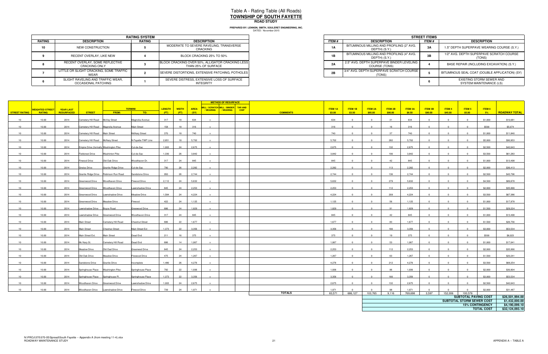|        | <b>RATING SYSTEM</b>                                            |               |                                                                         |  |  |  |  |  |  |  |  |
|--------|-----------------------------------------------------------------|---------------|-------------------------------------------------------------------------|--|--|--|--|--|--|--|--|
| RATING | <b>DESCRIPTION</b>                                              | <b>RATING</b> | <b>DESCRIPTION</b>                                                      |  |  |  |  |  |  |  |  |
| 10     | NEW CONSTRUCTION                                                |               | MODERATE TO SEVERE RAVELING, TRANSVERSE<br>CRACKING                     |  |  |  |  |  |  |  |  |
|        | RECENT OVERLAY, LIKE NEW                                        |               | BLOCK CRACKING 25% TO 50%                                               |  |  |  |  |  |  |  |  |
|        | RECENT OVERLAY, SOME REFLECTIVE<br><b>CRACKING ONLY</b>         |               | BLOCK CRACKING OVER 50%, ALLIGATOR CRACKING LESS<br>THAN 25% OF SURFACE |  |  |  |  |  |  |  |  |
|        | LITTLE OR SLIGHT CRACKING, SOME TRAFFIC<br>WEAR                 |               | SEVERE DISTORTIONS, EXTENSIVE PATCHING, POTHOLES                        |  |  |  |  |  |  |  |  |
|        | SLIGHT RAVELING AND TRAFFIC WEAR,<br><b>OCCASIONAL PATCHING</b> |               | SEVERE DISTRESS, EXTENSIVE LOSS OF SURFACE<br><b>INTEGRITY</b>          |  |  |  |  |  |  |  |  |

|                             | <b>RATING SYSTEM</b> |                                                                         |  |  |  |  |  |
|-----------------------------|----------------------|-------------------------------------------------------------------------|--|--|--|--|--|
| <b>TION</b>                 | <b>RATING</b>        | <b>DESCRIPTION</b>                                                      |  |  |  |  |  |
| <b>RUCTION</b>              |                      | MODERATE TO SEVERE RAVELING, TRANSVERSE<br>CRACKING                     |  |  |  |  |  |
| YY. LIKE NEW                |                      | BLOCK CRACKING 25% TO 50%                                               |  |  |  |  |  |
| OME REFLECTIVE<br>a ONLY    |                      | BLOCK CRACKING OVER 50%, ALLIGATOR CRACKING LESS<br>THAN 25% OF SURFACE |  |  |  |  |  |
| KING. SOME TRAFFIC          |                      | SEVERE DISTORTIONS, EXTENSIVE PATCHING, POTHOLES                        |  |  |  |  |  |
| D TRAFFIC WEAR.<br>PATCHING |                      | SEVERE DISTRESS, EXTENSIVE LOSS OF SURFACE<br>INTEGRITY                 |  |  |  |  |  |

|                      |                              |                   |                                        |                                       |                        |                   |      |       | <b>METHOD OF RESURFACE</b>                                          |                 |                 |                |                |         |                  |                |          |                           |                        |                      |
|----------------------|------------------------------|-------------------|----------------------------------------|---------------------------------------|------------------------|-------------------|------|-------|---------------------------------------------------------------------|-----------------|-----------------|----------------|----------------|---------|------------------|----------------|----------|---------------------------|------------------------|----------------------|
|                      | <mark>WEIGHTED STREET</mark> | <b>YEAR LAST</b>  |                                        |                                       | <b>TERMINI</b>         | LENGTH WIDTH AREA |      |       | MILL / SCRATCH MILL / BINDER TAR AND<br>/WEARING   / WEARING   CHIP |                 | <b>ITEM 1A</b>  | ITEM 1B        | ITEM 2A        | ITEM 2B | <b>ITEM 3A</b>   | <b>ITEM 3B</b> | ITEM 4   | ITEM 5                    | ITEM 6                 |                      |
| STREET RATING RATING |                              | <b>RESURFACED</b> | <b>STREET</b>                          | <b>FROM:</b>                          | <mark>то:</mark>       | (FT)              | (FT) | (SY)  |                                                                     | <b>COMMENTS</b> | \$3.00          | \$3.50         | \$85.00        | \$90.00 | \$8.50           | \$90.00        | \$45.00  | \$5.00                    | $-5\%$                 | <b>ROADWAY TOTAL</b> |
| 10                   | 10.00                        | 2014              | Cemetery Hill Road McVey Street        |                                       | Magnolia Avenue        | 317               | 18   | 634   |                                                                     |                 | 634             | $\overline{0}$ | $\Omega$       | 31      | 634              | $\Omega$       |          | $\Omega$                  | \$1,000                | \$10,081             |
|                      |                              |                   |                                        |                                       |                        |                   |      |       |                                                                     |                 |                 |                |                |         |                  |                |          |                           |                        |                      |
| 10                   | 10.00                        | 2014              | Cemetery Hill Road Magnolia Avenue     |                                       | <b>Main Street</b>     | 158               | 18   | 316   |                                                                     |                 | 316             | $\Omega$       | $\Omega$       | 16      | 316              |                |          |                           | \$500                  | \$5,074              |
| 10                   | 10.00                        | 2014              | Cemetery Hill Road Main Street         |                                       | <b>McNary Street</b>   | 370               | 18   | 740   |                                                                     |                 | 740             | $\Omega$       | $\Omega$       | 37      | 740              |                |          |                           | \$1,000                | \$11,840             |
| 10                   | 10.00                        | 2014              | Cemetery Hill Road McNary Street       |                                       | N Fayette TWP Line     | 2,851             | 18   | 5,702 | $\mathbf{x}$                                                        |                 | 5,702           | $\overline{0}$ | $\Omega$       | 282     | 5,702            |                |          | $\Omega$                  | \$5,000                | \$90,953             |
| 10                   | 10.00                        | 2014              | Empire Drive (formally Washington Pike |                                       | Cul-de-Sac             | 1,003             | 24   | 2,675 |                                                                     |                 | 2,675           | $\Omega$       | $\Omega$       | 132     | 2,675            |                |          |                           | \$2,500                | \$42,643             |
| 10                   | 10.00                        | 2014              | <b>Fieldcrest Drive</b>                | <b>Washinton Pike</b>                 | Cul-de-Sac             | 1,330             | 26   | 3,842 | $\mathbf{x}$                                                        |                 | 3,842           | $\overline{0}$ | $\Omega$       | 190     | 3,842            |                |          |                           | \$3,500                | \$61,283             |
|                      |                              |                   |                                        |                                       |                        |                   |      |       |                                                                     |                 |                 |                |                |         |                  |                |          |                           |                        |                      |
| 10                   | 10.00                        | 2014              | Firwood Drive                          | Old Oak Drive                         | Woodhaven Dr.          | 317               | 24   | 845   | $\mathbf{x}$                                                        |                 | 845             | $\overline{0}$ | $\Omega$       | 42      | 845              | $\Omega$       |          | $\Omega$                  | \$1,000                | \$13,498             |
| 10                   | 10.00                        | 2014              | Gneiss Drive                           | Granite Ridge Drive                   | Cul-de-Sac             | 790               | 26   | 2,282 |                                                                     |                 | 2,282           | $\Omega$       | $\Omega$       | 113     | 2,282            |                |          |                           | \$2,000                | \$36,413             |
| 10                   | 10.00                        | 2014              |                                        | Granite Ridge Drive Robinson Run Road | Sandstone Drive        | 950               | 26   | 2,744 | $\mathbf{x}$                                                        |                 | 2,744           | $\overline{0}$ | $\Omega$       | 136     | 2,744            | $\Omega$       |          | $\Omega$                  | \$2,500                | \$43,796             |
| 10                   | 10.00                        | 2014              | Greenwood Drive                        | Woodhaven Drive                       | Firwood Drive          | 2,112             | 24   | 5,632 | $\mathbf{x}$                                                        |                 | 5,632           | $\overline{0}$ | $\overline{0}$ | 279     | 5,632            |                |          |                           | \$4,500                | \$89,878             |
|                      |                              |                   |                                        |                                       |                        |                   |      |       |                                                                     |                 |                 |                |                |         |                  |                |          |                           |                        |                      |
| 10                   | 10.00                        | 2014              | Greenwood Drive                        | Woodhaven Drive                       | Lawnshadow Drive       | 845               | 24   | 2,253 |                                                                     |                 | 2,253           | $\Omega$       | $\Omega$       | 112     | 2,253            |                |          |                           | \$2,000                | \$35,990             |
| 10                   | 10.00                        | 2014              | Greenwood Drive                        | Lawnshadow Drive                      | Meadow Drive           | 1,584             | 24   | 4,224 | $\mathbf{x}$                                                        |                 | 4,224           | $\overline{0}$ | $\Omega$       | 209     | 4,224            | $\Omega$       |          | $\overline{0}$            | \$3,500                | \$67,386             |
| 10                   | 10.00                        | 2014              | Greenwood Drive                        | <b>Meadow Drive</b>                   | Firwood                | 422               | 24   | 1,125 | $\mathbf{x}$                                                        |                 | 1,125           | $\overline{0}$ | $\Omega$       | 56      | 1,125            |                |          | $\Omega$                  | \$1,000                | \$17,978             |
| 10                   | 10.00                        | 2014              | Lawnshadow Drive Boyce Road            |                                       | Greewood Drive         | 686               | 24   | 1,829 |                                                                     |                 | 1,829           | $\overline{0}$ | $\Omega$       | 91      | 1,829            |                |          |                           | \$1,500                | \$29,224             |
| 10                   | 10.00                        | 2014              | Lawnshadow Drive Greenwood Drive       |                                       | Woodhaven Drive        | 317               | 24   | 845   | $\mathbf{x}$                                                        |                 | 845             | $\overline{0}$ | $\Omega$       | 42      | 845              |                |          | $\Omega$                  | \$1,000                | \$13,498             |
|                      |                              |                   |                                        |                                       |                        |                   |      |       |                                                                     |                 |                 |                |                |         |                  |                |          |                           |                        |                      |
| 10                   | 10.00                        | 2014              | Main Street                            | Cemetery Hill Road                    | <b>Chestnut Street</b> | 686               | 22   | 1,677 |                                                                     |                 | 1,677           |                |                | 83      | 1,677            |                |          |                           | \$1,500                | \$26,756             |
| 10                   | 10.00                        | 2014              | Main Street                            | <b>Chestnut Street</b>                | Main Street Ext        | 1,373             | 22   | 3,356 |                                                                     |                 | 3,356           | $\Omega$       | $\Omega$       | 166     | 3,356            |                |          |                           | \$3,000                | \$53,534             |
| 10                   | 10.00                        | 2014              | Main Street Ext.                       | <b>Main Street</b>                    | Dead End               | 211               | 16   | 375   |                                                                     |                 | 375             | $\overline{0}$ | $\overline{0}$ | 19      | 375              |                |          | $\Omega$                  | \$500                  | \$6,023              |
| 10                   | 10.00                        | 2014              | Mc Nary St.                            | Cemetery Hill Road                    | Dead End               | 686               | 14   | 1,067 |                                                                     |                 | 1,067           | $\overline{0}$ | $\overline{0}$ | 53      | 1,067            |                |          | $\Omega$                  | \$1,000                | \$17,041             |
| 10                   |                              | 2014              | Meadow Drive                           | Old Oad Drive                         | Greenwod Drive         | 845               |      |       | $\mathbf{x}$                                                        |                 |                 | $\overline{0}$ | $\Omega$       |         |                  |                |          | $\Omega$                  |                        |                      |
|                      | 10.00                        |                   |                                        |                                       |                        |                   | 24   | 2,253 |                                                                     |                 | 2,253           |                |                | 112     | 2,253            |                |          |                           | \$2,000                | \$35,990             |
| 10                   | 10.00                        | 2014              | Old Oak Drive                          | Meadow Drive                          | Firewood Drive         | 475               | 24   | 1,267 | $\mathbf{x}$                                                        |                 | 1,267           | $\overline{0}$ | $\Omega$       | 63      | 1,267            |                |          | $\Omega$                  | \$1,500                | \$20,241             |
| 10                   | 10.00                        | 2014              | Sandstone Drive                        | <b>Granite Drive</b>                  | Incomplete             | 1,480             | 26   | 4,276 |                                                                     |                 | 4,276           | $\Omega$       | $\Omega$       | 212     | 4,276            |                |          |                           | \$3,500                | \$68,254             |
| 10                   | 10.00                        | 2014              | Springhouse Place Washington Pike      |                                       | Springhouse Place      | 792               | 22   | 1,936 |                                                                     |                 | 1,936           | $\overline{0}$ | $\Omega$       | 96      | 1,936            |                |          | $\Omega$                  | \$2,000                | \$30,904             |
| 10                   | 10.00                        | 2014              | Springhouse Place Springhouse Pl.      |                                       | Springhouse Place      | 1,373             | 22   | 3,356 | $\mathbf{x}$                                                        |                 | 3,356           | $\overline{0}$ | $\Omega$       | 166     | 3,356            | $\overline{0}$ | $\Omega$ | $\overline{0}$            | \$3,000                | \$53,534             |
|                      |                              |                   |                                        |                                       |                        |                   |      |       |                                                                     |                 |                 |                |                |         |                  |                |          |                           |                        |                      |
| 10                   | 10.00                        | 2014              | Woodhaven Drive Greenwood Drive        |                                       | Lawnshadow Drive       | 1,003             | 24   | 2,675 |                                                                     |                 | 2,675           | $\Omega$       | $\Omega$       | 132     | 2,675            |                |          |                           | \$2,500                | \$42,643             |
| 10                   | 10.00                        | 2014              | Woodhaven Drive                        | Lawnshadow Drive                      | Firwood Drive          | 739               | 24   | 1,971 |                                                                     | <b>TOTALS</b>   | 1.971<br>83,571 | 686,127        | 103,765        | 9,116   | 1,971<br>769,698 | 3,597          |          | 152,006 100,576           | \$2,000                | \$31,487             |
|                      |                              |                   |                                        |                                       |                        |                   |      |       |                                                                     |                 |                 |                |                |         |                  |                |          | SUBTOTAL PAVING COST      |                        | \$26,501,994.00      |
|                      |                              |                   |                                        |                                       |                        |                   |      |       |                                                                     |                 |                 |                |                |         |                  |                |          | SUBTOTAL STORM SEWER COST |                        | \$1,432,000.00       |
|                      |                              |                   |                                        |                                       |                        |                   |      |       |                                                                     |                 |                 |                |                |         |                  |                |          |                           | <b>15% CONTINGENCY</b> | \$4,190,099.10       |
|                      |                              |                   |                                        |                                       |                        |                   |      |       |                                                                     |                 |                 |                |                |         |                  |                |          |                           | <b>TOTAL COST</b>      | \$32,124,093.10      |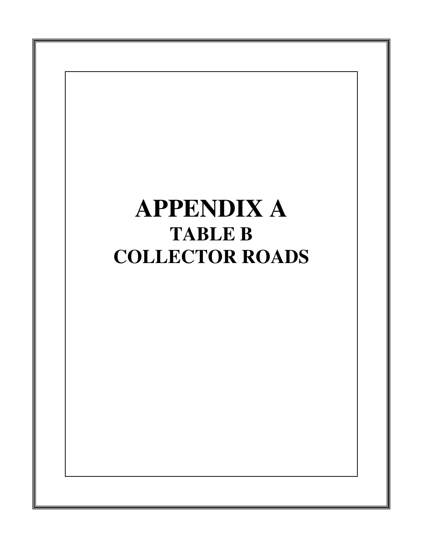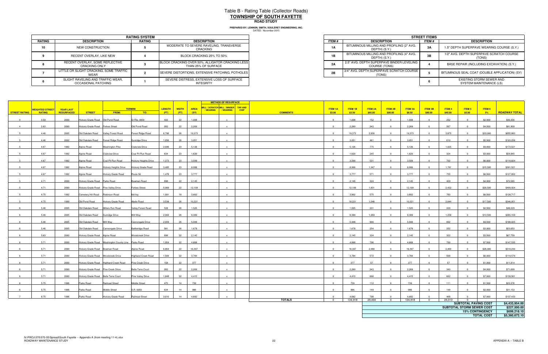|        |                                                          | <b>RATING SYSTEM</b> |                                                                         |
|--------|----------------------------------------------------------|----------------------|-------------------------------------------------------------------------|
| RATING | <b>DESCRIPTION</b>                                       | <b>RATING</b>        | <b>DESCRIPTION</b>                                                      |
| 10     | NEW CONSTRUCTION                                         |                      | MODERATE TO SEVERE RAVELING, TRANSVERSE<br>CRACKING                     |
|        | RECENT OVERLAY, LIKE NEW                                 |                      | BLOCK CRACKING 25% TO 50%                                               |
|        | RECENT OVERLAY, SOME REFLECTIVE<br><b>CRACKING ONLY</b>  |                      | BLOCK CRACKING OVER 50%, ALLIGATOR CRACKING LESS<br>THAN 25% OF SURFACE |
|        | LITTLE OR SLIGHT CRACKING, SOME TRAFFIC<br>WEAR          |                      | SEVERE DISTORTIONS, EXTENSIVE PATCHING, POTHOLES                        |
|        | SLIGHT RAVELING AND TRAFFIC WEAR.<br>OCCASIONAL PATCHING |                      | SEVERE DISTRESS. EXTENSIVE LOSS OF SURFACE<br><b>INTEGRITY</b>          |

|                             | <b>RATING SYSTEM</b> |                                                                         |  |  |  |  |  |
|-----------------------------|----------------------|-------------------------------------------------------------------------|--|--|--|--|--|
| <b>TION</b>                 | <b>RATING</b>        | <b>DESCRIPTION</b>                                                      |  |  |  |  |  |
| <b>RUCTION</b>              |                      | MODERATE TO SEVERE RAVELING, TRANSVERSE<br>CRACKING                     |  |  |  |  |  |
| YY. LIKE NEW                |                      | BLOCK CRACKING 25% TO 50%                                               |  |  |  |  |  |
| OME REFLECTIVE<br>a ONLY    |                      | BLOCK CRACKING OVER 50%, ALLIGATOR CRACKING LESS<br>THAN 25% OF SURFACE |  |  |  |  |  |
| KING. SOME TRAFFIC          |                      | SEVERE DISTORTIONS, EXTENSIVE PATCHING, POTHOLES                        |  |  |  |  |  |
| D TRAFFIC WEAR.<br>PATCHING |                      | SEVERE DISTRESS, EXTENSIVE LOSS OF SURFACE<br>INTEGRITY                 |  |  |  |  |  |

# Table B - Rating Table (Collector Roads) **TOWNSHIP OF SOUTH FAYETTEROAD STUDY**

|                      |                        |                  |                                      |                                                      |                              |        |              |             | <b>METHOD OF RESURFACE</b>                                          |                                 |         |                        |                         |                                                                 |                |         |                |                              |                      |
|----------------------|------------------------|------------------|--------------------------------------|------------------------------------------------------|------------------------------|--------|--------------|-------------|---------------------------------------------------------------------|---------------------------------|---------|------------------------|-------------------------|-----------------------------------------------------------------|----------------|---------|----------------|------------------------------|----------------------|
|                      | <b>WEIGHTED STREET</b> | <b>YEAR LAST</b> |                                      |                                                      | <b>TERMINI</b>               | LENGTH | <b>WIDTH</b> | <b>AREA</b> | MILL / SCRATCH MILL / BINDER TAR AND<br>/WEARING   / WEARING   CHIP | <b>ITEM 1A</b>                  | ITEM 1B | ITEM 2A                | ITEM 2B                 | <b>ITEM 3A</b>                                                  | <b>ITEM 3B</b> | ITEM4   | ITEM 5         | ITEM 6                       |                      |
| <b>STREET RATING</b> | <b>RATING</b>          | RESURFACED       | <b>STREET</b>                        | <b>FROM:</b>                                         | TO:                          | (FT)   | (FT)         | (SY)        |                                                                     | <b>COMMENTS</b><br>\$3.00       | \$3.50  | \$85.00                | \$90.00                 | \$8.50                                                          | \$90.00        | \$45.00 | \$5.00         | $-5%$                        | <b>ROADWAY TOTAL</b> |
| $\overline{4}$       | 3.59                   | 2000             | Hickory Grade Road   Old Pond Road   |                                                      | ir Rte. 0050                 | 422    | 22           | 1,008       |                                                                     | $\Omega$                        | 1,008   | 152                    | $\Omega$                | 1,008                                                           | $\Omega$       | 252     |                | \$2,000                      | \$36,356             |
| $\overline{4}$       | 3.63                   | 2000             | Hickory Grade Road Forbes Street     |                                                      | Old Pond Road                | 950    | 22           | 2,269       |                                                                     | $\overline{0}$                  | 2,269   | 343                    | $\overline{0}$          | 2,269                                                           | $\Omega$       | 567     | $\Omega$       | \$4,500                      | \$81,909             |
|                      | 4.46                   | 2005             | Old Oakdale Road Valley Forest Road  |                                                      | Forest Ridge Road            | 6,706  | 26           | 19,373      |                                                                     |                                 | 19,373  | 2,930                  |                         | 19,373                                                          |                | 3,875   |                | \$33,000                     | \$655,883            |
|                      | 4.46                   | 2002             | Old Oakdale Road                     | Forest Ridge Road                                    | Sunridge Drive               | 1,056  | 26           | 3,051       | $\mathbf{x}$                                                        | $\Omega$                        | 3,051   | 461                    | $\Omega$                | 3,051                                                           | $\Omega$       | 610     | $\Omega$       | \$5,500                      | \$103,256            |
|                      | 4.67                   | 1992             | Alpine Road                          | <b>Washington Pike</b>                               | Clubview Drive               | 2,006  | 23           | 5,126       |                                                                     | $\Omega$                        | 5,126   | 775                    |                         | 5,126                                                           |                | 1,025   |                | \$9,000                      | \$173,521            |
|                      | 4.67                   | 1992             | Alpine Road                          | <b>Clubview Drive</b>                                | Coal Pit Run Road            | 634    | 23           | 1,620       |                                                                     |                                 | 1,620   | 245                    |                         | 1,620                                                           |                | 324     |                | \$3,000                      | \$54,845             |
|                      | 4.67                   | 1992             | Alpine Road                          | Coal Pit Run Road                                    | <b>Hickory Heights Drive</b> | 1,373  | 23           | 3,509       |                                                                     | $\Omega$                        | 3,509   | 531                    | $\Omega$                | 3,509                                                           |                | 702     |                | \$6,000                      | \$118,824            |
|                      | 4.67                   | 1992             | Alpine Road                          | <b>Hickory Heights Drive</b>                         | <b>Hickory Grade Road</b>    | 3,485  | 23           | 8,906       |                                                                     |                                 | 8,906   | 1,347                  |                         | 8,906                                                           |                | 1,781   |                | \$15,500                     | \$301,521            |
|                      | 4.67                   | 1992             | Alpine Road                          | <b>Hickory Grade Road</b>                            | Route 50                     | 1,478  | 23           | 3,777       |                                                                     | $\overline{0}$                  | 3,777   | 571                    | $\Omega$                | 3,777                                                           | $\Omega$       | 755     | $\Omega$       | \$6,500                      | \$127,852            |
|                      | 4.71                   | 2000             | Hickory Grade Road Parks Road        |                                                      | Bowman Road                  | 898    | 22           | 2,145       |                                                                     | $\overline{0}$                  | 2,145   | 324                    | $\overline{0}$          | 2,145                                                           | $\Omega$       | 429     | $\Omega$       | \$4,000                      | \$72,585             |
|                      | 4.71                   | 2000             | Hickory Grade Road Pine Valley Drive |                                                      | Forbes Street                | 5,069  | 22           | 12,109      |                                                                     | $\Omega$                        | 12,109  | 1,831                  |                         | 12,109                                                          |                | 2,422   |                | \$20,500                     | \$409,924            |
|                      | 4.75                   | 1992             | Cemetery Hill Road Robinson Road     |                                                      | McVey                        | 1,901  | 18           | 3,802       | $\mathbf{x}$                                                        | $\overline{0}$                  | 3,802   | 575                    | $\overline{0}$          | 3,802                                                           | $\Omega$       | 760     | $\overline{0}$ | \$6,500                      | \$128,717            |
|                      |                        |                  |                                      |                                                      |                              |        |              |             |                                                                     |                                 |         |                        |                         |                                                                 |                |         |                |                              |                      |
|                      | 4.75                   | 1999             | Old Pond Road                        | Hickory Grade Road                                   | Abele Road                   | 3,538  | 26           | 10,221      |                                                                     | $\overline{0}$                  | 10,221  | 1,546                  | $\overline{0}$          | 10,221                                                          | $\overline{0}$ | 2,044   | $\Omega$       | \$17,500                     | \$346,051            |
|                      | 5.46                   | 2005             | Old Oakdale Road Millers Run Road    |                                                      | <b>/alley Forest Road</b>    | 528    | 26           | 1,525       |                                                                     | $\Omega$                        | 1,525   | 231                    |                         | 1,525                                                           |                | 229     |                | \$2,500                      | \$48,229             |
|                      | 5.46                   | 2005             | Old Oakdale Road                     | Sunridge Drive                                       | Will Way                     | 2,904  | 26           | 8,389       |                                                                     | $\overline{0}$                  | 8,389   | 1,269                  | $\overline{\mathbf{0}}$ | 8,389                                                           | $\overline{0}$ | 1,258   | $\Omega$       | \$13,500                     | \$265,159            |
|                      | 5.46                   | 2005             | Old Oakdale Road Will Way            |                                                      | Cannongate Drive             | 2,059  | 26           | 5,948       |                                                                     |                                 | 5,948   | 900                    |                         | 5,948                                                           |                | 892     |                | \$9,500                      | \$188,025            |
|                      | 5.46                   | 2005             | Old Oakdale Road                     | Cannongate Drive                                     | attleridge Road              | 581    | 26           | 1,678       |                                                                     | $\Omega$                        | 1,678   | 254                    |                         | 1,678                                                           |                | 252     |                | \$3,000                      | \$53,053             |
| 6                    | 5.63                   | 2000             | Hickory Grade Road Alpine Road       |                                                      | Woodcreek Drive              | 898    | 22           | 2,145       |                                                                     | $\overline{0}$                  | 2,145   | 324                    | $\overline{0}$          | 2,145                                                           | $\overline{0}$ | 322     | $\Omega$       | \$3,500                      | \$67,759             |
|                      | 5.71                   | 2000             |                                      | Hickory Grade Road Washington County Line Parks Road |                              | 1,954  | 22           | 4,668       |                                                                     | $\Omega$                        | 4,668   | 706                    |                         | 4,668                                                           |                | 700     |                | \$7,500                      | \$147,535            |
|                      | 5.71                   | 2000             | Hickory Grade Road Bowman Road       |                                                      | Alpine Road                  | 6,864  | 22           | 16,397      |                                                                     | $\overline{0}$                  | 16,397  | 2,480                  | $\Omega$                | 16,397                                                          |                | 2,460   | $\Omega$       | \$26,000                     | \$518,244            |
|                      | 5.71                   | 2000             | Hickory Grade Road Woodcreek Drive   |                                                      | <b>Highland Creek Road</b>   | 1,584  | 22           | 3,784       |                                                                     | $\Omega$                        | 3,784   | 572                    | $\Omega$                | 3,784                                                           |                | 568     |                | \$6,000                      | \$119,570            |
|                      | 5.71                   | 2000             |                                      | Hickory Grade Road Highland Creek Road               | Pine Creek Drive             | 158    | 22           | 377         |                                                                     | $\Omega$                        | 377     | 57                     |                         | 377                                                             |                | 57      |                | \$1,000                      | \$11,914             |
|                      | 5.71                   | 2000             | Hickory Grade Road Pine Creek Drive  |                                                      | Belle Terre Court            | 950    | 22           | 2,269       |                                                                     | $\overline{0}$                  | 2,269   | 343                    | $\overline{\mathbf{0}}$ | 2,269                                                           |                | 340     | $\Omega$       | \$4,000                      | \$71,699             |
|                      | 5.71                   | 2000             | Hickory Grade Road Belle Terre Court |                                                      | Pine Valley Drive            | 1,848  | 22           | 4,415       |                                                                     | $\Omega$                        | 4,415   | 668                    |                         | 4,415                                                           |                | 662     |                | \$7,000                      | \$139,561            |
|                      | 5.75                   | 1996             | Parks Road                           | Railroad Street                                      | Middle Street                | 475    | 14           | 739         |                                                                     | $\Omega$                        | 739     | 112                    |                         | 739                                                             |                | 111     |                | \$1,500                      | \$23,376             |
|                      | 5.75                   | 1996             | Parks Road                           | <b>Middle Street</b>                                 | S.R. 0050                    | 634    | 14           | 986         |                                                                     | $\Omega$                        | 986     | 149                    | $\overline{0}$          | 986                                                             |                | 148     | $\Omega$       | \$2,000                      | \$31,153             |
|                      | 6.75                   | 1996             | Parks Road                           | Hickory Grade Road                                   | Railroad Street              | 3,010  | 14           | 4,682       |                                                                     |                                 | 4.682   | 708                    |                         | 4.682                                                           |                | 465     |                | \$7,000                      | \$137,433            |
|                      |                        |                  |                                      |                                                      |                              |        |              |             |                                                                     | <b>TOTALS</b><br>$\overline{0}$ | 134,918 | 20,404                 | $\overline{0}$          | 134,918                                                         | $\overline{0}$ | 24,013  | $\overline{0}$ |                              | \$4,433,954.00       |
|                      |                        |                  |                                      |                                                      |                              |        |              |             |                                                                     |                                 |         |                        |                         | <b>SUBTOTAL PAVING COST</b><br><b>SUBTOTAL STORM SEWER COST</b> |                |         |                |                              |                      |
|                      |                        |                  |                                      |                                                      |                              |        |              |             |                                                                     |                                 |         | <b>15% CONTINGENCY</b> |                         |                                                                 |                |         |                | \$227,500.00<br>\$699,218.10 |                      |
|                      |                        |                  |                                      |                                                      |                              |        |              |             |                                                                     |                                 |         |                        |                         |                                                                 |                |         |                | <b>TOTAL COST</b>            | \$5,360,672.10       |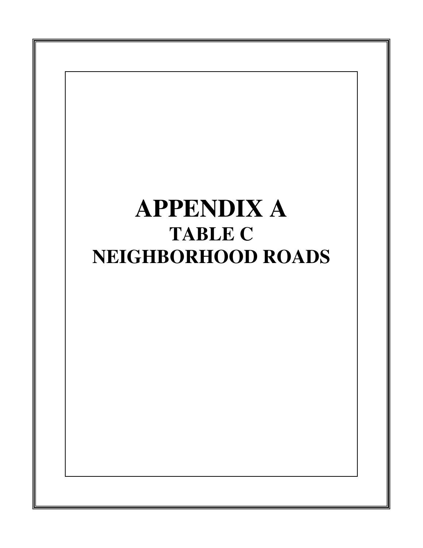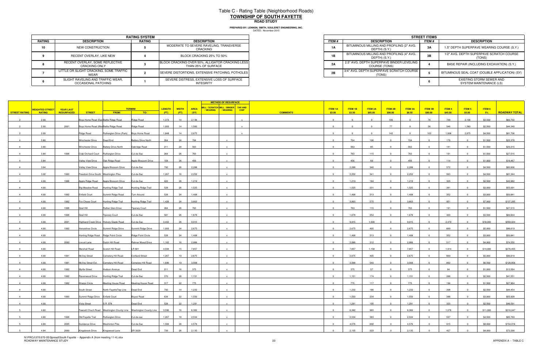|        | <b>RATING SYSTEM</b>                                     |               |                                                                         |  |  |  |  |  |  |  |
|--------|----------------------------------------------------------|---------------|-------------------------------------------------------------------------|--|--|--|--|--|--|--|
| RATING | <b>DESCRIPTION</b>                                       | <b>RATING</b> | <b>DESCRIPTION</b>                                                      |  |  |  |  |  |  |  |
| 10     | NEW CONSTRUCTION                                         |               | MODERATE TO SEVERE RAVELING, TRANSVERSE<br><b>CRACKING</b>              |  |  |  |  |  |  |  |
|        | RECENT OVERLAY, LIKE NEW                                 |               | BLOCK CRACKING 25% TO 50%                                               |  |  |  |  |  |  |  |
|        | RECENT OVERLAY, SOME REFLECTIVE<br>CRACKING ONLY         |               | BLOCK CRACKING OVER 50%, ALLIGATOR CRACKING LESS<br>THAN 25% OF SURFACE |  |  |  |  |  |  |  |
|        | LITTLE OR SLIGHT CRACKING, SOME TRAFFIC<br>WEAR          |               | SEVERE DISTORTIONS, EXTENSIVE PATCHING, POTHOLES                        |  |  |  |  |  |  |  |
|        | SLIGHT RAVELING AND TRAFFIC WEAR,<br>OCCASIONAL PATCHING |               | SEVERE DISTRESS, EXTENSIVE LOSS OF SURFACE<br>INTEGRITY                 |  |  |  |  |  |  |  |

|                             | <b>RATING SYSTEM</b> |                                                                         |  |  |  |  |
|-----------------------------|----------------------|-------------------------------------------------------------------------|--|--|--|--|
| <b>TION</b>                 | RATING               | <b>DESCRIPTION</b>                                                      |  |  |  |  |
| <b>RUCTION</b>              |                      | MODERATE TO SEVERE RAVELING, TRANSVERSE<br>CRACKING                     |  |  |  |  |
| YY. LIKE NEW                |                      | BLOCK CRACKING 25% TO 50%                                               |  |  |  |  |
| OME REFLECTIVE<br>a ONLY    |                      | BLOCK CRACKING OVER 50%, ALLIGATOR CRACKING LESS<br>THAN 25% OF SURFACE |  |  |  |  |
| KING. SOME TRAFFIC          |                      | SEVERE DISTORTIONS. EXTENSIVE PATCHING. POTHOLES                        |  |  |  |  |
| D TRAFFIC WEAR.<br>PATCHING |                      | SEVERE DISTRESS. EXTENSIVE LOSS OF SURFACE<br>INTEGRITY                 |  |  |  |  |

|                |                                               |                  |                                     |                                         |                                                                        |               |              |             | <b>METHOD OF RESURFACE</b>           |             |                           |          |                |                |                |                |         |                |          |                      |
|----------------|-----------------------------------------------|------------------|-------------------------------------|-----------------------------------------|------------------------------------------------------------------------|---------------|--------------|-------------|--------------------------------------|-------------|---------------------------|----------|----------------|----------------|----------------|----------------|---------|----------------|----------|----------------------|
|                |                                               | <b>YEAR LAST</b> |                                     |                                         | <b>TERMINI</b>                                                         | <b>LENGTH</b> | <b>WIDTH</b> | <b>AREA</b> | MILL / SCRATCH MILL / BINDER TAR AND |             | ITEM 1A                   | ITEM 1B  | <b>ITEM 2A</b> | ITEM 2B        | <b>ITEM 3A</b> | <b>ITEM 3B</b> | ITEM 4  | <b>ITEM 5</b>  | ITEM 6   |                      |
| STREET RATING  | <mark>NEIGHTED STREET</mark><br><b>RATING</b> | RESURFACED       | <b>STREET</b>                       | <b>FROM:</b>                            | TO:                                                                    | (FT)          | (FT)         | (SY)        | / WEARING<br>/ WEARING               | <b>CHIP</b> | <b>COMMENTS</b><br>\$3.00 | \$3.50   | \$85.00        | \$90.00        | \$8.50         | \$90.00        | \$45.00 | \$5.00         | 5%       | <b>ROADWAY TOTAL</b> |
|                | 2.00                                          |                  |                                     | Boys Home Road (Eas Battle Ridge Road   | Ridge Road                                                             | 1,373         | 14           | 2,136       |                                      |             | $\Omega$                  | $\Omega$ | $\sim$         | 106            | $\overline{0}$ | 76             | 748     | 2,136          | \$3,500  | \$60,702             |
|                | 2.00                                          | 2001             |                                     | Boys Home Road (Wes Battle Ridge Road   | Ridge Road                                                             | 1,003         | 14           | 1,560       |                                      |             | $\Omega$                  | $\Omega$ | $\Omega$       | 77             | $\overline{0}$ | 56             | 546     | 1,560          | \$2,500  | \$44,340             |
|                | 2.00                                          |                  | Ridge Road                          | Rutherglen Drive (Park) Boys Home Road  |                                                                        | 1,848         | 14           | 2,875       |                                      |             | $\Omega$                  |          |                | 142            |                | 103            | 1,006   | 2,875          | \$4,500  | \$81,706             |
| $\overline{4}$ |                                               |                  |                                     |                                         |                                                                        |               |              |             |                                      |             | $\overline{0}$            |          |                | $\overline{0}$ |                | $\Omega$       |         |                |          |                      |
|                | 3.80                                          |                  | <b>Winchester Drive</b>             | Dead End                                | Battery Drive North                                                    | 264           | 24           | 704         |                                      |             |                           | 704      | 106            |                | 704            |                | 176     |                | \$1,500  | \$25,378             |
| $\overline{4}$ | 3.80                                          |                  | <b>Winchester Drive</b>             | <b>Battery Drive North</b>              | Oakridge Road                                                          | 211           | 24           | 563         |                                      |             | $\Omega$                  | 563      | 85             | $\Omega$       | 563            |                | 141     |                | \$1,500  | \$20,315             |
| $\overline{4}$ | 3.84                                          | 1998             |                                     | Crab Orchard Court Rutherglen Drive     | Cul-de-Sac                                                             | 264           | 26           | 763         |                                      |             | $\Omega$                  | 763      | 115            |                | 763            |                | 191     |                | \$1,500  | \$27,515             |
| $\overline{4}$ | 3.84                                          |                  | Valley View Drive Oak Ridge Road    |                                         | Apple Blossom Drive                                                    | 158           | 26           | 456         | $\mathbf{x}$                         |             | $\overline{0}$            | 456      | 69             | $\overline{0}$ | 456            | $\overline{0}$ | 114     | $\Omega$       | \$1,000  | \$16,467             |
|                | 3.84                                          |                  |                                     | Valley View Drive Apple Blossom Drive   | Cul-de-Sac                                                             | 792           | 26           | 2,288       |                                      |             | $\Omega$                  | 2,288    | 346            |                | 2,288          |                | 572     |                | \$4,500  | \$82,606             |
| $\overline{4}$ | 3.92                                          | 1993             | Freedom Drive South Washington Pike |                                         | Cul-de-Sac                                                             | 1,267         | 16           | 2,252       |                                      |             | $\overline{0}$            | 2,252    | 341            | $\overline{0}$ | 2,252          | $\overline{0}$ | 563     | $\overline{0}$ | \$4,500  | \$81,344             |
| $\mathbf{4}$   | 4.00                                          | 1996             |                                     | Apple Ridge Road Apple Blossom Drive    | Cul-de-Sac                                                             | 422           | 26           | 1,219       |                                      |             | $\Omega$                  | 1,219    | 184            | $\overline{0}$ | 1,219          |                | 305     |                | \$2,500  | \$43,982             |
| $\overline{4}$ | 4.00                                          |                  | Big Meadow Road                     | Hunting Ridge Trail                     | Hunting Ridge Trail                                                    | 528           | 26           | 1,525       |                                      |             | $\Omega$                  | 1,525    | 231            | $\Omega$       | 1,525          |                | 381     |                | \$3,000  | \$55,091             |
| $\overline{4}$ | 4.00                                          | 1992             | <b>Enfield Court</b>                | Summit Ridge Road                       | Turn Around                                                            | 528           | 24           | 1,408       |                                      |             | $\overline{0}$            | 1,408    | 213            | $\overline{0}$ | 1,408          | $\Omega$       | 352     | $\Omega$       | \$3,000  | \$50,841             |
| $\overline{4}$ | 4.00                                          | 1992             | Fox Chase Court                     | Hunting Ridge Trail                     | <b>Hunting Ridge Trail</b>                                             | 1,426         | 24           | 3,803       |                                      |             | $\overline{0}$            | 3,803    | 575            | $\overline{0}$ | 3,803          | $\overline{0}$ | 951     | $\Omega$       | \$7,000  | \$137,295            |
| $\mathbf{4}$   | 4.00                                          | 1998             | Grail Hill                          | Ruther Glen Drive                       | <b>Tiporary Court</b>                                                  | 264           | 26           | 763         |                                      |             | $\Omega$                  | 763      | 115            |                | 763            |                | 191     |                | \$1,500  | \$27,515             |
| $\overline{4}$ | 4.00                                          |                  | Grail Hill                          |                                         |                                                                        | 581           | 26           | 1,678       | $\mathbf{x}$                         |             | $\Omega$                  | 1,678    | 254            | $\Omega$       | 1,678          |                | 420     |                |          | \$60,604             |
|                |                                               | 1998             |                                     | <b>Tiporary Court</b>                   | Cul-de-Sac                                                             |               |              |             |                                      |             |                           |          |                |                |                |                |         |                | \$3,500  |                      |
|                | 4.00                                          | 2001             |                                     | Highland Creek Drive Hickory Grade Road | Cul-de-Sac                                                             | 3,432         | 26           | 9,915       |                                      |             | $\Omega$                  | 9,915    | 1,500          |                | 9,915          |                | 2,479   |                | \$18,000 | \$358,024            |
|                | 4.00                                          | 1992             | Horseshoe Circle                    | Summit Ridge Drive                      | Summit Ridge Drive                                                     | 1,003         | 24           | 2,675       |                                      |             |                           | 2,675    | 405            |                | 2,675          |                | 669     |                | \$5,000  | \$96,619             |
| $\overline{4}$ | 4.00                                          |                  |                                     | Hunting Ridge Road Ridge Point Circle   | Ridge Point Circle                                                     | 528           | 24           | 1,408       |                                      |             | $\overline{0}$            | 1,408    | 213            | $\overline{0}$ | 1,408          | $\overline{0}$ | 352     | $\Omega$       | \$3,000  | \$50,841             |
| $\overline{a}$ | 4.00                                          | 2000             | Locust Lane                         | Dutch Hill Road                         | Rahner Wood Drive                                                      | 1,162         | 16           | 2,066       |                                      |             | $\Omega$                  | 2,066    | 312            | $\Omega$       | 2,066          |                | 517     |                | \$4,000  | \$74,555             |
| $\overline{4}$ | 4.00                                          |                  | Marshall Road                       | Scotch Hill Road                        | LR 681                                                                 | 4,594         | 15           | 7,657       | $\mathbf{x}$                         |             | $\overline{0}$            | 7,657    | 1,158          | $\overline{0}$ | 7,657          | $\overline{0}$ | 1,914   | $\Omega$       | \$14,000 | \$276,455            |
|                | 4.00                                          | 1991             | McVey Street                        | Cemetery Hill Road                      | <b>Cortland Street</b>                                                 | 1,267         | 19           | 2,675       | $\mathbf{x}$                         |             | $\overline{0}$            | 2,675    | 405            | $\overline{0}$ | 2,675          | $\overline{0}$ | 669     | $\Omega$       | \$5,000  | \$96,619             |
|                | 4.00                                          | 1991             | McVey Street Ext.                   | Cemetery Hill Road                      | Cemetery Hill Road                                                     | 1,690         | 19           | 3,568       |                                      |             | $\overline{0}$            | 3,568    | 540            | $\overline{0}$ | 3,568          | $\overline{0}$ | 892     |                | \$6,500  | \$128,856            |
| $\mathbf{4}$   | 4.00                                          | 1992             | Myrtle Street                       | Judson Avenue                           | Dead End                                                               | 211           | 16           | 375         |                                      |             | $\Omega$                  | 375      | 57             | $\overline{0}$ | 375            |                | 94      |                | \$1,000  | \$13,564             |
| $\overline{a}$ | 4.00                                          | 1992             | Ravenwood Drive                     | Hunting Ridge Trail                     | Cul-de-Sac                                                             | 370           | 28           | 1,151       | $\mathbf{x}$                         |             | $\Omega$                  | 1,151    | 174            | $\Omega$       | 1,151          | $\Omega$       | 288     | $\Omega$       | \$2,500  | \$41,551             |
| $\mathbf{A}$   | 4.00                                          | 1992             | <b>Sharps Circle</b>                | Meeting House Road                      | Meeting House Road                                                     | 317           | 22           | 775         |                                      |             | $\Omega$                  | 775      | 117            |                | 775            |                | 194     |                | \$1,500  | \$27,964             |
|                | 4.00                                          |                  |                                     |                                         |                                                                        |               | 14           | 1,232       |                                      |             | $\overline{0}$            | 1,232    | 186            | $\Omega$       | 1,232          |                | 308     |                | \$2,500  | \$44,454             |
|                |                                               |                  | South Street                        | North FayetteTwp Line   Dead End        |                                                                        | 792           |              |             |                                      |             |                           |          |                |                |                |                |         |                |          |                      |
|                | 4.00                                          | 1993             | Summit Ridge Drive Enfield Court    |                                         | Boyce Road                                                             | 634           | 22           | 1,550       |                                      |             | $\mathbf{0}$              | 1,550    | 234            | $\Omega$       | 1,550          |                | 388     |                | \$3,000  | \$55,928             |
| $\overline{4}$ | 4.00                                          |                  | Vista Street                        | S.R. 978                                | Dead End                                                               | 528           | 22           | 1,291       |                                      |             | $\Omega$                  | 1,291    | 195            | $\overline{0}$ | 1,291          | $\Omega$       | 323     |                | \$2,500  | \$46,591             |
| 5 <sup>1</sup> | 4.60                                          |                  |                                     |                                         | Fawcett Chuch Road Washington County Line Washington County Line 3,590 |               | 16           | 6,382       | $\mathsf{x}$                         |             | $\overline{0}$            | 6,382    | 965            | $\overline{0}$ | 6,382          | $\overline{0}$ | 1,276   | $\Omega$       | \$11,000 | \$216,047            |
|                | 4.80                                          | 1998             |                                     | Old Fayette Trail Rutherglen Drive      | Cul-de-sac                                                             | 1,267         | 18           | 2,534       |                                      |             | $\Omega$                  | 2,534    | 383            | $\overline{0}$ | 2,534          |                | 507     |                | \$4,500  | \$85,769             |
|                | 4.80                                          | 2005             | Sundance Drive                      | <b>Washinton Pike</b>                   | Cul-de-Sac                                                             | 1,584         | 26           | 4,576       |                                      |             | $\overline{0}$            | 4,576    | 692            | $\overline{0}$ | 4,576          | $\overline{0}$ | 915     |                | \$8,000  | \$154,916            |
|                | 4.84                                          | 2000             |                                     | Kingsbrook Drive Kingswood Lane         | SR 3029                                                                | 739           | 26           | 2,135       |                                      |             | $\Omega$                  | 2,135    | 323            | $\Omega$       | 2,135          |                | 427     |                | \$4,000  | \$72,290             |

# Table C - Rating Table (Neighborhood Roads) **TOWNSHIP OF SOUTH FAYETTEROAD STUDY**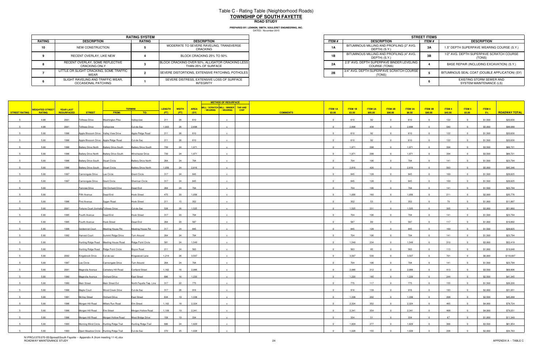## Table C - Rating Table (Neighborhood Roads) **TOWNSHIP OF SOUTH FAYETTEROAD STUDY**

**PREPARED BY: LENNON, SMITH, SOULERET ENGINEERING, INC.**

|        | <b>RATING SYSTEM</b>                                     |               |                                                                         |  |  |  |  |  |  |  |
|--------|----------------------------------------------------------|---------------|-------------------------------------------------------------------------|--|--|--|--|--|--|--|
| RATING | <b>DESCRIPTION</b>                                       | <b>RATING</b> | <b>DESCRIPTION</b>                                                      |  |  |  |  |  |  |  |
| 10     | NEW CONSTRUCTION                                         |               | MODERATE TO SEVERE RAVELING, TRANSVERSE<br>CRACKING                     |  |  |  |  |  |  |  |
|        | RECENT OVERLAY, LIKE NEW                                 |               | BLOCK CRACKING 25% TO 50%                                               |  |  |  |  |  |  |  |
|        | RECENT OVERLAY, SOME REFLECTIVE<br><b>CRACKING ONLY</b>  |               | BLOCK CRACKING OVER 50%, ALLIGATOR CRACKING LESS<br>THAN 25% OF SURFACE |  |  |  |  |  |  |  |
|        | LITTLE OR SLIGHT CRACKING, SOME TRAFFIC<br>WEAR          |               | SEVERE DISTORTIONS, EXTENSIVE PATCHING, POTHOLES                        |  |  |  |  |  |  |  |
|        | SLIGHT RAVELING AND TRAFFIC WEAR,<br>OCCASIONAL PATCHING |               | SEVERE DISTRESS, EXTENSIVE LOSS OF SURFACE<br><b>INTEGRITY</b>          |  |  |  |  |  |  |  |

|                             | <b>RATING SYSTEM</b> |                                                                         |  |  |  |  |
|-----------------------------|----------------------|-------------------------------------------------------------------------|--|--|--|--|
| <b>TION</b>                 | RATING               | <b>DESCRIPTION</b>                                                      |  |  |  |  |
| <b>RUCTION</b>              |                      | MODERATE TO SEVERE RAVELING, TRANSVERSE<br>CRACKING                     |  |  |  |  |
| YY. LIKE NEW                |                      | BLOCK CRACKING 25% TO 50%                                               |  |  |  |  |
| OME REFLECTIVE<br>a ONLY    |                      | BLOCK CRACKING OVER 50%, ALLIGATOR CRACKING LESS<br>THAN 25% OF SURFACE |  |  |  |  |
| KING. SOME TRAFFIC          |                      | SEVERE DISTORTIONS. EXTENSIVE PATCHING. POTHOLES                        |  |  |  |  |
| D TRAFFIC WEAR.<br>PATCHING |                      | SEVERE DISTRESS. EXTENSIVE LOSS OF SURFACE<br>INTEGRITY                 |  |  |  |  |

|                      |                         |                  |                                        |                                         |                            |               |              |             | <b>METHOD OF RESURFACE</b>                                     |             |                           |         |                |                         |                |                |         |                |         |                      |
|----------------------|-------------------------|------------------|----------------------------------------|-----------------------------------------|----------------------------|---------------|--------------|-------------|----------------------------------------------------------------|-------------|---------------------------|---------|----------------|-------------------------|----------------|----------------|---------|----------------|---------|----------------------|
|                      | <u>WEIGHTED STREET </u> | <b>YEAR LAST</b> |                                        |                                         | <b>TERMINI</b>             | <b>LENGTH</b> | <b>WIDTH</b> | <b>AREA</b> | MILL / SCRATCH MILL / BINDER TAR AND<br>/ WEARING<br>/ WEARING | <b>CHIP</b> | <b>ITEM 1A</b>            | ITEM 1B | <b>ITEM 2A</b> | ITEM 2B                 | <b>ITEM 3A</b> | <b>ITEM 3B</b> | ITEM4   | ITEM 5         | ITEM 6  |                      |
| <b>STREET RATING</b> | <b>RATING</b>           | RESURFACED       | <b>STREET</b>                          | <b>FROM:</b>                            | TO:                        | (FT)          | (FT)         | (SY)        |                                                                |             | <b>COMMENTS</b><br>\$3.00 | \$3.50  | \$85.00        | \$90.00                 | \$8.50         | \$90.00        | \$45.00 | \$5.00         | $-5%$   | <b>ROADWAY TOTAL</b> |
|                      | 4.88                    | 2001             | <b>Toftrees Drive</b>                  | <b>Washington Pike</b>                  | Valleyview                 | 211           | 26           | 610         |                                                                |             | $\Omega$                  | 610     | 92             | $\Omega$                | 610            | $\Omega$       | 122     | $\Omega$       | \$1,500 | \$20,630             |
|                      | 4.88                    | 2001             | <b>Toftrees Drive</b>                  | Valleyview                              | Cul-de-Sac                 | 1,003         | 26           | 2,898       |                                                                |             | $\sim$                    | 2,898   | 438            |                         | 2,898          |                | 580     |                | \$5,000 | \$98,088             |
|                      | 5.00                    | 1996             | Apple Blossom Drive Valley View Drive  |                                         | Apple Ridge Road           | 211           | 26           | 610         |                                                                |             | $\Omega$                  | 610     | 92             |                         | 610            |                | 122     |                | \$1,500 | \$20,630             |
|                      | 5.00                    | 1996             | Apple Blossom Drive Apple Ridge Road   |                                         | Cul-de-Sac                 | 211           | 26           | 610         |                                                                |             | $\overline{0}$            | 610     | 92             | $\overline{0}$          | 610            | $\Omega$       | 122     |                | \$1,500 | \$20,630             |
|                      | 5.00                    | 1996             |                                        | Battery Drive North Battery Drive South | <b>Battery Drive South</b> | 739           | 24           | 1,971       |                                                                |             | $\Omega$                  | 1,971   | 298            |                         | 1,971          |                | 394     |                | \$3,500 | \$66,721             |
|                      | 5.00                    | 1996             |                                        | Battery Drive North Battery Drive South | <b>Winchester Drive</b>    | 739           | 24           | 1,971       | $\mathbf{x}$                                                   |             | $\overline{0}$            | 1,971   | 298            | $\overline{0}$          | 1,971          | $\Omega$       | 394     | $\overline{0}$ | \$3,500 | \$66,721             |
|                      | 5.00                    | 1996             | Battery Drive South Stuart Circle      |                                         | <b>Battery Drive North</b> | 264           | 24           | 704         | $\mathbf{x}$                                                   |             | $\overline{0}$            | 704     | 106            | $\overline{0}$          | 704            | $\overline{0}$ | 141     | $\Omega$       | \$1,500 | \$23,794             |
|                      | 5.00                    | 1996             | Battery Drive South Stuart Circle      |                                         | Battery Drive North        | 1,056         | 24           | 2,816       |                                                                |             | $\Omega$                  | 2,816   | 426            |                         | 2,816          |                | 563     |                | \$5,000 | \$95,346             |
|                      | 5.00                    | 1997             | Cannongate Drive                       | Lee Circle                              | <b>Grant Circle</b>        | 317           | 24           | 845         |                                                                |             | $\overline{0}$            | 845     | 128            | $\overline{0}$          | 845            | $\overline{0}$ | 169     | $\overline{0}$ | \$1,500 | \$28,625             |
|                      | 5.00                    | 1997             |                                        |                                         | Sherman Circle             | 317           | 24           | 845         |                                                                |             | $\Omega$                  | 845     | 128            | $\overline{0}$          | 845            |                | 169     |                |         | \$28,625             |
|                      |                         |                  | Cannongate Drive                       | <b>Grant Circle</b>                     |                            |               |              |             |                                                                |             | $\Omega$                  |         |                |                         |                |                |         |                | \$1,500 |                      |
|                      | 5.00                    |                  | Fairview Drive                         | Old Orchard Drive                       | Dead End                   | 264           | 24           | 704         |                                                                |             |                           | 704     | 106            |                         | 704            | $\Omega$       | 141     | $\Omega$       | \$1,500 | \$23,794             |
|                      | 5.00                    |                  | Fifth Avenue                           | Dead End                                | <b>Hook Street</b>         | 475           | 20           | 1,056       |                                                                |             | $\overline{0}$            | 1,056   | 160            | $\overline{0}$          | 1,056          |                | 211     |                | \$2,000 | \$35,776             |
|                      | 5.00                    | 1996             | First Avenue                           | Sygan Road                              | <b>Hook Street</b>         | 211           | 15           | 352         |                                                                |             | $\overline{0}$            | 352     | 53             | $\overline{0}$          | 352            | $\overline{0}$ | 70      | $\Omega$       | \$1,000 | \$11,897             |
|                      | 5.00                    | 2001             | Fortune Court (formally Toftrees Drive |                                         | Cul-de-Sac                 | 528           | 26           | 1,525       |                                                                |             | $\Omega$                  | 1,525   | 231            |                         | 1,525          |                | 305     |                | \$3,000 | \$51,660             |
|                      | 5.00                    | 1995             | Fourth Avenue                          | Dead End                                | <b>Hook Street</b>         | 317           | 20           | 704         |                                                                |             | $\Omega$                  | 704     | 106            |                         | 704            |                | 141     |                | \$1,500 | \$23,794             |
|                      | 5.00                    | 1995             | Fourth Avenue                          | <b>Hook Street</b>                      | Dead End                   | 264           | 20           | 587         |                                                                |             | $\Omega$                  | 587     | 89             |                         | 587            |                | 117     |                | \$1,000 | \$19,892             |
|                      | 5.00                    | 1998             | Goldenrod Court                        | Meeting House Rd.                       | Meeting House Rd.          | 317           | 24           | 845         |                                                                |             |                           | 845     | 128            |                         | 845            |                | 169     |                | \$1,500 | \$28,625             |
|                      | 5.00                    | 1992             | <b>Harvest Court</b>                   | Summit Ridge Drive                      | Turn Around                | 264           | 24           | 704         |                                                                |             | $\overline{0}$            | 704     | 106            | $\overline{0}$          | 704            | $\overline{0}$ | 141     | $\Omega$       | \$1,500 | \$23,794             |
|                      | 5.00                    |                  |                                        | Hunting Ridge Road Meeting House Road   | Ridge Point Circle         | 581           | 24           | 1,549       |                                                                |             | $\Omega$                  | 1,549   | 234            |                         | 1,549          |                | 310     |                | \$3,000 | \$52,419             |
|                      | 5.00                    |                  | Hunting Ridge Road Ridge Point Circle  |                                         | Boyce Road                 | 211           | 24           | 563         | $\mathbf{x}$                                                   |             | $\overline{0}$            | 563     | 85             | $\overline{0}$          | 563            | $\overline{0}$ | 113     | $\Omega$       | \$1,000 | \$19,048             |
|                      | 5.00                    | 2002             | Kingsbrook Drive                       | Cul-de-sac                              | Kingswood Lane             | 1,214         | 26           | 3,507       |                                                                |             | $\overline{0}$            | 3,507   | 530            | $\overline{0}$          | 3,507          | $\overline{0}$ | 701     | $\Omega$       | \$6,000 | \$118,697            |
|                      | 5.00                    | 1997             | Lee Circle                             | Cannongate Drive                        | Turn Around                | 264           | 24           | 704         |                                                                |             | $\overline{\mathbf{0}}$   | 704     | 106            | $\overline{0}$          | 704            | $\overline{0}$ | 141     |                | \$1,500 | \$23,794             |
|                      | 5.00                    | 2001             | Magnolia Avenue                        | Cemetery Hill Road                      | <b>Cortland Street</b>     | 1,162         | 16           | 2,066       |                                                                |             | $\overline{0}$            | 2,066   | 312            | $\overline{0}$          | 2,066          | $\Omega$       | 413     |                | \$3,500 | \$69,906             |
|                      | 5.00                    | 1990             | Magnolia Avenue                        | Orchard Drive                           | East Street                | 686           | 16           | 1,220       | $\mathbf{x}$                                                   |             | $\overline{0}$            | 1,220   | 185            | $\overline{0}$          | 1,220          | $\Omega$       | 244     | $\Omega$       | \$2,500 | \$41,345             |
|                      | 5.00                    | 1990             | Main Street                            | Main Street Ext                         | North Fayette Twp. Line    | 317           | 22           | 775         |                                                                |             | $\Omega$                  | 775     | 117            |                         | 775            |                | 155     |                | \$1,500 | \$26,220             |
|                      | 5.00                    | 1996             | Maple Court                            | Wood Creek Drive                        | Cul-de-Sac                 | 317           | 26           | 916         |                                                                |             | $\overline{0}$            | 916     | 139            |                         | 916            |                | 183     |                | \$2,000 | \$31,051             |
|                      | 5.00                    | 1991             | McVey Street                           | Orchard Drive                           | ast Street                 | 634           | 19           | 1,338       |                                                                |             | $\Omega$                  | 1,338   | 202            |                         | 1,338          |                | 268     |                | \$2,500 | \$45,268             |
|                      | 5.00                    | 1996             | Morgan Hill Road Millers Run Road      |                                         | Elm Street                 | 1,162         | 18           | 2,324       |                                                                |             | $\Omega$                  | 2,324   | 352            | $\overline{0}$          | 2,324          |                | 465     | $\Omega$       | \$4,000 | \$78,724             |
| $5^{\circ}$          | 5.00                    | 1996             | Morgan Hill Road Elm Street            |                                         | Morgan Hollow Road         | 1,109         | 19           | 2,341       | $\mathbf{x}$                                                   |             | $\overline{0}$            | 2,341   | 354            | $\overline{0}$          | 2,341          | $\overline{0}$ | 468     | $\overline{0}$ | \$4,000 | \$79,251             |
|                      | 5.00                    | 1996             |                                        | Morgan Hill Road Morgan Hollow Road     | West Bridge Drive          | 158           | 19           | 334         |                                                                |             | $\overline{0}$            | 334     | 51             | $\overline{\mathbf{0}}$ | 334            |                | 67      |                | \$1,000 | \$11,349             |
| -5                   | 5.00                    | 1993             |                                        | Morning Wind Circle Hunting Ridge Trail | Hunting Ridge Trail        | 686           | 24           | 1,829       | $\mathbf{x}$                                                   |             | $\overline{0}$            | 1,829   | 277            | $\overline{0}$          | 1,829          | $\overline{0}$ | 366     | $\overline{0}$ | \$3,500 | \$61,954             |
|                      | 5.00                    | 1993             |                                        | Open Meadow Circle Hunting Ridge Trail  | Cul-de-Sac                 | 370           | 25           | 1,028       |                                                                |             | $\sim$                    | 1,028   | 155            | $\sqrt{ }$              | 1,028          |                | 206     |                | \$2,000 | \$34,763             |

N:\PROJ\370\370-05\Spread\South Fayette -- Appendix A (from meeting 11-4).xlsx<br>ROADWAY MAINTENANCE STUDY A -- TABLE C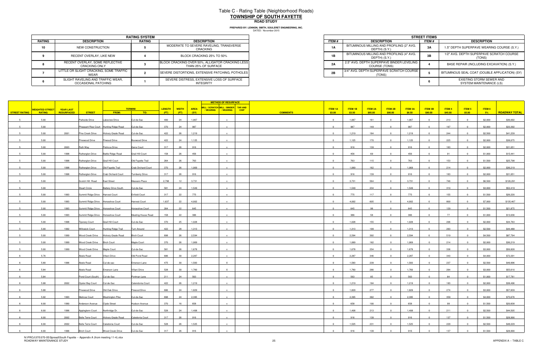# Table C - Rating Table (Neighborhood Roads) **TOWNSHIP OF SOUTH FAYETTEROAD STUDY**

**PREPARED BY: LENNON, SMITH, SOULERET ENGINEERING, INC.**

|        | <b>RATING SYSTEM</b>                                     |               |                                                                         |  |  |  |  |  |  |  |
|--------|----------------------------------------------------------|---------------|-------------------------------------------------------------------------|--|--|--|--|--|--|--|
| RATING | <b>DESCRIPTION</b>                                       | <b>RATING</b> | <b>DESCRIPTION</b>                                                      |  |  |  |  |  |  |  |
| 10     | NEW CONSTRUCTION                                         |               | MODERATE TO SEVERE RAVELING, TRANSVERSE<br>CRACKING                     |  |  |  |  |  |  |  |
|        | RECENT OVERLAY, LIKE NEW                                 |               | BLOCK CRACKING 25% TO 50%                                               |  |  |  |  |  |  |  |
|        | RECENT OVERLAY, SOME REFLECTIVE<br><b>CRACKING ONLY</b>  |               | BLOCK CRACKING OVER 50%, ALLIGATOR CRACKING LESS<br>THAN 25% OF SURFACE |  |  |  |  |  |  |  |
|        | LITTLE OR SLIGHT CRACKING, SOME TRAFFIC<br>WEAR          |               | SEVERE DISTORTIONS, EXTENSIVE PATCHING, POTHOLES                        |  |  |  |  |  |  |  |
|        | SLIGHT RAVELING AND TRAFFIC WEAR,<br>OCCASIONAL PATCHING |               | SEVERE DISTRESS, EXTENSIVE LOSS OF SURFACE<br><b>INTEGRITY</b>          |  |  |  |  |  |  |  |

|                             | <b>RATING SYSTEM</b> |                                                                         |  |  |  |  |  |
|-----------------------------|----------------------|-------------------------------------------------------------------------|--|--|--|--|--|
| <b>TION</b>                 | <b>RATING</b>        | <b>DESCRIPTION</b>                                                      |  |  |  |  |  |
| <b>RUCTION</b>              |                      | MODERATE TO SEVERE RAVELING, TRANSVERSE<br>CRACKING                     |  |  |  |  |  |
| YY. LIKE NEW                |                      | BLOCK CRACKING 25% TO 50%                                               |  |  |  |  |  |
| OME REFLECTIVE<br>a ONLY    |                      | BLOCK CRACKING OVER 50%, ALLIGATOR CRACKING LESS<br>THAN 25% OF SURFACE |  |  |  |  |  |
| KING. SOME TRAFFIC          |                      | SEVERE DISTORTIONS, EXTENSIVE PATCHING, POTHOLES                        |  |  |  |  |  |
| D TRAFFIC WEAR.<br>PATCHING |                      | SEVERE DISTRESS, EXTENSIVE LOSS OF SURFACE<br>INTEGRITY                 |  |  |  |  |  |

|                      |                              |                  |                                      |                                        |                           |               |              |             | <b>METHOD OF RESURFACE</b>                                     |             |                           |         |                |                         |                |                |         |                |         |                      |
|----------------------|------------------------------|------------------|--------------------------------------|----------------------------------------|---------------------------|---------------|--------------|-------------|----------------------------------------------------------------|-------------|---------------------------|---------|----------------|-------------------------|----------------|----------------|---------|----------------|---------|----------------------|
|                      | <mark>WEIGHTED STREET</mark> | <b>YEAR LAST</b> |                                      |                                        | <b>TERMINI</b>            | <b>LENGTH</b> | <b>WIDTH</b> | <b>AREA</b> | MILL / SCRATCH MILL / BINDER TAR AND<br>/ WEARING<br>/ WEARING | <b>CHIP</b> | <b>ITEM 1A</b>            | ITEM 1B | <b>ITEM 2A</b> | ITEM 2B                 | <b>ITEM 3A</b> | <b>ITEM 3B</b> | ITEM4   | ITEM 5         | ITEM 6  |                      |
| <b>STREET RATING</b> | <b>RATING</b>                | RESURFACED       | <b>STREET</b>                        | <b>FROM:</b>                           | TO:                       | (FT)          | (FT)         | (SY)        |                                                                |             | <b>COMMENTS</b><br>\$3.00 | \$3.50  | \$85.00        | \$90.00                 | \$8.50         | \$90.00        | \$45.00 | \$5.00         | $-5\%$  | <b>ROADWAY TOTAL</b> |
|                      | 5.00                         |                  | Parkside Drive                       | Lakeview Drive                         | Cul-de-Sac                | 400           | 24           | 1,067       |                                                                |             | $\Omega$                  | 1,067   | 161            | $\Omega$                | 1,067          | $\overline{0}$ | 213     | $\sqrt{ }$     | \$2,000 | \$36,092             |
|                      | 5.00                         |                  |                                      | Pheasant Rise Court Hunting Ridge Road | Cul-de-Sac                | 370           | 24           | 987         |                                                                |             | $\sim$                    | 987     | 149            |                         | 987            |                | 197     |                | \$2,000 | \$33,392             |
|                      | 5.00                         | 2001             | Pine Creek Drive                     | Hickory Grade Road                     | Cul-de-Sac                | 422           | 26           | 1,219       |                                                                |             | $\Omega$                  | 1,219   | 184            |                         | 1,219          |                | 244     |                | \$2,500 | \$41,239             |
|                      | 5.00                         |                  | Pinewood Drive                       | Firwood Drive                          | Boxwood Drive             | 422           | 24           | 1,125       |                                                                |             | $\overline{0}$            | 1,125   | 170            | $\overline{0}$          | 1,125          | $\Omega$       | 225     |                | \$2,000 | \$38,075             |
|                      | 5.00                         | 2003             | Ruth Way                             | Petricca Drive                         | Gene Court                | 317           | 26           | 916         |                                                                |             | $\Omega$                  | 916     | 139            | - 0                     | 916            |                | 183     |                | \$2,000 | \$31,051             |
|                      | 5.00                         | 1998             | Rutherglen Drive                     | <b>Battle Ridge Road</b>               | Grail Hill Court          | 158           | 26           | 456         |                                                                |             | $\overline{0}$            | 456     | 69             | $\overline{0}$          | 456            | $\Omega$       | 91      | $\overline{0}$ | \$1,000 | \$15,441             |
|                      | 5.00                         | 1998             | Rutherglen Drive                     | Grail Hill Court                       | Old Fayette Trail         | 264           | 26           | 763         | $\mathbf{x}$                                                   |             | $\overline{0}$            | 763     | 115            | $\overline{0}$          | 763            | $\overline{0}$ | 153     | $\Omega$       | \$1,500 | \$25,798             |
|                      | 5.00                         | 1998             | Rutherglen Drive                     | Old Fayette Trail                      | <b>Crab Orchard Court</b> | 370           | 26           | 1,069       |                                                                |             | $\Omega$                  | 1,069   | 162            |                         | 1,069          |                | 214     |                | \$2,000 | \$36,219             |
|                      | 5.00                         | 1998             | Rutherglen Drive                     | Crab Orchard Court                     | Turnberry Drive           | 317           | 26           | 916         |                                                                |             | $\overline{0}$            | 916     | 139            | $\overline{0}$          | 916            | $\overline{0}$ | 183     | $\overline{0}$ | \$2,000 | \$31,051             |
|                      | 5.00                         |                  | Scotch Hill Road                     | <b>East Street</b>                     | Massaro Place             | 2,798         | 12           | 3,731       |                                                                |             | $\Omega$                  | 3,731   | 564            | $\overline{0}$          | 3,731          |                | 746     |                | \$6,500 | \$126,291            |
|                      | 5.00                         |                  | <b>Stuart Circle</b>                 | <b>Battery Drive South</b>             | Cul-de-Sac                | 581           | 24           | 1,549       |                                                                |             | $\overline{0}$            | 1,549   | 234            | $\Omega$                | 1,549          |                | 310     |                | \$3,000 | \$52,419             |
|                      | 5.00                         | 1993             | Summit Ridge Drive Harvest Court     |                                        | Enfield Court             | 317           | 22           | 775         |                                                                |             | $\overline{0}$            | 775     | 117            | $\overline{0}$          | 775            | $\mathbf{0}$   | 155     | $\Omega$       | \$1,500 | \$26,220             |
|                      | 5.00                         | 1993             | Summit Ridge Drive Horseshoe Court   |                                        | Harvest Court             | 1,637         | 22           | 4,002       |                                                                |             | $\overline{0}$            | 4,002   | 605            | $\overline{0}$          | 4,002          | $\overline{0}$ | 800     | $\Omega$       | \$7,000 | \$135,467            |
|                      | 5.00                         | 1993             |                                      | Summit Ridge Drive Horseshoe Court     | Horseshoe Court           | 264           | 22           | 645         |                                                                |             | $\Omega$                  | 645     | 98             |                         | 645            |                | 129     |                | \$1,500 | \$21,875             |
|                      | 5.00                         | 1993             | Summit Ridge Drive Horseshoe Court   |                                        | Meeting House Road        | 158           | 22           | 386         |                                                                |             | $\Omega$                  | 386     | 58             |                         | 386            |                | 77      |                | \$1,000 | \$13,036             |
|                      | 5.00                         | 1998             | <b>Tiporary Court</b>                | Grail Hill Court                       | Cul-de-Sac                | 370           | 25           | 1,028       |                                                                |             | $\Omega$                  | 1,028   | 155            |                         | 1,028          |                | 206     |                | \$2,000 | \$34,763             |
|                      | 5.00                         | 1992             | <b>Willowick Court</b>               | Hunting Ridge Trail                    | Turn Around               | 422           | 28           | 1,313       |                                                                |             |                           | 1,313   | 199            |                         | 1,313          |                | 263     |                | \$2,500 | \$44,488             |
|                      | 5.00                         | 1999             |                                      | Wood Creek Drive Hickory Grade Road    | <b>Birch Court</b>        | 898           | 26           | 2,594       |                                                                |             | $\overline{0}$            | 2,594   | 392            | $\overline{0}$          | 2,594          | $\overline{0}$ | 519     | $\Omega$       | \$4,500 | \$87,794             |
|                      | 5.00                         | 1999             | Wood Creek Drive Birch Court         |                                        | Maple Court               | 370           | 26           | 1,069       |                                                                |             | $\Omega$                  | 1,069   | 162            | $\Omega$                | 1,069          |                | 214     |                | \$2,000 | \$36,219             |
|                      | 5.00                         | 1999             | Wood Creek Drive Maple Court         |                                        | Cul-de-Sac                | 581           | 26           | 1,678       | $\mathbf{x}$                                                   |             | $\overline{0}$            | 1,678   | 254            | $\overline{0}$          | 1,678          | $\overline{0}$ | 336     | $\overline{0}$ | \$3,000 | \$56,828             |
|                      | 5.76                         |                  | Abele Road                           | Villani Drive                          | Old Pond Road             | 686           | 30           | 2,287       |                                                                |             | $\overline{0}$            | 2,287   | 346            | $\overline{0}$          | 2,287          | $\overline{0}$ | 343     | $\Omega$       | \$4,000 | \$72,291             |
|                      | 5.80                         | 1996             | Abele Road                           | Cul-de-sac                             | Emerson Lane              | 475           | 30           | 1,583       | $\mathsf{x}$                                                   |             | $\overline{\mathbf{0}}$   | 1,583   | 239            | $\overline{0}$          | 1,583          | $\overline{0}$ | 237     |                | \$2,500 | \$49,996             |
|                      | 5.84                         |                  | Abele Road                           | Emerson Lane                           | Villani Drive             | 528           | 30           | 1,760       | $\mathsf{x}$                                                   |             | $\Omega$                  | 1,760   | 266            | $\overline{0}$          | 1,760          |                | 264     |                | \$3,000 | \$55,610             |
|                      |                              |                  | Pond Court (South) Cul-de-Sac        |                                        |                           | 211           | 24           | 563         | $\mathbf{x}$                                                   |             | $\Omega$                  | 563     | 85             | $\overline{0}$          | 563            | $\Omega$       | 84      | $\Omega$       |         | \$17,781             |
|                      | 5.84                         |                  |                                      |                                        | Portman Lane              |               |              |             |                                                                |             | $\Omega$                  |         |                |                         |                |                |         |                | \$1,000 |                      |
|                      | 5.88                         | 2002             | Oyster Bay Court                     | Cul-de-Sac                             | Calendonia Court          | 422           | 26           | 1,219       |                                                                |             |                           | 1,219   | 184            |                         | 1,219          |                | 183     |                | \$2,000 | \$38,496             |
|                      | 5.88                         |                  | Pinewood Drive                       | Old Oak Drive                          | Firwood Drive             | 686           | 24           | 1,829       |                                                                |             | $\overline{0}$            | 1,829   | 277            |                         | 1,829          |                | 274     |                | \$3,000 | \$57,839             |
|                      | 5.92                         | 1993             | Melrose Court                        | <b>Washington Pike</b>                 | Cul-de-Sac                | 898           | 24           | 2,395       |                                                                |             | $\Omega$                  | 2,395   | 362            |                         | 2,395          |                | 359     |                | \$4,000 | \$75,676             |
|                      | 6.00                         | 1990             | Anderson Avenue Clyde Street         |                                        | Hudson Avenue             | 370           | 16           | 658         |                                                                |             | $\Omega$                  | 658     | 100            | $\overline{\mathbf{0}}$ | 658            | $\Omega$       | 99      |                | \$1,500 | \$20,838             |
| 6                    | 6.00                         |                  | 1996 Appleglenn Court Northridge Dr. |                                        | Cul-de-Sac                | 528           | 24           | 1,408       | $\mathsf{x}$                                                   |             | $\overline{0}$            | 1,408   | 213            | $\overline{0}$          | 1,408          | $\overline{0}$ | 211     | $\overline{0}$ | \$2,500 | \$44,505             |
|                      | 6.00                         | 2002             |                                      | Belle Terre Court Hickory Grade Road   | Caledonia Court           | 317           | 26           | 916         |                                                                |             | $\overline{0}$            | 916     | 139            | $\overline{\mathbf{0}}$ | 916            | $\Omega$       | 137     | $\Omega$       | \$1,500 | \$28,990             |
| 6                    | 6.00                         | 2002             | Belle Terre Court Caledonia Court    |                                        | Cul-de-Sac                | 528           | 26           | 1,525       | $\mathbf{x}$                                                   |             | $\overline{\mathbf{0}}$   | 1,525   | 231            | $\overline{0}$          | 1,525          | $\overline{0}$ | 229     | $\overline{0}$ | \$2,500 | \$48,229             |
|                      | 6.00                         | 1996             | <b>Birch Court</b>                   | Wood Creek Drive                       | Cul-de-Sac                | 317           | 26           | 916         |                                                                |             | $\Omega$                  | 916     | 139            | $\Omega$                | 916            |                | 137     | $\Omega$       | \$1,500 | \$28,990             |

N:\PROJ\370\370-05\Spread\South Fayette -- Appendix A (from meeting 11-4).xlsx<br>ROADWAY MAINTENANCE STUDY 25 APPENDIX A -- TABLE C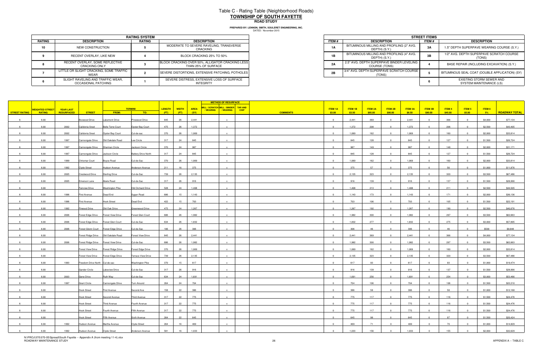## Table C - Rating Table (Neighborhood Roads) **TOWNSHIP OF SOUTH FAYETTEROAD STUDY**

**PREPARED BY: LENNON, SMITH, SOULERET ENGINEERING, INC.**

|                             | <b>RATING SYSTEM</b> |                                                                         |  |  |  |  |  |
|-----------------------------|----------------------|-------------------------------------------------------------------------|--|--|--|--|--|
| <b>TION</b>                 | <b>RATING</b>        | <b>DESCRIPTION</b>                                                      |  |  |  |  |  |
| <b>RUCTION</b>              |                      | MODERATE TO SEVERE RAVELING, TRANSVERSE<br>CRACKING                     |  |  |  |  |  |
| YY. LIKE NEW                |                      | BLOCK CRACKING 25% TO 50%                                               |  |  |  |  |  |
| OME REFLECTIVE<br>a ONLY    |                      | BLOCK CRACKING OVER 50%, ALLIGATOR CRACKING LESS<br>THAN 25% OF SURFACE |  |  |  |  |  |
| KING. SOME TRAFFIC          |                      | SEVERE DISTORTIONS, EXTENSIVE PATCHING, POTHOLES                        |  |  |  |  |  |
| D TRAFFIC WEAR.<br>PATCHING |                      | SEVERE DISTRESS, EXTENSIVE LOSS OF SURFACE<br>INTEGRITY                 |  |  |  |  |  |

|        |                                                          | <b>RATING SYSTEM</b> |                                                                         |              |                                                            | <b>STREET ITEM</b> |
|--------|----------------------------------------------------------|----------------------|-------------------------------------------------------------------------|--------------|------------------------------------------------------------|--------------------|
| RATING | <b>DESCRIPTION</b>                                       | RATING               | <b>DESCRIPTION</b>                                                      | <b>ITEM#</b> | <b>DESCRIPTION</b>                                         | ITEM #             |
| 10     | NEW CONSTRUCTION                                         |                      | MODERATE TO SEVERE RAVELING, TRANSVERSE<br>CRACKING                     | 1A           | BITUMINOUS MILLING AND PROFILING (2" AVG.<br>DEPTH) (S.Y.) | 3Α                 |
|        | RECENT OVERLAY, LIKE NEW                                 |                      | BLOCK CRACKING 25% TO 50%                                               | 1B           | BITUMINOUS MILLING AND PROFILING (4" AVG.<br>DEPTH) (S.Y.) | 3B                 |
|        | RECENT OVERLAY, SOME REFLECTIVE<br><b>CRACKING ONLY</b>  |                      | BLOCK CRACKING OVER 50%, ALLIGATOR CRACKING LESS<br>THAN 25% OF SURFACE | 2A           | 2.5" AVG. DEPTH SUPERPAVE BINDER LEVELING<br>COURSE (TONS) |                    |
|        | LITTLE OR SLIGHT CRACKING, SOME TRAFFIC<br>WEAR          |                      | SEVERE DISTORTIONS, EXTENSIVE PATCHING, POTHOLES                        | 2B           | 3/4" AVG. DEPTH SUPERPAVE SCRATCH COURSE<br>(TONS)         |                    |
|        | SLIGHT RAVELING AND TRAFFIC WEAR,<br>OCCASIONAL PATCHING |                      | SEVERE DISTRESS, EXTENSIVE LOSS OF SURFACE<br><b>INTEGRITY</b>          |              |                                                            |                    |

|                 |                        |                   |                                 |                                      |                           |               |              |             | <b>METHOD OF RESURFACE</b>                                     |             |                           |         |                |                         |                |                         |         |                         |         |                      |
|-----------------|------------------------|-------------------|---------------------------------|--------------------------------------|---------------------------|---------------|--------------|-------------|----------------------------------------------------------------|-------------|---------------------------|---------|----------------|-------------------------|----------------|-------------------------|---------|-------------------------|---------|----------------------|
|                 | <b>WEIGHTED STREET</b> | <b>YEAR LAST</b>  |                                 |                                      | <b>TERMINI</b>            | <b>LENGTH</b> | <b>WIDTH</b> | <b>AREA</b> | MILL / SCRATCH MILL / BINDER TAR AND<br>/ WEARING<br>/ WEARING | <b>CHIP</b> | <b>ITEM 1A</b>            | ITEM 1B | <b>ITEM 2A</b> | ITEM 2B                 | <b>ITEM 3A</b> | <b>ITEM 3B</b>          | ITEM 4  | <b>ITEM 5</b>           | ITEM 6  |                      |
| STREET RATING   | <b>RATING</b>          | <b>RESURFACED</b> | <b>STREET</b>                   | FROM:                                | TO:                       | (FT)          | (FT)         | (SY)        |                                                                |             | <b>COMMENTS</b><br>\$3.00 | \$3.50  | \$85.00        | \$90.00                 | \$8.50         | \$90.00                 | \$45.00 | \$5.00                  | 5%      | <b>ROADWAY TOTAL</b> |
| 6               | 6.00                   |                   | Boxwood Drive                   | Lakemont Drive                       | Pinewood Drive            | 845           | 26           | 2,441       |                                                                |             | $\overline{0}$            | 2,441   | 369            | $\overline{0}$          | 2,441          | $\overline{0}$          | 366     | $\Omega$                | \$4,000 | \$77,134             |
|                 | 6.00                   | 2002              | Calidonia Sreet                 | Belle Terre Court                    | Oyster Bay Court          | 475           | 26           | 1,372       |                                                                |             | $\Omega$                  | 1,372   | 208            |                         | 1,372          |                         | 206     |                         | \$2,500 | \$43,405             |
|                 | 6.00                   | 2002              | Calidonia Sreet                 | Oyster Bay Court                     | Cul-de-sac                | 370           | 26           | 1,069       |                                                                |             | $\Omega$                  | 1,069   | 162            |                         | 1,069          |                         | 160     |                         | \$2,000 | \$33,814             |
|                 | 6.00                   | 1997              |                                 |                                      | Lee Circle                | 317           | 24           | 845         |                                                                |             | $\overline{0}$            | 845     | 128            | $\overline{0}$          | 845            | $\overline{0}$          | 127     | $\Omega$                | \$1,500 | \$26,724             |
|                 | 6.00                   | 1997              | Cannongate Drive Sherman Circle |                                      | Jackson Circle            | 370           | 24           | 987         |                                                                |             | $\overline{0}$            | 987     | 149            | $\Omega$                | 987            | $\overline{0}$          | 148     | $\Omega$                | \$2,000 | \$31,171             |
|                 | 6.00                   | 1997              | Cannongate Drive                | Jackson Circle                       | Battery Drive North       | 317           | 24           | 845         |                                                                |             | $\overline{0}$            | 845     | 128            | $\overline{0}$          | 845            | $\Omega$                | 127     | $\Omega$                | \$1,500 | \$26,724             |
|                 | 6.00                   | 1999              | <b>Chrismar Court</b>           | Boyce Road                           | Cul-de-Sac                | 370           | 26           | 1,069       |                                                                |             | $\overline{0}$            | 1,069   | 162            | $\overline{\mathbf{0}}$ | 1,069          | $\overline{0}$          | 160     | $\Omega$                | \$2,000 | \$33,814             |
|                 |                        |                   |                                 |                                      |                           |               |              |             |                                                                |             | $\Omega$                  |         |                |                         |                |                         |         |                         |         |                      |
|                 | 6.00                   | 1992              | Clyde Street                    | Hudson Avenue                        | Anderson Avenue           | 211           | 16           | 375         |                                                                |             |                           | 375     | 57             |                         | 375            |                         |         |                         | \$1,000 | \$11,876             |
| 6               | 6.00                   | 2005              | Crestwood Drive                 | <b>Sterling Drive</b>                | Cul-de-Sac                | 739           | 26           | 2,135       | $\mathbf{x}$                                                   |             | $\overline{0}$            | 2,135   | 323            | $\overline{0}$          | 2,135          | $\overline{0}$          | 320     | $\overline{0}$          | \$3,500 | \$67,486             |
| 6               | 6.00                   | 2005              | Emerson Lane                    | Abele Road                           | Cul-de-Sac                | 317           | 26           | 916         |                                                                |             | $\overline{0}$            | 916     | 139            | $\Omega$                | 916            | $\Omega$                | 137     | $\Omega$                | \$1,500 | \$28,990             |
|                 | 6.00                   |                   | Fairview Drive                  | <b>Washington Pike</b>               | Old Orchard Drive         | 528           | 24           | 1,408       |                                                                |             | $\Omega$                  | 1,408   | 213            |                         | 1,408          |                         | 211     |                         | \$2,500 | \$44,505             |
|                 | 6.00                   | 1996              | <b>First Avenue</b>             | Dead End                             | Sygan Road                | 686           | 15           | 1,143       |                                                                |             | $\overline{0}$            | 1,143   | 173            | $\Omega$                | 1,143          | $\Omega$                | 171     |                         | \$2,000 | \$36,136             |
|                 | 6.00                   | 1996              | <b>First Avenue</b>             | <b>Hook Street</b>                   | Dead End                  | 422           | 15           | 703         |                                                                |             | $\overline{0}$            | 703     | 106            | $\Omega$                | 703            | $\Omega$                | 105     | $\Omega$                | \$1,500 | \$22,191             |
|                 | 6.00                   | 1992              | Firwood Drive                   | Old Oak Drive                        | Greenwood Drive           | 475           | 24           | 1,267       |                                                                |             | $\mathbf{0}$              | 1,267   | 192            |                         | 1,267          |                         | 190     |                         | \$2,500 | \$40,076             |
|                 | 6.00                   | 2006              |                                 | Forest Edge Drive Forest View Drive  | Forest Glen Court         | 686           | 26           | 1,982       |                                                                |             | $\overline{0}$            | 1,982   | 300            | $\overline{0}$          | 1,982          |                         | 297     |                         | \$3,500 | \$62,663             |
|                 | 6.00                   | 2006              |                                 | Forest Edge Drive Forest Glen Court  | Cul-de-Sac                | 634           | 26           | 1,832       |                                                                |             | $\Omega$                  | 1,832   | 277            |                         | 1,832          |                         | 275     |                         | \$3,000 | \$57,895             |
|                 | 6.00                   | 2006              |                                 | Forest Glenn Court Forest Edge Drive | Cul-de-Sac                | 106           | 26           | 306         |                                                                |             | $\Omega$                  | 306     | 46             |                         | 306            |                         | 46      |                         | \$500   | \$9,648              |
| 6               | 6.00                   |                   |                                 |                                      | Forest View Drive         | 845           | 26           | 2,441       | $\mathbf{x}$                                                   |             | $\overline{0}$            | 2,441   | 369            | $\overline{0}$          | 2,441          | $\overline{0}$          | 366     | $\Omega$                | \$4,000 | \$77,134             |
|                 | 6.00                   | 2006              |                                 | Forest Ridge Drive Forest View Drive | Cul-de-Sac                | 686           | 26           | 1,982       |                                                                |             | $\Omega$                  | 1,982   | 300            |                         | 1,982          |                         | 297     |                         | \$3,500 | \$62,663             |
|                 | 6.00                   |                   | <b>Forest View Drive</b>        | Forest Ridge Drive                   | Forest Edge Drive         | 370           | 26           | 1,069       |                                                                |             | $\overline{0}$            | 1,069   | 162            | $\overline{\mathbf{0}}$ | 1,069          | $\overline{0}$          | 160     | $\overline{0}$          | \$2,000 | \$33,814             |
|                 | 6.00                   |                   | <b>Forest View Drive</b>        | <b>Forest Edge Drive</b>             | <b>Terrace View Drive</b> | 739           | 26           | 2,135       |                                                                |             | $\overline{0}$            | 2,135   | 323            | $\overline{0}$          | 2,135          |                         | 320     |                         | \$3,500 | \$67,486             |
|                 | 6.00                   | 1993              | Freedom Drive North Cul-de-sac  |                                      | <b>Washington Pike</b>    | 370           | 15           | 617         |                                                                |             | $\overline{0}$            | 617     | 93             | $\Omega$                | 617            |                         | 93      |                         | \$1,000 | \$19,474             |
| 6               | 6.00                   |                   | <b>Gander Circle</b>            | Lakeview Drive                       | Cul-de-Sac                | 317           | 26           | 916         |                                                                |             | $\overline{0}$            | 916     | 139            | $\overline{0}$          | 916            | $\overline{0}$          | 137     | $\Omega$                | \$1,500 | \$28,990             |
|                 |                        |                   |                                 |                                      |                           |               |              | 1,691       |                                                                |             | $\overline{0}$            | 1,691   | 256            | $\overline{0}$          |                | $\overline{0}$          | 254     | $\Omega$                |         | \$53,466             |
|                 | 6.00                   | 2003              | Gene Drive                      | Ruth Way                             | Cul-de-Sac                | 634           | 24           |             |                                                                |             |                           |         |                |                         | 1,691          |                         |         |                         | \$3,000 |                      |
|                 | 6.00                   | 1997              | <b>Grant Circle</b>             | Cannongate Drive                     | Turn Around               | 264           | 24           | 704         |                                                                |             | $\Omega$                  | 704     | 106            |                         | 704            |                         | 106     |                         | \$1,500 | \$22,210             |
|                 | 6.00                   |                   | <b>Hook Street</b>              | <b>First Avenue</b>                  | Second Ave                | 158           | 22           | 386         |                                                                |             | $\Omega$                  | 386     | 58             |                         | 386            |                         | 58      |                         | \$1,000 | \$12,168             |
|                 | 6.00                   |                   | <b>Hook Street</b>              | Second Avenue                        | Third Avenue              | 317           | 22           | 775         |                                                                |             | $\mathbf 0$               | 775     | 117            | $\Omega$                | 775            |                         | 116     | $\Omega$                | \$1,500 | \$24,476             |
|                 | 6.00                   |                   | <b>Hook Street</b>              | Third Avenue                         | Fourth Avenue             | 317           | 22           | 775         |                                                                |             | $\overline{0}$            | 775     | 117            | $\overline{\mathbf{0}}$ | 775            | $\overline{0}$          | 116     | $\overline{\mathbf{0}}$ | \$1,500 | \$24,476             |
| $6\overline{6}$ | 6.00                   |                   | <b>Hook Street</b>              | Fourth Avenue                        | Fifth Avenue              | 317           | 22           | 775         | $\mathbf{x}$                                                   |             | $\overline{\mathbf{0}}$   | 775     | 117            | $\overline{\mathbf{0}}$ | 775            | $\overline{\mathbf{0}}$ | 116     | $\overline{0}$          | \$1,500 | \$24,476             |
|                 | 6.00                   |                   | <b>Hook Street</b>              | Fifth Avenue                         | Sixth Avenue              | 264           | 22           | 645         |                                                                |             | $\overline{0}$            | 645     | 98             | $\overline{\mathbf{0}}$ | 645            | $\overline{0}$          | 97      | $\overline{\mathbf{0}}$ | \$1,500 | \$20,424             |
| 6               | 6.00                   | 1992              | <b>Hudson Avenue</b>            | Martha Avenue                        | <b>Clyde Street</b>       | 264           | 16           | 469         | $\mathbf{x}$                                                   |             | $\overline{\mathbf{0}}$   | 469     | 71             | $\overline{0}$          | 469            | $\overline{0}$          | 70      | $\overline{0}$          | \$1,000 | \$14,829             |
|                 | 6.00                   | 1992              | <b>Hudson Avenue</b>            | <b>Clyde Street</b>                  | Anderson Avenue           | 581           | 16           | 1,033       |                                                                |             | $\overline{0}$            | 1,033   | 156            | $\overline{0}$          | 1,033          | $\Omega$                | 155     | $\overline{0}$          | \$2,000 | \$32,629             |

N:\PROJ\370\370-05\Spread\South Fayette -- Appendix A (from meeting 11-4).xlsx<br>ROADWAY MAINTENANCE STUDY A -- TABLE C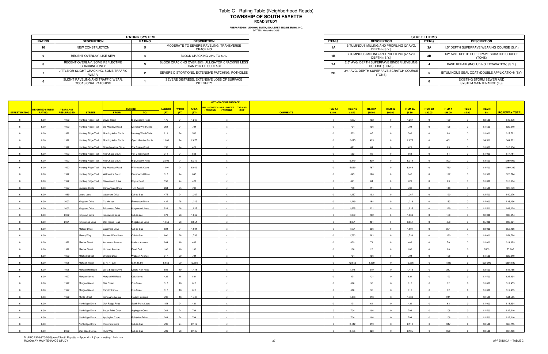# Table C - Rating Table (Neighborhood Roads) **TOWNSHIP OF SOUTH FAYETTEROAD STUDY**

|        |                                                          | <b>RATING SYSTEM</b> |                                                                         |
|--------|----------------------------------------------------------|----------------------|-------------------------------------------------------------------------|
| RATING | <b>DESCRIPTION</b>                                       | <b>RATING</b>        | <b>DESCRIPTION</b>                                                      |
| 10     | NEW CONSTRUCTION                                         |                      | MODERATE TO SEVERE RAVELING, TRANSVERSE<br>CRACKING                     |
|        | RECENT OVERLAY, LIKE NEW                                 |                      | BLOCK CRACKING 25% TO 50%                                               |
|        | RECENT OVERLAY, SOME REFLECTIVE<br>CRACKING ONLY         |                      | BLOCK CRACKING OVER 50%, ALLIGATOR CRACKING LESS<br>THAN 25% OF SURFACE |
|        | LITTLE OR SLIGHT CRACKING, SOME TRAFFIC<br>WEAR          |                      | SEVERE DISTORTIONS, EXTENSIVE PATCHING, POTHOLES                        |
|        | SLIGHT RAVELING AND TRAFFIC WEAR,<br>OCCASIONAL PATCHING |                      | SEVERE DISTRESS, EXTENSIVE LOSS OF SURFACE<br>INTEGRITY                 |

|                             | <b>RATING SYSTEM</b> |                                                                         |
|-----------------------------|----------------------|-------------------------------------------------------------------------|
| <b>TION</b>                 | RATING               | <b>DESCRIPTION</b>                                                      |
| <b>RUCTION</b>              |                      | MODERATE TO SEVERE RAVELING, TRANSVERSE<br>CRACKING                     |
| YY. LIKE NEW                |                      | BLOCK CRACKING 25% TO 50%                                               |
| OME REFLECTIVE<br>a ONLY    |                      | BLOCK CRACKING OVER 50%, ALLIGATOR CRACKING LESS<br>THAN 25% OF SURFACE |
| KING. SOME TRAFFIC          |                      | SEVERE DISTORTIONS. EXTENSIVE PATCHING. POTHOLES                        |
| D TRAFFIC WEAR.<br>PATCHING |                      | SEVERE DISTRESS. EXTENSIVE LOSS OF SURFACE<br>INTEGRITY                 |

|    |                              |                  |                                      |                                         |                         |       |                |                                                     | <b>METHOD OF RESURFACE</b> |                         |                         |         |                |                         |                |                |         |                |          |                      |
|----|------------------------------|------------------|--------------------------------------|-----------------------------------------|-------------------------|-------|----------------|-----------------------------------------------------|----------------------------|-------------------------|-------------------------|---------|----------------|-------------------------|----------------|----------------|---------|----------------|----------|----------------------|
|    | <mark>NEIGHTED STREET</mark> | <b>YEAR LAST</b> |                                      |                                         | <b>TERMINI</b>          |       | LENGTH   WIDTH | MILL / SCRATCH MILL / BINDER TAR AND<br><b>AREA</b> |                            |                         | <b>ITEM 1A</b>          | ITEM 1B | <b>ITEM 2A</b> | ITEM 2B                 | <b>ITEM 3A</b> | <b>ITEM 3B</b> | ITEM4   | ITEM 5         | ITEM 6   |                      |
|    | STREET RATING RATING         | RESURFACED       | <b>STREET</b>                        | <b>FROM:</b>                            | TO:                     | (FT)  | (FT)           | (SY)                                                | / WEARING / WEARING        | CHIP<br><b>COMMENTS</b> | \$3.00                  | \$3.50  | \$85.00        | \$90.00                 | \$8.50         | \$90.00        | \$45.00 | \$5.00         | 5%       | <b>ROADWAY TOTAL</b> |
| 6  | 6.00                         | 1992             | Hunting Ridge Trail Boyce Road       |                                         | <b>Big Meadow Road</b>  | 475   | 24             | 1,267                                               |                            |                         | $\overline{0}$          | 1,267   | 192            | $\overline{0}$          | 1,267          | $\overline{0}$ | 190     | $\Omega$       | \$2,500  | \$40,076             |
|    | 6.00                         | 1992             | Hunting Ridge Trail Big Meadow Road  |                                         | Morning Wind Circle     | 264   | 24             | 704                                                 |                            |                         | $\Omega$                | 704     | 106            |                         | 704            |                | 106     |                | \$1,500  | \$22,210             |
|    | 6.00                         | 1992             |                                      | Hunting Ridge Trail Morning Wind Circle | Morning Wind Circle     | 211   | 24             | 563                                                 |                            |                         | $\overline{0}$          | 563     | 85             |                         | 563            |                | 84      |                | \$1,000  | \$17,781             |
| 6. | 6.00                         | 1992             |                                      | Hunting Ridge Trail Morning Wind Circle | Open Meadow Circle      | 1,003 | 24             | 2,675                                               |                            |                         | $\overline{0}$          | 2,675   | 405            | $\overline{0}$          | 2,675          | $\overline{0}$ | 401     | $\overline{0}$ | \$4,500  | \$84,581             |
|    | 6.00                         | 1992             |                                      | Hunting Ridge Trail Open Meadow Circle  | Fox Chase Court         | 158   | 24             | 421                                                 |                            |                         | $\overline{0}$          | 421     | 64             |                         | 421            | $\overline{0}$ | 63      | $\Omega$       | \$1,000  | \$13,334             |
|    | 6.00                         | 1992             | Hunting Ridge Trail Fox Chase Court  |                                         | Fox Chase Court         | 211   | 24             | 563                                                 |                            |                         | $\Omega$                | 563     | 85             | $\Omega$                | 563            | $\overline{0}$ | 84      | $\Omega$       | \$1,000  | \$17,781             |
| 6  |                              |                  |                                      |                                         |                         |       |                |                                                     | $\mathbf{x}$               |                         | $\overline{0}$          |         |                | $\Omega$                |                | $\overline{0}$ |         | $\Omega$       |          |                      |
|    | 6.00                         | 1992             | Hunting Ridge Trail Fox Chase Court  |                                         | Big Meadow Road         | 2,006 | 24             | 5,349                                               |                            |                         |                         | 5,349   | 809            |                         | 5,349          |                | 802     |                | \$8,500  | \$169,059            |
|    | 6.00                         | 1992             | Hunting Ridge Trail Big Meadow Road  |                                         | <b>Willowwick Court</b> | 1,901 | 24             | 5,069                                               |                            |                         | $\Omega$                | 5,069   | 767            |                         | 5,069          |                | 760     |                | \$8,500  | \$160,239            |
|    | 6.00                         | 1992             | Hunting Ridge Trail Willowwick Court |                                         | Ravenwood Drive         | 317   | 24             | 845                                                 |                            |                         | $\overline{0}$          | 845     | 128            | $\overline{0}$          | 845            | $\overline{0}$ | 127     | $\Omega$       | \$1,500  | \$26,724             |
|    | 6.00                         | 1992             | Hunting Ridge Trail Ravenwood Drive  |                                         | Boyce Road              | 158   | 24             | 421                                                 |                            |                         | $\Omega$                | 421     | 64             | $\Omega$                | 421            | $\Omega$       | 63      | $\sqrt{ }$     | \$1,000  | \$13,334             |
|    | 6.00                         | 1997             | Jackson Circle                       | Cannongate Drive                        | Turn Around             | 264   | 25             | 733                                                 |                            |                         | $\Omega$                | 733     | 111            |                         | 733            |                | 110     |                | \$1,500  | \$23,179             |
| 6  | 6.00                         | 1989             | Jeana Lane                           | Lakemont Drive                          | Cul-de-Sac              | 475   | 24             | 1,267                                               |                            |                         | $\overline{0}$          | 1,267   | 192            | $\overline{\mathbf{0}}$ | 1,267          | $\overline{0}$ | 190     | $\sqrt{ }$     | \$2,500  | \$40,076             |
|    | 6.00                         | 2002             | Kingston Drive                       | Cul-de-sac                              | Princenton Drive        | 422   | 26             | 1,219                                               |                            |                         | $\mathbf{0}$            | 1,219   | 184            |                         | 1,219          | $\overline{0}$ | 183     |                | \$2,000  | \$38,496             |
|    | 6.00                         | 2002             | Kingston Drive                       | Princenton Drive                        | Kingswood Lane          | 528   | 26             | 1,525                                               |                            |                         | $\Omega$                | 1,525   | 231            |                         | 1,525          |                | 229     |                | \$2,500  | \$48,229             |
| 6  | 6.00                         | 2002             | Kingston Drive                       | Kingswood Lane                          | Cul-de-sac              | 370   | 26             | 1,069                                               | $\mathbf{x}$               |                         | $\overline{0}$          | 1,069   | 162            | $\mathbf{0}$            | 1,069          | $\Omega$       | 160     | $\Omega$       | \$2,000  | \$33,814             |
|    | 6.00                         | 2001             | Kingswood Lane                       | Oak Ridge Road                          | Kingsbrook Drive        | 1,056 | 26             | 3,051                                               |                            |                         | $\overline{0}$          | 3,051   | 461            |                         | 3,051          | $\Omega$       | 458     |                | \$5,000  | \$96,391             |
|    | 6.00                         |                  | <b>Mallard Drive</b>                 | Lakemont Drive                          | Cul-de-Sac              | 634   | 24             | 1,691                                               |                            |                         | $\Omega$                | 1,691   | 256            |                         | 1,691          |                | 254     |                | \$3,000  | \$53,466             |
| 6  | 6.00                         |                  | Marley Way                           | Rahner-Wood Lane                        | Cul-de-Sac              | 600   | 26             | 1,733                                               | $\mathbf{x}$               |                         | $\overline{0}$          | 1,733   | 262            |                         | 1,733          | $\overline{0}$ | 260     | $\Omega$       | \$3,000  | \$54,764             |
|    | 6.00                         | 1992             | Martha Street                        | Anderson Avenue                         | Hudson Avenue           | 264   | 16             | 469                                                 |                            |                         | $\Omega$                | 469     | 71             |                         | 469            |                | 70      |                | \$1,000  | \$14,829             |
| 6  | 6.00                         | 1992             | Martha Street                        | Hudson Avenue                           | Dead End                | 106   | 16             | 188                                                 |                            |                         | $\overline{0}$          | 188     | 28             | $\overline{\mathbf{0}}$ | 188            | $\overline{0}$ | 28      | $\overline{0}$ | \$500    | \$5,905              |
| 6  | 6.00                         | 1992             | <b>Mitchell Street</b>               | Orchard Drive                           | Wabash Avenue           | 317   | 20             | 704                                                 |                            |                         | $\overline{0}$          | 704     | 106            | $\Omega$                | 704            | $\overline{0}$ | 106     | $\Omega$       | \$1,500  | \$22,210             |
|    |                              |                  |                                      |                                         |                         |       |                |                                                     |                            |                         | $\overline{0}$          |         |                |                         |                |                |         |                |          |                      |
|    | 6.00                         | 1998             | Mohawk Road                          | S. H. R. 978                            | S. H. R. 50             | 5,650 | 20             | 12,556                                              |                            |                         |                         | 12,556  | 1,899          |                         | 12,556         |                | 1,883   |                | \$20,000 | \$396,840            |
| 6  | 6.00                         | 1996             | Morgan Hill Road                     | West Bridge Drive                       | Millers Run Road        | 686   | 19             | 1,448                                               | $\mathbf{x}$               |                         | $\overline{0}$          | 1,448   | 219            | $\Omega$                | 1,448          | $\overline{0}$ | 217     | $\Omega$       | \$2,500  | \$45,765             |
| 6  | 6.00                         | 1997             | Morgan Street                        | Morgan Hill Road                        | Oak Street              | 422   | 18             | 821                                                 |                            |                         | $\overline{0}$          | 821     | 124            | $\mathbf{0}$            | 821            | $\overline{0}$ | 123     | $\Omega$       | \$1,500  | \$25,934             |
|    | 6.00                         | 1997             | Morgan Street                        | Oak Street                              | Elm Street              | 317   | 18             | 616                                                 |                            |                         | $\overline{0}$          | 616     | 93             |                         | 616            |                | 92      |                | \$1,000  | \$19,455             |
|    | 6.00                         | 1997             | Morgan Street                        | Park Entrance                           | Elm Street              | 317   | 18             | 616                                                 |                            |                         | $\Omega$                | 616     | 93             |                         | 616            |                | 92      |                | \$1,000  | \$19,455             |
|    | 6.00                         | 1992             | Myrtle Street                        | Seminary Avenue                         | Hudson Avenue           | 792   | 16             | 1,408                                               |                            |                         | $\overline{0}$          | 1,408   | 213            |                         | 1,408          |                | 211     |                | \$2,500  | \$44,505             |
|    | 6.00                         |                  | Northridge Drive    Qak Ridge Road   |                                         | South Point Court       | 158   | 24             | 421                                                 |                            |                         | $\overline{0}$          | 421     | 64             | $\overline{0}$          | 421            | $\Omega$       | 63      | $\Omega$       | \$1,000  | \$13,334             |
| 6  | 6.00                         |                  | Northridge Drive South Point Court   |                                         | Appleglen Court         | 264   | 24             | 704                                                 | $\mathbf{x}$               |                         | $\overline{\mathbf{0}}$ | 704     | 106            | $\overline{\mathbf{0}}$ | 704            | $\overline{0}$ | 106     | $\overline{0}$ | \$1,500  | \$22,210             |
|    | 6.00                         |                  | Northridge Drive Appleglen Court     |                                         | Pointview Drive         | 264   | 24             | 704                                                 |                            |                         | $\overline{0}$          | 704     | 106            | $\overline{0}$          | 704            | $\overline{0}$ | 106     | $\overline{0}$ | \$1,500  | \$22,210             |
| 6  | 6.00                         |                  | Northridge Drive Pointview Drive     |                                         | Cul-de-Sac              | 792   | 24             | 2,112                                               | $\mathbf{x}$               |                         | $\overline{0}$          | 2,112   | 319            | $\overline{0}$          | 2,112          | $\overline{0}$ | 317     | $\overline{0}$ | \$3,500  | \$66,715             |
|    | 6.00                         | 2002             | Oak Wood Circle Ruth Way             |                                         | Cul-de-Sac              | 739   | 26             | 2,135                                               |                            |                         | $\overline{0}$          | 2,135   | 323            | $\Omega$                | 2,135          | $\Omega$       | 320     |                | \$3,500  | \$67,486             |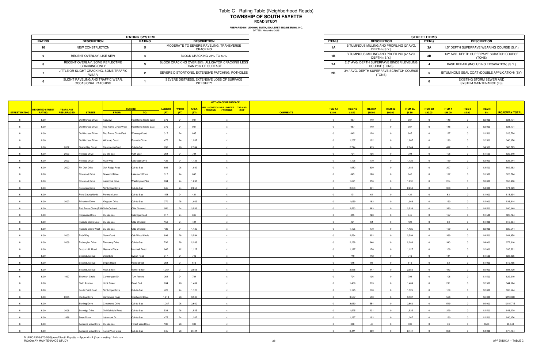## Table C - Rating Table (Neighborhood Roads) **TOWNSHIP OF SOUTH FAYETTEROAD STUDY**

|        |                                                          | <b>RATING SYSTEM</b> |                                                                         |
|--------|----------------------------------------------------------|----------------------|-------------------------------------------------------------------------|
| RATING | <b>DESCRIPTION</b>                                       | <b>RATING</b>        | <b>DESCRIPTION</b>                                                      |
| 10     | NEW CONSTRUCTION                                         |                      | MODERATE TO SEVERE RAVELING, TRANSVERSE<br>CRACKING                     |
|        | RECENT OVERLAY, LIKE NEW                                 |                      | BLOCK CRACKING 25% TO 50%                                               |
|        | RECENT OVERLAY. SOME REFLECTIVE<br><b>CRACKING ONLY</b>  |                      | BLOCK CRACKING OVER 50%, ALLIGATOR CRACKING LESS<br>THAN 25% OF SURFACE |
|        | LITTLE OR SLIGHT CRACKING, SOME TRAFFIC<br><b>WEAR</b>   |                      | SEVERE DISTORTIONS, EXTENSIVE PATCHING, POTHOLES                        |
|        | SLIGHT RAVELING AND TRAFFIC WEAR.<br>OCCASIONAL PATCHING |                      | SEVERE DISTRESS, EXTENSIVE LOSS OF SURFACE<br><b>INTEGRITY</b>          |

|                             | <b>RATING SYSTEM</b> |                                                                         |
|-----------------------------|----------------------|-------------------------------------------------------------------------|
| <b>TION</b>                 | RATING               | <b>DESCRIPTION</b>                                                      |
| <b>RUCTION</b>              |                      | MODERATE TO SEVERE RAVELING, TRANSVERSE<br>CRACKING                     |
| YY. LIKE NEW                |                      | BLOCK CRACKING 25% TO 50%                                               |
| OME REFLECTIVE<br>a ONLY    |                      | BLOCK CRACKING OVER 50%, ALLIGATOR CRACKING LESS<br>THAN 25% OF SURFACE |
| KING. SOME TRAFFIC          |                      | SEVERE DISTORTIONS. EXTENSIVE PATCHING. POTHOLES                        |
| D TRAFFIC WEAR.<br>PATCHING |                      | SEVERE DISTRESS. EXTENSIVE LOSS OF SURFACE<br>INTEGRITY                 |

|                      |                                         |                                       |                                  |                                                             |                      |               |              |             | <b>METHOD OF RESURFACE</b>           |             |                           |         |                |                         |                |                |         |                |         |                      |
|----------------------|-----------------------------------------|---------------------------------------|----------------------------------|-------------------------------------------------------------|----------------------|---------------|--------------|-------------|--------------------------------------|-------------|---------------------------|---------|----------------|-------------------------|----------------|----------------|---------|----------------|---------|----------------------|
|                      |                                         |                                       |                                  |                                                             | <b>TERMINI</b>       | <b>LENGTH</b> | <b>WIDTH</b> | <b>AREA</b> | MILL / SCRATCH MILL / BINDER TAR AND |             | <b>ITEM 1A</b>            | ITEM 1B | <b>ITEM 2A</b> | ITEM 2B                 | <b>ITEM 3A</b> | <b>ITEM 3B</b> | ITEM 4  | ITEM 5         | ITEM 6  |                      |
| <b>STREET RATING</b> | <b>NEIGHTED STREET</b><br><b>RATING</b> | <b>YEAR LAST</b><br><b>RESURFACED</b> | <b>STREET</b>                    | FROM:                                                       | TO:                  | (FT)          | (FT)         | (SY)        | / WEARING<br>/ WEARING               | <b>CHIP</b> | <b>COMMENTS</b><br>\$3.00 | \$3.50  | \$85.00        | \$90.00                 | \$8.50         | \$90.00        | \$45.00 | \$5.00         | $-5\%$  | <b>ROADWAY TOTAL</b> |
| 6                    | 6.00                                    |                                       | Old Orchard Drive                | Fairview                                                    | Red Rome Circle West | 370           | 24           | 987         | $\mathbf{x}$                         |             | $\overline{0}$            | 987     | 149            | $\Omega$                | 987            | $\overline{0}$ | 148     | $\Omega$       | \$2,000 | \$31,171             |
|                      | 6.00                                    |                                       |                                  | Old Orchard Drive Red Rome Circle West Red Rome Circle East |                      | 370           | 24           | 987         |                                      |             |                           | 987     | 149            |                         | 987            |                | 148     |                | \$2,000 | \$31,171             |
|                      |                                         |                                       |                                  |                                                             |                      |               |              |             |                                      |             |                           |         |                |                         |                |                |         |                |         |                      |
|                      | 6.00                                    |                                       | Old Orchard Drive                | Red Rome Circle East                                        | <b>Winesap Court</b> | 317           | 24           | 845         |                                      |             | $\overline{0}$            | 845     | 128            |                         | 845            |                | 127     |                | \$1,500 | \$26,724             |
|                      | 6.00                                    |                                       | Old Orchard Drive Winesap Court  |                                                             | Russets Circle       | 475           | 24           | 1,267       |                                      |             | $\overline{0}$            | 1,267   | 192            | $\Omega$                | 1,267          |                | 190     | $\Omega$       | \$2,500 | \$40,076             |
|                      | 6.00                                    | 2002                                  | Oyster Bay Court                 | Calendonia Court                                            | Cul-de-Sac           | 950           | 26           | 2,744       |                                      |             | $\Omega$                  | 2,744   | 415            | $\Omega$                | 2,744          |                | 412     |                | \$4,500 | \$86,725             |
|                      | 6.00                                    | 2003                                  | Petricca Drive                   | Cul-de-Sac                                                  | Ruth Way             | 264           | 24           | 704         | $\mathbf{x}$                         |             | $\overline{0}$            | 704     | 106            | $\overline{0}$          | 704            | $\overline{0}$ | 106     | $\Omega$       | \$1,500 | \$22,210             |
|                      | 6.00                                    | 2003                                  | Petricca Drive                   | Ruth Way                                                    | Oakridge Drive       | 422           | 24           | 1,125       | $\mathbf{x}$                         |             | $\overline{0}$            | 1,125   | 170            | $\overline{0}$          | 1,125          | $\overline{0}$ | 169     | $\Omega$       | \$2,000 | \$35,544             |
|                      | 6.00                                    | 2002                                  | Pin Oak Drive                    | Oak Ridge Road                                              | Cul-de-Sac           | 686           | 26           | 1,982       |                                      |             | $\Omega$                  | 1,982   | 300            | $\Omega$                | 1,982          |                | 297     |                | \$3,500 | \$62,663             |
|                      | 6.00                                    |                                       | Pinewood Drive                   | <b>Boxwood Drive</b>                                        | Lakemont Drive       | 317           | 24           | 845         | $\mathbf{x}$                         |             | $\Omega$                  | 845     | 128            | $\Omega$                | 845            | $\Omega$       | 127     | $\Omega$       | \$1,500 | \$26,724             |
|                      | 6.00                                    |                                       | Pinewood Drive                   | Lakemont Drive                                              | Washington Pike      | 634           | 24           | 1,691       | $\mathbf{x}$                         |             | $\Omega$                  | 1,691   | 256            | $\Omega$                | 1,691          | $\Omega$       | 254     |                | \$3,000 | \$53,466             |
|                      | 6.00                                    |                                       | Pointview Drive                  | Northridge Drive                                            | Cul-de-Sac           | 845           | 24           | 2,253       |                                      |             |                           | 2,253   | 341            |                         | 2,253          |                | 338     |                | \$4,000 | \$71,229             |
|                      |                                         |                                       |                                  |                                                             |                      |               |              |             |                                      |             | $\mathbf{0}$              |         |                |                         |                |                |         |                |         |                      |
|                      | 6.00                                    |                                       | Pond Court (North)               | Portman Lane                                                | Cul-de-Sac           | 158           | 24           | 421         |                                      |             |                           | 421     | 64             | $\overline{0}$          | 421            |                | 63      |                | \$1,000 | \$13,334             |
|                      | 6.00                                    | 2002                                  | Princeton Drive                  | Kingston Drive                                              | Cul-de-Sac           | 370           | 26           | 1,069       |                                      |             | $\Omega$                  | 1,069   | 162            | $\overline{0}$          | 1,069          | $\overline{0}$ | 160     |                | \$2,000 | \$33,814             |
|                      | 6.00                                    |                                       | Red Rome Circle (E&WOlde Orchard |                                                             | Olde Orchard         | 950           | 24           | 2,533       |                                      |             | $\Omega$                  | 2,533   | 383            |                         | 2,533          |                | 380     |                | \$4,500 | \$80,049             |
|                      | 6.00                                    |                                       | <b>Ridgeview Drive</b>           | Cul-de-Sac                                                  | Oakridge Road        | 317           | 24           | 845         |                                      |             | $\overline{0}$            | 845     | 128            | $\overline{0}$          | 845            | $\Omega$       | 127     | $\Omega$       | \$1,500 | \$26,724             |
|                      | 6.00                                    |                                       | Russets Circle East Cul-de-Sac   |                                                             | Olde Orchard         | 158           | 24           | 421         |                                      |             | $\overline{0}$            | 421     | 64             | $\Omega$                | 421            |                | 63      |                | \$1,000 | \$13,334             |
|                      | 6.00                                    |                                       | Russets Circle West Cul-de-Sac   |                                                             | Olde Orchard         | 422           | 24           | 1,125       |                                      |             | $\Omega$                  | 1,125   | 170            |                         | 1,125          |                | 169     |                | \$2,000 | \$35,544             |
|                      | 6.00                                    | 2003                                  | Ruth Way                         | Gene Court                                                  | Oak Wood Circle      | 898           | 26           | 2,594       | $\mathbf{x}$                         |             | $\overline{0}$            | 2,594   | 392            | $\overline{0}$          | 2,594          | $\overline{0}$ | 389     |                | \$4,500 | \$81,958             |
|                      | 6.00                                    | 2006                                  | Rutherglen Drive                 | <b>Turnberry Drive</b>                                      | Cul-de-Sac           | 792           | 26           | 2,288       |                                      |             | $\Omega$                  | 2,288   | 346            |                         | 2,288          |                | 343     |                | \$4,000 | \$72,310             |
| $6^{\circ}$          | 6.00                                    |                                       | Scotch Hill Road                 | Massaro Place                                               | Marshall Road        | 845           | 12           | 1,127       | $\mathbf{x}$                         |             | $\overline{0}$            | 1,127   | 170            | $\overline{0}$          | 1,127          | $\overline{0}$ | 169     | $\overline{0}$ | \$2,000 | \$35,581             |
|                      |                                         |                                       |                                  |                                                             |                      |               |              |             |                                      |             |                           |         |                |                         |                | $\Omega$       |         |                |         |                      |
|                      | 6.00                                    |                                       | Second Avenue                    | Dead End                                                    | Sygan Road           | 317           | 21           | 740         |                                      |             | $\overline{0}$            | 740     | 112            | $\Omega$                | 740            |                | 111     | $\Omega$       | \$1,500 | \$23,395             |
|                      | 6.00                                    |                                       | Second Avenue                    | Sygan Road                                                  | <b>Hook Street</b>   | 264           | 21           | 616         |                                      |             | $\Omega$                  | 616     | 93             |                         | 616            |                | 92      |                | \$1,000 | \$19,455             |
|                      | 6.00                                    |                                       | Second Avenue                    | <b>Hook Street</b>                                          | Verner Street        | 1,267         | 21           | 2,956       | $\mathbf{x}$                         |             | $\overline{0}$            | 2,956   | 447            | $\Omega$                | 2,956          |                | 443     |                | \$5,000 | \$93,420             |
|                      | 6.00                                    | 1997                                  | Sherman Circle                   | Cannongate Dr.                                              | Turn Around          | 264           | 24           | 704         | $\mathbf{x}$                         |             | $\Omega$                  | 704     | 106            | $\Omega$                | 704            | $\Omega$       | 106     | $\Omega$       | \$1,500 | \$22,210             |
|                      | 6.00                                    |                                       | Sixth Avenue                     | <b>Hook Street</b>                                          | Dead End             | 634           | 20           | 1,409       |                                      |             | $\mathbf{0}$              | 1,409   | 213            |                         | 1,409          |                | 211     |                | \$2,500 | \$44,524             |
|                      | 6.00                                    |                                       | South Point Court                | Northridge Drive                                            | Cul-de-Sac           | 422           | 24           | 1,125       |                                      |             | $\Omega$                  | 1,125   | 170            | - 0                     | 1,125          |                | 169     |                | \$2,000 | \$35,544             |
|                      | 6.00                                    | 2005                                  | <b>Sterling Drive</b>            | <b>Battleridge Road</b>                                     | Crestwood Drive      | 1,214         | 26           | 3,507       |                                      |             | $\overline{0}$            | 3,507   | 530            | $\overline{0}$          | 3,507          | $\overline{0}$ | 526     | $\overline{0}$ | \$6,000 | \$110,806            |
|                      | 6.00                                    |                                       | <b>Sterling Drive</b>            | Crestwood Drive                                             | Cul-de-Sac           | 1,267         | 26           | 3,660       |                                      |             | $\Omega$                  | 3,660   | 554            | $\overline{0}$          | 3,660          | $\Omega$       | 549     | $\sqrt{ }$     | \$6,000 | \$115,715            |
| $6\overline{6}$      | 6.00                                    | 2006                                  | Sunridge Drive                   | Old Oakdale Road                                            | Cul-de-Sac           | 528           | 26           | 1,525       | $\mathbf{x}$                         |             | $\overline{0}$            | 1,525   | 231            | $\overline{\mathbf{0}}$ | 1,525          | $\overline{0}$ | 229     | $\overline{0}$ | \$2,500 | \$48,229             |
|                      |                                         |                                       |                                  |                                                             |                      |               |              |             |                                      |             |                           |         |                |                         |                |                |         |                |         |                      |
|                      | 6.00                                    | 1996                                  | Swan Drive                       | Lakemont Dr.                                                | Cul-de-Sac           | 475           | 24           | 1,267       |                                      |             | $\overline{0}$            | 1,267   | 192            | $\overline{\mathbf{0}}$ | 1,267          | $\overline{0}$ | 190     | $\overline{0}$ | \$2,500 | \$40,076             |
|                      | 6.00                                    |                                       | Terrance View Drive Cul-de-Sac   |                                                             | Forest View Drive    | 106           | 26           | 306         | $\mathbf{x}$                         |             | $\overline{0}$            | 306     | 46             | $\overline{0}$          | 306            | $\overline{0}$ | 46      | $\overline{0}$ | \$500   | \$9,648              |
|                      | 6.00                                    |                                       |                                  | Terrance View Drive Forest View Drive                       | Cul-de-Sac           | 845           | 26           | 2,441       |                                      |             | $\Omega$                  | 2,441   | 369            | $\Omega$                | 2,441          |                | 366     |                | \$4,000 | \$77,134             |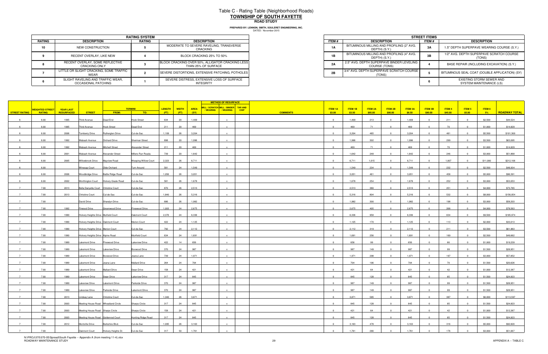## Table C - Rating Table (Neighborhood Roads) **TOWNSHIP OF SOUTH FAYETTEROAD STUDY**

|        |                                                          | <b>RATING SYSTEM</b> |                                                                         |
|--------|----------------------------------------------------------|----------------------|-------------------------------------------------------------------------|
| RATING | <b>DESCRIPTION</b>                                       | <b>RATING</b>        | <b>DESCRIPTION</b>                                                      |
| 10     | NEW CONSTRUCTION                                         |                      | MODERATE TO SEVERE RAVELING, TRANSVERSE<br>CRACKING                     |
|        | RECENT OVERLAY, LIKE NEW                                 |                      | BLOCK CRACKING 25% TO 50%                                               |
|        | RECENT OVERLAY, SOME REFLECTIVE<br><b>CRACKING ONLY</b>  |                      | BLOCK CRACKING OVER 50%, ALLIGATOR CRACKING LESS<br>THAN 25% OF SURFACE |
|        | LITTLE OR SLIGHT CRACKING, SOME TRAFFIC<br>WEAR          |                      | SEVERE DISTORTIONS, EXTENSIVE PATCHING, POTHOLES                        |
|        | SLIGHT RAVELING AND TRAFFIC WEAR.<br>OCCASIONAL PATCHING |                      | SEVERE DISTRESS. EXTENSIVE LOSS OF SURFACE<br><b>INTEGRITY</b>          |

|                             | <b>RATING SYSTEM</b> |                                                                         |
|-----------------------------|----------------------|-------------------------------------------------------------------------|
| <b>TION</b>                 | RATING               | <b>DESCRIPTION</b>                                                      |
| <b>RUCTION</b>              |                      | MODERATE TO SEVERE RAVELING, TRANSVERSE<br>CRACKING                     |
| YY. LIKE NEW                |                      | BLOCK CRACKING 25% TO 50%                                               |
| OME REFLECTIVE<br>a ONLY    |                      | BLOCK CRACKING OVER 50%, ALLIGATOR CRACKING LESS<br>THAN 25% OF SURFACE |
| KING. SOME TRAFFIC          |                      | SEVERE DISTORTIONS. EXTENSIVE PATCHING. POTHOLES                        |
| D TRAFFIC WEAR.<br>PATCHING |                      | SEVERE DISTRESS. EXTENSIVE LOSS OF SURFACE<br>INTEGRITY                 |

|                      |                 |                   |                                      |                           |                             |                               |             | <b>METHOD OF RESURFACE</b>              |                 |                         |                |                |                         |                |                |         |                |          |                      |
|----------------------|-----------------|-------------------|--------------------------------------|---------------------------|-----------------------------|-------------------------------|-------------|-----------------------------------------|-----------------|-------------------------|----------------|----------------|-------------------------|----------------|----------------|---------|----------------|----------|----------------------|
|                      | VEIGHTED STREET | <b>YEAR LAST</b>  |                                      |                           | <b>TERMINI</b>              | <b>LENGTH</b><br><b>WIDTH</b> | <b>AREA</b> | MILL / SCRATCH MILL / BINDER TAR AND    |                 | <b>ITEM 1A</b>          | <b>ITEM 1B</b> | <b>ITEM 2A</b> | ITEM 2B                 | <b>ITEM 3A</b> | <b>ITEM 3B</b> | ITEM 4  | <b>ITEM 5</b>  | ITEM 6   |                      |
| <b>STREET RATING</b> | <b>RATING</b>   | <b>RESURFACED</b> | <b>STREET</b>                        | <b>FROM:</b>              | TO:                         | (FT)<br>(FT)                  | (SY)        | / WEARING  <br>/ WEARING<br><b>CHIP</b> | <b>COMMENTS</b> | \$3.00                  | \$3.50         | \$85.00        | \$90.00                 | \$8.50         | \$90.00        | \$45.00 | \$5.00         | 5%       | <b>ROADWAY TOTAL</b> |
| 6                    | 6.00            | 1995              | Third Avenue                         | Dead End                  | <b>Hook Street</b>          | 634<br>20                     | 1,409       |                                         |                 | $\overline{0}$          | 1,409          | 213            | $\overline{0}$          | 1,409          | $\mathbf{0}$   | 211     | $\Omega$       | \$2,500  | \$44,524             |
|                      | 6.00            | 1995              | <b>Third Avenue</b>                  | <b>Hook Street</b>        | Dead End                    | 211<br>20                     | 469         |                                         |                 |                         | 469            | 71             |                         | 469            |                | 70      |                | \$1,000  | \$14,829             |
|                      | 6.00            | 2006              | <b>Turnberry Drive</b>               | Rutherglen Drive          | Cul-de-Sac                  | 1,109<br>26                   | 3,204       |                                         |                 | $\Omega$                | 3,204          | 485            |                         | 3,204          |                | 481     |                | \$5,500  | \$101,300            |
|                      | 6.00            | 1992              | Wabash Avenue                        | Orchard Drive             | <b>Sherman Street</b>       | 898<br>20                     | 1,996       | $\mathbf{x}$                            |                 | $\overline{0}$          | 1,996          | 302            | $\overline{0}$          | 1,996          | $\Omega$       | 299     | $\Omega$       | \$3,500  | \$63,095             |
|                      |                 |                   |                                      |                           |                             |                               |             |                                         |                 |                         |                |                |                         |                |                |         |                |          |                      |
|                      | 6.00            | 1992              | Wabash Avenue                        | <b>Mitchell Street</b>    | Alexander Street            | 211<br>20                     | 469         |                                         |                 | $\overline{0}$          | 469            | 71             | $\Omega$                | 469            |                | 70      | $\sqrt{ }$     | \$1,000  | \$14,829             |
|                      | 6.00            | 2001              | Wabash Avenue                        | Alexander Street          | Millers Run Roada           | 739<br>20                     | 1,642       |                                         |                 | $\Omega$                | 1,642          | 248            | $\overline{0}$          | 1,642          | $\sim$         | 246     | $\overline{0}$ | \$3,000  | \$51,868             |
|                      | 6.00            | 2005              | Willowbrook Drive                    | Mayview Road              | <b>Weeping Willow Court</b> | 2,323<br>26                   | 6,711       | $\mathbf{x}$                            |                 | $\overline{0}$          | 6,711          | 1,015          | $\overline{0}$          | 6,711          | $\overline{0}$ | 1,007   | $\Omega$       | \$11,000 | \$212,106            |
|                      | 6.00            |                   | <b>Winesap Court</b>                 | Olde Orchard              | Turn Around                 | 581<br>24                     | 1,549       |                                         |                 | $\Omega$                | 1,549          | 234            | $\Omega$                | 1,549          |                | 232     |                | \$2,500  | \$48,934             |
|                      | 6.00            | 2006              | <b>Woodbridge Drive</b>              | <b>Battle Ridge Road</b>  | Cul-de-Sac                  | 1,056<br>26                   | 3,051       | $\mathbf{x}$                            |                 | $\overline{0}$          | 3,051          | 461            | $\overline{0}$          | 3,051          | $\overline{0}$ | 458     | $\overline{0}$ | \$5,000  | \$96,391             |
|                      | 6.00            | 2002              | <b>Worthington Court</b>             | <b>Hickory Grade Road</b> | Cul-de-Sac                  | 581<br>26                     | 1,678       | $\mathbf{x}$                            |                 | $\overline{0}$          | 1,678          | 254            | $\Omega$                | 1,678          | $\Omega$       | 252     | $\Omega$       | \$3,000  | \$53,053             |
|                      | 7.00            | 2013              | Bella Danyella Court Christine Court |                           | Cul-de-Sac                  | 870<br>26                     | 2,513       |                                         |                 | $\Omega$                | 2,513          | 380            |                         | 2,513          |                | 251     |                | \$4,000  | \$73,765             |
| $\overline{7}$       | 7.00            | 2013              | <b>Christine Court</b>               | Cul-de-Sac                | Cul-de-Sac                  | 1,840<br>26                   | 5,316       | $\mathbf{x}$                            |                 | $\Omega$                | 5,316          | 804            | $\Omega$                | 5,316          |                | 532     |                | \$8,000  | \$156,054            |
| $\overline{7}$       | 7.00            |                   | David Drive                          | Sharalyn Drive            | Cul-de-Sac                  | 26<br>686                     | 1,982       | $\mathbf{x}$                            |                 | $\Omega$                | 1,982          | 300            | $\Omega$                | 1,982          | $\overline{0}$ | 198     | $\Omega$       | \$3,000  | \$58,203             |
|                      | 7.00            | 1992              | Firwood Drive                        | Greenwood Drive           | Pinewood Drive              | 1,003<br>24                   | 2,675       |                                         |                 | $\mathbf{0}$            | 2,675          | 405            |                         | 2,675          |                | 268     |                | \$4,000  | \$78,563             |
| $\overline{7}$       | 7.00            | 1990              | Hickory Heights Drive Muifield Court |                           | Oakmont Court               | 2,376<br>24                   | 6,336       |                                         |                 | $\overline{0}$          | 6,336          | 958            | $\overline{0}$          | 6,336          | $\Omega$       | 634     |                | \$9,500  | \$185,974            |
|                      |                 |                   |                                      |                           |                             |                               |             |                                         |                 | $\Omega$                |                |                | $\Omega$                |                |                |         |                |          |                      |
|                      | 7.00            | 1990              | Hickory Heights Drive Oakmont Court  |                           | Merion Court                | 422<br>24                     | 1,125       |                                         |                 |                         | 1,125          | 170            |                         | 1,125          |                | 113     |                | \$2,000  | \$33,013             |
|                      | 7.00            | 1990              | Hickory Heights Drive Merion Court   |                           | Cul-de-Sac                  | 792<br>24                     | 2,112       |                                         |                 | $\Omega$                | 2,112          | 319            |                         | 2,112          |                | 211     |                | \$3,500  | \$61,963             |
| 7                    | 7.00            | 1990              | Hickory Heights Drive Alpine Road    |                           | Muirfield Court             | 634<br>24                     | 1,691       | $\mathbf{x}$                            |                 | $\overline{0}$          | 1,691          | 256            | $\overline{0}$          | 1,691          | $\overline{0}$ | 169     | $\Omega$       | \$2,500  | \$49,662             |
| $\overline{7}$       | 7.00            | 1989              | Lakemont Drive                       | Pinewood Drive            | Lakeview Drive              | 422<br>14                     | 656         |                                         |                 | $\Omega$                | 656            | 99             |                         | 656            |                | 66      |                | \$1,000  | \$19,239             |
| $\overline{7}$       | 7.00            | 1989              | Lakemont Drive                       | Lakeview Drive            | Boxwood Drive               | 370<br>24                     | 987         | $\mathbf{x}$                            |                 | $\overline{0}$          | 987            | 149            | $\overline{0}$          | 987            | $\overline{0}$ | 99      | $\overline{0}$ | \$1,500  | \$28,951             |
| $\overline{7}$       | 7.00            | 1989              | Lakemont Drive                       | Boxwood Drive             | Jeana Lane                  | 739<br>24                     | 1,971       | $\mathbf{x}$                            |                 | $\Omega$                | 1,971          | 298            | $\overline{0}$          | 1,971          |                | 197     |                | \$3,000  | \$57,852             |
| $\overline{7}$       | 7.00            | 1989              | Lakemont Drive                       | Jeana Lane                | Mallard Drive               | 264<br>24                     | 704         |                                         |                 | $\Omega$                | 704            | 106            | $\Omega$                | 704            |                | 70      |                | \$1,500  | \$20,626             |
| 7                    | 7.00            | 1989              | Lakemont Drive                       | <b>Mallard Drive</b>      | Swan Drive                  | 158<br>24                     | 421         | $\mathbf{x}$                            |                 | $\overline{0}$          | 421            | 64             | $\overline{0}$          | 421            | $\Omega$       | 42      | $\Omega$       | \$1,000  | \$12,387             |
| $\overline{7}$       | 7.00            | 1989              | Lakemont Drive                       | Swan Drive                | <b>Lakeview Drive</b>       | 317<br>24                     | 845         |                                         |                 | $\Omega$                | 845            | 128            | $\overline{0}$          | 845            | $\overline{0}$ | 85      | $\Omega$       | \$1,500  | \$24,823             |
|                      | 7.00            | 1989              | Lakeview Drive                       | Lakemont Drive            | Parkside Drive              | 370<br>24                     | 987         |                                         |                 | $\Omega$                | 987            | 149            |                         | 987            |                | 99      |                | \$1,500  | \$28,951             |
|                      | 7.00            | 1989              | Lakeview Drive                       | Parkside Drive            | <b>Lakemont Drive</b>       | 370<br>24                     | 987         |                                         |                 | $\Omega$                | 987            | 149            |                         | 987            |                | 99      |                | \$1,500  | \$28,951             |
|                      |                 |                   |                                      |                           |                             |                               |             |                                         |                 |                         |                |                |                         |                |                |         |                |          |                      |
|                      | 7.00            | 2013              | indsay Lane                          | Christine Court           | Cul-de-Sac                  | 1,340<br>26                   | 3,871       | $\mathsf{x}$                            |                 | $\mathbf 0$             | 3,871          | 585            | $\Omega$                | 3,871          |                | 387     |                | \$6,000  | \$113,597            |
| 7                    | 7.00            | 2003              | Meeting House Road Wheatland Circle  |                           | Sharps Circle               | 317<br>24                     | 845         |                                         |                 | $\Omega$                | 845            | 128            | $\overline{0}$          | 845            |                | 85      |                | \$1,500  | \$24,823             |
| 7                    | 7.00            | 2003              | Meeting House Road Sharps Circle     |                           | <b>Sharps Circle</b>        | 158<br>24                     | 421         | $\mathbf{x}$                            |                 | $\overline{\mathbf{0}}$ | 421            | 64             | $\overline{\mathbf{0}}$ | 421            | $\overline{0}$ | 42      | $\overline{0}$ | \$1,000  | \$12,387             |
| 7                    | 7.00            | 2003              | Meeting House Road Goldenrod Court   |                           | Hunting Ridge Road          | 317<br>24                     | 845         | $\mathbf{x}$                            |                 | $\overline{0}$          | 845            | 128            | $\overline{0}$          | 845            | $\overline{0}$ | 85      | $\Omega$       | \$1,500  | \$24,823             |
| 7                    | 7.00            | 2012              | Montville Drive                      | Berkshire Blvd.           | Cul-de-Sac                  | 1,095<br>26                   | 3,163       | $\mathbf{x}$                            |                 | $\overline{\mathbf{0}}$ | 3,163          | 478            | $\overline{\mathbf{0}}$ | 3,163          | $\overline{0}$ | 316     | $\overline{0}$ | \$5,000  | \$92,820             |
| 7                    | 7.00            |                   | Oakmont Court                        | Hickory Heights Dr.       | Cul-de-Sac                  | 317<br>50                     | 1,761       | $\mathbf{x}$                            |                 | $\overline{0}$          | 1,761          | 266            | $\overline{0}$          | 1,761          | $\Omega$       | 176     | $\Omega$       | \$3,000  | \$51,667             |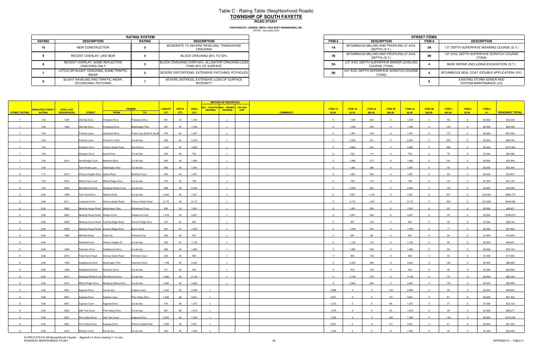## Table C - Rating Table (Neighborhood Roads) **TOWNSHIP OF SOUTH FAYETTEROAD STUDY**

**PREPARED BY: LENNON, SMITH, SOULERET ENGINEERING, INC.**

|        |                                                          | <b>RATING SYSTEM</b> |                                                                         |
|--------|----------------------------------------------------------|----------------------|-------------------------------------------------------------------------|
| RATING | <b>DESCRIPTION</b>                                       | <b>RATING</b>        | <b>DESCRIPTION</b>                                                      |
| 10     | NEW CONSTRUCTION                                         |                      | MODERATE TO SEVERE RAVELING, TRANSVERSE<br><b>CRACKING</b>              |
|        | RECENT OVERLAY, LIKE NEW                                 |                      | BLOCK CRACKING 25% TO 50%                                               |
|        | RECENT OVERLAY. SOME REFLECTIVE<br><b>CRACKING ONLY</b>  |                      | BLOCK CRACKING OVER 50%, ALLIGATOR CRACKING LESS<br>THAN 25% OF SURFACE |
|        | LITTLE OR SLIGHT CRACKING, SOME TRAFFIC<br><b>WEAR</b>   |                      | SEVERE DISTORTIONS, EXTENSIVE PATCHING, POTHOLES                        |
|        | SLIGHT RAVELING AND TRAFFIC WEAR.<br>OCCASIONAL PATCHING |                      | SEVERE DISTRESS. EXTENSIVE LOSS OF SURFACE<br><b>INTEGRITY</b>          |

|                             | <b>RATING SYSTEM</b> |                                                                         |
|-----------------------------|----------------------|-------------------------------------------------------------------------|
| <b>TION</b>                 | RATING               | <b>DESCRIPTION</b>                                                      |
| <b>RUCTION</b>              |                      | MODERATE TO SEVERE RAVELING, TRANSVERSE<br>CRACKING                     |
| YY. LIKE NEW                |                      | BLOCK CRACKING 25% TO 50%                                               |
| OME REFLECTIVE<br>a ONLY    |                      | BLOCK CRACKING OVER 50%, ALLIGATOR CRACKING LESS<br>THAN 25% OF SURFACE |
| KING. SOME TRAFFIC          |                      | SEVERE DISTORTIONS. EXTENSIVE PATCHING. POTHOLES                        |
| D TRAFFIC WEAR.<br>PATCHING |                      | SEVERE DISTRESS. EXTENSIVE LOSS OF SURFACE<br>INTEGRITY                 |

|                      |                        |                  |                                     |                                            |                           |               |              |             | <b>METHOD OF RESURFACE</b>                               |             |                           |                |                         |                         |                |                |         |                |          |                      |
|----------------------|------------------------|------------------|-------------------------------------|--------------------------------------------|---------------------------|---------------|--------------|-------------|----------------------------------------------------------|-------------|---------------------------|----------------|-------------------------|-------------------------|----------------|----------------|---------|----------------|----------|----------------------|
|                      | <b>WEIGHTED STREET</b> | <b>YEAR LAST</b> |                                     |                                            | <b>TERMINI</b>            | <b>LENGTH</b> | <b>WIDTH</b> | <b>AREA</b> | MILL / SCRATCH MILL / BINDER TAR AND<br>/WEARING WEARING | <b>CHIP</b> | <b>ITEM 1A</b>            | ITEM1B         | <b>ITEM 2A</b>          | ITEM 2B                 | <b>ITEM 3A</b> | <b>ITEM 3B</b> | ITEM4   | ITEM 5         | ITEM 6   |                      |
| <b>STREET RATING</b> | <b>RATING</b>          | RESURFACED       | <b>STREET</b>                       | FROM:                                      | TO:                       | (FT)          | (FT)         | (SY)        |                                                          |             | <b>COMMENTS</b><br>\$3.00 | \$3.50         | \$85.00                 | \$90.00                 | \$8.50         | \$90.00        | \$45.00 | \$5.00         | $-5%$    | <b>ROADWAY TOTAL</b> |
| $\overline{7}$       | 7.00                   | 1992             | Old Oak Drive                       | Firewood Drive                             | Pinewood Drive            | 581           | 24           | 1,549       |                                                          |             | $\overline{0}$            | 1,549          | 234                     | $\Omega$                | 1,549          | $\Omega$       | 155     | $\sqrt{ }$     | \$2,500  | \$45,449             |
| $\overline{7}$       | 7.00                   | 1992             | Old Oak Drive                       | Pinewood Drive                             | <b>Washington Pike</b>    | 581           | 24           | 1,549       |                                                          |             | $\Omega$                  | 1,549          | 234                     |                         | 1,549          |                | 155     |                | \$2,500  | \$45,449             |
| $\overline{7}$       | 7.00                   |                  | Portman Lane                        | Lakemont Drive                             | Pond Court (North & South | 475           | 24           | 1,267       |                                                          |             | $\mathbf{0}$              | 1,267          | 192                     |                         | 1,267          |                | 127     |                | \$2,000  | \$37,226             |
|                      | 7.00                   |                  | Portman Lane                        | Pound Ct. N.&S.                            | Cul-de-Sac                | 845           | 24           | 2,253       |                                                          |             | $\overline{0}$            | 2,253          | 341                     | $\overline{0}$          | 2,253          |                | 225     |                | \$3,500  | \$66,160             |
|                      | 7.00                   |                  | Sharalyn Drive                      | Hickory Grade Road                         | David Drive               | 1,267         | 26           | 3,660       |                                                          |             | $\Omega$                  | 3,660          | 554                     |                         | 3,660          |                | 366     |                | \$5,500  | \$107,480            |
| 7                    | 7.00                   |                  | <b>Sharalyn Drive</b>               | David Drive                                | Cul-de-Sac                | 264           | 26           | 763         |                                                          |             | $\overline{0}$            | 763            | 115                     | $\overline{0}$          | 763            | $\Omega$       | 76      | $\overline{0}$ | \$1,500  | \$22,365             |
| 7                    | 7.00                   | 2012             | Stockbridge Court Berkshire Blvd.   |                                            | Cul-de-Sac                | 625           | 26           | 1,806       | $\mathbf{x}$                                             |             | $\overline{0}$            | 1,806          | 273                     | $\overline{0}$          | 1,806          | $\overline{0}$ | 181     | $\Omega$       | \$3,000  | \$53,004             |
|                      | 7.00                   |                  |                                     | Twin Ponds Lane Washington Pike            | Cul-de-Sac                | 660           | 26           | 1,907       |                                                          |             | $\Omega$                  | 1,907          | 288                     |                         | 1,907          |                | 191     |                | \$3,000  | \$55,946             |
|                      | 7.75                   | 2013             | Hickory Heights Drive Alpine Road   |                                            | Muirfield Court           | 634           | 24           | 1,691       |                                                          |             | $\overline{0}$            | 1,691          | 256                     | $\overline{\mathbf{0}}$ | 1,691          | $\overline{0}$ | 85      | $\overline{0}$ | \$2,500  | \$45,857             |
|                      | 7.92                   | 2013             |                                     | Willow View Court Willow Ridge Drive       | Cul-de-Sac                | 270           | 26           | 780         |                                                          |             | $\overline{0}$            | 780            | 118                     | $\Omega$                | 780            |                | 39      |                | \$1,500  | \$21,145             |
|                      | 7.92                   | 2005             |                                     | Willowbrook Drive Weeping Willow Court     | Cul-de-Sac                | 898           | 26           | 2,594       |                                                          |             | $\overline{0}$            | 2,594          | 392                     |                         | 2,594          |                | 130     |                | \$4,000  | \$70,285             |
|                      | 8.00                   | 1999             | Club View Drive                     | Alphine Road                               | Cul-de-Sac                | 2,640         | 26           | 7,627       |                                                          |             | $\overline{0}$            | 7,627          | 1,154                   | $\overline{0}$          | 7,627          | $\overline{0}$ | 381     | $\Omega$       | \$10,500 | \$206,775            |
|                      | 8.00                   | 2011             | Longview Circle                     | Hickory Grade Road                         | Hickory Grade Road        | 3,175         | 26           | 9,172       |                                                          |             | $\overline{0}$            | 9,172          | 1,387                   | $\overline{0}$          | 9,172          | $\overline{0}$ | 459     | $\Omega$       | \$12,500 | \$248,596            |
|                      |                        |                  |                                     |                                            |                           | 634           | 24           | 1,691       |                                                          |             | $\Omega$                  |                |                         |                         |                |                | 85      |                |          | \$45,857             |
|                      | 8.00                   | 2003             |                                     | Meeting House Road Washington Pike         | <b>Wheatland Circle</b>   |               |              | 3,941       |                                                          |             |                           | 1,691          | 256                     |                         | 1,691          |                | 197     |                | \$2,500  |                      |
|                      | 8.00                   | 2003             | Meeting House Road Sharps Circle    |                                            | Goldenrod Court           | 1,478         | 24           |             |                                                          |             | $\overline{0}$            | 3,941          | 596                     |                         | 3,941          |                |         |                | \$5,500  | \$106,819            |
|                      | 8.00                   | 2003             |                                     | Meeting House Road Hunting Ridge Road      | Summit Ridge Drive        | 370           | 24           | 987         |                                                          |             | $\Omega$                  | 987            | 149                     |                         | 987            |                | 49      |                | \$1,500  | \$26,730             |
|                      | 8.00                   | 2003             |                                     | Meeting House Road Summit Ridge Drive      | Boyce Road                | 581           | 24           | 1,549       |                                                          |             |                           | 1,549          | 234                     |                         | 1,549          |                | 77      |                | \$2,500  | \$41,963             |
| 8                    | 8.00                   | 1992             | <b>Mitchell Street</b>              | Route 50                                   | Orchard Drive             | 264           | 20           | 587         |                                                          |             | $\overline{0}$            | 587            | 89                      | $\overline{0}$          | 587            | $\overline{0}$ | 29      | $\Omega$       | \$1,000  | \$15,930             |
|                      | 8.00                   |                  | Muirfield Court                     | Hickory Heights Dr.                        | Cul-de-Sac                | 422           | 24           | 1,125       |                                                          |             | $\Omega$                  | 1,125          | 170                     |                         | 1,125          |                | 56      |                | \$2,000  | \$30,481             |
|                      | 8.00                   | 1999             | Palomino Drive                      | Saddlewood Drive                           | Cul-de-Sac                | 686           | 26           | 1,982       | $\mathbf{x}$                                             |             | $\overline{0}$            | 1,982          | 300                     | $\overline{0}$          | 1,982          | $\overline{0}$ | 99      | $\overline{0}$ | \$3,000  | \$53,744             |
|                      | 8.00                   | 2013             | Parks Farm Road                     | <b>Hickory Grade Road</b>                  | <b>Christine Court</b>    | 230           | 26           | 664         |                                                          |             | $\overline{0}$            | 664            | 100                     | $\Omega$                | 664            | $\overline{0}$ | 33      | $\Omega$       | \$1,000  | \$17,962             |
|                      | 8.00                   | 1999             |                                     | Saddlewood Drive Washington Pike           | Palomino Drive            | 1,109         | 26           | 3,204       |                                                          |             | $\overline{0}$            | 3,204          | 485                     | $\overline{0}$          | 3,204          | $\overline{0}$ | 160     |                | \$4,500  | \$86,882             |
|                      | 8.00                   | 1999             | Saddlewood Drive Palomino Drive     |                                            | Cul-de-Sac                | 317           | 26           | 916         |                                                          |             | $\overline{0}$            | 916            | 139                     | $\overline{0}$          | 916            |                | 46      |                | \$1,500  | \$24,868             |
|                      | 8.00                   | 2013             |                                     | Weeping Willow Court Willowbrook Drive     | Cul-de-Sac                | 1,090         | 26           | 3,149       |                                                          |             | $\overline{0}$            | 3,149          | 476                     | $\overline{0}$          | 3,149          | $\Omega$       | 157     | $\Omega$       | \$4,500  | \$85,333             |
|                      | 8.00                   | 2013             |                                     | Willow Ridge Drive    Veeping Willow Drive | Cul-de-Sac                | 1,060         | 26           | 3,062       |                                                          |             | $\Omega$                  | 3,062          | 463                     |                         | 3,062          |                | 153     |                | \$4,500  | \$82,989             |
|                      | 9.00                   | 2001             | Augusta Drive                       | Cul-de-Sac                                 | Cypress Lane              | 1,003         | 26           | 2,898       |                                                          |             | 2,898                     | $\Omega$       | $\overline{0}$          | 143                     | 2,898          |                | 58      |                | \$2,500  | \$48,805             |
|                      | 9.00                   | 2001             | Augusta Drive                       | Cypress Lane                               | Pine Valley Drive         | 1,056         | 26           | 3,051       |                                                          |             | 3,051                     |                |                         | 151                     | 3,051          |                | 61      |                | \$3,000  | \$51,422             |
|                      | 9.00                   | 2001             | <b>Cypress Court</b>                | Augusta Drive                              | Cul-de-Sac                | 475           | 26           | 1,372       | $\mathbf{x}$                                             |             | 1,372                     | $\overline{0}$ | $\overline{0}$          | 68                      | 1,372          |                | 27      |                | \$1,500  | \$23,133             |
| 9                    | 9.00                   | 2002             | Oak Tree Court                      | Pine Valley Drive                          | Cul-de-Sac                | 581           | 26           | 1,678       | $\mathbf{x}$                                             |             | 1,678                     | $\overline{0}$ | $\overline{0}$          | 83                      | 1,678          | $\overline{0}$ | 34      | $\overline{0}$ | \$1,500  | \$28,277             |
|                      | 9.00                   | 2001             | Pine Valley Drive    Qak Tree Court |                                            | Augusta Drive             | 2,534         | 26           | 7,320       | $\mathbf{x}$                                             |             | 7,320                     | $\overline{0}$ | $\overline{\mathbf{0}}$ | 362                     | 7,320          | $\Omega$       | 146     | $\Omega$       | \$6,500  | \$123,348            |
| 9                    | 9.00                   | 2001             | Pine Valley Drive Augusta Drive     |                                            | Hickory Grade Road        | 1,056         | 26           | 3,051       | $\mathbf{x}$                                             |             | 3,051                     | $\overline{0}$ | $\overline{0}$          | 151                     | 3,051          | $\overline{0}$ | 61      | $\overline{0}$ | \$3,000  | \$51,422             |
|                      | 9.00                   |                  | 2014 Windsor Court                  | Cul-de-Sac                                 | Cul-de-Sac                | 520           | 26           | 1,502       |                                                          |             | 1,502                     |                |                         | 74                      | 1,502          |                | 30      |                | \$1,500  | \$25,285             |

N:\PROJ\370\370-05\Spread\South Fayette -- Appendix A (from meeting 11-4).xlsx<br>ROADWAY MAINTENANCE STUDY 30 APPENDIX A -- TABLE C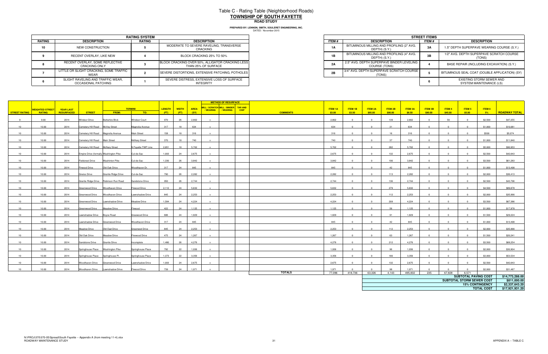# Table C - Rating Table (Neighborhood Roads) **TOWNSHIP OF SOUTH FAYETTE**

DATED: November 2015 **PREPARED BY: LENNON, SMITH, SOULERET ENGINEERING, INC.**

**ROAD STUDY** 

|        |                                                          | <b>RATING SYSTEM</b> |                                                                         |       | <b>STREET ITEM</b>                                         |
|--------|----------------------------------------------------------|----------------------|-------------------------------------------------------------------------|-------|------------------------------------------------------------|
| RATING | <b>DESCRIPTION</b>                                       | <b>RATING</b>        | <b>DESCRIPTION</b>                                                      | ITEM# | <b>DESCRIPTION</b>                                         |
| 10     | NEW CONSTRUCTION                                         |                      | MODERATE TO SEVERE RAVELING, TRANSVERSE<br>CRACKING                     | 1A    | BITUMINOUS MILLING AND PROFILING (2" AVG.<br>DEPTH) (S.Y.) |
|        | RECENT OVERLAY, LIKE NEW                                 |                      | BLOCK CRACKING 25% TO 50%                                               | 1B    | BITUMINOUS MILLING AND PROFILING (4" AVG.<br>DEPTH) (S.Y.) |
|        | RECENT OVERLAY, SOME REFLECTIVE<br><b>CRACKING ONLY</b>  |                      | BLOCK CRACKING OVER 50%, ALLIGATOR CRACKING LESS<br>THAN 25% OF SURFACE | 2A    | 2.5" AVG. DEPTH SUPERPAVE BINDER LEVELING<br>COURSE (TONS) |
|        | LITTLE OR SLIGHT CRACKING, SOME TRAFFIC<br><b>WFAR</b>   |                      | SEVERE DISTORTIONS, EXTENSIVE PATCHING, POTHOLES                        | 2B    | 3/4" AVG. DEPTH SUPERPAVE SCRATCH COURSE<br>(TONS)         |
|        | SLIGHT RAVELING AND TRAFFIC WEAR,<br>OCCASIONAL PATCHING |                      | SEVERE DISTRESS, EXTENSIVE LOSS OF SURFACE<br><b>INTEGRITY</b>          |       |                                                            |

|                             | <b>RATING SYSTEM</b> |                                                                         |
|-----------------------------|----------------------|-------------------------------------------------------------------------|
| <b>TION</b>                 | <b>RATING</b>        | <b>DESCRIPTION</b>                                                      |
| RUCTION                     |                      | MODERATE TO SEVERE RAVELING, TRANSVERSE<br>CRACKING                     |
| YY. LIKE NEW                |                      | BLOCK CRACKING 25% TO 50%                                               |
| OME REFLECTIVE<br>a ONLY    |                      | BLOCK CRACKING OVER 50%, ALLIGATOR CRACKING LESS<br>THAN 25% OF SURFACE |
| KING. SOME TRAFFIC          |                      | SEVERE DISTORTIONS, EXTENSIVE PATCHING, POTHOLES                        |
| D TRAFFIC WEAR.<br>PATCHING |                      | SEVERE DISTRESS, EXTENSIVE LOSS OF SURFACE<br>INTEGRITY                 |

|                 |                          |                  |                                        |                                       |                      |       |              |             | <b>METHOD OF RESURFACE</b>                                                      |                 |                 |                |                |                   |                  |                |               |                             |                                      |                                   |
|-----------------|--------------------------|------------------|----------------------------------------|---------------------------------------|----------------------|-------|--------------|-------------|---------------------------------------------------------------------------------|-----------------|-----------------|----------------|----------------|-------------------|------------------|----------------|---------------|-----------------------------|--------------------------------------|-----------------------------------|
|                 | WEIGHTED STREET <b>I</b> | <b>YEAR LAST</b> |                                        |                                       | <b>TERMINI</b>       |       | LENGTH WIDTH | <b>AREA</b> | MILL / SCRATCH MILL / BINDER TAR AND<br>/ WEARING  <br>/ WEARING<br><b>CHIP</b> |                 | <b>ITEM 1A</b>  | ITEM 1B        | <b>ITEM 2A</b> | ITEM 2B           | ITEM 3A          | <b>ITEM 3B</b> | <b>ITEM 4</b> | ITEM 5                      | ITEM 6                               |                                   |
| STREET RATING   | <b>RATING</b>            | RESURFACED       | <b>STREET</b>                          | FROM:                                 | TO:                  | (FT)  | (FT)         | (SY)        |                                                                                 | <b>COMMENTS</b> | \$3.00          | \$3.50         | \$85.00        | \$90.00           | \$8.50           | \$90.00        | \$45.00       | \$5.00                      | $-5\%$                               | <b>ROADWAY TOTAL</b>              |
| 9               | 9.00                     | 2014             | <b>Windsor Drive</b>                   | Berkshire Blvd.                       | <b>Windsor Court</b> | 970   | 26           | 2,802       | $\mathbf{x}$                                                                    |                 | 2,802           | $\Omega$       | $\Omega$       | 139               | 2,802            | $\Omega$       | 56            | $\sim$                      | \$2,500                              | \$47,255                          |
| 10              | 10.00                    | 2014             | Cemetery Hill Road McVey Street        |                                       | Magnolia Avenue      | 317   | 18           | 634         |                                                                                 |                 | 634             | $\Omega$       | $\Omega$       | 31                | 634              |                |               |                             | \$1,000                              | \$10,081                          |
| 10              | 10.00                    | 2014             | Cemetery Hill Road Magnolia Avenue     |                                       | <b>Main Street</b>   | 158   | 18           | 316         |                                                                                 |                 | 316             | $\Omega$       | $\Omega$       | 16                | 316              |                |               |                             | \$500                                | \$5,074                           |
| 10              | 10.00                    | 2014             | Cemetery Hill Road Main Street         |                                       | <b>McNary Street</b> | 370   | 18           | 740         | $\mathbf{x}$                                                                    |                 | 740             | $\Omega$       | $\Omega$       | 37                | 740              | $\Omega$       |               | $\Omega$                    | \$1,000                              | \$11,840                          |
|                 |                          |                  |                                        |                                       | N Fayette TWP Line   | 2,851 |              |             |                                                                                 |                 | 5,702           | $\Omega$       | $\Omega$       |                   |                  |                |               |                             |                                      |                                   |
| 10              | 10.00                    | 2014             | Cemetery Hill Road McNary Street       |                                       |                      |       | 18           | 5,702       |                                                                                 |                 |                 |                |                | 282               | 5,702            |                |               |                             | \$5,000                              | \$90,953                          |
| 10              | 10.00                    | 2014             | Empire Drive (formally Washington Pike |                                       | Cul-de-Sac           | 1,003 | 24           | 2,675       | $\mathbf{x}$                                                                    |                 | 2,675           | $\Omega$       | $\Omega$       | 132               | 2,675            | $\Omega$       |               |                             | \$2,500                              | \$42,643                          |
| 10              | 10.00                    | 2014             | Fieldcrest Drive                       | <b>Washinton Pike</b>                 | Cul-de-Sac           | 1,330 | 26           | 3.842       | $\mathbf{x}$                                                                    |                 | 3.842           | $\Omega$       | $\Omega$       | 190               | 3.842            |                |               | $\Omega$                    | \$3,500                              | \$61,283                          |
| 10              | 10.00                    | 2014             | Firwood Drive                          | Old Oak Drive                         | Woodhaven Dr.        | 317   | 24           | 845         | $\mathbf{x}$                                                                    |                 | 845             | $\Omega$       | $\sim$         | 42                | 845              |                |               |                             | \$1,000                              | \$13,498                          |
| 10              | 10.00                    | 2014             | <b>Gneiss Drive</b>                    | Granite Ridge Drive                   | Cul-de-Sac           | 790   | 26           | 2,282       | $\mathbf{x}$                                                                    |                 | 2,282           | $\overline{0}$ | $\Omega$       | 113               | 2,282            | $\overline{0}$ |               |                             | \$2,000                              | \$36,413                          |
| 10              | 10.00                    | 2014             |                                        | Granite Ridge Drive Robinson Run Road | Sandstone Drive      | 950   | 26           | 2,744       |                                                                                 |                 | 2,744           | $\Omega$       | $\Omega$       | 136               | 2,744            | $\Omega$       |               | $\sim$                      | \$2,500                              | \$43,796                          |
| 10              | 10.00                    | 2014             | Greenwood Drive Woodhaven Drive        |                                       | Firwood Drive        | 2,112 | 24           | 5,632       | $\mathbf{x}$                                                                    |                 | 5,632           | $\Omega$       | $\Omega$       | 279               | 5,632            | $\sim$         |               |                             | \$4,500                              | \$89,878                          |
| 10              | 10.00                    | 2014             | Greenwood Drive                        | Woodhaven Drive                       | Lawnshadow Drive     | 845   | 24           | 2,253       | $\mathbf{x}$                                                                    |                 | 2,253           | $\overline{0}$ | $\Omega$       | 112               | 2,253            | $\Omega$       |               |                             | \$2,000                              | \$35,990                          |
| 10              | 10.00                    | 2014             | Greenwood Drive                        | Lawnshadow Drive                      | Meadow Drive         | 1,584 | 24           | 4,224       | $\mathbf{x}$                                                                    |                 | 4,224           | $\overline{0}$ | $\Omega$       | 209               | 4,224            | $\Omega$       |               | $\Omega$                    | \$3,500                              | \$67,386                          |
| 10              | 10.00                    | 2014             | Greenwood Drive                        | <b>Meadow Drive</b>                   | Firwood              | 422   | 24           | 1,125       | $\mathbf{x}$                                                                    |                 | 1,125           | $\Omega$       | $\Omega$       | 56                | 1,125            | $\sim$         |               |                             | \$1,000                              | \$17,978                          |
| 10              | 10.00                    | 2014             | Lawnshadow Drive                       | Boyce Road                            | Greewood Drive       | 686   | 24           | 1,829       | $\mathbf{x}$                                                                    |                 | 1,829           | $\overline{0}$ | $\Omega$       | 91                | 1,829            |                |               |                             | \$1,500                              | \$29,224                          |
| 10              | 10.00                    | 2014             | Lawnshadow Drive Greenwood Drive       |                                       | Woodhaven Drive      | 317   | 24           | 845         |                                                                                 |                 | 845             |                | $\Omega$       | 42                | 845              |                |               |                             | \$1,000                              | \$13,498                          |
| 10              | 10.00                    | 2014             | <b>Meadow Drive</b>                    | Old Oad Drive                         | Greenwod Drive       | 845   | 24           | 2,253       |                                                                                 |                 | 2,253           | $\Omega$       | $\Omega$       | 112               | 2,253            |                |               |                             | \$2,000                              | \$35,990                          |
| 10              | 10.00                    | 2014             | Old Oak Drive                          | <b>Meadow Drive</b>                   | Firewood Drive       | 475   | 24           | 1,267       | $\mathbf{x}$                                                                    |                 | 1,267           | $\Omega$       | $\Omega$       | 63                | 1,267            | $\Omega$       |               | $\Omega$                    | \$1,500                              | \$20,241                          |
| 10              | 10.00                    | 2014             | Sandstone Drive                        | <b>Granite Drive</b>                  | ncomplete            | 1,480 | 26           | 4,276       |                                                                                 |                 | 4,276           |                | $\Omega$       | 212               | 4,276            |                |               |                             | \$3,500                              | \$68,254                          |
| 10              | 10.00                    | 2014             |                                        |                                       | Springhouse Place    | 792   | 22           | 1,936       | $\mathbf{x}$                                                                    |                 | 1,936           | $\overline{0}$ | $\Omega$       | 96                | 1,936            | $\Omega$       |               | $\sim$                      | \$2,000                              | \$30,904                          |
|                 |                          |                  | Springhouse Place Washington Pike      |                                       |                      |       |              |             |                                                                                 |                 |                 |                |                |                   |                  |                |               |                             |                                      |                                   |
| 10 <sup>1</sup> | 10.00                    | 2014             | Springhouse Place Springhouse Pl.      |                                       | Springhouse Place    | 1,373 | 22           | 3,356       | $\mathbf{x}$                                                                    |                 | 3,356           | $\Omega$       | $\Omega$       | 166               | 3,356            |                |               |                             | \$3,000                              | \$53,534                          |
| 10              | 10.00                    | 2014             | Woodhaven Drive                        | Greenwood Drive                       | awnshadow Drive      | 1,003 | 24           | 2,675       |                                                                                 |                 | 2,675           |                |                | 132               | 2,675            |                |               |                             | \$2,500                              | \$42,643                          |
| 10              | 10.00                    | 2014             | Woodhaven Drive                        | Lawnshadow Drive                      | Firwood Drive        | 739   | 24           | 1,971       | $\mathbf{x}$                                                                    | <b>TOTALS</b>   | 1.971<br>77,096 | 418,736        | 63,326         | $\Omega$<br>4,143 | 1.971<br>495,832 | 235            | 67,828        | 6,571                       | \$2,000                              | \$31,487                          |
|                 |                          |                  |                                        |                                       |                      |       |              |             |                                                                                 |                 |                 |                |                |                   |                  |                |               | <b>SUBTOTAL PAVING COST</b> |                                      | \$14,773,288.00                   |
|                 |                          |                  |                                        |                                       |                      |       |              |             |                                                                                 |                 |                 |                |                |                   |                  |                |               | SUBTOTAL STORM SEWER COST   |                                      | \$811,000.00                      |
|                 |                          |                  |                                        |                                       |                      |       |              |             |                                                                                 |                 |                 |                |                |                   |                  |                |               |                             | 15% CONTINGENCY<br><b>TOTAL COST</b> | \$2,337,643.20<br>\$17,921,931.20 |
|                 |                          |                  |                                        |                                       |                      |       |              |             |                                                                                 |                 |                 |                |                |                   |                  |                |               |                             |                                      |                                   |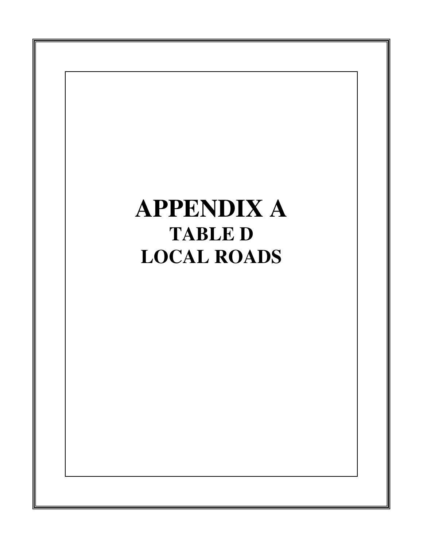# **APPENDIX A TABLE D LOCAL ROADS**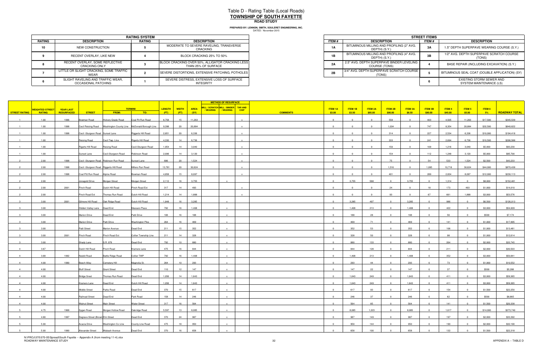|               |                                                          | <b>RATING SYSTEM</b> |                                                                         |              |                                                            | <b>STREET ITEM</b> |
|---------------|----------------------------------------------------------|----------------------|-------------------------------------------------------------------------|--------------|------------------------------------------------------------|--------------------|
| <b>RATING</b> | <b>DESCRIPTION</b>                                       | RATING               | <b>DESCRIPTION</b>                                                      | <b>ITEM#</b> | <b>DESCRIPTION</b>                                         | <b>ITEM #</b>      |
| 10            | NEW CONSTRUCTION                                         |                      | MODERATE TO SEVERE RAVELING, TRANSVERSE<br>CRACKING                     | <b>1A</b>    | BITUMINOUS MILLING AND PROFILING (2" AVG.<br>DEPTH) (S.Y.) | 3Α                 |
|               | RECENT OVERLAY, LIKE NEW                                 |                      | BLOCK CRACKING 25% TO 50%                                               | 1B           | BITUMINOUS MILLING AND PROFILING (4" AVG.<br>DEPTH) (S.Y.) | 3B                 |
|               | RECENT OVERLAY, SOME REFLECTIVE<br><b>CRACKING ONLY</b>  |                      | BLOCK CRACKING OVER 50%, ALLIGATOR CRACKING LESS<br>THAN 25% OF SURFACE | 2A           | 2.5" AVG. DEPTH SUPERPAVE BINDER LEVELING<br>COURSE (TONS) |                    |
|               | LITTLE OR SLIGHT CRACKING, SOME TRAFFIC<br>WEAR          |                      | SEVERE DISTORTIONS, EXTENSIVE PATCHING, POTHOLES                        | 2B           | 3/4" AVG. DEPTH SUPERPAVE SCRATCH COURSE<br>(TONS)         |                    |
|               | SLIGHT RAVELING AND TRAFFIC WEAR.<br>OCCASIONAL PATCHING |                      | SEVERE DISTRESS. EXTENSIVE LOSS OF SURFACE<br><b>INTEGRITY</b>          |              |                                                            |                    |

|                             | <b>RATING SYSTEM</b> |                                                                         |
|-----------------------------|----------------------|-------------------------------------------------------------------------|
| <b>TION</b>                 | RATING               | <b>DESCRIPTION</b>                                                      |
| <b>RUCTION</b>              |                      | MODERATE TO SEVERE RAVELING, TRANSVERSE<br>CRACKING                     |
| YY. LIKE NEW                |                      | BLOCK CRACKING 25% TO 50%                                               |
| OME REFLECTIVE<br>a ONLY    |                      | BLOCK CRACKING OVER 50%, ALLIGATOR CRACKING LESS<br>THAN 25% OF SURFACE |
| KING. SOME TRAFFIC          |                      | SEVERE DISTORTIONS. EXTENSIVE PATCHING. POTHOLES                        |
| D TRAFFIC WEAR.<br>PATCHING |                      | SEVERE DISTRESS. EXTENSIVE LOSS OF SURFACE<br>INTEGRITY                 |

|                      |                        |                  |                                         |                                        |                                                                 |               |              |             |                | <b>METHOD OF RESURFACE</b>           |                 |                |                |                |                         |                |                |         |                |          |                      |
|----------------------|------------------------|------------------|-----------------------------------------|----------------------------------------|-----------------------------------------------------------------|---------------|--------------|-------------|----------------|--------------------------------------|-----------------|----------------|----------------|----------------|-------------------------|----------------|----------------|---------|----------------|----------|----------------------|
|                      | <b>WEIGHTED STREET</b> | <b>YEAR LAST</b> |                                         |                                        | <b>TERMINI</b>                                                  | <b>LENGTH</b> | <b>WIDTH</b> | <b>AREA</b> |                | MILL / SCRATCH MILL / BINDER TAR AND |                 | <b>ITEM 1A</b> | ITEM 1B        | <b>ITEM 2A</b> | ITEM 2B                 | <b>ITEM 3A</b> | <b>ITEM 3B</b> | ITEM 4  | ITEM 5         | ITEM 6   |                      |
| <b>STREET RATING</b> | <b>RATING</b>          | RESURFACED       | <b>STREET</b>                           | <b>FROM:</b>                           | TO:                                                             | (FT)          | (FT)         | (SY)        | <b>WEARING</b> | / WEARING<br><b>CHIP</b>             | <b>COMMENTS</b> | \$3.00         | \$3.50         | \$85.00        | \$90.00                 | \$8.50         | \$90.00        | \$45.00 | \$5.00         | $-5\%$   | <b>ROADWAY TOTAL</b> |
|                      | 1.00                   | 1996             | Bowman Road                             | Hickory Grade Road                     | Coal Pit Run Road                                               | 6,758         | 15           | 11,263      |                |                                      |                 | $\Omega$       | $\Omega$       | $\Omega$       | 558                     | $\overline{0}$ | 403            | 4,505   | 11,263         | \$17,500 | \$345,539            |
|                      | 1.00                   | 1998             |                                         |                                        | Cecil Reising Road Washington County Line McDonald Borough Line | 9,398         | 20           | 20,884      |                | $\mathbf{x}$                         |                 | $\Omega$       | $\Omega$       | $\Omega$       | 1,034                   | $\overline{0}$ | 747            | 8,354   | 20,884         | \$32,500 | \$640,622            |
|                      | 1.00                   | 1998             | Cecil -Sturgeon Road Sunset Lane        |                                        | Riggerts Hill Road                                              | 2,851         | 20           | 6,336       |                |                                      |                 |                |                |                | 314                     | $\overline{0}$ | 227            | 2,534   | 6,336          | \$10,000 | \$194,418            |
|                      | 1.00                   |                  | Reising Road                            | Cecil Twp. Line                        | Rigerts Hill Road                                               | 4,330         | 14           | 6,736       |                |                                      |                 | $\overline{0}$ | $^{\circ}$     | $\overline{0}$ | 333                     | $\overline{0}$ | 241            | 2,694   | 6,736          | \$10,500 | \$206,588            |
|                      | 1.00                   |                  | Rigerts Hill Road                       | Reising Road                           | Cecil-Sturgeon Road                                             | 1,954         | 14           | 3,040       |                |                                      |                 |                |                |                | 150                     | $\mathbf{0}$   | 109            | 1,216   | 3,040          | \$5,000  | \$93,230             |
|                      | 1.00                   |                  | Sunset Lane                             | Cecil-Sturgeon Road                    | Robinson Road                                                   | 2,006         | 14           | 3,120       |                |                                      |                 |                |                | $\Omega$       | 154                     | $\overline{0}$ | 112            | 1,248   | 3,120          | \$5,000  | \$95,700             |
|                      | 2.00                   | 1998             |                                         | Cecil -Sturgeon Road Robinson Run Road | Sunset Lane                                                     | 686           | 20           | 1,524       |                | $\mathbf{x}$                         |                 | $\Omega$       | $\Omega$       | $\Omega$       | 75                      | $\overline{0}$ | 54             | 533     | 1,524          | \$2,500  | \$43,233             |
|                      | 2.00                   | 1998             | Cecil -Sturgeon Road Riggerts Hill Road |                                        | Millers Run Road                                                | 13,781        | 20           | 30,624      |                |                                      |                 |                |                |                | 1,516                   | $\Omega$       | 1,095          | 10,718  | 30,624         | \$44,000 | \$870,438            |
|                      | 2.00                   | 1998             | Coal Pitt Run Road Alpine Road          |                                        | Bowman Road                                                     | 4,858         | 15           | 8,097       |                |                                      |                 | $\overline{0}$ | $\overline{0}$ | $\overline{0}$ | 401                     | $\overline{0}$ | 289            | 2,834   | 8,097          | \$12,000 | \$230,113            |
|                      | 2.00                   |                  | Jonagold Drive                          | Morgan Street                          | Morgan Street                                                   | 2,112         | 16           | 3,755       |                |                                      |                 | $\Omega$       | 3,755          | 568            | $\overline{0}$          | 3,755          | $\Omega$       | 1,314   | $\overline{0}$ | \$8,000  | \$152,481            |
|                      | 2.00                   | 2001             | Pinch Road                              | Dutch Hill Road                        | Pinch Road Ext                                                  | 317           | 14           | 493         |                |                                      |                 | $\overline{0}$ | $\overline{0}$ | $\Omega$       | 24                      | $\overline{0}$ | 18             | 173     | 493            | \$1,000  | \$14,010             |
|                      | 2.00                   |                  | Pinch Road Ext                          | Thomas Run Road                        | Dutch Hill Road                                                 | 1,214         | 14           | 1,888       |                |                                      |                 | $\Omega$       | $\Omega$       | $\Omega$       | 93                      | $\overline{0}$ | 67             | 661     | 1,888          | \$3,000  | \$53,576             |
|                      |                        |                  | Gilmore Hill Road   Oak Ridge Road      |                                        | Dutch Hill Road                                                 |               |              |             |                | $\mathbf{x}$                         |                 | $\overline{0}$ |                |                | $\overline{0}$          |                | $\overline{0}$ |         | $\overline{0}$ |          | \$126,013            |
|                      | 3.00                   | 2001             |                                         |                                        |                                                                 | 1,848         | 16           | 3,285       |                |                                      |                 |                | 3,285          | 497            |                         | 3,285          |                | 986     |                | \$6,500  |                      |
|                      | 3.00                   |                  | Hidden Valley Lane Dead End             |                                        | Massaro Place                                                   | 792           | 16           | 1,408       |                |                                      |                 | $\Omega$       | 1,408          | 213            | $\sqrt{ }$              | 1,408          |                | 422     |                | \$3,000  | \$54,009             |
|                      | 3.00                   |                  | <b>Marion Drive</b>                     | Dead End                               | Patti Drive                                                     | 106           | 16           | 188         |                |                                      |                 | $\Omega$       | 188            | 28             | $\Omega$                | 188            |                | 56      |                | \$500    | \$7,174              |
|                      | 3.00                   |                  | <b>Marion Drive</b>                     | Patti Drive                            | <b>Washington Pike</b>                                          | 264           | 16           | 469         |                |                                      |                 | $\Omega$       | 469            | 71             |                         | 469            |                | 141     |                | \$1,000  | \$17,995             |
|                      | 3.00                   |                  | Patti Street                            | <b>Marion Avenue</b>                   | Dead End                                                        | 211           | 15           | 352         |                |                                      |                 | $\Omega$       | 352            | 53             |                         | 352            |                | 106     |                | \$1,000  | \$13,481             |
|                      | 3.00                   | 2001             | Pinch Road                              | Pinch Road Ext                         | Collier Township Line                                           | 211           | 14           | 328         |                | $\mathbf{x}$                         |                 | $\overline{0}$ | 328            | 50             | $\overline{0}$          | 328            |                | 98      | $\Omega$       | \$1,000  | \$12,614             |
|                      | 3.00                   |                  | Shady Lane                              | S.R. 978                               | Dead End                                                        | 792           | 10           | 880         |                |                                      |                 |                | 880            | 133            | $\Omega$                | 880            |                | 264     |                | \$2,000  | \$33,745             |
| $\overline{4}$       | 3.67                   |                  | Dutch Hill Road                         | Pinch Road                             | Kramers Lane                                                    | 475           | 16           | 844         |                | $\mathbf{x}$                         |                 | $\Omega$       | 844            | 128            | $\overline{0}$          | 844            | $\overline{0}$ | 211     |                | \$2,000  | \$30,503             |
| $\overline{4}$       | 3.68                   | 1992             | Nesbit Road                             | <b>Battle Ridge Road</b>               | Collier TWP                                                     | 792           | 16           | 1,408       |                | $\mathbf{x}$                         |                 | $\Omega$       | 1,408          | 213            | $\overline{0}$          | 1,408          | $\Omega$       | 352     | $\overline{0}$ | \$3,000  | \$50,841             |
|                      | 4.00                   | 1990             | <b>Beech Alley</b>                      | Cemetery Hill                          | Magnolia St.                                                    | 264           | 10           | 293         |                |                                      |                 | $\overline{0}$ | 293            | 44             | - 0                     | 293            |                | 73      |                | \$1,000  | \$10,552             |
| $\overline{a}$       | 4.00                   |                  | <b>Bluff Street</b>                     | <b>Grant Street</b>                    | Dead End                                                        | 110           | 12           | 147         |                |                                      |                 | $\overline{0}$ | 147            | 22             | $\overline{0}$          | 147            | $\Omega$       | 37      | $\Omega$       | \$500    | \$5,288              |
| $\overline{4}$       | 4.00                   |                  | <b>Bridge Sreet</b>                     | Thomas Run Road                        | Dead End                                                        | 1,056         | 14           | 1,643       |                | $\mathbf{x}$                         |                 | $\overline{0}$ | 1,643          | 249            | $\overline{0}$          | 1,643          | $\overline{0}$ | 411     | $\overline{0}$ | \$3,000  | \$59,365             |
|                      | 4.00                   |                  | Kramers Lane                            | Dead End                               | Dutch Hill Road                                                 | 1,056         | 14           | 1,643       |                |                                      |                 | $\Omega$       | 1,643          | 249            | $\Omega$                | 1,643          |                | 411     |                | \$3,000  | \$59,365             |
|                      | 4.00                   |                  | <b>Middle Street</b>                    | Parks Road                             | Dead End                                                        | 370           | 15           | 617         |                | $\mathbf{x}$                         |                 | $\overline{0}$ | 617            | 93             | $\overline{0}$          | 617            | $\Omega$       | 154     |                | \$1,500  | \$22,250             |
|                      | 4.00                   |                  | Railroad Street                         | Dead End                               | Park Road                                                       | 158           | 14           | 246         |                | $\mathbf{x}$                         |                 | $\Omega$       | 246            | 37             | $\Omega$                | 246            |                | 62      | $\Omega$       | \$500    | \$8,865              |
|                      | 4.00                   |                  | <b>Walnut Street</b>                    | Main Street                            | <b>Water Street</b>                                             | 317           | 16           | 564         |                |                                      |                 | $\sqrt{ }$     | 564            | 85             | $\overline{0}$          | 564            | $\overline{0}$ | 141     | $\Omega$       | \$1,500  | \$20,338             |
|                      | 4.75                   | 1968             | Sygan Road                              | Morgan Hollow Road   Oakridge Road     |                                                                 | 5,597         | 13           | 8,085       |                | $\mathbf{x}$                         |                 | $\overline{0}$ | 8,085          | 1,223          | $\overline{\mathbf{0}}$ | 8,085          | $\overline{0}$ | 1,617   | $\Omega$       | \$14,000 | \$273,740            |
|                      | 4.80                   | 1997             | Degrave Street (Brown Elm Street        |                                        | Dead End                                                        | 370           | 24           | 987         |                |                                      |                 | $\overline{0}$ | 987            | 149            | $\overline{0}$          | 987            | $\overline{0}$ | 197     | $\Omega$       | \$2,000  | \$33,392             |
|                      | 5.00                   |                  | Acacia Drive                            | Washington Co Line County Line Road    |                                                                 | 475           | 18           | 950         |                |                                      |                 | $\Omega$       | 950            | 144            |                         | 950            |                | 190     |                | \$2,000  | \$32,190             |
|                      | 5.00                   | 1990             |                                         | Alexander Street Wabash Avenue         | Dead End                                                        | 370           | 16           | 658         |                |                                      |                 | $\Omega$       | 658            | 100            | $\Omega$                | 658            |                | 132     |                | \$1,500  | \$22,318             |

| DATED: November 2015 | Anco o  cennon, omnin, oooccher enomeching, |
|----------------------|---------------------------------------------|
|                      |                                             |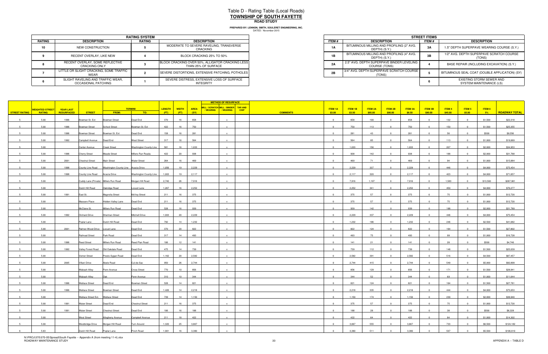# Table D - Rating Table (Local Roads) **TOWNSHIP OF SOUTH FAYETTEROAD STUDY**

|               |                                                          | <b>RATING SYSTEM</b> |                                                                         |              |                                                            | <b>STREET ITEM</b> |
|---------------|----------------------------------------------------------|----------------------|-------------------------------------------------------------------------|--------------|------------------------------------------------------------|--------------------|
| <b>RATING</b> | <b>DESCRIPTION</b>                                       | <b>RATING</b>        | <b>DESCRIPTION</b>                                                      | <b>ITEM#</b> | <b>DESCRIPTION</b>                                         | ITEM #             |
| 10            | NEW CONSTRUCTION                                         |                      | MODERATE TO SEVERE RAVELING, TRANSVERSE<br>CRACKING                     | 1A           | BITUMINOUS MILLING AND PROFILING (2" AVG.<br>DEPTH) (S.Y.) | 3A                 |
|               | RECENT OVERLAY, LIKE NEW                                 |                      | BLOCK CRACKING 25% TO 50%                                               | 1B           | BITUMINOUS MILLING AND PROFILING (4" AVG.<br>DEPTH) (S.Y.) | 3В.                |
|               | RECENT OVERLAY, SOME REFLECTIVE<br><b>CRACKING ONLY</b>  |                      | BLOCK CRACKING OVER 50%, ALLIGATOR CRACKING LESS<br>THAN 25% OF SURFACE | 2A           | 2.5" AVG. DEPTH SUPERPAVE BINDER LEVELING<br>COURSE (TONS) |                    |
|               | LITTLE OR SLIGHT CRACKING, SOME TRAFFIC<br>WEAR          |                      | SEVERE DISTORTIONS, EXTENSIVE PATCHING, POTHOLES                        | 2B           | 3/4" AVG. DEPTH SUPERPAVE SCRATCH COURSE I<br>(TONS)       |                    |
|               | SLIGHT RAVELING AND TRAFFIC WEAR.<br>OCCASIONAL PATCHING |                      | SEVERE DISTRESS, EXTENSIVE LOSS OF SURFACE<br><b>INTEGRITY</b>          |              |                                                            |                    |

|                             | <b>RATING SYSTEM</b> |                                                                         |
|-----------------------------|----------------------|-------------------------------------------------------------------------|
| <b>TION</b>                 | RATING               | <b>DESCRIPTION</b>                                                      |
| <b>RUCTION</b>              |                      | MODERATE TO SEVERE RAVELING, TRANSVERSE<br>CRACKING                     |
| YY. LIKE NEW                |                      | BLOCK CRACKING 25% TO 50%                                               |
| OME REFLECTIVE<br>a ONLY    |                      | BLOCK CRACKING OVER 50%, ALLIGATOR CRACKING LESS<br>THAN 25% OF SURFACE |
| KING. SOME TRAFFIC          |                      | SEVERE DISTORTIONS. EXTENSIVE PATCHING. POTHOLES                        |
| D TRAFFIC WEAR.<br>PATCHING |                      | SEVERE DISTRESS. EXTENSIVE LOSS OF SURFACE<br>INTEGRITY                 |

| MILL / SCRATCH MILL / BINDER TAR AND<br><b>TERMINI</b><br><b>LENGTH</b><br><b>WIDTH</b><br><b>AREA</b><br><b>ITEM 3A</b><br>ITEM 4<br><b>ITEM 1A</b><br>ITEM 1B<br><b>ITEM 2A</b><br>ITEM 2B<br><b>ITEM 3B</b><br>ITEM 5<br><b>WEIGHTED STREET</b><br><b>YEAR LAST</b><br>/ WEARING   / WEARING<br><b>CHIP</b><br><b>RESURFACED</b><br>FROM:<br>(FT)<br>(FT)<br>(SY)<br>\$3.50<br>\$85.00<br><b>STREET RATING</b><br>TO:<br><b>COMMENTS</b><br>\$3.00<br>\$90.00<br>\$8.50<br>\$90.00<br>\$45.00<br>\$5.00<br><b>RATING</b><br><b>STREET</b><br>1996<br>Bowman St. Ext<br>Dead End<br>370<br>16<br>658<br>658<br>100<br>658<br>132<br>5.00<br><b>Bowman Street</b><br>$\Omega$<br>$\Omega$<br>$\overline{0}$<br>$\Omega$<br>422<br>750<br>750<br>5.00<br>1996<br>Bowman Street<br>Bowman St. Ext<br>16<br>750<br>113<br>150<br>School Street<br>$\Omega$<br>281<br>5.00<br>1996<br>Bowman St. Ext<br>Dead End<br>158<br>16<br>$\Omega$<br>281<br>43<br>281<br>56<br>Bowman Street<br>Campbell Avenue Dead End<br><b>West Street</b><br>317<br>16<br>564<br>$\overline{0}$<br>564<br>564<br>5.00<br>1992<br>85<br>$\overline{0}$<br>113<br>$\overline{0}$<br>$\mathbf{0}$<br>1,033<br>156<br>1,033<br>5.00<br><b>Washington County Line</b><br>581<br>16<br>$\Omega$<br>1,033<br>207<br>Center Avenue<br><b>Creek Street</b><br>$\Omega$<br>938<br>5.00<br>1996<br><b>Cherry Street</b><br><b>Meade Street</b><br>Millers Run Roada<br>422<br>20<br>$\overline{0}$<br>938<br>142<br>938<br>$\overline{0}$<br>188<br>$\overline{0}$<br>$\overline{0}$<br>$\mathbf{x}$ | ITEM 6<br><b>ROADWAY TOTAL</b><br>$-5\%$<br>\$1,500<br>\$22,318<br>\$25,355<br>\$1,500<br>\$500<br>\$9,556<br>\$19,069<br>\$1,000<br>\$34,953<br>\$2,000<br>\$31,768<br>\$2,000<br>\$15,884<br>\$1,000<br>\$75,454<br>\$4,000<br>\$71,657<br>\$4,000 |
|---------------------------------------------------------------------------------------------------------------------------------------------------------------------------------------------------------------------------------------------------------------------------------------------------------------------------------------------------------------------------------------------------------------------------------------------------------------------------------------------------------------------------------------------------------------------------------------------------------------------------------------------------------------------------------------------------------------------------------------------------------------------------------------------------------------------------------------------------------------------------------------------------------------------------------------------------------------------------------------------------------------------------------------------------------------------------------------------------------------------------------------------------------------------------------------------------------------------------------------------------------------------------------------------------------------------------------------------------------------------------------------------------------------------------------------------------------------------------------------------------------------------------------------------------------------------|------------------------------------------------------------------------------------------------------------------------------------------------------------------------------------------------------------------------------------------------------|
|                                                                                                                                                                                                                                                                                                                                                                                                                                                                                                                                                                                                                                                                                                                                                                                                                                                                                                                                                                                                                                                                                                                                                                                                                                                                                                                                                                                                                                                                                                                                                                     |                                                                                                                                                                                                                                                      |
|                                                                                                                                                                                                                                                                                                                                                                                                                                                                                                                                                                                                                                                                                                                                                                                                                                                                                                                                                                                                                                                                                                                                                                                                                                                                                                                                                                                                                                                                                                                                                                     |                                                                                                                                                                                                                                                      |
|                                                                                                                                                                                                                                                                                                                                                                                                                                                                                                                                                                                                                                                                                                                                                                                                                                                                                                                                                                                                                                                                                                                                                                                                                                                                                                                                                                                                                                                                                                                                                                     |                                                                                                                                                                                                                                                      |
|                                                                                                                                                                                                                                                                                                                                                                                                                                                                                                                                                                                                                                                                                                                                                                                                                                                                                                                                                                                                                                                                                                                                                                                                                                                                                                                                                                                                                                                                                                                                                                     |                                                                                                                                                                                                                                                      |
|                                                                                                                                                                                                                                                                                                                                                                                                                                                                                                                                                                                                                                                                                                                                                                                                                                                                                                                                                                                                                                                                                                                                                                                                                                                                                                                                                                                                                                                                                                                                                                     |                                                                                                                                                                                                                                                      |
|                                                                                                                                                                                                                                                                                                                                                                                                                                                                                                                                                                                                                                                                                                                                                                                                                                                                                                                                                                                                                                                                                                                                                                                                                                                                                                                                                                                                                                                                                                                                                                     |                                                                                                                                                                                                                                                      |
|                                                                                                                                                                                                                                                                                                                                                                                                                                                                                                                                                                                                                                                                                                                                                                                                                                                                                                                                                                                                                                                                                                                                                                                                                                                                                                                                                                                                                                                                                                                                                                     |                                                                                                                                                                                                                                                      |
|                                                                                                                                                                                                                                                                                                                                                                                                                                                                                                                                                                                                                                                                                                                                                                                                                                                                                                                                                                                                                                                                                                                                                                                                                                                                                                                                                                                                                                                                                                                                                                     |                                                                                                                                                                                                                                                      |
| 469<br>$\overline{0}$<br>469<br>5.00<br>2001<br><b>Chestnut Street</b><br>Main Street<br><b>Water Street</b><br>264<br>16<br>469<br>$\overline{0}$<br>94<br>$5^{\circ}$<br>71<br>$\overline{0}$<br>$\mathbf{x}$<br>$\Omega$                                                                                                                                                                                                                                                                                                                                                                                                                                                                                                                                                                                                                                                                                                                                                                                                                                                                                                                                                                                                                                                                                                                                                                                                                                                                                                                                         |                                                                                                                                                                                                                                                      |
| 5.00<br>County Line Road Washington County Line Acacia Drive<br>1,056<br>2,229<br>2,229<br>446<br>1998<br>19<br>$\Omega$<br>2,229<br>337<br>$\Omega$                                                                                                                                                                                                                                                                                                                                                                                                                                                                                                                                                                                                                                                                                                                                                                                                                                                                                                                                                                                                                                                                                                                                                                                                                                                                                                                                                                                                                |                                                                                                                                                                                                                                                      |
| 2,117<br>5.00<br>1998<br>County Line Road Acacia Drive<br><b>Washington County Line</b><br>1,003<br>19<br>$\overline{0}$<br>2,117<br>320<br>2,117<br>$\overline{0}$<br>423<br>$\overline{0}$<br>$\overline{\mathbf{0}}$                                                                                                                                                                                                                                                                                                                                                                                                                                                                                                                                                                                                                                                                                                                                                                                                                                                                                                                                                                                                                                                                                                                                                                                                                                                                                                                                             |                                                                                                                                                                                                                                                      |
| 7,916<br>1,197<br>5.00<br>Cuddy Lane (Private) Millers Run Road<br>Morgan Hill Road<br>2,740<br>$\overline{0}$<br>7,916<br>7,916<br>$\overline{0}$<br>1,583<br>26<br>$\Omega$<br>$\overline{0}$                                                                                                                                                                                                                                                                                                                                                                                                                                                                                                                                                                                                                                                                                                                                                                                                                                                                                                                                                                                                                                                                                                                                                                                                                                                                                                                                                                     | \$267,981<br>\$13,500                                                                                                                                                                                                                                |
| Dutch Hill Road<br>Oakridge Road<br>1,267<br>2,252<br>2,252<br>5.00<br>Locust Lane<br>16<br>$\overline{0}$<br>2,252<br>341<br>450<br>$\Omega$<br>$\Omega$                                                                                                                                                                                                                                                                                                                                                                                                                                                                                                                                                                                                                                                                                                                                                                                                                                                                                                                                                                                                                                                                                                                                                                                                                                                                                                                                                                                                           | \$76,277<br>\$4,000                                                                                                                                                                                                                                  |
| 5.00<br>1991<br>211<br>16<br>375<br>$\overline{0}$<br>57<br>$\overline{0}$<br>75<br>$\overline{0}$<br>$\Omega$                                                                                                                                                                                                                                                                                                                                                                                                                                                                                                                                                                                                                                                                                                                                                                                                                                                                                                                                                                                                                                                                                                                                                                                                                                                                                                                                                                                                                                                      | \$1,000                                                                                                                                                                                                                                              |
| East St.<br>Magnolia Street<br>McVey Street<br>375<br>375                                                                                                                                                                                                                                                                                                                                                                                                                                                                                                                                                                                                                                                                                                                                                                                                                                                                                                                                                                                                                                                                                                                                                                                                                                                                                                                                                                                                                                                                                                           | \$12,720                                                                                                                                                                                                                                             |
| 375<br>57<br>5.00<br>Massaro Place<br>Hidden Valley Lane<br>Dead End<br>211<br>16<br>$\overline{0}$<br>375<br>375<br>$\overline{0}$<br>75<br>$\overline{0}$<br>$\overline{0}$                                                                                                                                                                                                                                                                                                                                                                                                                                                                                                                                                                                                                                                                                                                                                                                                                                                                                                                                                                                                                                                                                                                                                                                                                                                                                                                                                                                       | \$12,720<br>\$1,000                                                                                                                                                                                                                                  |
| 528<br>939<br>McClane St.<br>Millers Run Road<br>Dead End<br>16<br>$\overline{0}$<br>142<br>939<br>5.00<br>939<br>188                                                                                                                                                                                                                                                                                                                                                                                                                                                                                                                                                                                                                                                                                                                                                                                                                                                                                                                                                                                                                                                                                                                                                                                                                                                                                                                                                                                                                                               | \$31,789<br>\$2,000                                                                                                                                                                                                                                  |
| Mitchell Drive<br>1,003<br>2,229<br>5.00<br>1992<br><b>Orchard Drive</b><br>Sherman Street<br>20<br>$\overline{0}$<br>2,229<br>337<br>2,229<br>446<br>$\Omega$<br>$\Omega$                                                                                                                                                                                                                                                                                                                                                                                                                                                                                                                                                                                                                                                                                                                                                                                                                                                                                                                                                                                                                                                                                                                                                                                                                                                                                                                                                                                          | \$75,454<br>\$4,000                                                                                                                                                                                                                                  |
| 1,232<br>5.00<br>Dutch Hill Road<br>Dead End<br>792<br>14<br>$\Omega$<br>1,232<br>186<br>1,232<br>246<br>Poplar Lane                                                                                                                                                                                                                                                                                                                                                                                                                                                                                                                                                                                                                                                                                                                                                                                                                                                                                                                                                                                                                                                                                                                                                                                                                                                                                                                                                                                                                                                | \$2,500<br>\$41,682                                                                                                                                                                                                                                  |
| 822<br>5.00<br>Rahner-Wood Drive Locust Lane<br>Dead End<br>370<br>$\Omega$<br>822<br>124<br>822<br>164<br>2001<br>20                                                                                                                                                                                                                                                                                                                                                                                                                                                                                                                                                                                                                                                                                                                                                                                                                                                                                                                                                                                                                                                                                                                                                                                                                                                                                                                                                                                                                                               | \$1,500<br>\$27,802                                                                                                                                                                                                                                  |
| 493<br>5.00<br>Railroad Street<br>Park Road<br>Dead End<br>317<br>14<br>$\overline{0}$<br>493<br>493<br>$5 -$<br>75<br>$\overline{0}$<br>99<br>$\overline{0}$<br>- 0                                                                                                                                                                                                                                                                                                                                                                                                                                                                                                                                                                                                                                                                                                                                                                                                                                                                                                                                                                                                                                                                                                                                                                                                                                                                                                                                                                                                | \$1,000<br>\$16,728                                                                                                                                                                                                                                  |
| Millers Run Road<br>Reed Plan Road<br>141<br>5.00<br>106<br>12<br>$\Omega$<br>141<br>141<br>1996<br><b>Reed Street</b><br>21<br>28                                                                                                                                                                                                                                                                                                                                                                                                                                                                                                                                                                                                                                                                                                                                                                                                                                                                                                                                                                                                                                                                                                                                                                                                                                                                                                                                                                                                                                  | \$4,746<br>\$500                                                                                                                                                                                                                                     |
| 14<br>739<br>$\overline{0}$<br>739<br>5.00<br>1992<br>Dead End<br>475<br>739<br>112<br>$\overline{0}$<br>148<br>$5^{\circ}$<br>$\overline{0}$<br>$\overline{0}$<br>$\mathbf{x}$                                                                                                                                                                                                                                                                                                                                                                                                                                                                                                                                                                                                                                                                                                                                                                                                                                                                                                                                                                                                                                                                                                                                                                                                                                                                                                                                                                                     | \$25,039<br>\$1,500                                                                                                                                                                                                                                  |
| 2,582<br>5.00<br>Verner Street<br>Presto-Sygan Road<br>Dead End<br>1,162<br>20<br>$\overline{0}$<br>2,582<br>391<br>2,582<br>516<br>$\Omega$<br>$\overline{0}$<br>$\overline{0}$                                                                                                                                                                                                                                                                                                                                                                                                                                                                                                                                                                                                                                                                                                                                                                                                                                                                                                                                                                                                                                                                                                                                                                                                                                                                                                                                                                                    | \$4,500<br>\$87,457                                                                                                                                                                                                                                  |
| 2,744<br>5.00<br>2005<br>Villani Drive<br>Abele Road<br>Cul-de-Sac<br>950<br>26<br>$\overline{0}$<br>2,744<br>415<br>2,744<br>$\overline{0}$<br>549<br>$\overline{0}$<br>$\overline{\mathbf{0}}$                                                                                                                                                                                                                                                                                                                                                                                                                                                                                                                                                                                                                                                                                                                                                                                                                                                                                                                                                                                                                                                                                                                                                                                                                                                                                                                                                                    | \$5,000<br>\$92,899                                                                                                                                                                                                                                  |
| 5.00<br>Wabash Alley<br>Cross Street<br>770<br>10<br>856<br>$\overline{0}$<br>856<br>129<br>856<br>171<br>Penn Avenue<br>$\Omega$<br>$\overline{0}$<br>$\Omega$                                                                                                                                                                                                                                                                                                                                                                                                                                                                                                                                                                                                                                                                                                                                                                                                                                                                                                                                                                                                                                                                                                                                                                                                                                                                                                                                                                                                     | \$1,500<br>\$28,941                                                                                                                                                                                                                                  |
| 310<br>10<br>344<br>344<br>52<br>344<br>5.00<br>Wabash Alley<br>Penn Avenue<br>$\overline{0}$<br>$\Omega$<br>69<br>Oak<br>$\Omega$<br>$\overline{0}$                                                                                                                                                                                                                                                                                                                                                                                                                                                                                                                                                                                                                                                                                                                                                                                                                                                                                                                                                                                                                                                                                                                                                                                                                                                                                                                                                                                                                | \$11,644<br>\$1,000                                                                                                                                                                                                                                  |
| 528<br>821<br>821<br>5.00<br>1996<br>Dead End<br>14<br>$\Omega$<br>821<br>124<br>164<br><b>Wallace Street</b><br>Bowman Street                                                                                                                                                                                                                                                                                                                                                                                                                                                                                                                                                                                                                                                                                                                                                                                                                                                                                                                                                                                                                                                                                                                                                                                                                                                                                                                                                                                                                                      | \$27,781<br>\$1,500                                                                                                                                                                                                                                  |
| 1,426<br>2,218<br>5.00<br>1996<br><b>Wallace Street</b><br><b>Bowman Street</b><br>Dead End<br>14<br>2,218<br>2,218<br>444<br>$\overline{0}$<br>335<br>$\Omega$<br>$\overline{0}$<br>$\Omega$                                                                                                                                                                                                                                                                                                                                                                                                                                                                                                                                                                                                                                                                                                                                                                                                                                                                                                                                                                                                                                                                                                                                                                                                                                                                                                                                                                       | \$75,053<br>\$4,000                                                                                                                                                                                                                                  |
| 14<br>1,150<br>5.00<br>739<br>1,150<br>174<br>1,150<br>Wallace Street Ext.  Wallace Street<br>Dead End<br>$\Omega$<br>230                                                                                                                                                                                                                                                                                                                                                                                                                                                                                                                                                                                                                                                                                                                                                                                                                                                                                                                                                                                                                                                                                                                                                                                                                                                                                                                                                                                                                                           | \$2,000<br>\$38,940                                                                                                                                                                                                                                  |
| 375<br>Water Street Dead End<br>211<br>16<br>57<br>5.00<br>1991<br><b>Chestnut Street</b><br>$\overline{0}$<br>375<br>375<br>$\overline{0}$<br>75<br>$\overline{0}$<br>$\overline{0}$                                                                                                                                                                                                                                                                                                                                                                                                                                                                                                                                                                                                                                                                                                                                                                                                                                                                                                                                                                                                                                                                                                                                                                                                                                                                                                                                                                               | \$1,000<br>\$12,720                                                                                                                                                                                                                                  |
| $\overline{0}$<br>1991<br><b>Water Street</b><br>Dead End<br>106<br>16<br>188<br>28<br>188<br>$\overline{0}$<br>5<br>5.00<br><b>Chestnut Street</b><br>188<br>$\overline{0}$<br>38<br>$\overline{0}$<br>$\mathbf{x}$                                                                                                                                                                                                                                                                                                                                                                                                                                                                                                                                                                                                                                                                                                                                                                                                                                                                                                                                                                                                                                                                                                                                                                                                                                                                                                                                                | \$6,328<br>\$500                                                                                                                                                                                                                                     |
| 422<br>5.00<br>West Street Allegheny Avenue<br>Campbell Avenue<br>211<br>18<br>$\overline{0}$<br>422<br>64<br>422<br>$\overline{0}$<br>84<br>$\overline{\mathbf{0}}$<br>$\overline{0}$                                                                                                                                                                                                                                                                                                                                                                                                                                                                                                                                                                                                                                                                                                                                                                                                                                                                                                                                                                                                                                                                                                                                                                                                                                                                                                                                                                              | \$14,302<br>\$1,000                                                                                                                                                                                                                                  |
| Westbridge Drive Morgan Hill Road<br>1,320<br>25<br>3,667<br>3,667<br>5.00<br>Turn Around<br>$\overline{0}$<br>3,667<br>555<br>$\overline{0}$<br>733<br>$\overline{0}$<br>5<br>$\overline{\mathbf{0}}$<br>$\mathbf{x}$                                                                                                                                                                                                                                                                                                                                                                                                                                                                                                                                                                                                                                                                                                                                                                                                                                                                                                                                                                                                                                                                                                                                                                                                                                                                                                                                              | \$6,500<br>\$124,182                                                                                                                                                                                                                                 |
| 5.63<br>Dutch Hill Road Poplar Lane<br>3,380<br>Pinch Road<br>1,901<br>$\Omega$<br>3,380<br>511<br>3,380<br>507<br>16<br>$\sim$<br>$\sim$<br>$\Omega$                                                                                                                                                                                                                                                                                                                                                                                                                                                                                                                                                                                                                                                                                                                                                                                                                                                                                                                                                                                                                                                                                                                                                                                                                                                                                                                                                                                                               | \$5,500<br>\$106,810                                                                                                                                                                                                                                 |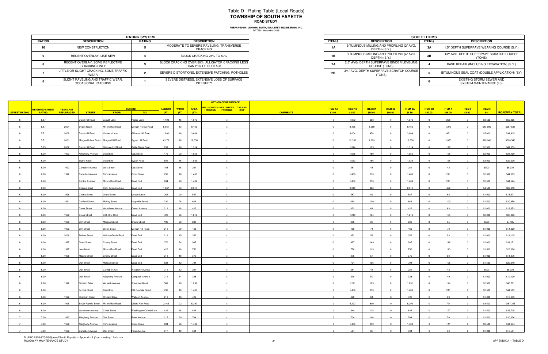# Table D - Rating Table (Local Roads) **TOWNSHIP OF SOUTH FAYETTEROAD STUDY**

|               |                                                          | <b>RATING SYSTEM</b> |                                                                         |              |                                                            | <b>STREET ITEM</b> |
|---------------|----------------------------------------------------------|----------------------|-------------------------------------------------------------------------|--------------|------------------------------------------------------------|--------------------|
| <b>RATING</b> | <b>DESCRIPTION</b>                                       | <b>RATING</b>        | <b>DESCRIPTION</b>                                                      | <b>ITEM#</b> | <b>DESCRIPTION</b>                                         | ITEM #             |
| 10            | NEW CONSTRUCTION                                         |                      | MODERATE TO SEVERE RAVELING, TRANSVERSE<br>CRACKING                     | 1A           | BITUMINOUS MILLING AND PROFILING (2" AVG.<br>DEPTH) (S.Y.) | 3A                 |
|               | RECENT OVERLAY, LIKE NEW                                 |                      | BLOCK CRACKING 25% TO 50%                                               | 1B           | BITUMINOUS MILLING AND PROFILING (4" AVG.<br>DEPTH) (S.Y.) | 3В.                |
|               | RECENT OVERLAY, SOME REFLECTIVE<br><b>CRACKING ONLY</b>  |                      | BLOCK CRACKING OVER 50%, ALLIGATOR CRACKING LESS<br>THAN 25% OF SURFACE | 2A           | 2.5" AVG. DEPTH SUPERPAVE BINDER LEVELING<br>COURSE (TONS) |                    |
|               | LITTLE OR SLIGHT CRACKING, SOME TRAFFIC<br>WEAR          |                      | SEVERE DISTORTIONS, EXTENSIVE PATCHING, POTHOLES                        | 2B           | 3/4" AVG. DEPTH SUPERPAVE SCRATCH COURSE I<br>(TONS)       |                    |
|               | SLIGHT RAVELING AND TRAFFIC WEAR.<br>OCCASIONAL PATCHING |                      | SEVERE DISTRESS, EXTENSIVE LOSS OF SURFACE<br><b>INTEGRITY</b>          |              |                                                            |                    |

|                             | <b>RATING SYSTEM</b> |                                                                         |
|-----------------------------|----------------------|-------------------------------------------------------------------------|
| <b>TION</b>                 | <b>RATING</b>        | <b>DESCRIPTION</b>                                                      |
| <b>RUCTION</b>              |                      | MODERATE TO SEVERE RAVELING, TRANSVERSE<br>CRACKING                     |
| YY. LIKE NEW                |                      | BLOCK CRACKING 25% TO 50%                                               |
| OME REFLECTIVE<br>a ONLY    |                      | BLOCK CRACKING OVER 50%, ALLIGATOR CRACKING LESS<br>THAN 25% OF SURFACE |
| KING. SOME TRAFFIC          |                      | SEVERE DISTORTIONS, EXTENSIVE PATCHING, POTHOLES                        |
| D TRAFFIC WEAR.<br>PATCHING |                      | SEVERE DISTRESS, EXTENSIVE LOSS OF SURFACE<br>INTEGRITY                 |

|                      |                        |                   |                                           |                           |                        |                          |             |           | <b>METHOD OF RESURFACE</b>           |                 |                |                |                |                         |                |                |         |                |          |                      |
|----------------------|------------------------|-------------------|-------------------------------------------|---------------------------|------------------------|--------------------------|-------------|-----------|--------------------------------------|-----------------|----------------|----------------|----------------|-------------------------|----------------|----------------|---------|----------------|----------|----------------------|
|                      | <b>WEIGHTED STREET</b> | <b>YEAR LAST</b>  |                                           |                           | <b>TERMINI</b>         | LENGTH  <br><b>WIDTH</b> | <b>AREA</b> |           | MILL / SCRATCH MILL / BINDER TAR AND |                 | <b>ITEM 1A</b> | <b>ITEM 1B</b> | <b>ITEM 2A</b> | ITEM 2B                 | <b>ITEM 3A</b> | <b>ITEM 3B</b> | ITEM 4  | ITEM 5         | ITEM 6   |                      |
| <b>STREET RATING</b> | <b>RATING</b>          | <b>RESURFACED</b> | <b>STREET</b>                             | FROM:                     | TO:                    | (FT)<br>(FT)             | (SY)        | / WEARING | / WEARING<br><b>CHIP</b>             | <b>COMMENTS</b> | \$3.00         | \$3.50         | \$85.00        | \$90.00                 | \$8.50         | \$90.00        | \$45.00 | \$5.00         | $-5%$    | <b>ROADWAY TOTAL</b> |
|                      | 5.67                   |                   | Dutch Hill Road                           | Locust Lane               | Poplar Lane            | 1,109<br>16              | 1,972       |           | $\mathbf{x}$                         |                 | $\Omega$       | 1,972          | 298            | $\overline{0}$          | 1,972          | $\overline{0}$ | 296     | $\overline{0}$ | \$3,500  | \$62,305             |
|                      | 5.67                   | 2001              | Sygan Road                                | Millers Run Road          | Morgan Hollow Road     | 5,861<br>13              | 8,466       |           |                                      |                 | $\Omega$       | 8,466          | 1,280          | $\overline{0}$          | 8,466          |                | 1,270   |                | \$13,500 | \$267,538            |
|                      | 5.71                   | 2002              | Dutch Hill Road                           | Kramers Lane              | Gillmore Hill Road     | 1,690<br>16              | 3,004       |           |                                      |                 | $\Omega$       | 3,004          | 454            | $\Omega$                | 3,004          |                | 451     |                | \$5,000  | \$94,915             |
|                      | 5.71                   | 2001              | Morgan Hollow Road Morgan Hill Road       |                           | Sygan Hill Road        | 6,178<br>18              | 12,356      |           |                                      |                 | $\Omega$       | 12,356         | 1,869          | $\sqrt{ }$              | 12,356         |                | 1,853   |                | \$20,000 | \$390,540            |
|                      | 5.75                   | 2002              | Dutch Hill Road                           | Gillmore Hill Road        | Battle Ridge Road      | 739<br>16                | 1,314       |           |                                      |                 | $\Omega$       | 1,314          | 199            | $\sqrt{ }$              | 1,314          |                | 197     |                | \$2,500  | \$41,553             |
|                      | 6.00                   | 1992              | Allegheny Avenue   Dead End               |                           | Oak Street             | 475<br>20                | 1,056       |           | $\mathbf{x}$                         |                 | $\overline{0}$ | 1,056          | 160            | $\overline{0}$          | 1,056          | $\overline{0}$ | 158     | $\Omega$       | \$2,000  | \$33,400             |
|                      | 6.00                   |                   | <b>Blythe Road</b>                        | Dead End                  | Sygan Road             | 581<br>16                | 1,033       |           | $\mathbf{x}$                         |                 | $\Omega$       | 1,033          | 156            | $\Omega$                | 1,033          |                | 155     |                | \$2,000  | \$32,629             |
|                      | 6.00                   | 1992              | Campbell Avenue West Street               |                           | Oak Street             | 158<br>16                | 281         |           |                                      |                 |                | 281            | 43             | - 0                     | 281            |                | 42      |                | \$500    | \$8,924              |
|                      | 6.00                   | 1992              | Campbell Avenue   Penn Avenue             |                           | <b>Cross Street</b>    | 792<br>16                | 1,408       |           | $\mathbf{x}$                         |                 | $\Omega$       | 1,408          | 213            | $\Omega$                | 1,408          |                | 211     |                | \$2,500  | \$44,505             |
|                      | 6.00                   |                   | Central Avenue                            | Millers Run Road          | Dead End               | 634<br>20                | 1,409       |           | $\mathbf{x}$                         |                 | $\Omega$       | 1,409          | 213            | $\Omega$                | 1,409          | $\Omega$       | 211     | $\Omega$       | \$2,500  | \$44,524             |
|                      | 6.00                   |                   | <b>Charles Sreet</b>                      | Cecil Township Line       | Dead End               | 1,267<br>20              | 2,816       |           |                                      |                 | $\Omega$       | 2,816          | 426            |                         | 2,816          |                | 422     |                | \$4,500  | \$89,010             |
|                      | 6.00                   | 1996              | <b>Cherry Street</b>                      | <b>Grant Street</b>       | Meade Street           | 264<br>20                | 587         |           |                                      |                 | $\Omega$       | 587            | 89             | $\overline{\mathbf{0}}$ | 587            | $\Omega$       | 88      | $\Omega$       | \$1,000  | \$18,571             |
|                      | 6.00                   | 1991              | <b>Cortland Street</b>                    | McVey Street              | Magnolia Street        | 230<br>26                | 664         |           | $\mathbf{x}$                         |                 | $\overline{0}$ | 664            | 100            | $\overline{0}$          | 664            | $\overline{0}$ | 100     | $\overline{0}$ | \$1,500  | \$20,950             |
|                      | 6.00                   |                   | <b>Creek Street</b>                       | Woodlawn Avenue           | Center Avenue          | 211<br>18                | 422         |           |                                      |                 | $\Omega$       | 422            | 64             | $\Omega$                | 422            |                | 63      |                | \$1,000  | \$13,353             |
|                      | 6.00                   | 1992              | <b>Cross Street</b>                       | S.R. Rte. 0050            | Dead End               | 422<br>26                | 1,219       |           | $\mathbf{x}$                         |                 | $\overline{0}$ | 1,219          | 184            | $\overline{0}$          | 1,219          | $\overline{0}$ | 183     | $\Omega$       | \$2,000  | \$38,496             |
|                      | 6.00                   | 1990              | <b>Elm Street</b>                         |                           |                        | 106<br>20                | 236         |           |                                      |                 | $\Omega$       | 236            | 36             | $\Omega$                | 236            |                | 35      |                | \$500    | \$7,485              |
|                      |                        |                   |                                           | Morgan Street             | <b>Brown Street</b>    |                          | 469         |           |                                      |                 | $\sim$         | 469            | 71             |                         |                |                | 70      |                |          | \$14,829             |
|                      | 6.00<br>6.00           | 1990<br>2006      | <b>Elm Street</b><br><b>Forbes Street</b> | <b>Brown Street</b>       | Morgan Hill Road       | 211<br>20<br>211         | 352         |           |                                      |                 | $\Omega$       |                | 53             | $\Omega$                | 469<br>352     |                | 53      |                | \$1,000  | \$11,105             |
|                      |                        |                   |                                           | <b>Hickory Grade Road</b> | Dead End               | 15                       | 987         |           |                                      |                 |                | 352            |                |                         | 987            |                |         |                | \$1,000  |                      |
|                      | 6.00                   | 1997              | <b>Grant Street</b>                       | <b>Cherry Street</b>      | Dead End               | 24<br>370                |             |           |                                      |                 | $\overline{0}$ | 987            | 149            |                         |                | $\Omega$       | 148     | $\Omega$       | \$2,000  | \$31,171             |
|                      | 6.00                   | 1997              | Lee Street                                | Millers Run Road          | Dead End               | 422<br>16                | 750         |           | $\mathbf{x}$                         |                 |                | 750            | 113            | $\overline{0}$          | 750            |                | 113     |                | \$1,500  | \$23,668             |
|                      | 6.00                   | 1996              | Meade Street                              | <b>Cherry Street</b>      | Dead End               | 211<br>16                | 375         |           | $\mathbf{x}$                         |                 | $\Omega$       | 375            | 57             | $\Omega$                | 375            | $\overline{0}$ | 56      | $\Omega$       | \$1,000  | \$11,876             |
|                      | 6.00                   |                   | Oak Street                                | Morgan Street             | Dead End               | 528<br>12                | 704         |           |                                      |                 | $\Omega$       | 704            | 106            | - 0                     | 704            |                | 106     |                | \$1,500  | \$22,210             |
|                      | 6.00                   |                   | Oak Street                                | Campbell Ave.             | Allegheny Avenue       | 211<br>12                | 281         |           | $\mathbf{x}$                         |                 | $\Omega$       | 281            | 43             | $\Omega$                | 281            |                | 42      | $\Omega$       | \$500    | \$8,924              |
|                      | 6.00                   |                   | Oak Street                                | Allegheny Avenue          | Campbell Avenue        | 211<br>14                | 328         |           | $\mathbf{x}$                         |                 | $\overline{0}$ | 328            | 50             | $\overline{0}$          | 328            | $\overline{0}$ | 49      | $\Omega$       | \$1,000  | \$10,400             |
|                      | 6.00                   | 1992              | <b>Orchard Drive</b>                      | Wabash Avenue             | Sherman Street         | 581<br>20                | 1,291       |           |                                      |                 | $\Omega$       | 1,291          | 195            |                         | 1,291          |                | 194     |                | \$2,500  | \$40,781             |
|                      | 6.00                   |                   | <b>School Street</b>                      | Dead End                  | Old Oakdale Road       | 792<br>16                | 1,408       |           | $\mathbf{x}$                         |                 | $\overline{0}$ | 1,408          | 213            | $\Omega$                | 1,408          |                | 211     | $\Omega$       | \$2,500  | \$44,505             |
|                      | 6.00                   | 1992              | Sherman Street                            | <b>Orchard Drive</b>      | Wabash Avenue          | 211<br>18                | 422         |           |                                      |                 | $\Omega$       | 422            | 64             | $\Omega$                | 422            |                | 63      |                | \$1,000  | \$13,353             |
|                      | 6.00                   | 1996              | South Fayette Street Millers Run Road     |                           | Millers Run Road       | 2,165<br>22              | 5,292       |           |                                      |                 | $\Omega$       | 5,292          | 800            | $\overline{0}$          | 5,292          |                | 794     |                | \$8,500  | \$167,225            |
| 6                    | 6.00                   |                   | Woodlawn Avenue Creek Street              |                           | Washington County Line | 422<br>18                | 844         |           | $\mathsf{x}$                         |                 | $\overline{0}$ | 844            | 128            | $\overline{0}$          | 844            | $\Omega$       | 127     | $\Omega$       | \$1,500  | \$26,705             |
|                      | 7.00                   | 1992              | Allegheny Avenue Oak Street               |                           | Penn Avenue            | 317<br>20                | 704         |           |                                      |                 | $\Omega$       | 704            | 106            | $\overline{\mathbf{0}}$ | 704            | $\sim$         | 70      | $\Omega$       | \$1,500  | \$20,626             |
| $\overline{7}$       | 7.00                   | 1992              | Allegheny Avenue Penn Avenue              |                           | Cross Street           | 634<br>20                | 1,409       |           | $\mathbf{x}$                         |                 | $\overline{0}$ | 1,409          | 213            | $\overline{0}$          | 1,409          |                | 141     | $\sqrt{ }$     | \$2,500  | \$41,354             |
|                      | 7.00                   | 1992              | Campbell Avenue Oak Street                |                           | Penn Avenue            | 317<br>16                | 564         |           | $\mathsf{x}$                         |                 | $\sim$         | 564            | 85             | $\Omega$                | 564            |                | 56      |                | \$1,000  | \$16,531             |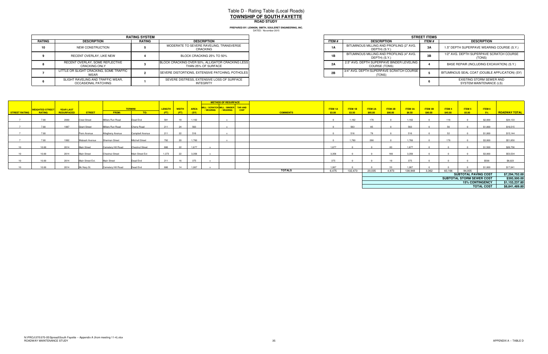# Table D - Rating Table (Local Roads) **TOWNSHIP OF SOUTH FAYETTEROAD STUDY**

|        |                                                          | <b>RATING SYSTEM</b> |                                                                         |
|--------|----------------------------------------------------------|----------------------|-------------------------------------------------------------------------|
| RATING | <b>DESCRIPTION</b>                                       | <b>RATING</b>        | <b>DESCRIPTION</b>                                                      |
| 10     | NEW CONSTRUCTION                                         |                      | MODERATE TO SEVERE RAVELING, TRANSVERSE<br>CRACKING                     |
|        | RECENT OVERLAY, LIKE NEW                                 |                      | BLOCK CRACKING 25% TO 50%                                               |
|        | RECENT OVERLAY, SOME REFLECTIVE<br><b>CRACKING ONLY</b>  |                      | BLOCK CRACKING OVER 50%, ALLIGATOR CRACKING LESS<br>THAN 25% OF SURFACE |
|        | LITTLE OR SLIGHT CRACKING, SOME TRAFFIC<br>WEAR          |                      | SEVERE DISTORTIONS, EXTENSIVE PATCHING, POTHOLES                        |
|        | SLIGHT RAVELING AND TRAFFIC WEAR.<br>OCCASIONAL PATCHING |                      | SEVERE DISTRESS. EXTENSIVE LOSS OF SURFACE<br><b>INTEGRITY</b>          |

| <b>RATING SYSTEM</b>        |               |                                                                         |  |  |  |
|-----------------------------|---------------|-------------------------------------------------------------------------|--|--|--|
| <b>TION</b>                 | <b>RATING</b> | <b>DESCRIPTION</b>                                                      |  |  |  |
| RUCTION                     |               | MODERATE TO SEVERE RAVELING, TRANSVERSE<br>CRACKING                     |  |  |  |
| YY. LIKE NEW                |               | BLOCK CRACKING 25% TO 50%                                               |  |  |  |
| OME REFLECTIVE<br>a ONLY    |               | BLOCK CRACKING OVER 50%, ALLIGATOR CRACKING LESS<br>THAN 25% OF SURFACE |  |  |  |
| KING. SOME TRAFFIC          |               | SEVERE DISTORTIONS, EXTENSIVE PATCHING, POTHOLES                        |  |  |  |
| D TRAFFIC WEAR.<br>PATCHING |               | SEVERE DISTRESS, EXTENSIVE LOSS OF SURFACE<br>INTEGRITY                 |  |  |  |

|                      |                        |                   |                     |                        |                        |        |      |                                    | <b>METHOD OF RESURFACE</b>           |                 |                |         |                |         |         |         |         |                             |                        |                      |
|----------------------|------------------------|-------------------|---------------------|------------------------|------------------------|--------|------|------------------------------------|--------------------------------------|-----------------|----------------|---------|----------------|---------|---------|---------|---------|-----------------------------|------------------------|----------------------|
|                      |                        |                   |                     |                        |                        |        |      |                                    |                                      |                 |                |         |                |         |         |         |         |                             |                        |                      |
|                      | <b>WEIGHTED STREET</b> | <b>YEAR LAST</b>  |                     |                        | <b>TERMINI</b>         |        |      | <mark>Length   Width   Area</mark> | MILL / SCRATCH MILL / BINDER TAR AND |                 | <b>ITEM 1A</b> | ITEM 1B | <b>ITEM 2A</b> | ITEM 2B | ITEM 3A | ITEM 3B | ITEM 4  | ITEM 5                      | ITEM 6                 |                      |
| <b>STREET RATING</b> | <b>RATING</b>          | <b>RESURFACED</b> | <b>STREET</b>       | <b>FROM:</b>           | TO:                    | $(FT)$ | (FT) | (SY)                               | VEARING WEARING CHIP                 | <b>COMMENTS</b> | \$3.00         | \$3.50  | \$85.00        | \$90.00 | \$8.50  | \$90.00 | \$45.00 | \$5.00                      | 5%                     | <b>ROADWAY TOTAL</b> |
|                      |                        |                   |                     |                        |                        |        |      |                                    |                                      |                 |                |         |                |         |         |         |         |                             |                        |                      |
|                      | 7.00                   | 2000              | <b>Crest Street</b> | Millers Run Road       | Dead End               | 581    | 18   | 1.162                              |                                      |                 |                | 1.162   | 176            |         | 1.162   |         | 116     |                             | \$2,000                | \$34,133             |
|                      |                        |                   |                     |                        |                        |        |      |                                    |                                      |                 |                |         |                |         |         |         |         |                             |                        |                      |
|                      | 7.00                   | 1997              | <b>Grant Street</b> | Millers Run Road       | Cherry Road            | 211    | 24   | 563                                |                                      |                 |                | 563     |                |         | 563     |         |         |                             | \$1,000                | \$16,515             |
|                      |                        |                   |                     |                        |                        |        |      |                                    |                                      |                 |                |         |                |         |         |         |         |                             |                        |                      |
|                      | 7.00                   |                   | Penn Avenue         | Allegheny Avenue       | Campbell Avenue        | 211    | 22   | 516                                |                                      |                 |                | 516     |                |         | 516     |         | EQ.     |                             | \$1,000                | \$15,144             |
|                      |                        |                   |                     |                        |                        |        |      |                                    |                                      |                 |                |         |                |         |         |         |         |                             |                        |                      |
|                      | 7.00                   | 1992              | Wabash Avenue       | Sherman Street         | <b>Mitchell Street</b> | 792    | 20   | 1,760                              |                                      |                 |                | 1,760   | 266            |         | 1,760   |         | 176     |                             | \$3,000                | \$51,650             |
|                      |                        |                   |                     |                        |                        |        |      |                                    |                                      |                 |                |         |                |         |         |         |         |                             |                        |                      |
|                      | 10.00                  | 2014              | <b>Main Street</b>  | Cemetery Hill Road     | <b>Chestnut Street</b> | 686    | 22   | 1.677                              |                                      |                 | 1.677          |         |                | 83      | 1.677   |         |         |                             | \$1,500                | \$26,756             |
|                      |                        |                   |                     |                        |                        |        |      |                                    |                                      |                 |                |         |                |         |         |         |         |                             |                        |                      |
|                      | 10.00                  | 2014              | <b>Main Street</b>  | <b>Chestnut Street</b> | Main Street Ext        | 1.373  | 22   | 3,356                              |                                      |                 | 3,356          |         |                | 166     | 3,356   |         |         |                             | \$3,000                | \$53,534             |
|                      |                        |                   |                     |                        |                        |        |      |                                    |                                      |                 |                |         |                |         |         |         |         |                             |                        |                      |
|                      | 10.00                  | 2014              | Main Street Ext.    | <b>Main Street</b>     | Dead End               | 211    | 16   | 375                                |                                      |                 | 375            |         |                | 19      | 375     |         |         |                             | \$500                  | \$6,023              |
|                      |                        |                   |                     |                        |                        |        |      |                                    |                                      |                 |                |         |                |         |         |         |         |                             |                        |                      |
|                      | 10.00                  | 2014              | Mc Nary St          | Cemetery Hill Road     | Dead End               | 686    | 14   | 1.067                              |                                      |                 | 1.067          |         |                | 53      | 1.067   |         |         |                             | \$1,000                | \$17,041             |
|                      |                        |                   |                     |                        |                        |        |      |                                    |                                      | <b>TOTALS</b>   | 6,475          | 132,473 | 20,035         | 4.973   | 138,948 | 3,362   | 60,166  | 94,005                      |                        |                      |
|                      |                        |                   |                     |                        |                        |        |      |                                    |                                      |                 |                |         |                |         |         |         |         | <b>SUBTOTAL PAVING COST</b> |                        | \$7,294,752.00       |
|                      |                        |                   |                     |                        |                        |        |      |                                    |                                      |                 |                |         |                |         |         |         |         | SUBTOTAL STORM SEWER COST   |                        | \$393,500.00         |
|                      |                        |                   |                     |                        |                        |        |      |                                    |                                      |                 |                |         |                |         |         |         |         |                             | <b>15% CONTINGENCY</b> | \$1,153,237.80       |
|                      |                        |                   |                     |                        |                        |        |      |                                    |                                      |                 |                |         |                |         |         |         |         |                             | <b>TOTAL COST</b>      | \$8,841,489.80       |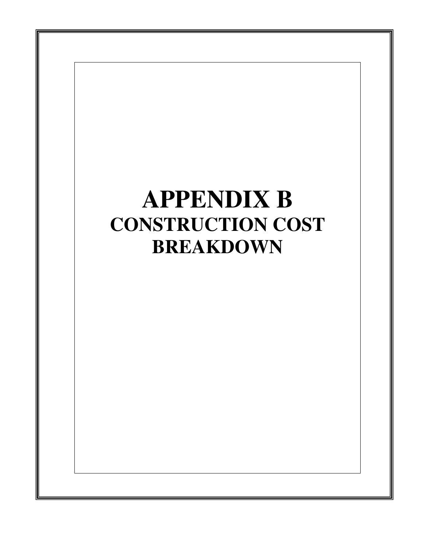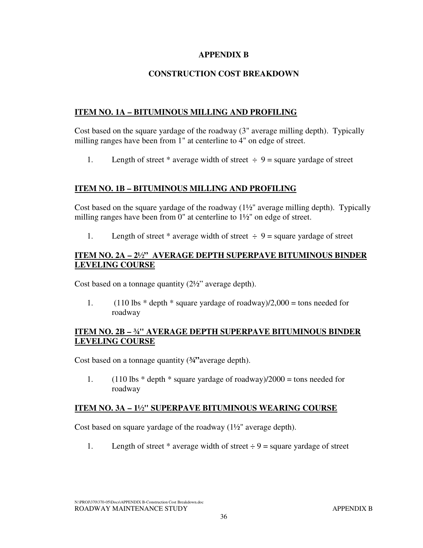#### **APPENDIX B**

#### **CONSTRUCTION COST BREAKDOWN**

#### **ITEM NO. 1A – BITUMINOUS MILLING AND PROFILING**

Cost based on the square yardage of the roadway (3" average milling depth). Typically milling ranges have been from 1" at centerline to 4" on edge of street.

1. Length of street \* average width of street  $\div$  9 = square yardage of street

#### **ITEM NO. 1B – BITUMINOUS MILLING AND PROFILING**

Cost based on the square yardage of the roadway  $(1\frac{1}{2})^n$  average milling depth). Typically milling ranges have been from 0" at centerline to  $1\frac{1}{2}$ " on edge of street.

1. Length of street \* average width of street  $\div$  9 = square yardage of street

#### **ITEM NO. 2A – 2½" AVERAGE DEPTH SUPERPAVE BITUMINOUS BINDER LEVELING COURSE**

Cost based on a tonnage quantity (2½" average depth).

1.  $(110 \text{ lbs} * \text{depth} * \text{square} \text{ yards} \text{ of } \text{roadway})/2,000 = \text{tons needed}$  for roadway

#### **ITEM NO. 2B – ¾" AVERAGE DEPTH SUPERPAVE BITUMINOUS BINDER LEVELING COURSE**

Cost based on a tonnage quantity (**¾"**average depth).

1.  $(110 \text{ lbs} * \text{depth} * \text{ square}\text{ yards of} \text{roadway})/2000 = \text{tons needed}$  for roadway

#### **ITEM NO. 3A – 1½" SUPERPAVE BITUMINOUS WEARING COURSE**

Cost based on square yardage of the roadway (1½" average depth).

1. Length of street \* average width of street  $\div 9$  = square yardage of street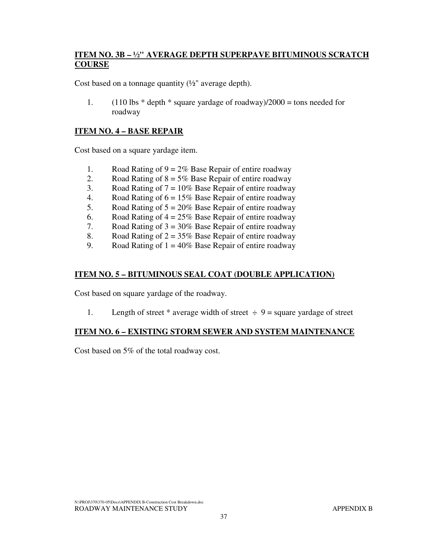#### **ITEM NO. 3B – ½" AVERAGE DEPTH SUPERPAVE BITUMINOUS SCRATCH COURSE**

Cost based on a tonnage quantity  $(\frac{1}{2})^n$  average depth).

1.  $(110 \text{ lbs} * \text{depth} * \text{ square}\text{ yards})/2000 = \text{tons needed}$  for roadway

#### **ITEM NO. 4 – BASE REPAIR**

Cost based on a square yardage item.

- 1. Road Rating of  $9 = 2\%$  Base Repair of entire roadway
- 2. Road Rating of  $8 = 5\%$  Base Repair of entire roadway
- 3. Road Rating of  $7 = 10\%$  Base Repair of entire roadway
- 4. Road Rating of  $6 = 15\%$  Base Repair of entire roadway
- 5. Road Rating of  $5 = 20\%$  Base Repair of entire roadway
- 6. Road Rating of  $4 = 25\%$  Base Repair of entire roadway
- 7. Road Rating of  $3 = 30\%$  Base Repair of entire roadway
- 8. Road Rating of  $2 = 35\%$  Base Repair of entire roadway
- 9. Road Rating of  $1 = 40\%$  Base Repair of entire roadway

#### **ITEM NO. 5 – BITUMINOUS SEAL COAT (DOUBLE APPLICATION)**

Cost based on square yardage of the roadway.

1. Length of street \* average width of street  $\div$  9 = square yardage of street

#### **ITEM NO. 6 – EXISTING STORM SEWER AND SYSTEM MAINTENANCE**

Cost based on 5% of the total roadway cost.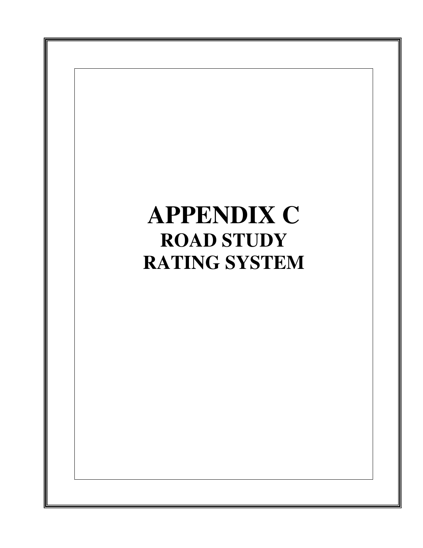# **APPENDIX C ROAD STUDY RATING SYSTEM**